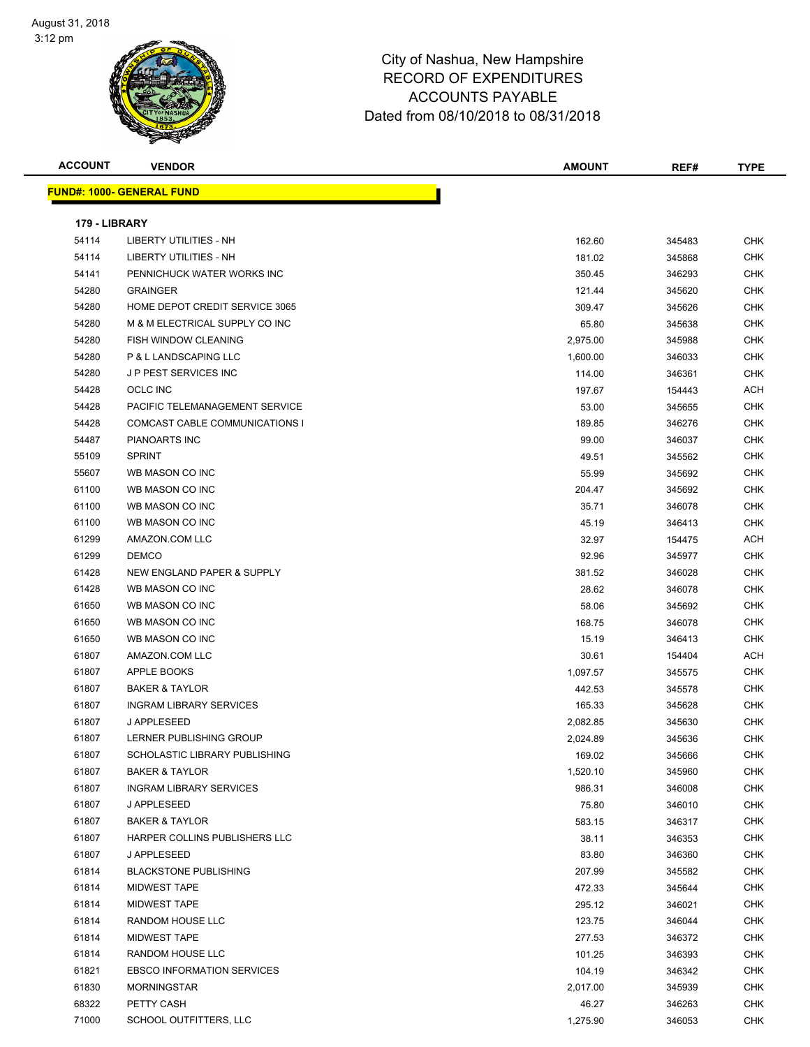| <b>ACCOUNT</b> | <b>VENDOR</b>                     | <b>AMOUNT</b> | REF#   | <b>TYPE</b> |
|----------------|-----------------------------------|---------------|--------|-------------|
|                | <b>FUND#: 1000- GENERAL FUND</b>  |               |        |             |
|                |                                   |               |        |             |
| 179 - LIBRARY  |                                   |               |        |             |
| 54114          | LIBERTY UTILITIES - NH            | 162.60        | 345483 | <b>CHK</b>  |
| 54114          | <b>LIBERTY UTILITIES - NH</b>     | 181.02        | 345868 | <b>CHK</b>  |
| 54141          | PENNICHUCK WATER WORKS INC        | 350.45        | 346293 | CHK         |
| 54280          | <b>GRAINGER</b>                   | 121.44        | 345620 | CHK         |
| 54280          | HOME DEPOT CREDIT SERVICE 3065    | 309.47        | 345626 | CHK         |
| 54280          | M & M ELECTRICAL SUPPLY CO INC    | 65.80         | 345638 | <b>CHK</b>  |
| 54280          | FISH WINDOW CLEANING              | 2,975.00      | 345988 | CHK         |
| 54280          | P & L LANDSCAPING LLC             | 1,600.00      | 346033 | CHK         |
| 54280          | J P PEST SERVICES INC             | 114.00        | 346361 | <b>CHK</b>  |
| 54428          | <b>OCLC INC</b>                   | 197.67        | 154443 | ACH         |
| 54428          | PACIFIC TELEMANAGEMENT SERVICE    | 53.00         | 345655 | CHK         |
| 54428          | COMCAST CABLE COMMUNICATIONS I    | 189.85        | 346276 | CHK         |
| 54487          | <b>PIANOARTS INC</b>              | 99.00         | 346037 | CHK         |
| 55109          | <b>SPRINT</b>                     | 49.51         | 345562 | CHK         |
| 55607          | WB MASON CO INC                   | 55.99         | 345692 | CHK         |
| 61100          | WB MASON CO INC                   | 204.47        | 345692 | CHK         |
| 61100          | WB MASON CO INC                   | 35.71         | 346078 | <b>CHK</b>  |
| 61100          | WB MASON CO INC                   | 45.19         | 346413 | CHK         |
| 61299          | AMAZON.COM LLC                    | 32.97         | 154475 | ACH         |
| 61299          | <b>DEMCO</b>                      | 92.96         | 345977 | <b>CHK</b>  |
| 61428          | NEW ENGLAND PAPER & SUPPLY        | 381.52        | 346028 | CHK         |
| 61428          | WB MASON CO INC                   | 28.62         | 346078 | CHK         |
| 61650          | WB MASON CO INC                   | 58.06         | 345692 | CHK         |
| 61650          | WB MASON CO INC                   | 168.75        | 346078 | <b>CHK</b>  |
| 61650          | WB MASON CO INC                   | 15.19         | 346413 | <b>CHK</b>  |
| 61807          | AMAZON.COM LLC                    | 30.61         | 154404 | ACH         |
| 61807          | APPLE BOOKS                       | 1,097.57      | 345575 | CHK         |
| 61807          | <b>BAKER &amp; TAYLOR</b>         | 442.53        | 345578 | <b>CHK</b>  |
| 61807          | <b>INGRAM LIBRARY SERVICES</b>    | 165.33        | 345628 | CHK         |
| 61807          | J APPLESEED                       | 2,082.85      | 345630 | <b>CHK</b>  |
| 61807          | LERNER PUBLISHING GROUP           | 2,024.89      | 345636 | CHK         |
| 61807          | SCHOLASTIC LIBRARY PUBLISHING     | 169.02        | 345666 | <b>CHK</b>  |
| 61807          | <b>BAKER &amp; TAYLOR</b>         | 1,520.10      | 345960 | CHK         |
| 61807          | <b>INGRAM LIBRARY SERVICES</b>    | 986.31        | 346008 | <b>CHK</b>  |
| 61807          | J APPLESEED                       | 75.80         | 346010 | CHK         |
| 61807          | <b>BAKER &amp; TAYLOR</b>         | 583.15        | 346317 | CHK         |
| 61807          | HARPER COLLINS PUBLISHERS LLC     | 38.11         | 346353 | <b>CHK</b>  |
| 61807          | J APPLESEED                       | 83.80         | 346360 | CHK         |
| 61814          | <b>BLACKSTONE PUBLISHING</b>      | 207.99        | 345582 | <b>CHK</b>  |
| 61814          | <b>MIDWEST TAPE</b>               | 472.33        | 345644 | <b>CHK</b>  |
| 61814          | <b>MIDWEST TAPE</b>               | 295.12        | 346021 | <b>CHK</b>  |
| 61814          | RANDOM HOUSE LLC                  | 123.75        | 346044 | CHK         |
| 61814          | <b>MIDWEST TAPE</b>               | 277.53        | 346372 | CHK         |
| 61814          | RANDOM HOUSE LLC                  | 101.25        | 346393 | CHK         |
| 61821          | <b>EBSCO INFORMATION SERVICES</b> | 104.19        | 346342 | CHK         |
| 61830          | <b>MORNINGSTAR</b>                | 2,017.00      | 345939 | CHK         |
| 68322          | PETTY CASH                        | 46.27         | 346263 | CHK         |
| 71000          | SCHOOL OUTFITTERS, LLC            | 1,275.90      | 346053 | <b>CHK</b>  |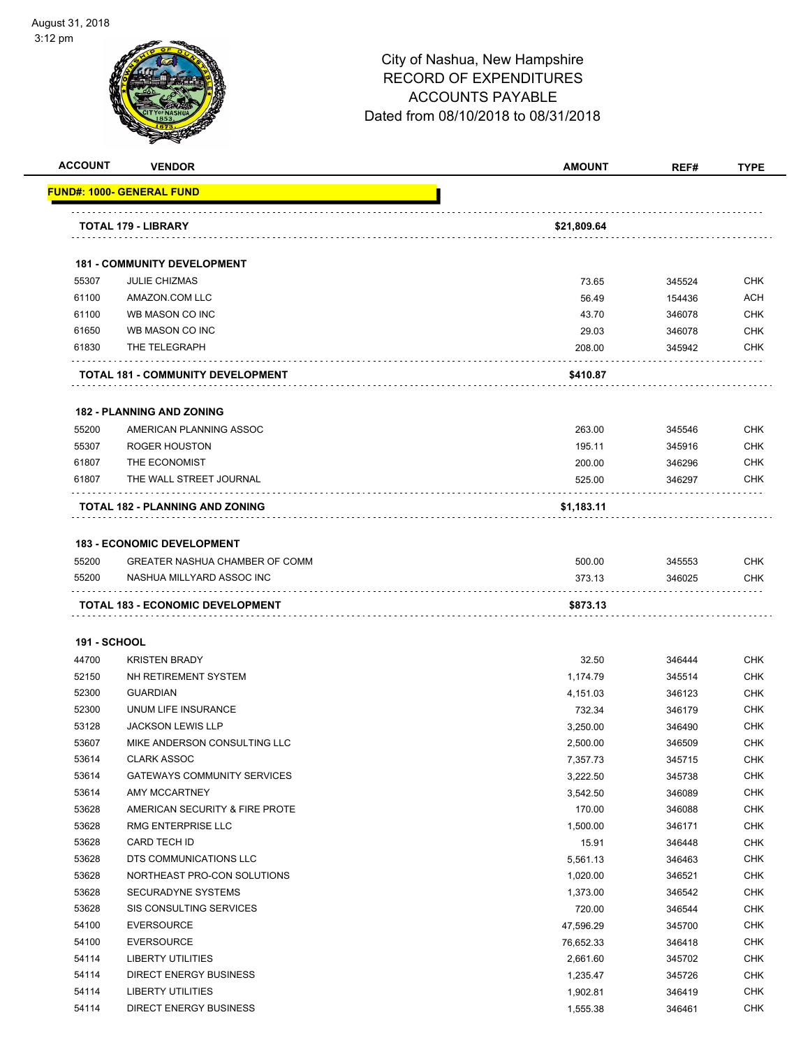| <b>ACCOUNT</b>      | <b>VENDOR</b>                                                       | <b>AMOUNT</b> | REF#   | <b>TYPE</b> |
|---------------------|---------------------------------------------------------------------|---------------|--------|-------------|
|                     | <u> FUND#: 1000- GENERAL FUND</u>                                   |               |        |             |
|                     | TOTAL 179 - LIBRARY                                                 | \$21,809.64   |        |             |
|                     | <b>181 - COMMUNITY DEVELOPMENT</b>                                  |               |        |             |
| 55307               | <b>JULIE CHIZMAS</b>                                                | 73.65         | 345524 | <b>CHK</b>  |
| 61100               | AMAZON.COM LLC                                                      | 56.49         | 154436 | <b>ACH</b>  |
| 61100               | WB MASON CO INC                                                     | 43.70         | 346078 | <b>CHK</b>  |
| 61650               | WB MASON CO INC                                                     | 29.03         | 346078 | <b>CHK</b>  |
| 61830               | THE TELEGRAPH                                                       | 208.00        | 345942 | CHK         |
|                     | TOTAL 181 - COMMUNITY DEVELOPMENT                                   | \$410.87      |        |             |
|                     | <b>182 - PLANNING AND ZONING</b>                                    |               |        |             |
| 55200               | AMERICAN PLANNING ASSOC                                             | 263.00        | 345546 | <b>CHK</b>  |
| 55307               | <b>ROGER HOUSTON</b>                                                | 195.11        | 345916 | <b>CHK</b>  |
| 61807               | THE ECONOMIST                                                       | 200.00        | 346296 | CHK         |
| 61807               | THE WALL STREET JOURNAL                                             | 525.00        | 346297 | <b>CHK</b>  |
|                     | <b>TOTAL 182 - PLANNING AND ZONING</b>                              | \$1,183.11    |        |             |
|                     |                                                                     |               |        |             |
| 55200               | <b>183 - ECONOMIC DEVELOPMENT</b><br>GREATER NASHUA CHAMBER OF COMM | 500.00        | 345553 | <b>CHK</b>  |
| 55200               | NASHUA MILLYARD ASSOC INC                                           | 373.13        | 346025 | <b>CHK</b>  |
|                     |                                                                     |               |        |             |
|                     | TOTAL 183 - ECONOMIC DEVELOPMENT                                    | \$873.13      |        |             |
| <b>191 - SCHOOL</b> |                                                                     |               |        |             |
| 44700               | <b>KRISTEN BRADY</b>                                                | 32.50         | 346444 | <b>CHK</b>  |
| 52150               | NH RETIREMENT SYSTEM                                                | 1,174.79      | 345514 | CHK         |
| 52300               | <b>GUARDIAN</b>                                                     | 4,151.03      | 346123 | CHK         |
| 52300               | UNUM LIFE INSURANCE                                                 | 732.34        | 346179 | CHK         |
| 53128               | <b>JACKSON LEWIS LLP</b>                                            | 3,250.00      | 346490 | CHK         |
| 53607               | MIKE ANDERSON CONSULTING LLC                                        | 2,500.00      | 346509 | <b>CHK</b>  |
| 53614               | <b>CLARK ASSOC</b>                                                  | 7,357.73      | 345715 | CHK         |
| 53614               | <b>GATEWAYS COMMUNITY SERVICES</b>                                  | 3,222.50      | 345738 | <b>CHK</b>  |
| 53614               | AMY MCCARTNEY                                                       | 3,542.50      | 346089 | CHK         |
| 53628               | AMERICAN SECURITY & FIRE PROTE                                      | 170.00        | 346088 | <b>CHK</b>  |
| 53628               | RMG ENTERPRISE LLC                                                  | 1,500.00      | 346171 | <b>CHK</b>  |
| 53628               | CARD TECH ID                                                        | 15.91         | 346448 | <b>CHK</b>  |
| 53628               | DTS COMMUNICATIONS LLC                                              | 5,561.13      | 346463 | <b>CHK</b>  |
| 53628               | NORTHEAST PRO-CON SOLUTIONS                                         | 1,020.00      | 346521 | <b>CHK</b>  |
| 53628               | SECURADYNE SYSTEMS                                                  | 1,373.00      | 346542 | <b>CHK</b>  |
| 53628               | SIS CONSULTING SERVICES                                             | 720.00        | 346544 | <b>CHK</b>  |
| 54100               | <b>EVERSOURCE</b>                                                   | 47,596.29     | 345700 | <b>CHK</b>  |
| 54100               | <b>EVERSOURCE</b>                                                   | 76,652.33     | 346418 | <b>CHK</b>  |
| 54114               | LIBERTY UTILITIES                                                   | 2,661.60      | 345702 | <b>CHK</b>  |
| 54114               | <b>DIRECT ENERGY BUSINESS</b>                                       | 1,235.47      | 345726 | <b>CHK</b>  |
| 54114               | LIBERTY UTILITIES                                                   | 1,902.81      | 346419 | <b>CHK</b>  |
| 54114               | DIRECT ENERGY BUSINESS                                              | 1,555.38      | 346461 | <b>CHK</b>  |
|                     |                                                                     |               |        |             |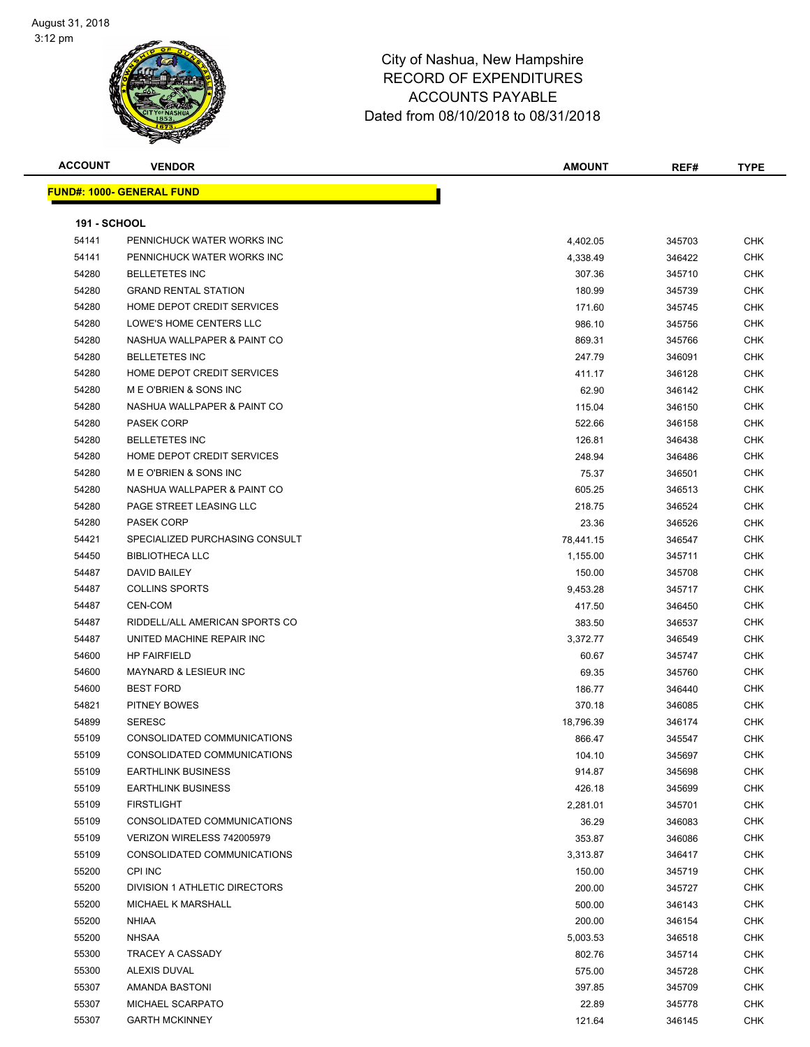| <b>ACCOUNT</b>      | <b>VENDOR</b>                    | AMOUNT    | REF#   | <b>TYPE</b> |
|---------------------|----------------------------------|-----------|--------|-------------|
|                     | <b>FUND#: 1000- GENERAL FUND</b> |           |        |             |
|                     |                                  |           |        |             |
| <b>191 - SCHOOL</b> |                                  |           |        |             |
| 54141               | PENNICHUCK WATER WORKS INC       | 4,402.05  | 345703 | <b>CHK</b>  |
| 54141               | PENNICHUCK WATER WORKS INC       | 4,338.49  | 346422 | <b>CHK</b>  |
| 54280               | <b>BELLETETES INC</b>            | 307.36    | 345710 | <b>CHK</b>  |
| 54280               | <b>GRAND RENTAL STATION</b>      | 180.99    | 345739 | <b>CHK</b>  |
| 54280               | HOME DEPOT CREDIT SERVICES       | 171.60    | 345745 | <b>CHK</b>  |
| 54280               | LOWE'S HOME CENTERS LLC          | 986.10    | 345756 | <b>CHK</b>  |
| 54280               | NASHUA WALLPAPER & PAINT CO      | 869.31    | 345766 | <b>CHK</b>  |
| 54280               | <b>BELLETETES INC</b>            | 247.79    | 346091 | <b>CHK</b>  |
| 54280               | HOME DEPOT CREDIT SERVICES       | 411.17    | 346128 | <b>CHK</b>  |
| 54280               | M E O'BRIEN & SONS INC           | 62.90     | 346142 | <b>CHK</b>  |
| 54280               | NASHUA WALLPAPER & PAINT CO      | 115.04    | 346150 | <b>CHK</b>  |
| 54280               | <b>PASEK CORP</b>                | 522.66    | 346158 | <b>CHK</b>  |
| 54280               | <b>BELLETETES INC</b>            | 126.81    | 346438 | CHK         |
| 54280               | HOME DEPOT CREDIT SERVICES       | 248.94    | 346486 | <b>CHK</b>  |
| 54280               | M E O'BRIEN & SONS INC           | 75.37     | 346501 | <b>CHK</b>  |
| 54280               | NASHUA WALLPAPER & PAINT CO      | 605.25    | 346513 | <b>CHK</b>  |
| 54280               | PAGE STREET LEASING LLC          | 218.75    | 346524 | <b>CHK</b>  |
| 54280               | <b>PASEK CORP</b>                | 23.36     | 346526 | <b>CHK</b>  |
| 54421               | SPECIALIZED PURCHASING CONSULT   | 78,441.15 | 346547 | <b>CHK</b>  |
| 54450               | <b>BIBLIOTHECA LLC</b>           | 1,155.00  | 345711 | <b>CHK</b>  |
| 54487               | DAVID BAILEY                     | 150.00    | 345708 | <b>CHK</b>  |
| 54487               | <b>COLLINS SPORTS</b>            | 9,453.28  | 345717 | <b>CHK</b>  |
| 54487               | CEN-COM                          | 417.50    | 346450 | <b>CHK</b>  |
| 54487               | RIDDELL/ALL AMERICAN SPORTS CO   | 383.50    | 346537 | <b>CHK</b>  |
| 54487               | UNITED MACHINE REPAIR INC        | 3,372.77  | 346549 | <b>CHK</b>  |
| 54600               | <b>HP FAIRFIELD</b>              | 60.67     | 345747 | <b>CHK</b>  |
| 54600               | <b>MAYNARD &amp; LESIEUR INC</b> | 69.35     | 345760 | <b>CHK</b>  |
| 54600               | <b>BEST FORD</b>                 | 186.77    | 346440 | <b>CHK</b>  |
| 54821               | PITNEY BOWES                     | 370.18    | 346085 | <b>CHK</b>  |
| 54899               | <b>SERESC</b>                    | 18,796.39 | 346174 | <b>CHK</b>  |
| 55109               | CONSOLIDATED COMMUNICATIONS      | 866.47    | 345547 | CHK         |
| 55109               | CONSOLIDATED COMMUNICATIONS      | 104.10    | 345697 | CHK         |
| 55109               | <b>EARTHLINK BUSINESS</b>        | 914.87    | 345698 | <b>CHK</b>  |
| 55109               | <b>EARTHLINK BUSINESS</b>        | 426.18    | 345699 | <b>CHK</b>  |
| 55109               | <b>FIRSTLIGHT</b>                | 2,281.01  | 345701 | CHK         |
| 55109               | CONSOLIDATED COMMUNICATIONS      | 36.29     | 346083 | CHK         |
| 55109               | VERIZON WIRELESS 742005979       | 353.87    | 346086 | CHK         |
| 55109               | CONSOLIDATED COMMUNICATIONS      | 3,313.87  | 346417 | CHK         |
| 55200               | <b>CPI INC</b>                   | 150.00    | 345719 | <b>CHK</b>  |
| 55200               | DIVISION 1 ATHLETIC DIRECTORS    | 200.00    | 345727 | <b>CHK</b>  |
| 55200               | MICHAEL K MARSHALL               | 500.00    | 346143 | CHK         |
| 55200               | <b>NHIAA</b>                     | 200.00    | 346154 | <b>CHK</b>  |
| 55200               | <b>NHSAA</b>                     | 5,003.53  | 346518 | CHK         |
| 55300               | TRACEY A CASSADY                 | 802.76    | 345714 | CHK         |
| 55300               | ALEXIS DUVAL                     | 575.00    | 345728 | <b>CHK</b>  |
| 55307               | AMANDA BASTONI                   | 397.85    | 345709 | CHK         |
| 55307               | MICHAEL SCARPATO                 | 22.89     | 345778 | CHK         |
| 55307               | <b>GARTH MCKINNEY</b>            | 121.64    | 346145 | CHK         |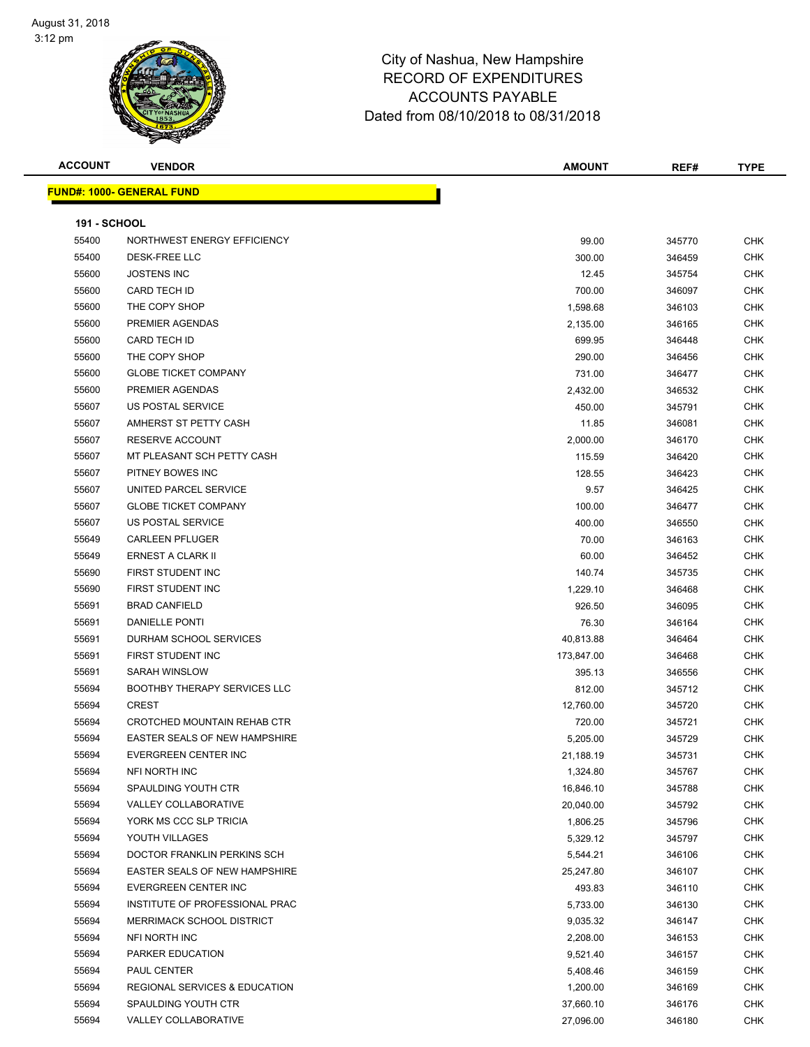### Page 20 of 108

| <b>ACCOUNT</b>      | <b>VENDOR</b>                        | <b>AMOUNT</b> | REF#   | <b>TYPE</b> |
|---------------------|--------------------------------------|---------------|--------|-------------|
|                     | <b>FUND#: 1000- GENERAL FUND</b>     |               |        |             |
|                     |                                      |               |        |             |
| <b>191 - SCHOOL</b> |                                      |               |        |             |
| 55400               | NORTHWEST ENERGY EFFICIENCY          | 99.00         | 345770 | <b>CHK</b>  |
| 55400               | <b>DESK-FREE LLC</b>                 | 300.00        | 346459 | CHK         |
| 55600               | <b>JOSTENS INC</b>                   | 12.45         | 345754 | CHK         |
| 55600               | <b>CARD TECH ID</b>                  | 700.00        | 346097 | CHK         |
| 55600               | THE COPY SHOP                        | 1,598.68      | 346103 | <b>CHK</b>  |
| 55600               | PREMIER AGENDAS                      | 2,135.00      | 346165 | <b>CHK</b>  |
| 55600               | <b>CARD TECH ID</b>                  | 699.95        | 346448 | CHK         |
| 55600               | THE COPY SHOP                        | 290.00        | 346456 | <b>CHK</b>  |
| 55600               | <b>GLOBE TICKET COMPANY</b>          | 731.00        | 346477 | <b>CHK</b>  |
| 55600               | PREMIER AGENDAS                      | 2,432.00      | 346532 | <b>CHK</b>  |
| 55607               | US POSTAL SERVICE                    | 450.00        | 345791 | CHK         |
| 55607               | AMHERST ST PETTY CASH                | 11.85         | 346081 | <b>CHK</b>  |
| 55607               | <b>RESERVE ACCOUNT</b>               | 2,000.00      | 346170 | CHK         |
| 55607               | MT PLEASANT SCH PETTY CASH           | 115.59        | 346420 | <b>CHK</b>  |
| 55607               | PITNEY BOWES INC                     | 128.55        | 346423 | CHK         |
| 55607               | UNITED PARCEL SERVICE                | 9.57          | 346425 | CHK         |
| 55607               | <b>GLOBE TICKET COMPANY</b>          | 100.00        | 346477 | CHK         |
| 55607               | <b>US POSTAL SERVICE</b>             | 400.00        | 346550 | CHK         |
| 55649               | <b>CARLEEN PFLUGER</b>               | 70.00         | 346163 | CHK         |
| 55649               | ERNEST A CLARK II                    | 60.00         | 346452 | <b>CHK</b>  |
| 55690               | FIRST STUDENT INC                    | 140.74        | 345735 | <b>CHK</b>  |
| 55690               | FIRST STUDENT INC                    | 1,229.10      | 346468 | <b>CHK</b>  |
| 55691               | <b>BRAD CANFIELD</b>                 | 926.50        | 346095 | CHK         |
| 55691               | DANIELLE PONTI                       | 76.30         | 346164 | CHK         |
| 55691               | DURHAM SCHOOL SERVICES               | 40,813.88     | 346464 | CHK         |
| 55691               | FIRST STUDENT INC                    | 173,847.00    | 346468 | CHK         |
| 55691               | SARAH WINSLOW                        | 395.13        | 346556 | <b>CHK</b>  |
| 55694               | <b>BOOTHBY THERAPY SERVICES LLC</b>  | 812.00        | 345712 | <b>CHK</b>  |
| 55694               | <b>CREST</b>                         | 12,760.00     | 345720 | CHK         |
| 55694               | CROTCHED MOUNTAIN REHAB CTR          | 720.00        | 345721 | CHK         |
| 55694               | <b>EASTER SEALS OF NEW HAMPSHIRE</b> | 5,205.00      | 345729 | <b>CHK</b>  |
| 55694               | <b>EVERGREEN CENTER INC</b>          | 21,188.19     | 345731 | <b>CHK</b>  |
| 55694               | NFI NORTH INC                        | 1,324.80      | 345767 | <b>CHK</b>  |
| 55694               | SPAULDING YOUTH CTR                  | 16,846.10     | 345788 | <b>CHK</b>  |
| 55694               | VALLEY COLLABORATIVE                 | 20,040.00     | 345792 | CHK         |
| 55694               | YORK MS CCC SLP TRICIA               | 1,806.25      | 345796 | CHK         |
| 55694               | YOUTH VILLAGES                       | 5,329.12      | 345797 | CHK         |
| 55694               | DOCTOR FRANKLIN PERKINS SCH          | 5,544.21      | 346106 | CHK         |
| 55694               | EASTER SEALS OF NEW HAMPSHIRE        | 25,247.80     | 346107 | <b>CHK</b>  |
| 55694               | EVERGREEN CENTER INC                 | 493.83        | 346110 | <b>CHK</b>  |
| 55694               | INSTITUTE OF PROFESSIONAL PRAC       | 5,733.00      | 346130 | <b>CHK</b>  |
| 55694               | MERRIMACK SCHOOL DISTRICT            | 9,035.32      | 346147 | <b>CHK</b>  |
| 55694               | NFI NORTH INC                        | 2,208.00      | 346153 | <b>CHK</b>  |
| 55694               | PARKER EDUCATION                     | 9,521.40      | 346157 | <b>CHK</b>  |
| 55694               | PAUL CENTER                          | 5,408.46      | 346159 | <b>CHK</b>  |
| 55694               | REGIONAL SERVICES & EDUCATION        | 1,200.00      | 346169 | CHK         |
| 55694               | SPAULDING YOUTH CTR                  | 37,660.10     | 346176 | CHK         |
| 55694               | VALLEY COLLABORATIVE                 | 27,096.00     | 346180 | <b>CHK</b>  |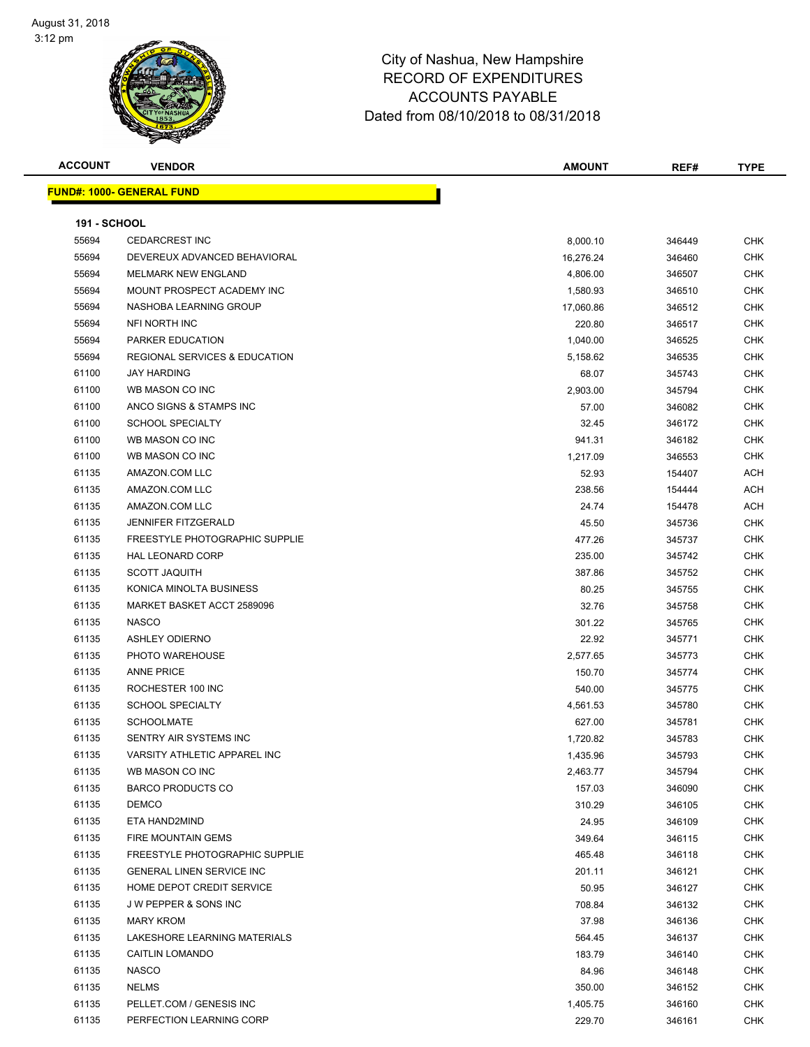### Page 21 of 108

| <b>ACCOUNT</b>      | <b>VENDOR</b>                            | <b>AMOUNT</b> | REF#             | <b>TYPE</b> |
|---------------------|------------------------------------------|---------------|------------------|-------------|
|                     | <b>FUND#: 1000- GENERAL FUND</b>         |               |                  |             |
|                     |                                          |               |                  |             |
| <b>191 - SCHOOL</b> |                                          |               |                  |             |
| 55694               | <b>CEDARCREST INC</b>                    | 8,000.10      | 346449           | <b>CHK</b>  |
| 55694               | DEVEREUX ADVANCED BEHAVIORAL             | 16,276.24     | 346460           | <b>CHK</b>  |
| 55694               | <b>MELMARK NEW ENGLAND</b>               | 4,806.00      | 346507           | <b>CHK</b>  |
| 55694               | MOUNT PROSPECT ACADEMY INC               | 1,580.93      | 346510           | <b>CHK</b>  |
| 55694               | NASHOBA LEARNING GROUP                   | 17,060.86     | 346512           | <b>CHK</b>  |
| 55694               | NFI NORTH INC                            | 220.80        | 346517           | <b>CHK</b>  |
| 55694               | PARKER EDUCATION                         | 1,040.00      | 346525           | <b>CHK</b>  |
| 55694               | <b>REGIONAL SERVICES &amp; EDUCATION</b> | 5,158.62      | 346535           | CHK         |
| 61100               | <b>JAY HARDING</b>                       | 68.07         | 345743           | CHK         |
| 61100               | WB MASON CO INC                          | 2,903.00      | 345794           | <b>CHK</b>  |
| 61100               | ANCO SIGNS & STAMPS INC                  | 57.00         | 346082           | <b>CHK</b>  |
| 61100               | <b>SCHOOL SPECIALTY</b>                  | 32.45         | 346172           | CHK         |
| 61100               | WB MASON CO INC                          | 941.31        | 346182           | <b>CHK</b>  |
| 61100               | WB MASON CO INC                          | 1,217.09      | 346553           | <b>CHK</b>  |
| 61135               | AMAZON.COM LLC                           | 52.93         | 154407           | ACH         |
| 61135               | AMAZON.COM LLC                           | 238.56        | 154444           | <b>ACH</b>  |
| 61135               | AMAZON.COM LLC                           | 24.74         | 154478           | <b>ACH</b>  |
| 61135               | <b>JENNIFER FITZGERALD</b>               | 45.50         | 345736           | <b>CHK</b>  |
| 61135               | FREESTYLE PHOTOGRAPHIC SUPPLIE           | 477.26        | 345737           | <b>CHK</b>  |
| 61135               | <b>HAL LEONARD CORP</b>                  | 235.00        | 345742           | <b>CHK</b>  |
| 61135               | <b>SCOTT JAQUITH</b>                     | 387.86        | 345752           | <b>CHK</b>  |
| 61135               | KONICA MINOLTA BUSINESS                  | 80.25         | 345755           | CHK         |
| 61135               | MARKET BASKET ACCT 2589096               | 32.76         | 345758           | <b>CHK</b>  |
| 61135               | <b>NASCO</b>                             | 301.22        | 345765           | <b>CHK</b>  |
| 61135               | <b>ASHLEY ODIERNO</b>                    | 22.92         | 345771           | <b>CHK</b>  |
| 61135               | PHOTO WAREHOUSE                          | 2,577.65      | 345773           | <b>CHK</b>  |
| 61135               | <b>ANNE PRICE</b>                        | 150.70        | 345774           | <b>CHK</b>  |
| 61135               | ROCHESTER 100 INC                        | 540.00        | 345775           | <b>CHK</b>  |
| 61135               | <b>SCHOOL SPECIALTY</b>                  | 4,561.53      | 345780           | CHK         |
| 61135               | <b>SCHOOLMATE</b>                        |               |                  | <b>CHK</b>  |
| 61135               | SENTRY AIR SYSTEMS INC                   | 627.00        | 345781<br>345783 | <b>CHK</b>  |
|                     |                                          | 1,720.82      |                  |             |
| 61135               | VARSITY ATHLETIC APPAREL INC             | 1,435.96      | 345793           | CHK         |
| 61135               | WB MASON CO INC                          | 2,463.77      | 345794           | CHK         |
| 61135               | <b>BARCO PRODUCTS CO</b>                 | 157.03        | 346090           | <b>CHK</b>  |
| 61135               | <b>DEMCO</b>                             | 310.29        | 346105           | CHK         |
| 61135               | ETA HAND2MIND                            | 24.95         | 346109           | <b>CHK</b>  |
| 61135               | FIRE MOUNTAIN GEMS                       | 349.64        | 346115           | <b>CHK</b>  |
| 61135               | FREESTYLE PHOTOGRAPHIC SUPPLIE           | 465.48        | 346118           | <b>CHK</b>  |
| 61135               | <b>GENERAL LINEN SERVICE INC</b>         | 201.11        | 346121           | <b>CHK</b>  |
| 61135               | HOME DEPOT CREDIT SERVICE                | 50.95         | 346127           | <b>CHK</b>  |
| 61135               | J W PEPPER & SONS INC                    | 708.84        | 346132           | CHK         |
| 61135               | <b>MARY KROM</b>                         | 37.98         | 346136           | <b>CHK</b>  |
| 61135               | LAKESHORE LEARNING MATERIALS             | 564.45        | 346137           | CHK         |
| 61135               | <b>CAITLIN LOMANDO</b>                   | 183.79        | 346140           | CHK         |
| 61135               | <b>NASCO</b>                             | 84.96         | 346148           | <b>CHK</b>  |
| 61135               | <b>NELMS</b>                             | 350.00        | 346152           | CHK         |
| 61135               | PELLET.COM / GENESIS INC                 | 1,405.75      | 346160           | CHK         |
| 61135               | PERFECTION LEARNING CORP                 | 229.70        | 346161           | <b>CHK</b>  |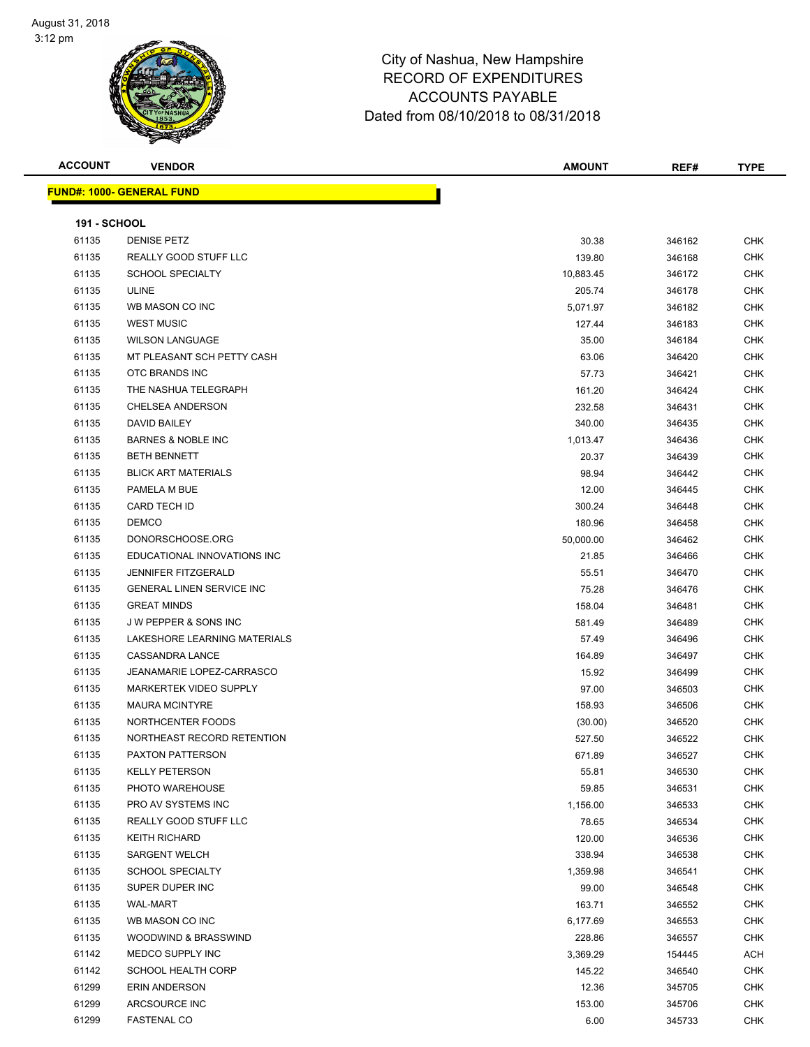### Page 22 of 108

| <b>ACCOUNT</b>      | <b>VENDOR</b>                    | <b>AMOUNT</b> | REF#   | <b>TYPE</b> |
|---------------------|----------------------------------|---------------|--------|-------------|
|                     | <b>FUND#: 1000- GENERAL FUND</b> |               |        |             |
|                     |                                  |               |        |             |
| <b>191 - SCHOOL</b> |                                  |               |        |             |
| 61135               | <b>DENISE PETZ</b>               | 30.38         | 346162 | <b>CHK</b>  |
| 61135               | REALLY GOOD STUFF LLC            | 139.80        | 346168 | <b>CHK</b>  |
| 61135               | <b>SCHOOL SPECIALTY</b>          | 10,883.45     | 346172 | <b>CHK</b>  |
| 61135               | <b>ULINE</b>                     | 205.74        | 346178 | <b>CHK</b>  |
| 61135               | WB MASON CO INC                  | 5,071.97      | 346182 | <b>CHK</b>  |
| 61135               | <b>WEST MUSIC</b>                | 127.44        | 346183 | CHK         |
| 61135               | <b>WILSON LANGUAGE</b>           | 35.00         | 346184 | <b>CHK</b>  |
| 61135               | MT PLEASANT SCH PETTY CASH       | 63.06         | 346420 | CHK         |
| 61135               | OTC BRANDS INC                   | 57.73         | 346421 | CHK         |
| 61135               | THE NASHUA TELEGRAPH             | 161.20        | 346424 | CHK         |
| 61135               | <b>CHELSEA ANDERSON</b>          | 232.58        | 346431 | CHK         |
| 61135               | <b>DAVID BAILEY</b>              | 340.00        | 346435 | CHK         |
| 61135               | <b>BARNES &amp; NOBLE INC</b>    | 1,013.47      | 346436 | CHK         |
| 61135               | <b>BETH BENNETT</b>              | 20.37         | 346439 | CHK         |
| 61135               | <b>BLICK ART MATERIALS</b>       | 98.94         | 346442 | <b>CHK</b>  |
| 61135               | PAMELA M BUE                     | 12.00         | 346445 | CHK         |
| 61135               | <b>CARD TECH ID</b>              | 300.24        | 346448 | CHK         |
| 61135               | <b>DEMCO</b>                     | 180.96        | 346458 | <b>CHK</b>  |
| 61135               | DONORSCHOOSE.ORG                 | 50,000.00     | 346462 | <b>CHK</b>  |
| 61135               | EDUCATIONAL INNOVATIONS INC      | 21.85         | 346466 | <b>CHK</b>  |
| 61135               | <b>JENNIFER FITZGERALD</b>       | 55.51         | 346470 | CHK         |
| 61135               | <b>GENERAL LINEN SERVICE INC</b> | 75.28         | 346476 | <b>CHK</b>  |
| 61135               | <b>GREAT MINDS</b>               | 158.04        | 346481 | <b>CHK</b>  |
| 61135               | J W PEPPER & SONS INC            | 581.49        | 346489 | <b>CHK</b>  |
| 61135               | LAKESHORE LEARNING MATERIALS     | 57.49         | 346496 | CHK         |
| 61135               | CASSANDRA LANCE                  | 164.89        | 346497 | <b>CHK</b>  |
| 61135               | JEANAMARIE LOPEZ-CARRASCO        | 15.92         | 346499 | <b>CHK</b>  |
| 61135               | <b>MARKERTEK VIDEO SUPPLY</b>    | 97.00         | 346503 | CHK         |
| 61135               | <b>MAURA MCINTYRE</b>            | 158.93        | 346506 | <b>CHK</b>  |
| 61135               | NORTHCENTER FOODS                | (30.00)       | 346520 | <b>CHK</b>  |
| 61135               | NORTHEAST RECORD RETENTION       | 527.50        | 346522 | <b>CHK</b>  |
| 61135               | PAXTON PATTERSON                 | 671.89        | 346527 | <b>CHK</b>  |
| 61135               | <b>KELLY PETERSON</b>            | 55.81         | 346530 | <b>CHK</b>  |
| 61135               | PHOTO WAREHOUSE                  | 59.85         | 346531 | CHK         |
| 61135               | PRO AV SYSTEMS INC               | 1,156.00      | 346533 | <b>CHK</b>  |
| 61135               | REALLY GOOD STUFF LLC            | 78.65         | 346534 | <b>CHK</b>  |
| 61135               | <b>KEITH RICHARD</b>             | 120.00        | 346536 | <b>CHK</b>  |
| 61135               | <b>SARGENT WELCH</b>             | 338.94        | 346538 | <b>CHK</b>  |
| 61135               | <b>SCHOOL SPECIALTY</b>          | 1,359.98      | 346541 | <b>CHK</b>  |
| 61135               | SUPER DUPER INC                  | 99.00         | 346548 | CHK         |
| 61135               | WAL-MART                         | 163.71        | 346552 | <b>CHK</b>  |
| 61135               | WB MASON CO INC                  | 6,177.69      | 346553 | CHK         |
| 61135               | WOODWIND & BRASSWIND             | 228.86        | 346557 | CHK         |
| 61142               | MEDCO SUPPLY INC                 | 3,369.29      | 154445 | ACH         |
| 61142               | <b>SCHOOL HEALTH CORP</b>        | 145.22        | 346540 | CHK         |
| 61299               | ERIN ANDERSON                    | 12.36         | 345705 | CHK         |
| 61299               | ARCSOURCE INC                    | 153.00        | 345706 | CHK         |
| 61299               | <b>FASTENAL CO</b>               | 6.00          | 345733 | CHK         |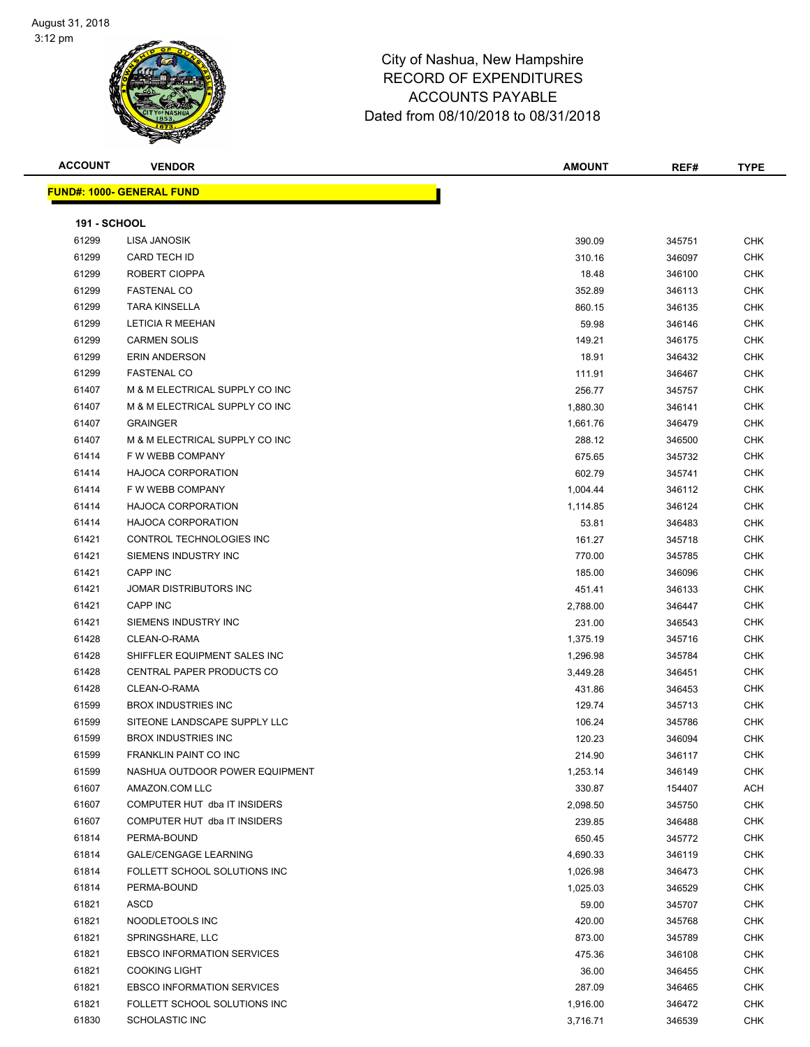

**ACCOUNT VENDOR AMOUNT REF# TYPE**

Page 23 of 108

**FUND#: 1000- GENERAL FUND 191 - SCHOOL**

| 61299          | LISA JANOSIK                                   | 390.09   | 345751 | CHK        |
|----------------|------------------------------------------------|----------|--------|------------|
| 61299          | <b>CARD TECH ID</b>                            | 310.16   | 346097 | <b>CHK</b> |
| 61299          | ROBERT CIOPPA                                  | 18.48    | 346100 | <b>CHK</b> |
| 61299          | <b>FASTENAL CO</b>                             | 352.89   | 346113 | CHK        |
| 61299          | <b>TARA KINSELLA</b>                           | 860.15   | 346135 | CHK        |
| 61299          | <b>LETICIA R MEEHAN</b>                        | 59.98    | 346146 | <b>CHK</b> |
| 61299          | <b>CARMEN SOLIS</b>                            | 149.21   | 346175 | CHK        |
| 61299          | <b>ERIN ANDERSON</b>                           | 18.91    | 346432 | <b>CHK</b> |
| 61299          | <b>FASTENAL CO</b>                             | 111.91   | 346467 | <b>CHK</b> |
| 61407          | M & M ELECTRICAL SUPPLY CO INC                 | 256.77   | 345757 | <b>CHK</b> |
| 61407          | M & M ELECTRICAL SUPPLY CO INC                 | 1,880.30 | 346141 | <b>CHK</b> |
| 61407          | <b>GRAINGER</b>                                | 1,661.76 | 346479 | <b>CHK</b> |
| 61407          | M & M ELECTRICAL SUPPLY CO INC                 | 288.12   | 346500 | <b>CHK</b> |
| 61414          | F W WEBB COMPANY                               | 675.65   | 345732 | <b>CHK</b> |
| 61414          | <b>HAJOCA CORPORATION</b>                      | 602.79   | 345741 | CHK        |
| 61414          | F W WEBB COMPANY                               | 1,004.44 | 346112 | <b>CHK</b> |
| 61414          | <b>HAJOCA CORPORATION</b>                      | 1,114.85 | 346124 | CHK        |
| 61414          | <b>HAJOCA CORPORATION</b>                      | 53.81    | 346483 | CHK        |
| 61421          | CONTROL TECHNOLOGIES INC                       | 161.27   | 345718 | <b>CHK</b> |
| 61421          | SIEMENS INDUSTRY INC                           | 770.00   | 345785 | <b>CHK</b> |
| 61421          | <b>CAPP INC</b>                                | 185.00   | 346096 | <b>CHK</b> |
| 61421          | JOMAR DISTRIBUTORS INC                         | 451.41   | 346133 | <b>CHK</b> |
| 61421          | <b>CAPP INC</b>                                | 2,788.00 | 346447 | CHK        |
| 61421          | SIEMENS INDUSTRY INC                           | 231.00   | 346543 | <b>CHK</b> |
| 61428          | CLEAN-O-RAMA                                   | 1,375.19 | 345716 | <b>CHK</b> |
| 61428          | SHIFFLER EQUIPMENT SALES INC                   | 1,296.98 | 345784 | CHK        |
| 61428          | CENTRAL PAPER PRODUCTS CO                      | 3,449.28 | 346451 | <b>CHK</b> |
| 61428          | CLEAN-O-RAMA                                   |          |        | <b>CHK</b> |
|                | <b>BROX INDUSTRIES INC</b>                     | 431.86   | 346453 | <b>CHK</b> |
| 61599<br>61599 | SITEONE LANDSCAPE SUPPLY LLC                   | 129.74   | 345713 | <b>CHK</b> |
|                |                                                | 106.24   | 345786 |            |
| 61599          | <b>BROX INDUSTRIES INC</b>                     | 120.23   | 346094 | <b>CHK</b> |
| 61599          | FRANKLIN PAINT CO INC                          | 214.90   | 346117 | <b>CHK</b> |
| 61599          | NASHUA OUTDOOR POWER EQUIPMENT                 | 1,253.14 | 346149 | <b>CHK</b> |
| 61607          | AMAZON.COM LLC<br>COMPUTER HUT dba IT INSIDERS | 330.87   | 154407 | ACH        |
| 61607          |                                                | 2,098.50 | 345750 | <b>CHK</b> |
| 61607          | COMPUTER HUT dba IT INSIDERS                   | 239.85   | 346488 | <b>CHK</b> |
| 61814          | PERMA-BOUND                                    | 650.45   | 345772 | <b>CHK</b> |
| 61814          | <b>GALE/CENGAGE LEARNING</b>                   | 4,690.33 | 346119 | CHK        |
| 61814          | FOLLETT SCHOOL SOLUTIONS INC                   | 1,026.98 | 346473 | CHK        |
| 61814          | PERMA-BOUND                                    | 1,025.03 | 346529 | CHK        |
| 61821          | ASCD                                           | 59.00    | 345707 | <b>CHK</b> |
| 61821          | NOODLETOOLS INC                                | 420.00   | 345768 | <b>CHK</b> |
| 61821          | SPRINGSHARE, LLC                               | 873.00   | 345789 | <b>CHK</b> |
| 61821          | <b>EBSCO INFORMATION SERVICES</b>              | 475.36   | 346108 | CHK        |
| 61821          | <b>COOKING LIGHT</b>                           | 36.00    | 346455 | <b>CHK</b> |
| 61821          | <b>EBSCO INFORMATION SERVICES</b>              | 287.09   | 346465 | <b>CHK</b> |
| 61821          | FOLLETT SCHOOL SOLUTIONS INC                   | 1,916.00 | 346472 | <b>CHK</b> |
| 61830          | SCHOLASTIC INC                                 | 3,716.71 | 346539 | <b>CHK</b> |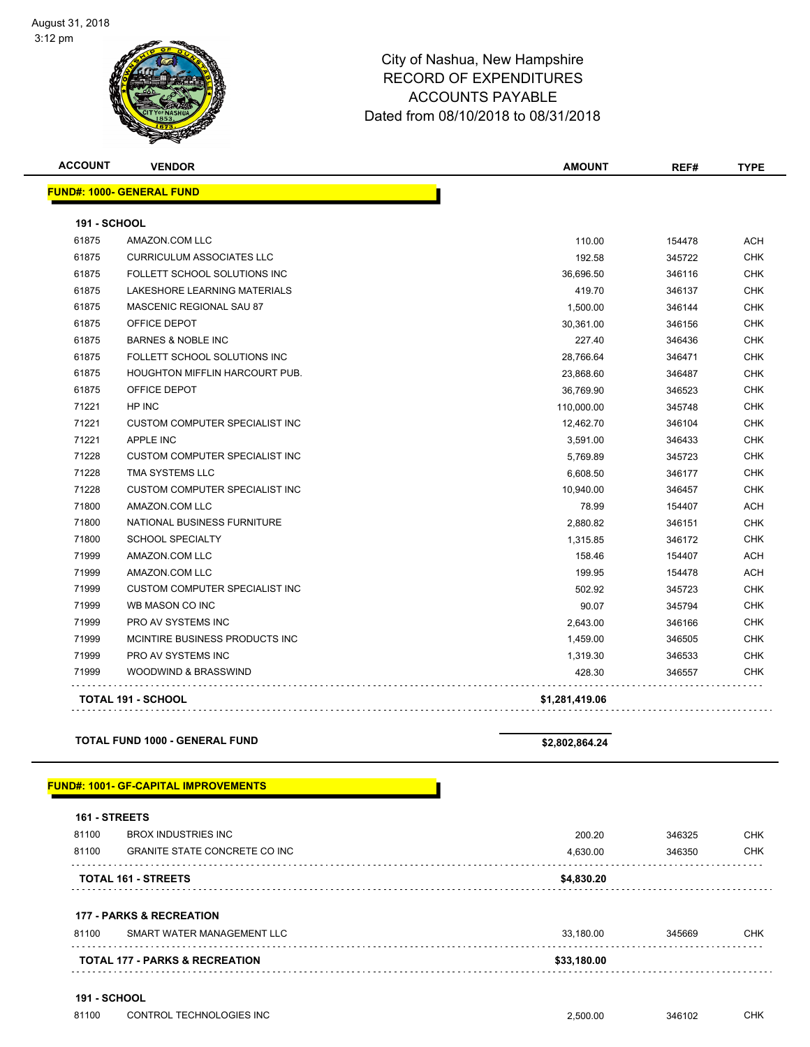#### Page 24 of 108

## City of Nashua, New Hampshire RECORD OF EXPENDITURES ACCOUNTS PAYABLE Dated from 08/10/2018 to 08/31/2018

| <b>ACCOUNT</b> | <b>VENDOR</b>                         | <b>AMOUNT</b>  | REF#   | <b>TYPE</b> |
|----------------|---------------------------------------|----------------|--------|-------------|
|                | <b>FUND#: 1000- GENERAL FUND</b>      |                |        |             |
| 191 - SCHOOL   |                                       |                |        |             |
| 61875          | AMAZON.COM LLC                        | 110.00         | 154478 | <b>ACH</b>  |
| 61875          | <b>CURRICULUM ASSOCIATES LLC</b>      | 192.58         | 345722 | <b>CHK</b>  |
| 61875          | FOLLETT SCHOOL SOLUTIONS INC          | 36,696.50      | 346116 | <b>CHK</b>  |
| 61875          | LAKESHORE LEARNING MATERIALS          | 419.70         | 346137 | <b>CHK</b>  |
| 61875          | <b>MASCENIC REGIONAL SAU 87</b>       | 1,500.00       | 346144 | <b>CHK</b>  |
| 61875          | OFFICE DEPOT                          | 30,361.00      | 346156 | <b>CHK</b>  |
| 61875          | <b>BARNES &amp; NOBLE INC</b>         | 227.40         | 346436 | <b>CHK</b>  |
| 61875          | FOLLETT SCHOOL SOLUTIONS INC          | 28,766.64      | 346471 | <b>CHK</b>  |
| 61875          | HOUGHTON MIFFLIN HARCOURT PUB.        | 23,868.60      | 346487 | <b>CHK</b>  |
| 61875          | OFFICE DEPOT                          | 36,769.90      | 346523 | <b>CHK</b>  |
| 71221          | HP INC                                | 110,000.00     | 345748 | <b>CHK</b>  |
| 71221          | <b>CUSTOM COMPUTER SPECIALIST INC</b> | 12,462.70      | 346104 | <b>CHK</b>  |
| 71221          | <b>APPLE INC</b>                      | 3,591.00       | 346433 | <b>CHK</b>  |
| 71228          | <b>CUSTOM COMPUTER SPECIALIST INC</b> | 5,769.89       | 345723 | <b>CHK</b>  |
| 71228          | TMA SYSTEMS LLC                       | 6,608.50       | 346177 | <b>CHK</b>  |
| 71228          | <b>CUSTOM COMPUTER SPECIALIST INC</b> | 10,940.00      | 346457 | <b>CHK</b>  |
| 71800          | AMAZON.COM LLC                        | 78.99          | 154407 | <b>ACH</b>  |
| 71800          | NATIONAL BUSINESS FURNITURE           | 2,880.82       | 346151 | <b>CHK</b>  |
| 71800          | <b>SCHOOL SPECIALTY</b>               | 1,315.85       | 346172 | <b>CHK</b>  |
| 71999          | AMAZON.COM LLC                        | 158.46         | 154407 | <b>ACH</b>  |
| 71999          | AMAZON.COM LLC                        | 199.95         | 154478 | <b>ACH</b>  |
| 71999          | <b>CUSTOM COMPUTER SPECIALIST INC</b> | 502.92         | 345723 | <b>CHK</b>  |
| 71999          | WB MASON CO INC                       | 90.07          | 345794 | <b>CHK</b>  |
| 71999          | PRO AV SYSTEMS INC                    | 2,643.00       | 346166 | <b>CHK</b>  |
| 71999          | MCINTIRE BUSINESS PRODUCTS INC        | 1,459.00       | 346505 | <b>CHK</b>  |
| 71999          | PRO AV SYSTEMS INC                    | 1,319.30       | 346533 | <b>CHK</b>  |
| 71999          | WOODWIND & BRASSWIND                  | 428.30         | 346557 | <b>CHK</b>  |
|                | <b>TOTAL 191 - SCHOOL</b>             | \$1,281,419.06 |        |             |

### **TOTAL FUND 1000 - GENERAL FUND \$2,802,864.24**

### **FUND#: 1001- GF-CAPITAL IMPROVEMENTS**

| 81100 | <b>177 - PARKS &amp; RECREATION</b><br>SMART WATER MANAGEMENT LLC | 33,180.00 | 345669 | <b>CHK</b> |
|-------|-------------------------------------------------------------------|-----------|--------|------------|

#### **191 - SCHOOL**

| 81100 | CONTROL TECHNOLOGIES INC | 2.500.00 | 346102 | СНК |
|-------|--------------------------|----------|--------|-----|
|-------|--------------------------|----------|--------|-----|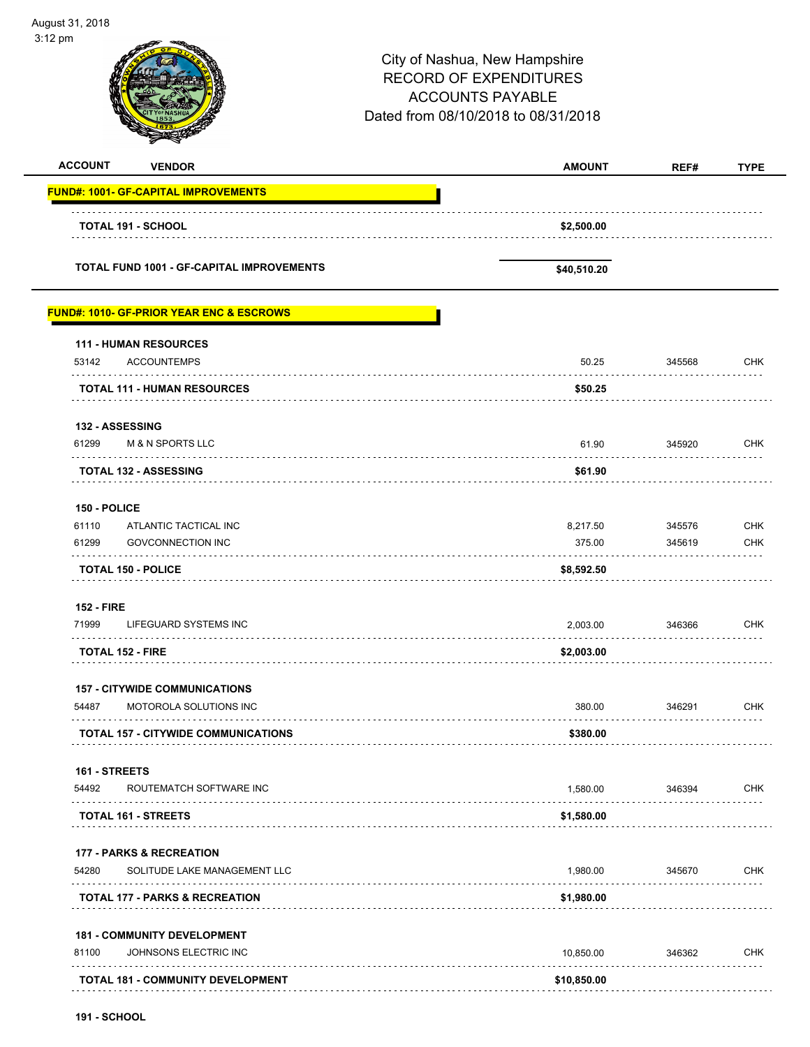| August 31, 2018<br>3:12 pm |                                                     |                                                                                                                                  | Page 25 of 108   |                          |
|----------------------------|-----------------------------------------------------|----------------------------------------------------------------------------------------------------------------------------------|------------------|--------------------------|
|                            |                                                     | City of Nashua, New Hampshire<br><b>RECORD OF EXPENDITURES</b><br><b>ACCOUNTS PAYABLE</b><br>Dated from 08/10/2018 to 08/31/2018 |                  |                          |
| <b>ACCOUNT</b>             | <b>VENDOR</b>                                       | <b>AMOUNT</b>                                                                                                                    | REF#             | <b>TYPE</b>              |
|                            | <b>FUND#: 1001- GF-CAPITAL IMPROVEMENTS</b>         |                                                                                                                                  |                  |                          |
|                            | <b>TOTAL 191 - SCHOOL</b>                           | \$2,500.00                                                                                                                       |                  |                          |
|                            | <b>TOTAL FUND 1001 - GF-CAPITAL IMPROVEMENTS</b>    | \$40,510.20                                                                                                                      |                  |                          |
|                            | <b>FUND#: 1010- GF-PRIOR YEAR ENC &amp; ESCROWS</b> |                                                                                                                                  |                  |                          |
| 53142                      | <b>111 - HUMAN RESOURCES</b><br><b>ACCOUNTEMPS</b>  | 50.25                                                                                                                            | 345568           | <b>CHK</b>               |
|                            | <b>TOTAL 111 - HUMAN RESOURCES</b>                  | \$50.25                                                                                                                          |                  |                          |
| 132 - ASSESSING            |                                                     |                                                                                                                                  |                  |                          |
| 61299                      | <b>M &amp; N SPORTS LLC</b><br>.                    | 61.90                                                                                                                            | 345920           | <b>CHK</b>               |
|                            | <b>TOTAL 132 - ASSESSING</b>                        | \$61.90                                                                                                                          |                  |                          |
| 150 - POLICE               |                                                     |                                                                                                                                  |                  |                          |
| 61110<br>61299             | ATLANTIC TACTICAL INC<br><b>GOVCONNECTION INC</b>   | 8,217.50<br>375.00                                                                                                               | 345576<br>345619 | <b>CHK</b><br><b>CHK</b> |
|                            | <b>TOTAL 150 - POLICE</b>                           | \$8,592.50                                                                                                                       |                  |                          |
| <b>152 - FIRE</b>          |                                                     |                                                                                                                                  |                  |                          |
| 71999<br>.                 | LIFEGUARD SYSTEMS INC<br>.                          | 2,003.00                                                                                                                         | 346366           | <b>CHK</b>               |
| <b>TOTAL 152 - FIRE</b>    |                                                     | \$2,003.00                                                                                                                       |                  |                          |
|                            | <b>157 - CITYWIDE COMMUNICATIONS</b>                |                                                                                                                                  |                  |                          |
| 54487                      | MOTOROLA SOLUTIONS INC                              | 380.00                                                                                                                           | 346291<br>.      | <b>CHK</b>               |
|                            | <b>TOTAL 157 - CITYWIDE COMMUNICATIONS</b>          | \$380.00                                                                                                                         |                  |                          |
| 161 - STREETS              |                                                     |                                                                                                                                  |                  |                          |
| 54492                      | ROUTEMATCH SOFTWARE INC                             | 1,580.00                                                                                                                         | 346394           | <b>CHK</b>               |
|                            | <b>TOTAL 161 - STREETS</b>                          | \$1,580.00                                                                                                                       |                  |                          |
|                            | <b>177 - PARKS &amp; RECREATION</b>                 |                                                                                                                                  |                  |                          |
| 54280                      | SOLITUDE LAKE MANAGEMENT LLC                        | 1,980.00                                                                                                                         | 345670           | <b>CHK</b>               |
|                            | <b>TOTAL 177 - PARKS &amp; RECREATION</b>           | \$1,980.00                                                                                                                       |                  |                          |
|                            | <b>181 - COMMUNITY DEVELOPMENT</b>                  |                                                                                                                                  |                  |                          |
| 81100                      | JOHNSONS ELECTRIC INC                               | 10,850.00                                                                                                                        | 346362           | <b>CHK</b>               |
|                            | <b>TOTAL 181 - COMMUNITY DEVELOPMENT</b>            | \$10,850.00                                                                                                                      |                  |                          |

-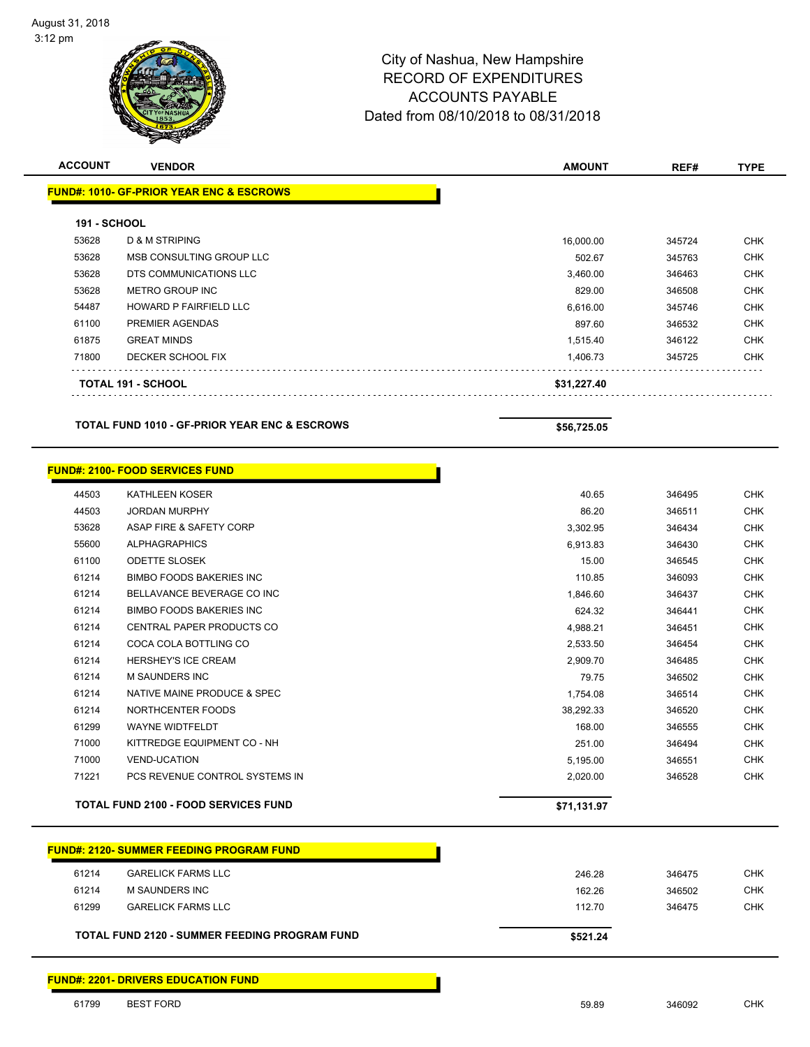| <b>ACCOUNT</b>      | <b>VENDOR</b>                                       | <b>AMOUNT</b> | REF#   | <b>TYPE</b> |
|---------------------|-----------------------------------------------------|---------------|--------|-------------|
|                     | <b>FUND#: 1010- GF-PRIOR YEAR ENC &amp; ESCROWS</b> |               |        |             |
| <b>191 - SCHOOL</b> |                                                     |               |        |             |
| 53628               | <b>D &amp; M STRIPING</b>                           | 16,000.00     | 345724 | <b>CHK</b>  |
| 53628               | MSB CONSULTING GROUP LLC                            | 502.67        | 345763 | <b>CHK</b>  |
| 53628               | DTS COMMUNICATIONS LLC                              | 3,460.00      | 346463 | <b>CHK</b>  |
| 53628               | METRO GROUP INC                                     | 829.00        | 346508 | <b>CHK</b>  |
| 54487               | <b>HOWARD P FAIRFIELD LLC</b>                       | 6,616.00      | 345746 | <b>CHK</b>  |
| 61100               | PREMIER AGENDAS                                     | 897.60        | 346532 | <b>CHK</b>  |
| 61875               | <b>GREAT MINDS</b>                                  | 1,515.40      | 346122 | <b>CHK</b>  |
| 71800               | DECKER SCHOOL FIX                                   | 1,406.73      | 345725 | <b>CHK</b>  |
|                     | TOTAL 191 - SCHOOL                                  | \$31,227.40   |        |             |

| <b>TOTAL FUND 1010 - GF-PRIOR YEAR ENC &amp; ESCROWS</b> |  |  |  |
|----------------------------------------------------------|--|--|--|
|                                                          |  |  |  |

 $$56,725.05$ 

|       | <b>FUND#: 2100- FOOD SERVICES FUND</b>      |             |        |            |
|-------|---------------------------------------------|-------------|--------|------------|
| 44503 | <b>KATHLEEN KOSER</b>                       | 40.65       | 346495 | <b>CHK</b> |
| 44503 | <b>JORDAN MURPHY</b>                        | 86.20       | 346511 | <b>CHK</b> |
| 53628 | ASAP FIRE & SAFETY CORP                     | 3,302.95    | 346434 | <b>CHK</b> |
| 55600 | <b>ALPHAGRAPHICS</b>                        | 6,913.83    | 346430 | <b>CHK</b> |
| 61100 | <b>ODETTE SLOSEK</b>                        | 15.00       | 346545 | <b>CHK</b> |
| 61214 | <b>BIMBO FOODS BAKERIES INC.</b>            | 110.85      | 346093 | <b>CHK</b> |
| 61214 | BELLAVANCE BEVERAGE CO INC                  | 1,846.60    | 346437 | <b>CHK</b> |
| 61214 | <b>BIMBO FOODS BAKERIES INC</b>             | 624.32      | 346441 | <b>CHK</b> |
| 61214 | <b>CENTRAL PAPER PRODUCTS CO</b>            | 4,988.21    | 346451 | <b>CHK</b> |
| 61214 | COCA COLA BOTTLING CO                       | 2,533.50    | 346454 | <b>CHK</b> |
| 61214 | <b>HERSHEY'S ICE CREAM</b>                  | 2,909.70    | 346485 | <b>CHK</b> |
| 61214 | <b>M SAUNDERS INC</b>                       | 79.75       | 346502 | <b>CHK</b> |
| 61214 | NATIVE MAINE PRODUCE & SPEC                 | 1,754.08    | 346514 | <b>CHK</b> |
| 61214 | NORTHCENTER FOODS                           | 38,292.33   | 346520 | <b>CHK</b> |
| 61299 | <b>WAYNE WIDTFELDT</b>                      | 168.00      | 346555 | <b>CHK</b> |
| 71000 | KITTREDGE EQUIPMENT CO - NH                 | 251.00      | 346494 | <b>CHK</b> |
| 71000 | <b>VEND-UCATION</b>                         | 5,195.00    | 346551 | <b>CHK</b> |
| 71221 | PCS REVENUE CONTROL SYSTEMS IN              | 2,020.00    | 346528 | <b>CHK</b> |
|       | <b>TOTAL FUND 2100 - FOOD SERVICES FUND</b> | \$71,131.97 |        |            |

| <b>FUND#: 2120- SUMMER FEEDING PROGRAM FUND</b> |        |
|-------------------------------------------------|--------|
| 61214<br><b>GARELICK FARMS LLC</b>              | 246.28 |
| 61214<br>M SAUNDERS INC                         | 162.26 |
| 61299<br><b>GARELICK FARMS LLC</b>              | 112.70 |

**FUND#: 2201- DRIVERS EDUCATION FUND**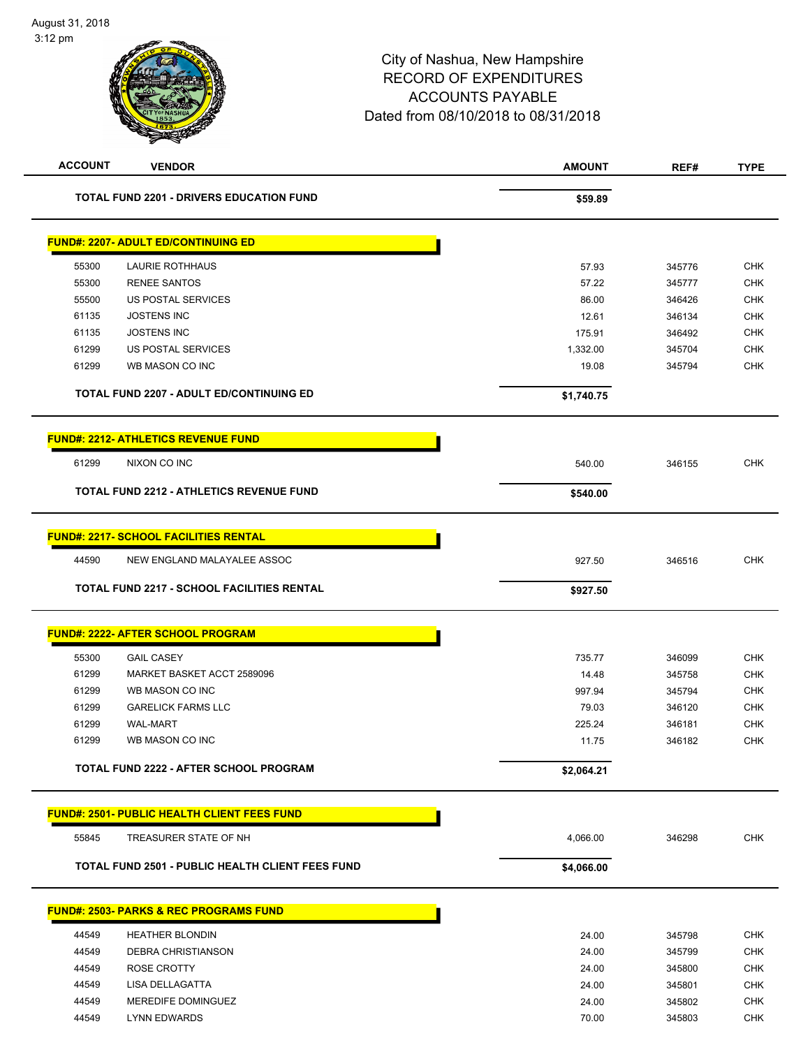| <b>ACCOUNT</b> | <b>VENDOR</b>                                                               | <b>AMOUNT</b> | REF#   | <b>TYPE</b> |
|----------------|-----------------------------------------------------------------------------|---------------|--------|-------------|
|                | <b>TOTAL FUND 2201 - DRIVERS EDUCATION FUND</b>                             | \$59.89       |        |             |
|                | <b>FUND#: 2207- ADULT ED/CONTINUING ED</b>                                  |               |        |             |
| 55300          | LAURIE ROTHHAUS                                                             | 57.93         | 345776 | <b>CHK</b>  |
| 55300          | <b>RENEE SANTOS</b>                                                         | 57.22         | 345777 | <b>CHK</b>  |
| 55500          | US POSTAL SERVICES                                                          | 86.00         | 346426 | <b>CHK</b>  |
| 61135          | <b>JOSTENS INC</b>                                                          | 12.61         | 346134 | <b>CHK</b>  |
| 61135          | <b>JOSTENS INC</b>                                                          | 175.91        | 346492 | <b>CHK</b>  |
| 61299          | US POSTAL SERVICES                                                          | 1,332.00      | 345704 | <b>CHK</b>  |
| 61299          | WB MASON CO INC                                                             | 19.08         | 345794 | <b>CHK</b>  |
|                | <b>TOTAL FUND 2207 - ADULT ED/CONTINUING ED</b>                             | \$1,740.75    |        |             |
|                | <b>FUND#: 2212- ATHLETICS REVENUE FUND</b>                                  |               |        |             |
| 61299          | NIXON CO INC                                                                | 540.00        | 346155 | <b>CHK</b>  |
|                | <b>TOTAL FUND 2212 - ATHLETICS REVENUE FUND</b>                             | \$540.00      |        |             |
|                | <b>FUND#: 2217- SCHOOL FACILITIES RENTAL</b>                                |               |        |             |
| 44590          | NEW ENGLAND MALAYALEE ASSOC                                                 | 927.50        | 346516 | <b>CHK</b>  |
|                | <b>TOTAL FUND 2217 - SCHOOL FACILITIES RENTAL</b>                           | \$927.50      |        |             |
|                | <b>FUND#: 2222- AFTER SCHOOL PROGRAM</b>                                    |               |        |             |
| 55300          | <b>GAIL CASEY</b>                                                           | 735.77        | 346099 | <b>CHK</b>  |
| 61299          | MARKET BASKET ACCT 2589096                                                  | 14.48         | 345758 | <b>CHK</b>  |
| 61299          | WB MASON CO INC                                                             | 997.94        | 345794 | <b>CHK</b>  |
| 61299          | <b>GARELICK FARMS LLC</b>                                                   | 79.03         | 346120 | <b>CHK</b>  |
| 61299          | <b>WAL-MART</b>                                                             | 225.24        | 346181 | <b>CHK</b>  |
| 61299          | WB MASON CO INC                                                             | 11.75         | 346182 | <b>CHK</b>  |
|                | TOTAL FUND 2222 - AFTER SCHOOL PROGRAM                                      | \$2,064.21    |        |             |
|                |                                                                             |               |        |             |
| 55845          | <b>FUND#: 2501- PUBLIC HEALTH CLIENT FEES FUND</b><br>TREASURER STATE OF NH |               |        | <b>CHK</b>  |
|                |                                                                             | 4,066.00      | 346298 |             |
|                | <b>TOTAL FUND 2501 - PUBLIC HEALTH CLIENT FEES FUND</b>                     | \$4,066.00    |        |             |
|                | <u> FUND#: 2503- PARKS &amp; REC PROGRAMS FUND</u>                          |               |        |             |
| 44549          | <b>HEATHER BLONDIN</b>                                                      | 24.00         | 345798 | <b>CHK</b>  |
| 44549          | DEBRA CHRISTIANSON                                                          | 24.00         | 345799 | <b>CHK</b>  |
| 44549          | ROSE CROTTY                                                                 | 24.00         | 345800 | <b>CHK</b>  |
| 44549          | LISA DELLAGATTA                                                             | 24.00         | 345801 | <b>CHK</b>  |
| 44549          | MEREDIFE DOMINGUEZ                                                          | 24.00         | 345802 | <b>CHK</b>  |
| 44549          | <b>LYNN EDWARDS</b>                                                         | 70.00         | 345803 | <b>CHK</b>  |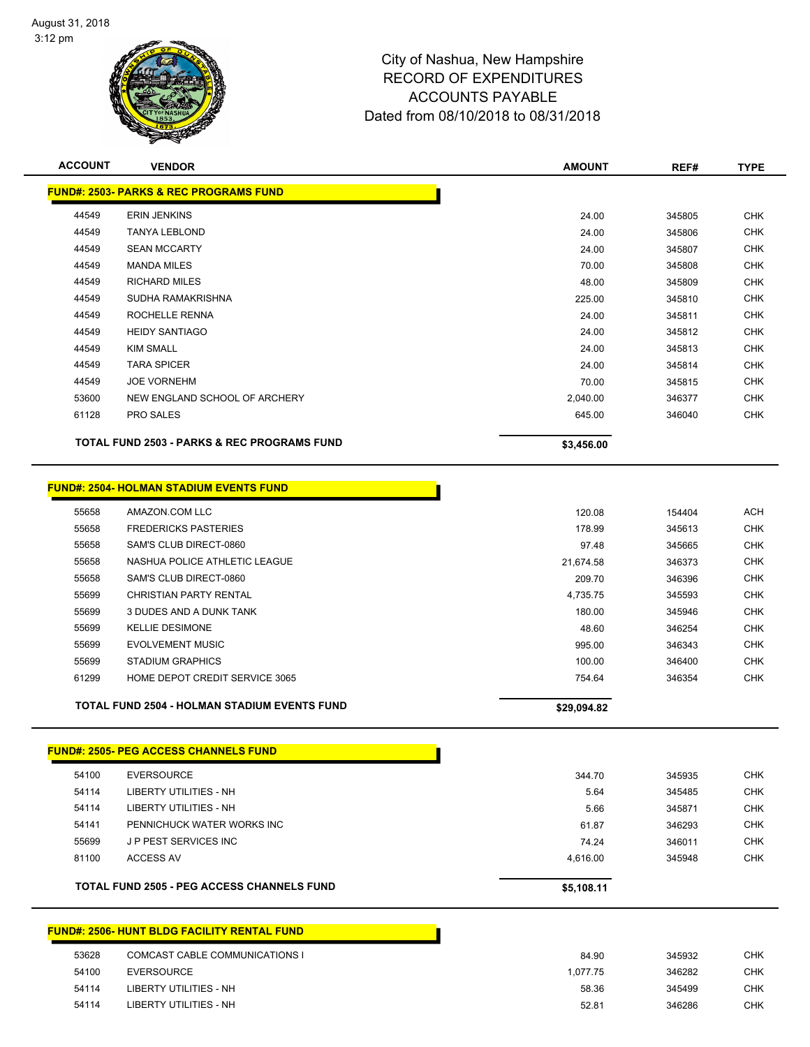

| <b>ACCOUNT</b> | <b>VENDOR</b>                                           | <b>AMOUNT</b>      | REF#             | <b>TYPE</b>              |
|----------------|---------------------------------------------------------|--------------------|------------------|--------------------------|
|                | <b>FUND#: 2503- PARKS &amp; REC PROGRAMS FUND</b>       |                    |                  |                          |
| 44549          | <b>ERIN JENKINS</b>                                     | 24.00              | 345805           | <b>CHK</b>               |
| 44549          | <b>TANYA LEBLOND</b>                                    | 24.00              | 345806           | <b>CHK</b>               |
| 44549          | <b>SEAN MCCARTY</b>                                     | 24.00              | 345807           | <b>CHK</b>               |
| 44549          | <b>MANDA MILES</b>                                      | 70.00              | 345808           | <b>CHK</b>               |
| 44549          | <b>RICHARD MILES</b>                                    | 48.00              | 345809           | <b>CHK</b>               |
| 44549          | SUDHA RAMAKRISHNA                                       | 225.00             | 345810           | <b>CHK</b>               |
| 44549          | ROCHELLE RENNA                                          | 24.00              | 345811           | <b>CHK</b>               |
| 44549          | <b>HEIDY SANTIAGO</b>                                   | 24.00              | 345812           | <b>CHK</b>               |
| 44549          | <b>KIM SMALL</b>                                        | 24.00              | 345813           | <b>CHK</b>               |
| 44549          | <b>TARA SPICER</b>                                      | 24.00              | 345814           | <b>CHK</b>               |
| 44549          | <b>JOE VORNEHM</b>                                      | 70.00              | 345815           | <b>CHK</b>               |
| 53600          | NEW ENGLAND SCHOOL OF ARCHERY                           | 2,040.00           | 346377           | <b>CHK</b>               |
| 61128          | <b>PRO SALES</b>                                        | 645.00             | 346040           | <b>CHK</b>               |
|                | <b>TOTAL FUND 2503 - PARKS &amp; REC PROGRAMS FUND</b>  | \$3,456.00         |                  |                          |
|                |                                                         |                    |                  |                          |
|                | <b>FUND#: 2504- HOLMAN STADIUM EVENTS FUND</b>          |                    |                  |                          |
| 55658<br>55658 | AMAZON.COM LLC                                          | 120.08             | 154404           | <b>ACH</b><br><b>CHK</b> |
|                | <b>FREDERICKS PASTERIES</b>                             | 178.99<br>97.48    | 345613           | <b>CHK</b>               |
| 55658<br>55658 | SAM'S CLUB DIRECT-0860<br>NASHUA POLICE ATHLETIC LEAGUE |                    | 345665           | <b>CHK</b>               |
|                | SAM'S CLUB DIRECT-0860                                  | 21,674.58          | 346373           | <b>CHK</b>               |
| 55658<br>55699 | <b>CHRISTIAN PARTY RENTAL</b>                           | 209.70             | 346396           | <b>CHK</b>               |
| 55699          | 3 DUDES AND A DUNK TANK                                 | 4,735.75<br>180.00 | 345593<br>345946 | <b>CHK</b>               |
| 55699          | <b>KELLIE DESIMONE</b>                                  | 48.60              | 346254           | <b>CHK</b>               |
| 55699          | <b>EVOLVEMENT MUSIC</b>                                 | 995.00             | 346343           | <b>CHK</b>               |
| 55699          | <b>STADIUM GRAPHICS</b>                                 | 100.00             | 346400           | <b>CHK</b>               |
| 61299          | HOME DEPOT CREDIT SERVICE 3065                          | 754.64             | 346354           | <b>CHK</b>               |
|                |                                                         |                    |                  |                          |
|                | <b>TOTAL FUND 2504 - HOLMAN STADIUM EVENTS FUND</b>     | \$29,094.82        |                  |                          |
|                | <u> FUND#: 2505- PEG ACCESS CHANNELS FUND</u>           |                    |                  |                          |
| 54100          | <b>EVERSOURCE</b>                                       | 344.70             | 345935           | <b>CHK</b>               |
| 54114          | LIBERTY UTILITIES - NH                                  | 5.64               | 345485           | <b>CHK</b>               |
| 54114          | LIBERTY UTILITIES - NH                                  | 5.66               | 345871           | <b>CHK</b>               |
| 54141          | PENNICHUCK WATER WORKS INC                              | 61.87              | 346293           | <b>CHK</b>               |
| 55699          | J P PEST SERVICES INC                                   | 74.24              | 346011           | <b>CHK</b>               |
| 81100          | <b>ACCESS AV</b>                                        | 4,616.00           | 345948           | <b>CHK</b>               |
|                | <b>TOTAL FUND 2505 - PEG ACCESS CHANNELS FUND</b>       | \$5,108.11         |                  |                          |
|                | <b>FUND#: 2506- HUNT BLDG FACILITY RENTAL FUND</b>      |                    |                  |                          |
| 53628          | COMCAST CABLE COMMUNICATIONS I                          | 84.90              | 345932           | <b>CHK</b>               |

| ວວ໐∠໐ | COMCAST CABLE COMMUNICATIONS L | 84.YU    | 345932 | ∪⊓N. |
|-------|--------------------------------|----------|--------|------|
| 54100 | EVERSOURCE                     | 1.077.75 | 346282 | CHK. |
| 54114 | LIBERTY UTILITIES - NH         | 58.36    | 345499 | СНК  |
| 54114 | LIBERTY UTILITIES - NH         | 52.81    | 346286 | CHK. |
|       |                                |          |        |      |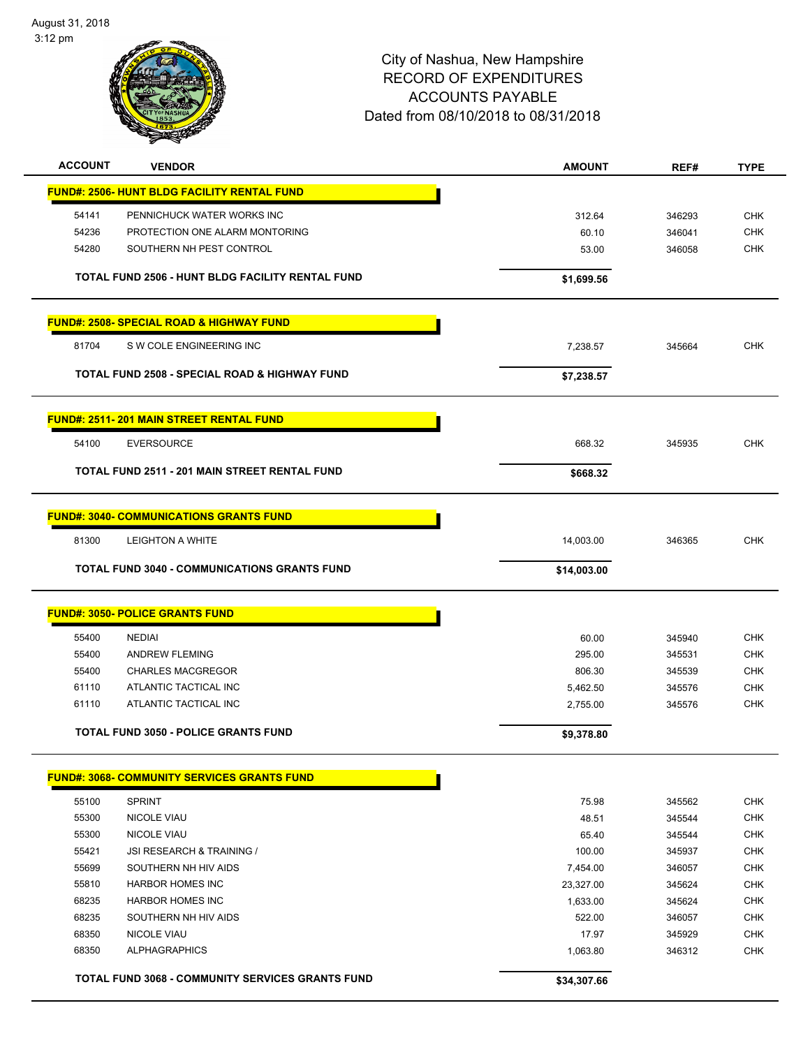August 31, 2018 3:12 pm



| <b>ACCOUNT</b> | <b>VENDOR</b>                                           | <b>AMOUNT</b> | REF#   | <b>TYPE</b> |
|----------------|---------------------------------------------------------|---------------|--------|-------------|
|                | <b>FUND#: 2506- HUNT BLDG FACILITY RENTAL FUND</b>      |               |        |             |
| 54141          | PENNICHUCK WATER WORKS INC                              | 312.64        | 346293 | <b>CHK</b>  |
| 54236          | PROTECTION ONE ALARM MONTORING                          | 60.10         | 346041 | <b>CHK</b>  |
| 54280          | SOUTHERN NH PEST CONTROL                                | 53.00         | 346058 | <b>CHK</b>  |
|                |                                                         |               |        |             |
|                | TOTAL FUND 2506 - HUNT BLDG FACILITY RENTAL FUND        | \$1,699.56    |        |             |
|                | <b>FUND#: 2508- SPECIAL ROAD &amp; HIGHWAY FUND</b>     |               |        |             |
| 81704          | S W COLE ENGINEERING INC                                | 7,238.57      | 345664 | <b>CHK</b>  |
|                | TOTAL FUND 2508 - SPECIAL ROAD & HIGHWAY FUND           | \$7,238.57    |        |             |
|                | <b>FUND#: 2511-201 MAIN STREET RENTAL FUND</b>          |               |        |             |
| 54100          | <b>EVERSOURCE</b>                                       | 668.32        | 345935 | <b>CHK</b>  |
|                | TOTAL FUND 2511 - 201 MAIN STREET RENTAL FUND           | \$668.32      |        |             |
|                | <b>FUND#: 3040- COMMUNICATIONS GRANTS FUND</b>          |               |        |             |
| 81300          | <b>LEIGHTON A WHITE</b>                                 | 14,003.00     | 346365 | <b>CHK</b>  |
|                | <b>TOTAL FUND 3040 - COMMUNICATIONS GRANTS FUND</b>     | \$14,003.00   |        |             |
|                |                                                         |               |        |             |
|                | <b>FUND#: 3050- POLICE GRANTS FUND</b>                  |               |        |             |
| 55400          | <b>NEDIAI</b>                                           | 60.00         | 345940 | <b>CHK</b>  |
| 55400          | <b>ANDREW FLEMING</b>                                   | 295.00        | 345531 | <b>CHK</b>  |
| 55400          | <b>CHARLES MACGREGOR</b>                                | 806.30        | 345539 | <b>CHK</b>  |
| 61110          | ATLANTIC TACTICAL INC                                   | 5,462.50      | 345576 | <b>CHK</b>  |
| 61110          | ATLANTIC TACTICAL INC                                   | 2,755.00      | 345576 | <b>CHK</b>  |
|                | <b>TOTAL FUND 3050 - POLICE GRANTS FUND</b>             | \$9,378.80    |        |             |
|                |                                                         |               |        |             |
|                | <b>FUND#: 3068- COMMUNITY SERVICES GRANTS FUND</b>      |               |        |             |
| 55100          | <b>SPRINT</b>                                           | 75.98         | 345562 | <b>CHK</b>  |
| 55300          | <b>NICOLE VIAU</b>                                      | 48.51         | 345544 | <b>CHK</b>  |
| 55300          | <b>NICOLE VIAU</b>                                      | 65.40         | 345544 | CHK         |
| 55421          | JSI RESEARCH & TRAINING /                               | 100.00        | 345937 | <b>CHK</b>  |
| 55699          | SOUTHERN NH HIV AIDS                                    | 7,454.00      | 346057 | <b>CHK</b>  |
| 55810          | <b>HARBOR HOMES INC</b>                                 | 23,327.00     | 345624 | CHK         |
| 68235          | <b>HARBOR HOMES INC</b>                                 | 1,633.00      | 345624 | <b>CHK</b>  |
| 68235          | SOUTHERN NH HIV AIDS                                    | 522.00        | 346057 | <b>CHK</b>  |
| 68350          | <b>NICOLE VIAU</b>                                      | 17.97         | 345929 | <b>CHK</b>  |
| 68350          | <b>ALPHAGRAPHICS</b>                                    | 1,063.80      | 346312 | <b>CHK</b>  |
|                | <b>TOTAL FUND 3068 - COMMUNITY SERVICES GRANTS FUND</b> | \$34,307.66   |        |             |
|                |                                                         |               |        |             |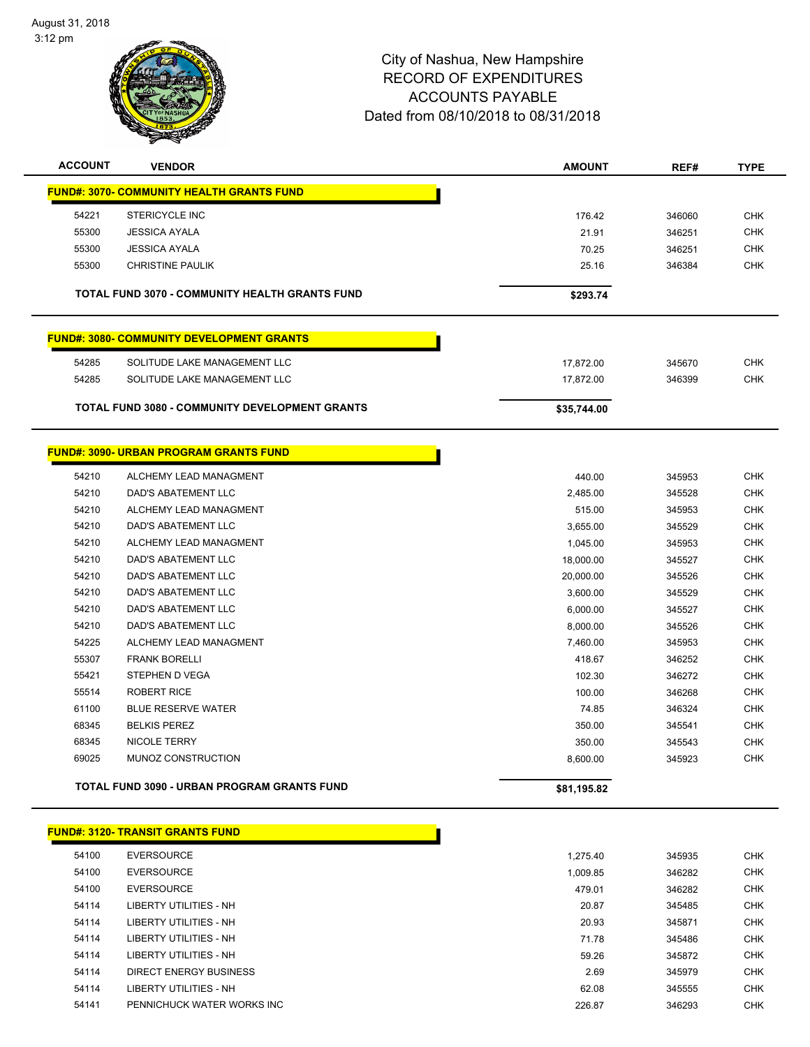

| <b>ACCOUNT</b> | <b>VENDOR</b>                                         | <b>AMOUNT</b> | REF#   | <b>TYPE</b> |
|----------------|-------------------------------------------------------|---------------|--------|-------------|
|                | <b>FUND#: 3070- COMMUNITY HEALTH GRANTS FUND</b>      |               |        |             |
| 54221          | STERICYCLE INC                                        | 176.42        | 346060 | <b>CHK</b>  |
| 55300          | <b>JESSICA AYALA</b>                                  | 21.91         | 346251 | <b>CHK</b>  |
| 55300          | <b>JESSICA AYALA</b>                                  | 70.25         | 346251 | <b>CHK</b>  |
| 55300          | <b>CHRISTINE PAULIK</b>                               | 25.16         | 346384 | <b>CHK</b>  |
|                | <b>TOTAL FUND 3070 - COMMUNITY HEALTH GRANTS FUND</b> | \$293.74      |        |             |
|                | <b>FUND#: 3080- COMMUNITY DEVELOPMENT GRANTS</b>      |               |        |             |
| 54285          | SOLITUDE LAKE MANAGEMENT LLC                          | 17,872.00     | 345670 | <b>CHK</b>  |
| 54285          | SOLITUDE LAKE MANAGEMENT LLC                          | 17,872.00     | 346399 | <b>CHK</b>  |
|                | <b>TOTAL FUND 3080 - COMMUNITY DEVELOPMENT GRANTS</b> | \$35,744.00   |        |             |
|                |                                                       |               |        |             |
|                | <b>FUND#: 3090- URBAN PROGRAM GRANTS FUND</b>         |               |        |             |
| 54210          | ALCHEMY LEAD MANAGMENT                                | 440.00        | 345953 | <b>CHK</b>  |
| 54210          | DAD'S ABATEMENT LLC                                   | 2,485.00      | 345528 | <b>CHK</b>  |
| 54210          | ALCHEMY LEAD MANAGMENT                                | 515.00        | 345953 | <b>CHK</b>  |
| 54210          | DAD'S ABATEMENT LLC                                   | 3,655.00      | 345529 | CHK         |
| 54210          | ALCHEMY LEAD MANAGMENT                                | 1,045.00      | 345953 | <b>CHK</b>  |
| 54210          | DAD'S ABATEMENT LLC                                   | 18,000.00     | 345527 | <b>CHK</b>  |
| 54210          | DAD'S ABATEMENT LLC                                   | 20,000.00     | 345526 | <b>CHK</b>  |
| 54210          | DAD'S ABATEMENT LLC                                   | 3,600.00      | 345529 | <b>CHK</b>  |
| 54210          | DAD'S ABATEMENT LLC                                   | 6,000.00      | 345527 | <b>CHK</b>  |
| 54210          | DAD'S ABATEMENT LLC                                   | 8,000.00      | 345526 | <b>CHK</b>  |
| 54225          | ALCHEMY LEAD MANAGMENT                                | 7,460.00      | 345953 | <b>CHK</b>  |
| 55307          | <b>FRANK BORELLI</b>                                  | 418.67        | 346252 | <b>CHK</b>  |
| 55421          | STEPHEN D VEGA                                        | 102.30        | 346272 | <b>CHK</b>  |
| 55514          | <b>ROBERT RICE</b>                                    | 100.00        | 346268 | <b>CHK</b>  |
| 61100          | <b>BLUE RESERVE WATER</b>                             | 74.85         | 346324 | <b>CHK</b>  |
| 68345          | <b>BELKIS PEREZ</b>                                   | 350.00        | 345541 | <b>CHK</b>  |
| 68345          | NICOLE TERRY                                          | 350.00        | 345543 | <b>CHK</b>  |
| 69025          | MUNOZ CONSTRUCTION                                    | 8,600.00      | 345923 | <b>CHK</b>  |
|                | <b>TOTAL FUND 3090 - URBAN PROGRAM GRANTS FUND</b>    | \$81,195.82   |        |             |
|                | <b>FUND#: 3120- TRANSIT GRANTS FUND</b>               |               |        |             |
| 54100          | <b>EVERSOURCE</b>                                     | 1,275.40      | 345935 | <b>CHK</b>  |
| 54100          | <b>EVERSOURCE</b>                                     | 1,009.85      | 346282 | <b>CHK</b>  |
| 54100          | <b>EVERSOURCE</b>                                     | 479.01        | 346282 | CHK         |
| 54114          | LIBERTY UTILITIES - NH                                | 20.87         | 345485 | <b>CHK</b>  |
| 54114          | LIBERTY UTILITIES - NH                                | 20.93         | 345871 | <b>CHK</b>  |
| 54114          | <b>LIBERTY UTILITIES - NH</b>                         | 71.78         | 345486 | <b>CHK</b>  |
| 54114          | <b>LIBERTY UTILITIES - NH</b>                         | 59.26         | 345872 | <b>CHK</b>  |
| 54114          | <b>DIRECT ENERGY BUSINESS</b>                         | 2.69          | 345979 | CHK         |
| 54114          | <b>LIBERTY UTILITIES - NH</b>                         | 62.08         | 345555 | <b>CHK</b>  |
| 54141          | PENNICHUCK WATER WORKS INC                            | 226.87        | 346293 | <b>CHK</b>  |
|                |                                                       |               |        |             |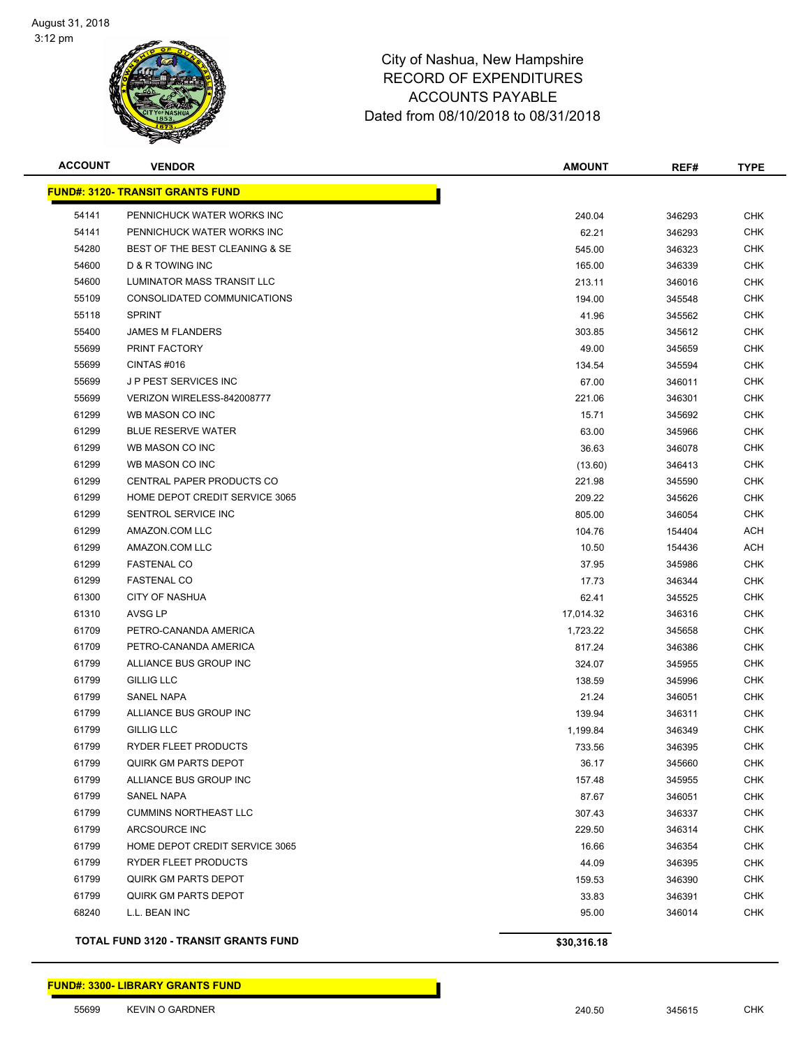

| <b>ACCOUNT</b> | <b>VENDOR</b>                           | <b>AMOUNT</b> | REF#   | <b>TYPE</b> |
|----------------|-----------------------------------------|---------------|--------|-------------|
|                | <b>FUND#: 3120- TRANSIT GRANTS FUND</b> |               |        |             |
| 54141          | PENNICHUCK WATER WORKS INC              | 240.04        | 346293 | <b>CHK</b>  |
| 54141          | PENNICHUCK WATER WORKS INC              | 62.21         | 346293 | <b>CHK</b>  |
| 54280          | BEST OF THE BEST CLEANING & SE          | 545.00        | 346323 | <b>CHK</b>  |
| 54600          | D & R TOWING INC                        | 165.00        | 346339 | <b>CHK</b>  |
| 54600          | LUMINATOR MASS TRANSIT LLC              | 213.11        | 346016 | CHK         |
| 55109          | CONSOLIDATED COMMUNICATIONS             | 194.00        | 345548 | <b>CHK</b>  |
| 55118          | <b>SPRINT</b>                           | 41.96         | 345562 | <b>CHK</b>  |
| 55400          | <b>JAMES M FLANDERS</b>                 | 303.85        | 345612 | <b>CHK</b>  |
| 55699          | PRINT FACTORY                           | 49.00         | 345659 | <b>CHK</b>  |
| 55699          | CINTAS#016                              | 134.54        | 345594 | CHK         |
| 55699          | J P PEST SERVICES INC                   | 67.00         | 346011 | CHK         |
| 55699          | VERIZON WIRELESS-842008777              | 221.06        | 346301 | <b>CHK</b>  |
| 61299          | WB MASON CO INC                         | 15.71         | 345692 | CHK         |
| 61299          | <b>BLUE RESERVE WATER</b>               | 63.00         | 345966 | <b>CHK</b>  |
| 61299          | WB MASON CO INC                         | 36.63         | 346078 | <b>CHK</b>  |
| 61299          | WB MASON CO INC                         | (13.60)       | 346413 | <b>CHK</b>  |
| 61299          | CENTRAL PAPER PRODUCTS CO               | 221.98        | 345590 | <b>CHK</b>  |
| 61299          | HOME DEPOT CREDIT SERVICE 3065          | 209.22        | 345626 | <b>CHK</b>  |
| 61299          | SENTROL SERVICE INC                     | 805.00        | 346054 | <b>CHK</b>  |
| 61299          | AMAZON.COM LLC                          | 104.76        | 154404 | ACH         |
| 61299          | AMAZON.COM LLC                          | 10.50         | 154436 | ACH         |
| 61299          | <b>FASTENAL CO</b>                      | 37.95         | 345986 | <b>CHK</b>  |
| 61299          | <b>FASTENAL CO</b>                      | 17.73         | 346344 | <b>CHK</b>  |
| 61300          | <b>CITY OF NASHUA</b>                   | 62.41         | 345525 | <b>CHK</b>  |
| 61310          | AVSG LP                                 | 17,014.32     | 346316 | <b>CHK</b>  |
| 61709          | PETRO-CANANDA AMERICA                   | 1,723.22      | 345658 | <b>CHK</b>  |
| 61709          | PETRO-CANANDA AMERICA                   | 817.24        | 346386 | <b>CHK</b>  |
| 61799          | ALLIANCE BUS GROUP INC                  | 324.07        | 345955 | <b>CHK</b>  |
| 61799          | <b>GILLIG LLC</b>                       | 138.59        | 345996 | <b>CHK</b>  |
| 61799          | SANEL NAPA                              | 21.24         | 346051 | <b>CHK</b>  |
| 61799          | ALLIANCE BUS GROUP INC                  | 139.94        | 346311 | CHK         |
| 61799          | GILLIG LLC                              | 1,199.84      | 346349 | CHK         |
| 61799          | RYDER FLEET PRODUCTS                    | 733.56        | 346395 | <b>CHK</b>  |
| 61799          | <b>QUIRK GM PARTS DEPOT</b>             | 36.17         | 345660 | <b>CHK</b>  |
| 61799          | ALLIANCE BUS GROUP INC                  | 157.48        | 345955 | <b>CHK</b>  |
| 61799          | SANEL NAPA                              | 87.67         | 346051 | <b>CHK</b>  |
| 61799          | <b>CUMMINS NORTHEAST LLC</b>            | 307.43        | 346337 | <b>CHK</b>  |
| 61799          | ARCSOURCE INC                           | 229.50        | 346314 | <b>CHK</b>  |
| 61799          | HOME DEPOT CREDIT SERVICE 3065          | 16.66         | 346354 | <b>CHK</b>  |
| 61799          | RYDER FLEET PRODUCTS                    | 44.09         | 346395 | <b>CHK</b>  |
| 61799          | QUIRK GM PARTS DEPOT                    | 159.53        | 346390 | <b>CHK</b>  |
| 61799          | <b>QUIRK GM PARTS DEPOT</b>             | 33.83         | 346391 | <b>CHK</b>  |
| 68240          | L.L. BEAN INC                           | 95.00         | 346014 | <b>CHK</b>  |
|                | TOTAL FUND 3120 - TRANSIT GRANTS FUND   | \$30,316.18   |        |             |

**FUND#: 3300- LIBRARY GRANTS FUND**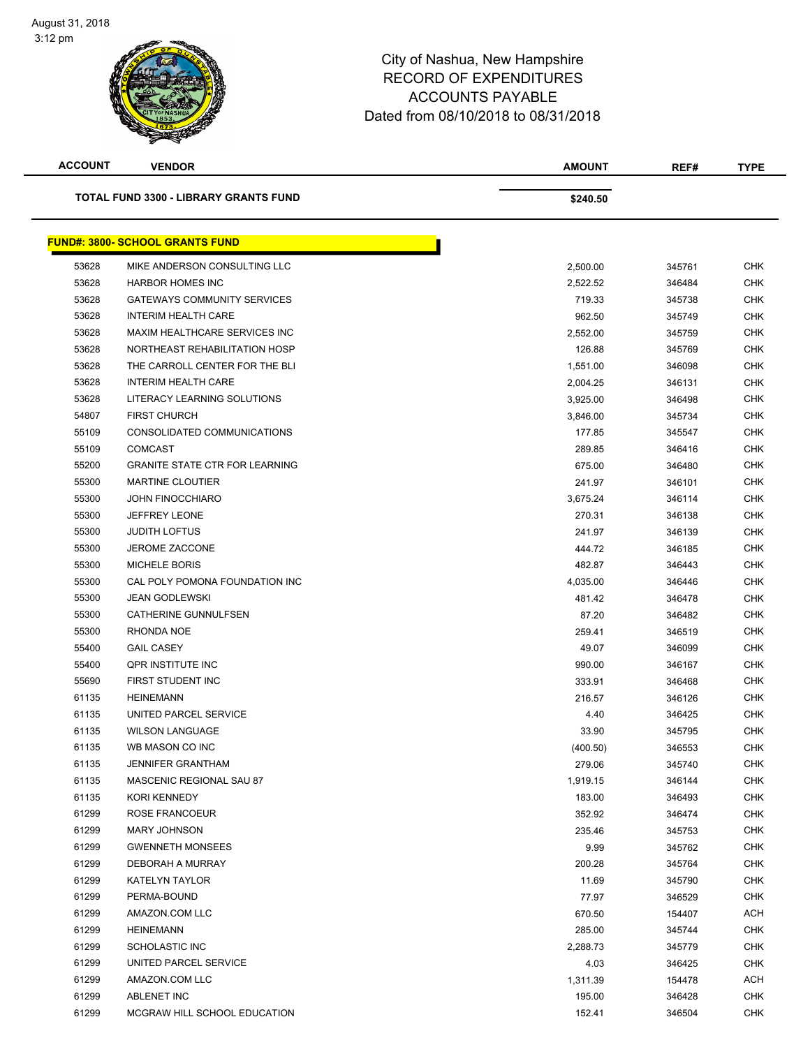| <b>ACCOUNT</b> | <b>VENDOR</b>                                | <b>AMOUNT</b> | REF#   | <b>TYPE</b> |
|----------------|----------------------------------------------|---------------|--------|-------------|
|                | <b>TOTAL FUND 3300 - LIBRARY GRANTS FUND</b> | \$240.50      |        |             |
|                | <b>FUND#: 3800- SCHOOL GRANTS FUND</b>       |               |        |             |
| 53628          | MIKE ANDERSON CONSULTING LLC                 | 2,500.00      | 345761 | <b>CHK</b>  |
| 53628          | <b>HARBOR HOMES INC</b>                      | 2,522.52      | 346484 | <b>CHK</b>  |
| 53628          | <b>GATEWAYS COMMUNITY SERVICES</b>           | 719.33        | 345738 | <b>CHK</b>  |
| 53628          | <b>INTERIM HEALTH CARE</b>                   | 962.50        | 345749 | <b>CHK</b>  |
| 53628          | MAXIM HEALTHCARE SERVICES INC                | 2,552.00      | 345759 | <b>CHK</b>  |
| 53628          | NORTHEAST REHABILITATION HOSP                | 126.88        | 345769 | <b>CHK</b>  |
| 53628          | THE CARROLL CENTER FOR THE BLI               | 1,551.00      | 346098 | <b>CHK</b>  |
| 53628          | <b>INTERIM HEALTH CARE</b>                   | 2,004.25      | 346131 | <b>CHK</b>  |
| 53628          | LITERACY LEARNING SOLUTIONS                  | 3,925.00      | 346498 | <b>CHK</b>  |
| 54807          | <b>FIRST CHURCH</b>                          | 3,846.00      | 345734 | <b>CHK</b>  |
| 55109          | CONSOLIDATED COMMUNICATIONS                  | 177.85        | 345547 | <b>CHK</b>  |
| 55109          | <b>COMCAST</b>                               | 289.85        | 346416 | <b>CHK</b>  |
| 55200          | <b>GRANITE STATE CTR FOR LEARNING</b>        | 675.00        | 346480 | <b>CHK</b>  |
| 55300          | <b>MARTINE CLOUTIER</b>                      | 241.97        | 346101 | <b>CHK</b>  |
| 55300          | <b>JOHN FINOCCHIARO</b>                      | 3,675.24      | 346114 | <b>CHK</b>  |
| 55300          | <b>JEFFREY LEONE</b>                         | 270.31        | 346138 | <b>CHK</b>  |
| 55300          | <b>JUDITH LOFTUS</b>                         | 241.97        | 346139 | <b>CHK</b>  |
| 55300          | <b>JEROME ZACCONE</b>                        | 444.72        | 346185 | <b>CHK</b>  |
| 55300          | <b>MICHELE BORIS</b>                         | 482.87        | 346443 | <b>CHK</b>  |
| 55300          | CAL POLY POMONA FOUNDATION INC               | 4,035.00      | 346446 | <b>CHK</b>  |
| 55300          | JEAN GODLEWSKI                               | 481.42        | 346478 | <b>CHK</b>  |
| 55300          | CATHERINE GUNNULFSEN                         | 87.20         | 346482 | <b>CHK</b>  |
| 55300          | RHONDA NOE                                   | 259.41        | 346519 | <b>CHK</b>  |
| 55400          | <b>GAIL CASEY</b>                            | 49.07         | 346099 | <b>CHK</b>  |
| 55400          | <b>QPR INSTITUTE INC</b>                     | 990.00        | 346167 | CHK         |
| 55690          | FIRST STUDENT INC                            | 333.91        | 346468 | <b>CHK</b>  |
| 61135          | <b>HEINEMANN</b>                             | 216.57        | 346126 | <b>CHK</b>  |
| 61135          | UNITED PARCEL SERVICE                        | 4.40          | 346425 | <b>CHK</b>  |
| 61135          | <b>WILSON LANGUAGE</b>                       | 33.90         | 345795 | <b>CHK</b>  |
| 61135          | WB MASON CO INC                              | (400.50)      | 346553 | <b>CHK</b>  |
| 61135          | <b>JENNIFER GRANTHAM</b>                     | 279.06        | 345740 | <b>CHK</b>  |
| 61135          | MASCENIC REGIONAL SAU 87                     | 1,919.15      | 346144 | <b>CHK</b>  |
| 61135          | KORI KENNEDY                                 | 183.00        | 346493 | <b>CHK</b>  |
| 61299          | ROSE FRANCOEUR                               | 352.92        | 346474 | <b>CHK</b>  |
| 61299          | <b>MARY JOHNSON</b>                          | 235.46        | 345753 | <b>CHK</b>  |
| 61299          | <b>GWENNETH MONSEES</b>                      | 9.99          | 345762 | <b>CHK</b>  |
| 61299          | DEBORAH A MURRAY                             | 200.28        | 345764 | <b>CHK</b>  |
| 61299          | <b>KATELYN TAYLOR</b>                        | 11.69         | 345790 | <b>CHK</b>  |
| 61299          | PERMA-BOUND                                  | 77.97         | 346529 | <b>CHK</b>  |
| 61299          | AMAZON.COM LLC                               | 670.50        | 154407 | ACH         |
| 61299          | <b>HEINEMANN</b>                             | 285.00        | 345744 | <b>CHK</b>  |
| 61299          | SCHOLASTIC INC                               | 2,288.73      | 345779 | CHK         |
| 61299          | UNITED PARCEL SERVICE                        | 4.03          | 346425 | <b>CHK</b>  |
| 61299          | AMAZON.COM LLC                               | 1,311.39      | 154478 | ACH         |
| 61299          | ABLENET INC                                  | 195.00        | 346428 | <b>CHK</b>  |
| 61299          | MCGRAW HILL SCHOOL EDUCATION                 | 152.41        | 346504 | <b>CHK</b>  |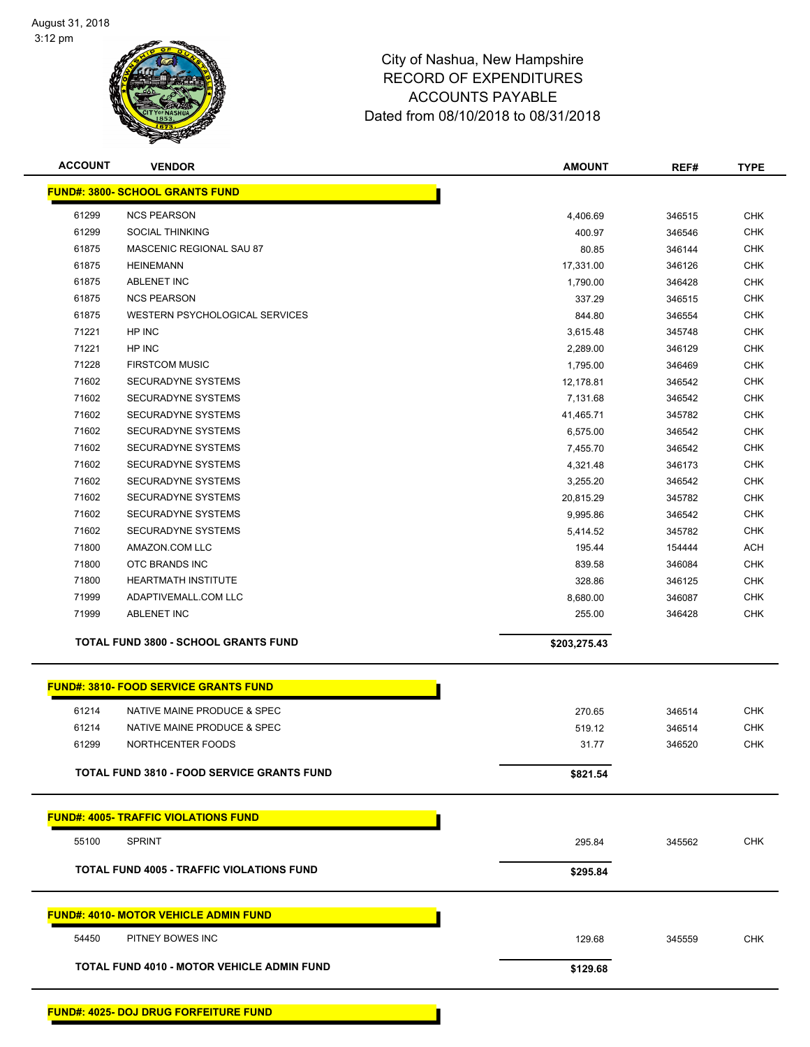

| <b>FUND#: 3800- SCHOOL GRANTS FUND</b><br>61299<br><b>NCS PEARSON</b><br><b>CHK</b><br>4,406.69<br>346515<br>61299<br><b>SOCIAL THINKING</b><br>400.97<br><b>CHK</b><br>346546<br>61875<br>MASCENIC REGIONAL SAU 87<br><b>CHK</b><br>80.85<br>346144<br>61875<br><b>HEINEMANN</b><br><b>CHK</b><br>17,331.00<br>346126<br>61875<br><b>ABLENET INC</b><br><b>CHK</b><br>1,790.00<br>346428<br>61875<br><b>NCS PEARSON</b><br><b>CHK</b><br>337.29<br>346515<br><b>CHK</b><br>61875<br>WESTERN PSYCHOLOGICAL SERVICES<br>844.80<br>346554<br>71221<br>HP INC<br><b>CHK</b><br>3,615.48<br>345748<br>HP INC<br><b>CHK</b><br>71221<br>2,289.00<br>346129<br>71228<br><b>FIRSTCOM MUSIC</b><br><b>CHK</b><br>1,795.00<br>346469<br>71602<br>SECURADYNE SYSTEMS<br><b>CHK</b><br>12,178.81<br>346542<br>71602<br>SECURADYNE SYSTEMS<br><b>CHK</b><br>7,131.68<br>346542<br>71602<br>SECURADYNE SYSTEMS<br><b>CHK</b><br>41,465.71<br>345782<br>71602<br>SECURADYNE SYSTEMS<br><b>CHK</b><br>6,575.00<br>346542<br>71602<br>SECURADYNE SYSTEMS<br><b>CHK</b><br>7,455.70<br>346542<br>71602<br>SECURADYNE SYSTEMS<br><b>CHK</b><br>346173<br>4,321.48<br>71602<br><b>SECURADYNE SYSTEMS</b><br><b>CHK</b><br>3,255.20<br>346542<br>71602<br><b>SECURADYNE SYSTEMS</b><br><b>CHK</b><br>20,815.29<br>345782<br>71602<br>SECURADYNE SYSTEMS<br><b>CHK</b><br>9,995.86<br>346542<br>71602<br><b>CHK</b><br>SECURADYNE SYSTEMS<br>5,414.52<br>345782<br>71800<br>AMAZON.COM LLC<br>195.44<br><b>ACH</b><br>154444<br>71800<br>OTC BRANDS INC<br><b>CHK</b><br>839.58<br>346084<br>71800<br><b>HEARTMATH INSTITUTE</b><br>328.86<br><b>CHK</b><br>346125<br>71999<br>ADAPTIVEMALL.COM LLC<br><b>CHK</b><br>8,680.00<br>346087<br>71999<br><b>ABLENET INC</b><br><b>CHK</b><br>255.00<br>346428<br><b>TOTAL FUND 3800 - SCHOOL GRANTS FUND</b><br>\$203,275.43<br><b>FUND#: 3810- FOOD SERVICE GRANTS FUND</b><br>61214<br>NATIVE MAINE PRODUCE & SPEC<br>270.65<br><b>CHK</b><br>346514<br><b>CHK</b><br>61214<br>NATIVE MAINE PRODUCE & SPEC<br>519.12<br>346514<br>61299<br>NORTHCENTER FOODS<br>31.77<br><b>CHK</b><br>346520<br><b>TOTAL FUND 3810 - FOOD SERVICE GRANTS FUND</b><br>\$821.54<br><b>FUND#: 4005- TRAFFIC VIOLATIONS FUND</b><br>55100<br><b>SPRINT</b><br>295.84<br><b>CHK</b><br>345562<br><b>TOTAL FUND 4005 - TRAFFIC VIOLATIONS FUND</b><br>\$295.84<br><b>FUND#: 4010- MOTOR VEHICLE ADMIN FUND</b><br><b>CHK</b><br>54450<br>129.68<br>345559<br>PITNEY BOWES INC<br><b>TOTAL FUND 4010 - MOTOR VEHICLE ADMIN FUND</b><br>\$129.68 | <b>ACCOUNT</b> | <b>VENDOR</b> | <b>AMOUNT</b> | REF# | <b>TYPE</b> |
|---------------------------------------------------------------------------------------------------------------------------------------------------------------------------------------------------------------------------------------------------------------------------------------------------------------------------------------------------------------------------------------------------------------------------------------------------------------------------------------------------------------------------------------------------------------------------------------------------------------------------------------------------------------------------------------------------------------------------------------------------------------------------------------------------------------------------------------------------------------------------------------------------------------------------------------------------------------------------------------------------------------------------------------------------------------------------------------------------------------------------------------------------------------------------------------------------------------------------------------------------------------------------------------------------------------------------------------------------------------------------------------------------------------------------------------------------------------------------------------------------------------------------------------------------------------------------------------------------------------------------------------------------------------------------------------------------------------------------------------------------------------------------------------------------------------------------------------------------------------------------------------------------------------------------------------------------------------------------------------------------------------------------------------------------------------------------------------------------------------------------------------------------------------------------------------------------------------------------------------------------------------------------------------------------------------------------------------------------------------------------------------------------------------------------------------------------------------------------------------------------------------------------------------------------|----------------|---------------|---------------|------|-------------|
|                                                                                                                                                                                                                                                                                                                                                                                                                                                                                                                                                                                                                                                                                                                                                                                                                                                                                                                                                                                                                                                                                                                                                                                                                                                                                                                                                                                                                                                                                                                                                                                                                                                                                                                                                                                                                                                                                                                                                                                                                                                                                                                                                                                                                                                                                                                                                                                                                                                                                                                                                   |                |               |               |      |             |
|                                                                                                                                                                                                                                                                                                                                                                                                                                                                                                                                                                                                                                                                                                                                                                                                                                                                                                                                                                                                                                                                                                                                                                                                                                                                                                                                                                                                                                                                                                                                                                                                                                                                                                                                                                                                                                                                                                                                                                                                                                                                                                                                                                                                                                                                                                                                                                                                                                                                                                                                                   |                |               |               |      |             |
|                                                                                                                                                                                                                                                                                                                                                                                                                                                                                                                                                                                                                                                                                                                                                                                                                                                                                                                                                                                                                                                                                                                                                                                                                                                                                                                                                                                                                                                                                                                                                                                                                                                                                                                                                                                                                                                                                                                                                                                                                                                                                                                                                                                                                                                                                                                                                                                                                                                                                                                                                   |                |               |               |      |             |
|                                                                                                                                                                                                                                                                                                                                                                                                                                                                                                                                                                                                                                                                                                                                                                                                                                                                                                                                                                                                                                                                                                                                                                                                                                                                                                                                                                                                                                                                                                                                                                                                                                                                                                                                                                                                                                                                                                                                                                                                                                                                                                                                                                                                                                                                                                                                                                                                                                                                                                                                                   |                |               |               |      |             |
|                                                                                                                                                                                                                                                                                                                                                                                                                                                                                                                                                                                                                                                                                                                                                                                                                                                                                                                                                                                                                                                                                                                                                                                                                                                                                                                                                                                                                                                                                                                                                                                                                                                                                                                                                                                                                                                                                                                                                                                                                                                                                                                                                                                                                                                                                                                                                                                                                                                                                                                                                   |                |               |               |      |             |
|                                                                                                                                                                                                                                                                                                                                                                                                                                                                                                                                                                                                                                                                                                                                                                                                                                                                                                                                                                                                                                                                                                                                                                                                                                                                                                                                                                                                                                                                                                                                                                                                                                                                                                                                                                                                                                                                                                                                                                                                                                                                                                                                                                                                                                                                                                                                                                                                                                                                                                                                                   |                |               |               |      |             |
|                                                                                                                                                                                                                                                                                                                                                                                                                                                                                                                                                                                                                                                                                                                                                                                                                                                                                                                                                                                                                                                                                                                                                                                                                                                                                                                                                                                                                                                                                                                                                                                                                                                                                                                                                                                                                                                                                                                                                                                                                                                                                                                                                                                                                                                                                                                                                                                                                                                                                                                                                   |                |               |               |      |             |
|                                                                                                                                                                                                                                                                                                                                                                                                                                                                                                                                                                                                                                                                                                                                                                                                                                                                                                                                                                                                                                                                                                                                                                                                                                                                                                                                                                                                                                                                                                                                                                                                                                                                                                                                                                                                                                                                                                                                                                                                                                                                                                                                                                                                                                                                                                                                                                                                                                                                                                                                                   |                |               |               |      |             |
|                                                                                                                                                                                                                                                                                                                                                                                                                                                                                                                                                                                                                                                                                                                                                                                                                                                                                                                                                                                                                                                                                                                                                                                                                                                                                                                                                                                                                                                                                                                                                                                                                                                                                                                                                                                                                                                                                                                                                                                                                                                                                                                                                                                                                                                                                                                                                                                                                                                                                                                                                   |                |               |               |      |             |
|                                                                                                                                                                                                                                                                                                                                                                                                                                                                                                                                                                                                                                                                                                                                                                                                                                                                                                                                                                                                                                                                                                                                                                                                                                                                                                                                                                                                                                                                                                                                                                                                                                                                                                                                                                                                                                                                                                                                                                                                                                                                                                                                                                                                                                                                                                                                                                                                                                                                                                                                                   |                |               |               |      |             |
|                                                                                                                                                                                                                                                                                                                                                                                                                                                                                                                                                                                                                                                                                                                                                                                                                                                                                                                                                                                                                                                                                                                                                                                                                                                                                                                                                                                                                                                                                                                                                                                                                                                                                                                                                                                                                                                                                                                                                                                                                                                                                                                                                                                                                                                                                                                                                                                                                                                                                                                                                   |                |               |               |      |             |
|                                                                                                                                                                                                                                                                                                                                                                                                                                                                                                                                                                                                                                                                                                                                                                                                                                                                                                                                                                                                                                                                                                                                                                                                                                                                                                                                                                                                                                                                                                                                                                                                                                                                                                                                                                                                                                                                                                                                                                                                                                                                                                                                                                                                                                                                                                                                                                                                                                                                                                                                                   |                |               |               |      |             |
|                                                                                                                                                                                                                                                                                                                                                                                                                                                                                                                                                                                                                                                                                                                                                                                                                                                                                                                                                                                                                                                                                                                                                                                                                                                                                                                                                                                                                                                                                                                                                                                                                                                                                                                                                                                                                                                                                                                                                                                                                                                                                                                                                                                                                                                                                                                                                                                                                                                                                                                                                   |                |               |               |      |             |
|                                                                                                                                                                                                                                                                                                                                                                                                                                                                                                                                                                                                                                                                                                                                                                                                                                                                                                                                                                                                                                                                                                                                                                                                                                                                                                                                                                                                                                                                                                                                                                                                                                                                                                                                                                                                                                                                                                                                                                                                                                                                                                                                                                                                                                                                                                                                                                                                                                                                                                                                                   |                |               |               |      |             |
|                                                                                                                                                                                                                                                                                                                                                                                                                                                                                                                                                                                                                                                                                                                                                                                                                                                                                                                                                                                                                                                                                                                                                                                                                                                                                                                                                                                                                                                                                                                                                                                                                                                                                                                                                                                                                                                                                                                                                                                                                                                                                                                                                                                                                                                                                                                                                                                                                                                                                                                                                   |                |               |               |      |             |
|                                                                                                                                                                                                                                                                                                                                                                                                                                                                                                                                                                                                                                                                                                                                                                                                                                                                                                                                                                                                                                                                                                                                                                                                                                                                                                                                                                                                                                                                                                                                                                                                                                                                                                                                                                                                                                                                                                                                                                                                                                                                                                                                                                                                                                                                                                                                                                                                                                                                                                                                                   |                |               |               |      |             |
|                                                                                                                                                                                                                                                                                                                                                                                                                                                                                                                                                                                                                                                                                                                                                                                                                                                                                                                                                                                                                                                                                                                                                                                                                                                                                                                                                                                                                                                                                                                                                                                                                                                                                                                                                                                                                                                                                                                                                                                                                                                                                                                                                                                                                                                                                                                                                                                                                                                                                                                                                   |                |               |               |      |             |
|                                                                                                                                                                                                                                                                                                                                                                                                                                                                                                                                                                                                                                                                                                                                                                                                                                                                                                                                                                                                                                                                                                                                                                                                                                                                                                                                                                                                                                                                                                                                                                                                                                                                                                                                                                                                                                                                                                                                                                                                                                                                                                                                                                                                                                                                                                                                                                                                                                                                                                                                                   |                |               |               |      |             |
|                                                                                                                                                                                                                                                                                                                                                                                                                                                                                                                                                                                                                                                                                                                                                                                                                                                                                                                                                                                                                                                                                                                                                                                                                                                                                                                                                                                                                                                                                                                                                                                                                                                                                                                                                                                                                                                                                                                                                                                                                                                                                                                                                                                                                                                                                                                                                                                                                                                                                                                                                   |                |               |               |      |             |
|                                                                                                                                                                                                                                                                                                                                                                                                                                                                                                                                                                                                                                                                                                                                                                                                                                                                                                                                                                                                                                                                                                                                                                                                                                                                                                                                                                                                                                                                                                                                                                                                                                                                                                                                                                                                                                                                                                                                                                                                                                                                                                                                                                                                                                                                                                                                                                                                                                                                                                                                                   |                |               |               |      |             |
|                                                                                                                                                                                                                                                                                                                                                                                                                                                                                                                                                                                                                                                                                                                                                                                                                                                                                                                                                                                                                                                                                                                                                                                                                                                                                                                                                                                                                                                                                                                                                                                                                                                                                                                                                                                                                                                                                                                                                                                                                                                                                                                                                                                                                                                                                                                                                                                                                                                                                                                                                   |                |               |               |      |             |
|                                                                                                                                                                                                                                                                                                                                                                                                                                                                                                                                                                                                                                                                                                                                                                                                                                                                                                                                                                                                                                                                                                                                                                                                                                                                                                                                                                                                                                                                                                                                                                                                                                                                                                                                                                                                                                                                                                                                                                                                                                                                                                                                                                                                                                                                                                                                                                                                                                                                                                                                                   |                |               |               |      |             |
|                                                                                                                                                                                                                                                                                                                                                                                                                                                                                                                                                                                                                                                                                                                                                                                                                                                                                                                                                                                                                                                                                                                                                                                                                                                                                                                                                                                                                                                                                                                                                                                                                                                                                                                                                                                                                                                                                                                                                                                                                                                                                                                                                                                                                                                                                                                                                                                                                                                                                                                                                   |                |               |               |      |             |
|                                                                                                                                                                                                                                                                                                                                                                                                                                                                                                                                                                                                                                                                                                                                                                                                                                                                                                                                                                                                                                                                                                                                                                                                                                                                                                                                                                                                                                                                                                                                                                                                                                                                                                                                                                                                                                                                                                                                                                                                                                                                                                                                                                                                                                                                                                                                                                                                                                                                                                                                                   |                |               |               |      |             |
|                                                                                                                                                                                                                                                                                                                                                                                                                                                                                                                                                                                                                                                                                                                                                                                                                                                                                                                                                                                                                                                                                                                                                                                                                                                                                                                                                                                                                                                                                                                                                                                                                                                                                                                                                                                                                                                                                                                                                                                                                                                                                                                                                                                                                                                                                                                                                                                                                                                                                                                                                   |                |               |               |      |             |
|                                                                                                                                                                                                                                                                                                                                                                                                                                                                                                                                                                                                                                                                                                                                                                                                                                                                                                                                                                                                                                                                                                                                                                                                                                                                                                                                                                                                                                                                                                                                                                                                                                                                                                                                                                                                                                                                                                                                                                                                                                                                                                                                                                                                                                                                                                                                                                                                                                                                                                                                                   |                |               |               |      |             |
|                                                                                                                                                                                                                                                                                                                                                                                                                                                                                                                                                                                                                                                                                                                                                                                                                                                                                                                                                                                                                                                                                                                                                                                                                                                                                                                                                                                                                                                                                                                                                                                                                                                                                                                                                                                                                                                                                                                                                                                                                                                                                                                                                                                                                                                                                                                                                                                                                                                                                                                                                   |                |               |               |      |             |
|                                                                                                                                                                                                                                                                                                                                                                                                                                                                                                                                                                                                                                                                                                                                                                                                                                                                                                                                                                                                                                                                                                                                                                                                                                                                                                                                                                                                                                                                                                                                                                                                                                                                                                                                                                                                                                                                                                                                                                                                                                                                                                                                                                                                                                                                                                                                                                                                                                                                                                                                                   |                |               |               |      |             |
|                                                                                                                                                                                                                                                                                                                                                                                                                                                                                                                                                                                                                                                                                                                                                                                                                                                                                                                                                                                                                                                                                                                                                                                                                                                                                                                                                                                                                                                                                                                                                                                                                                                                                                                                                                                                                                                                                                                                                                                                                                                                                                                                                                                                                                                                                                                                                                                                                                                                                                                                                   |                |               |               |      |             |
|                                                                                                                                                                                                                                                                                                                                                                                                                                                                                                                                                                                                                                                                                                                                                                                                                                                                                                                                                                                                                                                                                                                                                                                                                                                                                                                                                                                                                                                                                                                                                                                                                                                                                                                                                                                                                                                                                                                                                                                                                                                                                                                                                                                                                                                                                                                                                                                                                                                                                                                                                   |                |               |               |      |             |
|                                                                                                                                                                                                                                                                                                                                                                                                                                                                                                                                                                                                                                                                                                                                                                                                                                                                                                                                                                                                                                                                                                                                                                                                                                                                                                                                                                                                                                                                                                                                                                                                                                                                                                                                                                                                                                                                                                                                                                                                                                                                                                                                                                                                                                                                                                                                                                                                                                                                                                                                                   |                |               |               |      |             |
|                                                                                                                                                                                                                                                                                                                                                                                                                                                                                                                                                                                                                                                                                                                                                                                                                                                                                                                                                                                                                                                                                                                                                                                                                                                                                                                                                                                                                                                                                                                                                                                                                                                                                                                                                                                                                                                                                                                                                                                                                                                                                                                                                                                                                                                                                                                                                                                                                                                                                                                                                   |                |               |               |      |             |
|                                                                                                                                                                                                                                                                                                                                                                                                                                                                                                                                                                                                                                                                                                                                                                                                                                                                                                                                                                                                                                                                                                                                                                                                                                                                                                                                                                                                                                                                                                                                                                                                                                                                                                                                                                                                                                                                                                                                                                                                                                                                                                                                                                                                                                                                                                                                                                                                                                                                                                                                                   |                |               |               |      |             |
|                                                                                                                                                                                                                                                                                                                                                                                                                                                                                                                                                                                                                                                                                                                                                                                                                                                                                                                                                                                                                                                                                                                                                                                                                                                                                                                                                                                                                                                                                                                                                                                                                                                                                                                                                                                                                                                                                                                                                                                                                                                                                                                                                                                                                                                                                                                                                                                                                                                                                                                                                   |                |               |               |      |             |
|                                                                                                                                                                                                                                                                                                                                                                                                                                                                                                                                                                                                                                                                                                                                                                                                                                                                                                                                                                                                                                                                                                                                                                                                                                                                                                                                                                                                                                                                                                                                                                                                                                                                                                                                                                                                                                                                                                                                                                                                                                                                                                                                                                                                                                                                                                                                                                                                                                                                                                                                                   |                |               |               |      |             |
|                                                                                                                                                                                                                                                                                                                                                                                                                                                                                                                                                                                                                                                                                                                                                                                                                                                                                                                                                                                                                                                                                                                                                                                                                                                                                                                                                                                                                                                                                                                                                                                                                                                                                                                                                                                                                                                                                                                                                                                                                                                                                                                                                                                                                                                                                                                                                                                                                                                                                                                                                   |                |               |               |      |             |
|                                                                                                                                                                                                                                                                                                                                                                                                                                                                                                                                                                                                                                                                                                                                                                                                                                                                                                                                                                                                                                                                                                                                                                                                                                                                                                                                                                                                                                                                                                                                                                                                                                                                                                                                                                                                                                                                                                                                                                                                                                                                                                                                                                                                                                                                                                                                                                                                                                                                                                                                                   |                |               |               |      |             |
|                                                                                                                                                                                                                                                                                                                                                                                                                                                                                                                                                                                                                                                                                                                                                                                                                                                                                                                                                                                                                                                                                                                                                                                                                                                                                                                                                                                                                                                                                                                                                                                                                                                                                                                                                                                                                                                                                                                                                                                                                                                                                                                                                                                                                                                                                                                                                                                                                                                                                                                                                   |                |               |               |      |             |
|                                                                                                                                                                                                                                                                                                                                                                                                                                                                                                                                                                                                                                                                                                                                                                                                                                                                                                                                                                                                                                                                                                                                                                                                                                                                                                                                                                                                                                                                                                                                                                                                                                                                                                                                                                                                                                                                                                                                                                                                                                                                                                                                                                                                                                                                                                                                                                                                                                                                                                                                                   |                |               |               |      |             |
|                                                                                                                                                                                                                                                                                                                                                                                                                                                                                                                                                                                                                                                                                                                                                                                                                                                                                                                                                                                                                                                                                                                                                                                                                                                                                                                                                                                                                                                                                                                                                                                                                                                                                                                                                                                                                                                                                                                                                                                                                                                                                                                                                                                                                                                                                                                                                                                                                                                                                                                                                   |                |               |               |      |             |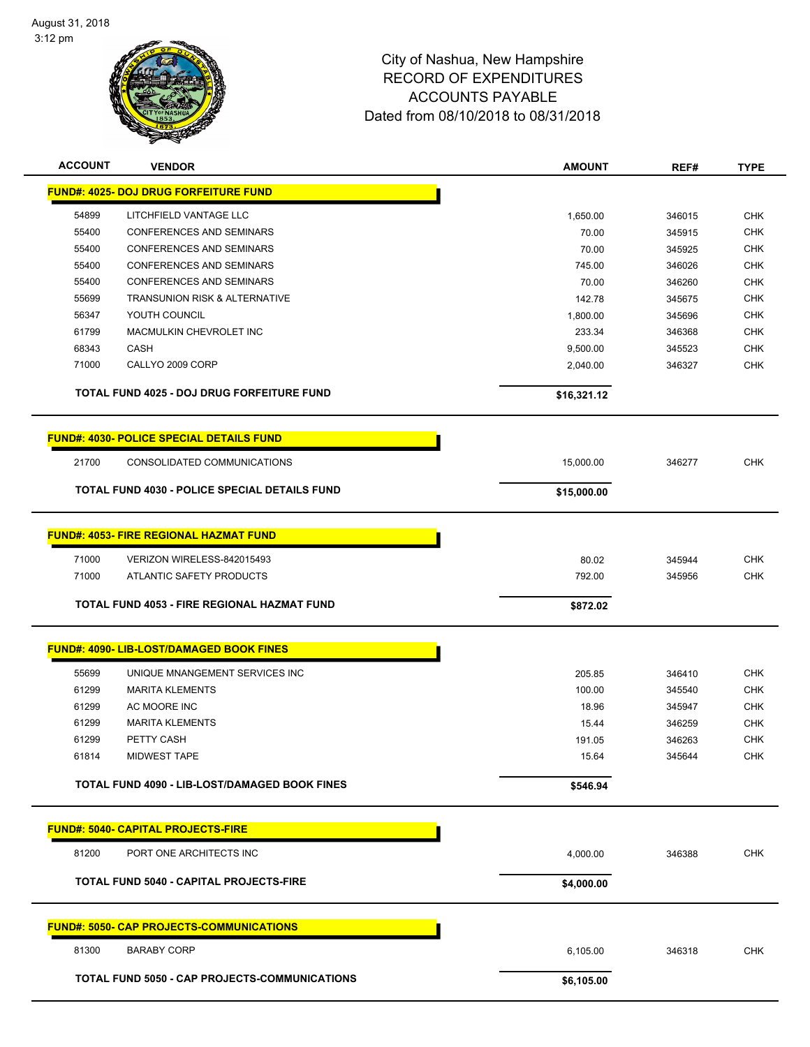

| <b>ACCOUNT</b> | <b>VENDOR</b>                                        | <b>AMOUNT</b> | REF#   | <b>TYPE</b> |
|----------------|------------------------------------------------------|---------------|--------|-------------|
|                | <b>FUND#: 4025- DOJ DRUG FORFEITURE FUND</b>         |               |        |             |
| 54899          | LITCHFIELD VANTAGE LLC                               | 1,650.00      | 346015 | <b>CHK</b>  |
| 55400          | CONFERENCES AND SEMINARS                             | 70.00         | 345915 | <b>CHK</b>  |
| 55400          | CONFERENCES AND SEMINARS                             | 70.00         | 345925 | <b>CHK</b>  |
| 55400          | CONFERENCES AND SEMINARS                             | 745.00        | 346026 | <b>CHK</b>  |
| 55400          | <b>CONFERENCES AND SEMINARS</b>                      | 70.00         | 346260 | <b>CHK</b>  |
| 55699          | <b>TRANSUNION RISK &amp; ALTERNATIVE</b>             | 142.78        | 345675 | <b>CHK</b>  |
| 56347          | YOUTH COUNCIL                                        | 1,800.00      | 345696 | <b>CHK</b>  |
| 61799          | MACMULKIN CHEVROLET INC                              | 233.34        | 346368 | <b>CHK</b>  |
| 68343          | CASH                                                 | 9,500.00      | 345523 | <b>CHK</b>  |
| 71000          | CALLYO 2009 CORP                                     | 2,040.00      | 346327 | <b>CHK</b>  |
|                | <b>TOTAL FUND 4025 - DOJ DRUG FORFEITURE FUND</b>    | \$16,321.12   |        |             |
|                | <b>FUND#: 4030- POLICE SPECIAL DETAILS FUND</b>      |               |        |             |
| 21700          | CONSOLIDATED COMMUNICATIONS                          | 15,000.00     | 346277 | <b>CHK</b>  |
|                | <b>TOTAL FUND 4030 - POLICE SPECIAL DETAILS FUND</b> | \$15,000.00   |        |             |
|                |                                                      |               |        |             |
|                | <b>FUND#: 4053- FIRE REGIONAL HAZMAT FUND</b>        |               |        |             |
| 71000          | VERIZON WIRELESS-842015493                           | 80.02         | 345944 | <b>CHK</b>  |
| 71000          | ATLANTIC SAFETY PRODUCTS                             | 792.00        | 345956 | <b>CHK</b>  |
|                | <b>TOTAL FUND 4053 - FIRE REGIONAL HAZMAT FUND</b>   | \$872.02      |        |             |
|                | FUND#: 4090- LIB-LOST/DAMAGED BOOK FINES             |               |        |             |
| 55699          | UNIQUE MNANGEMENT SERVICES INC                       | 205.85        | 346410 | <b>CHK</b>  |
| 61299          | <b>MARITA KLEMENTS</b>                               | 100.00        | 345540 | <b>CHK</b>  |
| 61299          | AC MOORE INC                                         | 18.96         | 345947 | <b>CHK</b>  |
| 61299          | <b>MARITA KLEMENTS</b>                               | 15.44         | 346259 | <b>CHK</b>  |
| 61299          | PETTY CASH                                           | 191.05        | 346263 | <b>CHK</b>  |
| 61814          | <b>MIDWEST TAPE</b>                                  | 15.64         | 345644 | <b>CHK</b>  |
|                | TOTAL FUND 4090 - LIB-LOST/DAMAGED BOOK FINES        | \$546.94      |        |             |
|                | <b>FUND#: 5040- CAPITAL PROJECTS-FIRE</b>            |               |        |             |
|                |                                                      |               |        |             |
| 81200          | PORT ONE ARCHITECTS INC                              | 4,000.00      | 346388 | <b>CHK</b>  |
|                | TOTAL FUND 5040 - CAPITAL PROJECTS-FIRE              | \$4,000.00    |        |             |
|                | <u> FUND#: 5050- CAP PROJECTS-COMMUNICATIONS</u>     |               |        |             |
| 81300          | <b>BARABY CORP</b>                                   | 6,105.00      | 346318 | <b>CHK</b>  |
|                | TOTAL FUND 5050 - CAP PROJECTS-COMMUNICATIONS        | \$6,105.00    |        |             |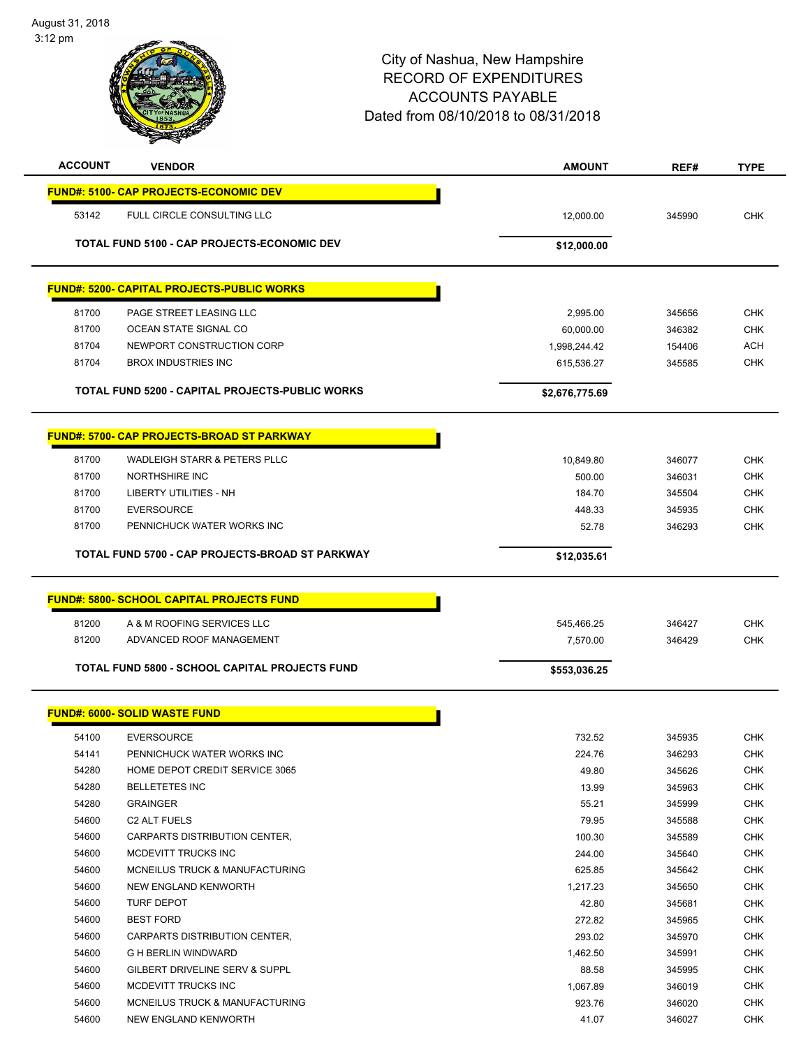| <b>ACCOUNT</b> | <b>VENDOR</b>                                          | <b>AMOUNT</b>  | REF#   | <b>TYPE</b> |
|----------------|--------------------------------------------------------|----------------|--------|-------------|
|                | <b>FUND#: 5100- CAP PROJECTS-ECONOMIC DEV</b>          |                |        |             |
| 53142          | FULL CIRCLE CONSULTING LLC                             | 12,000.00      | 345990 | CHK         |
|                | TOTAL FUND 5100 - CAP PROJECTS-ECONOMIC DEV            | \$12,000.00    |        |             |
|                | <b>FUND#: 5200- CAPITAL PROJECTS-PUBLIC WORKS</b>      |                |        |             |
| 81700          | PAGE STREET LEASING LLC                                | 2,995.00       | 345656 | <b>CHK</b>  |
| 81700          | OCEAN STATE SIGNAL CO                                  | 60,000.00      | 346382 | <b>CHK</b>  |
| 81704          | NEWPORT CONSTRUCTION CORP                              | 1,998,244.42   | 154406 | <b>ACH</b>  |
| 81704          | <b>BROX INDUSTRIES INC</b>                             | 615,536.27     | 345585 | <b>CHK</b>  |
|                | <b>TOTAL FUND 5200 - CAPITAL PROJECTS-PUBLIC WORKS</b> | \$2,676,775.69 |        |             |
|                |                                                        |                |        |             |
|                | <u> FUND#: 5700- CAP PROJECTS-BROAD ST PARKWAY</u>     |                |        |             |
| 81700          | WADLEIGH STARR & PETERS PLLC                           | 10.849.80      | 346077 | <b>CHK</b>  |
| 81700          | <b>NORTHSHIRE INC</b>                                  | 500.00         | 346031 | <b>CHK</b>  |
| 81700          | <b>LIBERTY UTILITIES - NH</b>                          | 184.70         | 345504 | <b>CHK</b>  |
| 81700          | <b>EVERSOURCE</b>                                      | 448.33         | 345935 | <b>CHK</b>  |
| 81700          | PENNICHUCK WATER WORKS INC                             | 52.78          | 346293 | <b>CHK</b>  |
|                | TOTAL FUND 5700 - CAP PROJECTS-BROAD ST PARKWAY        | \$12,035.61    |        |             |
|                | <b>FUND#: 5800- SCHOOL CAPITAL PROJECTS FUND</b>       |                |        |             |
|                |                                                        |                |        |             |
| 81200          | A & M ROOFING SERVICES LLC                             | 545,466.25     | 346427 | <b>CHK</b>  |
| 81200          | ADVANCED ROOF MANAGEMENT                               | 7,570.00       | 346429 | <b>CHK</b>  |
|                | <b>TOTAL FUND 5800 - SCHOOL CAPITAL PROJECTS FUND</b>  | \$553,036.25   |        |             |
|                | <b>FUND#: 6000- SOLID WASTE FUND</b>                   |                |        |             |
| 54100          | <b>EVERSOURCE</b>                                      | 732.52         | 345935 | <b>CHK</b>  |
| 54141          | PENNICHUCK WATER WORKS INC                             | 224.76         | 346293 | <b>CHK</b>  |
| 54280          | HOME DEPOT CREDIT SERVICE 3065                         | 49.80          | 345626 | <b>CHK</b>  |
| 54280          | <b>BELLETETES INC</b>                                  | 13.99          | 345963 | <b>CHK</b>  |
| 54280          | <b>GRAINGER</b>                                        | 55.21          | 345999 | <b>CHK</b>  |
| 54600          | C <sub>2</sub> ALT FUELS                               | 79.95          | 345588 | <b>CHK</b>  |
| 54600          | CARPARTS DISTRIBUTION CENTER,                          | 100.30         | 345589 | <b>CHK</b>  |
| 54600          | MCDEVITT TRUCKS INC                                    | 244.00         | 345640 | <b>CHK</b>  |
| 54600          | MCNEILUS TRUCK & MANUFACTURING                         | 625.85         | 345642 | <b>CHK</b>  |
| 54600          | NEW ENGLAND KENWORTH                                   | 1,217.23       | 345650 | <b>CHK</b>  |
| 54600          | <b>TURF DEPOT</b>                                      | 42.80          | 345681 | <b>CHK</b>  |
| 54600          | <b>BEST FORD</b>                                       | 272.82         | 345965 | <b>CHK</b>  |
| 54600          | CARPARTS DISTRIBUTION CENTER,                          | 293.02         | 345970 | <b>CHK</b>  |
| 54600          | <b>G H BERLIN WINDWARD</b>                             | 1,462.50       | 345991 | <b>CHK</b>  |
| 54600          | GILBERT DRIVELINE SERV & SUPPL                         | 88.58          | 345995 | <b>CHK</b>  |
| 54600          | MCDEVITT TRUCKS INC                                    | 1,067.89       | 346019 | <b>CHK</b>  |
| 54600          | MCNEILUS TRUCK & MANUFACTURING                         | 923.76         | 346020 | <b>CHK</b>  |
| 54600          | NEW ENGLAND KENWORTH                                   | 41.07          | 346027 | <b>CHK</b>  |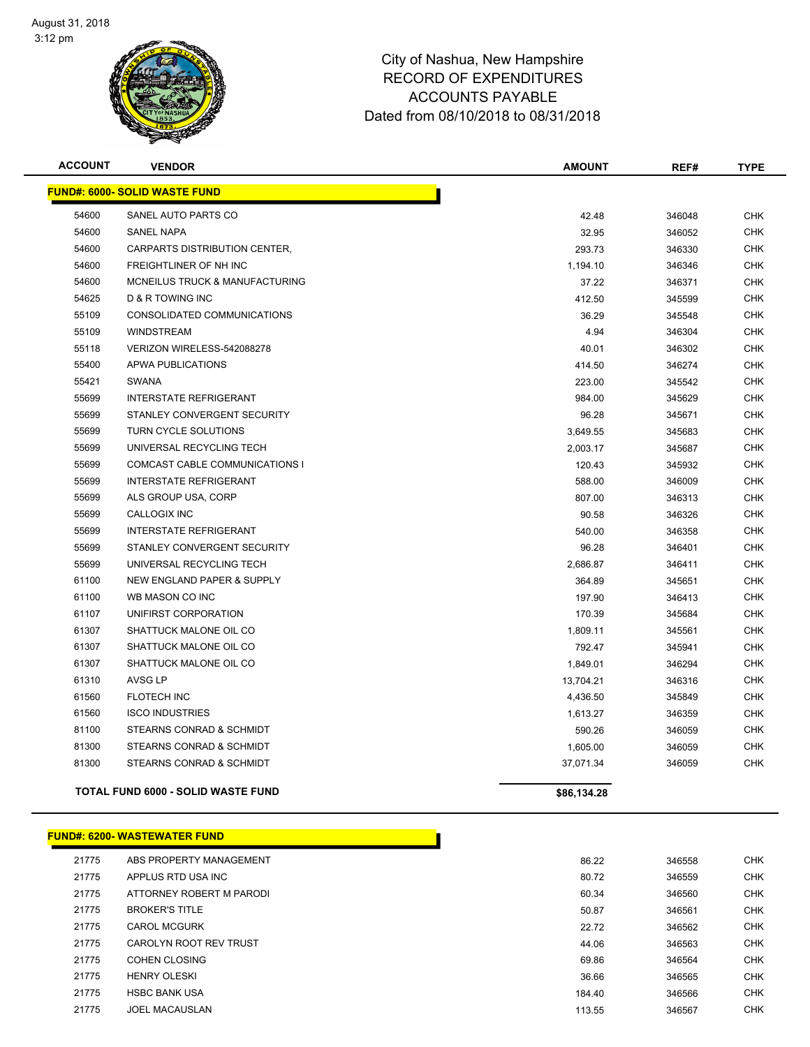

| <b>ACCOUNT</b> | <b>VENDOR</b>                             | <b>AMOUNT</b> | REF#   | <b>TYPE</b> |
|----------------|-------------------------------------------|---------------|--------|-------------|
|                | <b>FUND#: 6000- SOLID WASTE FUND</b>      |               |        |             |
| 54600          | SANEL AUTO PARTS CO                       | 42.48         | 346048 | <b>CHK</b>  |
| 54600          | <b>SANEL NAPA</b>                         | 32.95         | 346052 | <b>CHK</b>  |
| 54600          | CARPARTS DISTRIBUTION CENTER,             | 293.73        | 346330 | <b>CHK</b>  |
| 54600          | FREIGHTLINER OF NH INC                    | 1,194.10      | 346346 | <b>CHK</b>  |
| 54600          | MCNEILUS TRUCK & MANUFACTURING            | 37.22         | 346371 | <b>CHK</b>  |
| 54625          | <b>D &amp; R TOWING INC</b>               | 412.50        | 345599 | <b>CHK</b>  |
| 55109          | CONSOLIDATED COMMUNICATIONS               | 36.29         | 345548 | <b>CHK</b>  |
| 55109          | <b>WINDSTREAM</b>                         | 4.94          | 346304 | <b>CHK</b>  |
| 55118          | VERIZON WIRELESS-542088278                | 40.01         | 346302 | <b>CHK</b>  |
| 55400          | APWA PUBLICATIONS                         | 414.50        | 346274 | <b>CHK</b>  |
| 55421          | <b>SWANA</b>                              | 223.00        | 345542 | <b>CHK</b>  |
| 55699          | <b>INTERSTATE REFRIGERANT</b>             | 984.00        | 345629 | <b>CHK</b>  |
| 55699          | STANLEY CONVERGENT SECURITY               | 96.28         | 345671 | <b>CHK</b>  |
| 55699          | TURN CYCLE SOLUTIONS                      | 3,649.55      | 345683 | <b>CHK</b>  |
| 55699          | UNIVERSAL RECYCLING TECH                  | 2,003.17      | 345687 | <b>CHK</b>  |
| 55699          | COMCAST CABLE COMMUNICATIONS I            | 120.43        | 345932 | <b>CHK</b>  |
| 55699          | <b>INTERSTATE REFRIGERANT</b>             | 588.00        | 346009 | <b>CHK</b>  |
| 55699          | ALS GROUP USA, CORP                       | 807.00        | 346313 | <b>CHK</b>  |
| 55699          | <b>CALLOGIX INC</b>                       | 90.58         | 346326 | <b>CHK</b>  |
| 55699          | <b>INTERSTATE REFRIGERANT</b>             | 540.00        | 346358 | <b>CHK</b>  |
| 55699          | STANLEY CONVERGENT SECURITY               | 96.28         | 346401 | <b>CHK</b>  |
| 55699          | UNIVERSAL RECYCLING TECH                  | 2,686.87      | 346411 | <b>CHK</b>  |
| 61100          | NEW ENGLAND PAPER & SUPPLY                | 364.89        | 345651 | <b>CHK</b>  |
| 61100          | WB MASON CO INC                           | 197.90        | 346413 | <b>CHK</b>  |
| 61107          | UNIFIRST CORPORATION                      | 170.39        | 345684 | <b>CHK</b>  |
| 61307          | SHATTUCK MALONE OIL CO                    | 1,809.11      | 345561 | <b>CHK</b>  |
| 61307          | SHATTUCK MALONE OIL CO                    | 792.47        | 345941 | <b>CHK</b>  |
| 61307          | SHATTUCK MALONE OIL CO                    | 1,849.01      | 346294 | CHK         |
| 61310          | <b>AVSG LP</b>                            | 13,704.21     | 346316 | <b>CHK</b>  |
| 61560          | <b>FLOTECH INC</b>                        | 4,436.50      | 345849 | CHK         |
| 61560          | <b>ISCO INDUSTRIES</b>                    | 1,613.27      | 346359 | <b>CHK</b>  |
| 81100          | STEARNS CONRAD & SCHMIDT                  | 590.26        | 346059 | <b>CHK</b>  |
| 81300          | STEARNS CONRAD & SCHMIDT                  | 1,605.00      | 346059 | <b>CHK</b>  |
| 81300          | STEARNS CONRAD & SCHMIDT                  | 37,071.34     | 346059 | <b>CHK</b>  |
|                | <b>TOTAL FUND 6000 - SOLID WASTE FUND</b> | \$86,134.28   |        |             |

### **FUND#: 6200- WASTEWATER FUND**

| 21775 | ABS PROPERTY MANAGEMENT  | 86.22  | 346558 | <b>CHK</b> |
|-------|--------------------------|--------|--------|------------|
| 21775 | APPLUS RTD USA INC       | 80.72  | 346559 | <b>CHK</b> |
| 21775 | ATTORNEY ROBERT M PARODI | 60.34  | 346560 | <b>CHK</b> |
| 21775 | <b>BROKER'S TITLE</b>    | 50.87  | 346561 | <b>CHK</b> |
| 21775 | <b>CAROL MCGURK</b>      | 22.72  | 346562 | <b>CHK</b> |
| 21775 | CAROLYN ROOT REV TRUST   | 44.06  | 346563 | <b>CHK</b> |
| 21775 | COHEN CLOSING            | 69.86  | 346564 | <b>CHK</b> |
| 21775 | <b>HENRY OLESKI</b>      | 36.66  | 346565 | <b>CHK</b> |
| 21775 | <b>HSBC BANK USA</b>     | 184.40 | 346566 | <b>CHK</b> |
| 21775 | <b>JOEL MACAUSLAN</b>    | 113.55 | 346567 | <b>CHK</b> |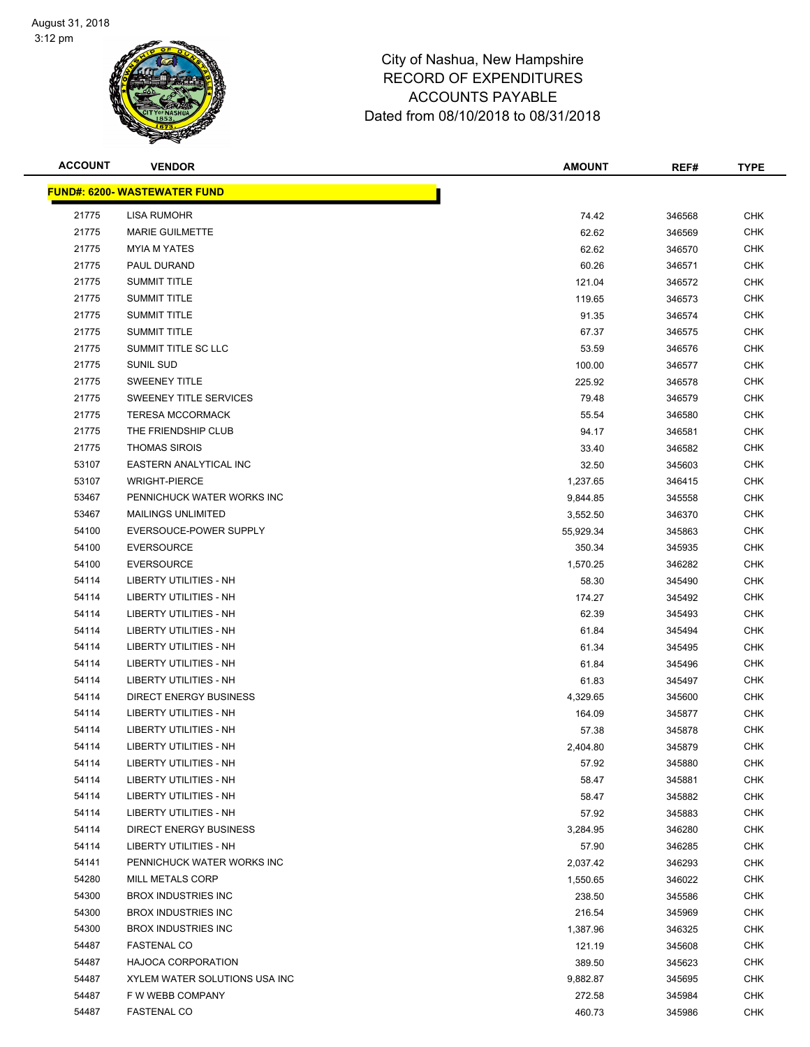

| <b>ACCOUNT</b> | <b>VENDOR</b>                        | <b>AMOUNT</b> | REF#   | <b>TYPE</b> |
|----------------|--------------------------------------|---------------|--------|-------------|
|                | <u> FUND#: 6200- WASTEWATER FUND</u> |               |        |             |
| 21775          | LISA RUMOHR                          | 74.42         | 346568 | <b>CHK</b>  |
| 21775          | <b>MARIE GUILMETTE</b>               | 62.62         | 346569 | <b>CHK</b>  |
| 21775          | <b>MYIA M YATES</b>                  | 62.62         | 346570 | CHK         |
| 21775          | PAUL DURAND                          | 60.26         | 346571 | <b>CHK</b>  |
| 21775          | <b>SUMMIT TITLE</b>                  | 121.04        | 346572 | <b>CHK</b>  |
| 21775          | <b>SUMMIT TITLE</b>                  | 119.65        | 346573 | <b>CHK</b>  |
| 21775          | <b>SUMMIT TITLE</b>                  | 91.35         | 346574 | <b>CHK</b>  |
| 21775          | <b>SUMMIT TITLE</b>                  | 67.37         | 346575 | <b>CHK</b>  |
| 21775          | SUMMIT TITLE SC LLC                  | 53.59         | 346576 | CHK         |
| 21775          | SUNIL SUD                            | 100.00        | 346577 | CHK         |
| 21775          | <b>SWEENEY TITLE</b>                 | 225.92        | 346578 | <b>CHK</b>  |
| 21775          | SWEENEY TITLE SERVICES               | 79.48         | 346579 | CHK         |
| 21775          | <b>TERESA MCCORMACK</b>              | 55.54         | 346580 | CHK         |
| 21775          | THE FRIENDSHIP CLUB                  | 94.17         | 346581 | CHK         |
| 21775          | <b>THOMAS SIROIS</b>                 | 33.40         | 346582 | CHK         |
| 53107          | <b>EASTERN ANALYTICAL INC</b>        | 32.50         | 345603 | CHK         |
| 53107          | <b>WRIGHT-PIERCE</b>                 | 1,237.65      | 346415 | <b>CHK</b>  |
| 53467          | PENNICHUCK WATER WORKS INC           | 9,844.85      | 345558 | <b>CHK</b>  |
| 53467          | <b>MAILINGS UNLIMITED</b>            | 3,552.50      | 346370 | <b>CHK</b>  |
| 54100          | EVERSOUCE-POWER SUPPLY               | 55,929.34     | 345863 | CHK         |
| 54100          | <b>EVERSOURCE</b>                    | 350.34        | 345935 | <b>CHK</b>  |
| 54100          | <b>EVERSOURCE</b>                    | 1,570.25      | 346282 | <b>CHK</b>  |
| 54114          | LIBERTY UTILITIES - NH               | 58.30         | 345490 | CHK         |
| 54114          | LIBERTY UTILITIES - NH               | 174.27        | 345492 | CHK         |
| 54114          | <b>LIBERTY UTILITIES - NH</b>        | 62.39         | 345493 | <b>CHK</b>  |
| 54114          | <b>LIBERTY UTILITIES - NH</b>        | 61.84         | 345494 | <b>CHK</b>  |
| 54114          | LIBERTY UTILITIES - NH               | 61.34         | 345495 | <b>CHK</b>  |
| 54114          | <b>LIBERTY UTILITIES - NH</b>        | 61.84         | 345496 | <b>CHK</b>  |
| 54114          | <b>LIBERTY UTILITIES - NH</b>        | 61.83         | 345497 | CHK         |
| 54114          | <b>DIRECT ENERGY BUSINESS</b>        | 4,329.65      | 345600 | <b>CHK</b>  |
| 54114          | <b>LIBERTY UTILITIES - NH</b>        | 164.09        | 345877 | CHK         |
| 54114          | LIBERTY UTILITIES - NH               | 57.38         | 345878 | CHK         |
| 54114          | LIBERTY UTILITIES - NH               | 2,404.80      | 345879 | CHK         |
| 54114          | LIBERTY UTILITIES - NH               | 57.92         | 345880 | CHK         |
| 54114          | LIBERTY UTILITIES - NH               | 58.47         | 345881 | CHK         |
| 54114          | <b>LIBERTY UTILITIES - NH</b>        | 58.47         | 345882 | CHK         |
| 54114          | LIBERTY UTILITIES - NH               | 57.92         | 345883 | <b>CHK</b>  |
| 54114          | <b>DIRECT ENERGY BUSINESS</b>        | 3,284.95      | 346280 | <b>CHK</b>  |
| 54114          | LIBERTY UTILITIES - NH               | 57.90         | 346285 | <b>CHK</b>  |
| 54141          | PENNICHUCK WATER WORKS INC           | 2,037.42      | 346293 | CHK         |
| 54280          | MILL METALS CORP                     | 1,550.65      | 346022 | <b>CHK</b>  |
| 54300          | <b>BROX INDUSTRIES INC</b>           | 238.50        | 345586 | CHK         |
| 54300          | <b>BROX INDUSTRIES INC</b>           | 216.54        | 345969 | <b>CHK</b>  |
| 54300          | <b>BROX INDUSTRIES INC</b>           | 1,387.96      | 346325 | <b>CHK</b>  |
| 54487          | <b>FASTENAL CO</b>                   | 121.19        | 345608 | CHK         |
| 54487          | <b>HAJOCA CORPORATION</b>            | 389.50        | 345623 | CHK         |
| 54487          | XYLEM WATER SOLUTIONS USA INC        | 9,882.87      | 345695 | CHK         |
| 54487          | F W WEBB COMPANY                     | 272.58        | 345984 | CHK         |
| 54487          | <b>FASTENAL CO</b>                   | 460.73        | 345986 | <b>CHK</b>  |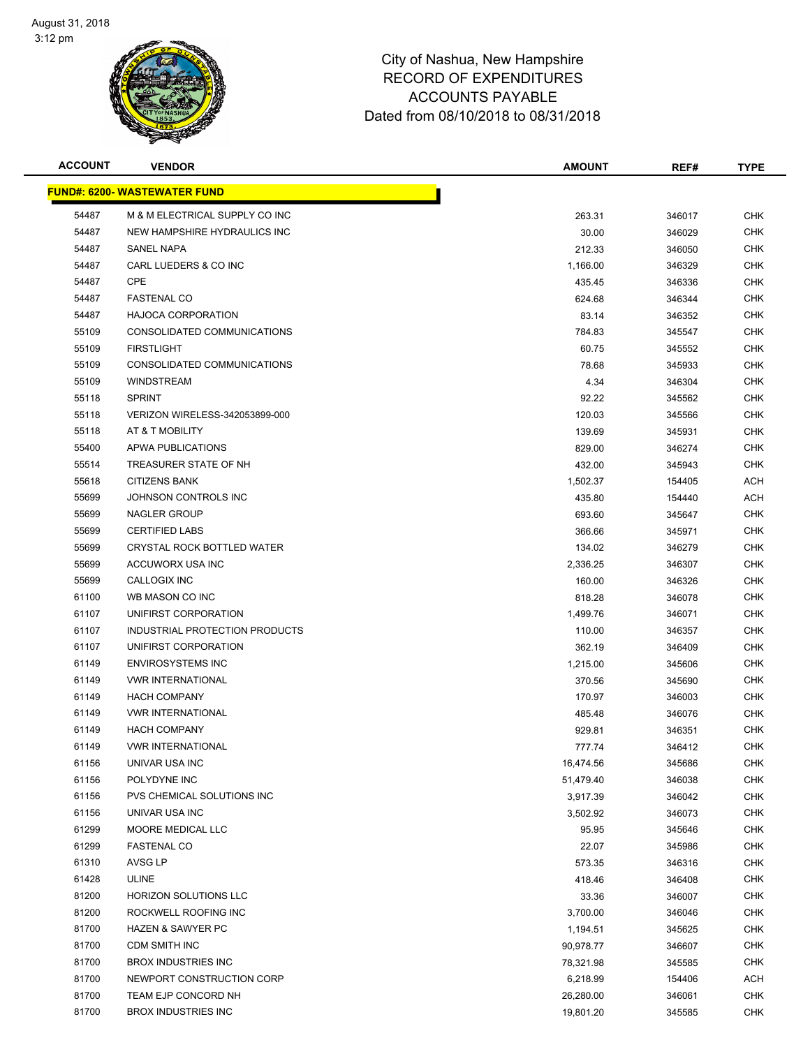

| <b>ACCOUNT</b> | <b>VENDOR</b>                        | <b>AMOUNT</b> | REF#   | <b>TYPE</b> |
|----------------|--------------------------------------|---------------|--------|-------------|
|                | <u> FUND#: 6200- WASTEWATER FUND</u> |               |        |             |
| 54487          | M & M ELECTRICAL SUPPLY CO INC       | 263.31        | 346017 | <b>CHK</b>  |
| 54487          | NEW HAMPSHIRE HYDRAULICS INC         | 30.00         | 346029 | <b>CHK</b>  |
| 54487          | <b>SANEL NAPA</b>                    | 212.33        | 346050 | <b>CHK</b>  |
| 54487          | CARL LUEDERS & CO INC                | 1,166.00      | 346329 | <b>CHK</b>  |
| 54487          | <b>CPE</b>                           | 435.45        | 346336 | <b>CHK</b>  |
| 54487          | <b>FASTENAL CO</b>                   | 624.68        | 346344 | <b>CHK</b>  |
| 54487          | <b>HAJOCA CORPORATION</b>            | 83.14         | 346352 | <b>CHK</b>  |
| 55109          | CONSOLIDATED COMMUNICATIONS          | 784.83        | 345547 | <b>CHK</b>  |
| 55109          | <b>FIRSTLIGHT</b>                    | 60.75         | 345552 | <b>CHK</b>  |
| 55109          | CONSOLIDATED COMMUNICATIONS          | 78.68         | 345933 | CHK         |
| 55109          | <b>WINDSTREAM</b>                    | 4.34          | 346304 | <b>CHK</b>  |
| 55118          | <b>SPRINT</b>                        | 92.22         | 345562 | CHK         |
| 55118          | VERIZON WIRELESS-342053899-000       | 120.03        | 345566 | <b>CHK</b>  |
| 55118          | AT & T MOBILITY                      | 139.69        | 345931 | <b>CHK</b>  |
| 55400          | APWA PUBLICATIONS                    | 829.00        | 346274 | <b>CHK</b>  |
| 55514          | TREASURER STATE OF NH                | 432.00        | 345943 | <b>CHK</b>  |
| 55618          | <b>CITIZENS BANK</b>                 | 1,502.37      | 154405 | <b>ACH</b>  |
| 55699          | JOHNSON CONTROLS INC                 | 435.80        | 154440 | <b>ACH</b>  |
| 55699          | <b>NAGLER GROUP</b>                  | 693.60        | 345647 | <b>CHK</b>  |
| 55699          | <b>CERTIFIED LABS</b>                | 366.66        | 345971 | <b>CHK</b>  |
| 55699          | CRYSTAL ROCK BOTTLED WATER           | 134.02        | 346279 | <b>CHK</b>  |
| 55699          | ACCUWORX USA INC                     | 2,336.25      | 346307 | <b>CHK</b>  |
| 55699          | CALLOGIX INC                         | 160.00        | 346326 | <b>CHK</b>  |
| 61100          | WB MASON CO INC                      | 818.28        | 346078 | <b>CHK</b>  |
| 61107          | UNIFIRST CORPORATION                 | 1,499.76      | 346071 | <b>CHK</b>  |
| 61107          | INDUSTRIAL PROTECTION PRODUCTS       | 110.00        | 346357 | <b>CHK</b>  |
| 61107          | UNIFIRST CORPORATION                 | 362.19        | 346409 | <b>CHK</b>  |
| 61149          | <b>ENVIROSYSTEMS INC</b>             | 1,215.00      | 345606 | <b>CHK</b>  |
| 61149          | <b>VWR INTERNATIONAL</b>             | 370.56        | 345690 | <b>CHK</b>  |
| 61149          | <b>HACH COMPANY</b>                  | 170.97        | 346003 | <b>CHK</b>  |
| 61149          | <b>VWR INTERNATIONAL</b>             | 485.48        | 346076 | CHK         |
| 61149          | <b>HACH COMPANY</b>                  | 929.81        | 346351 | <b>CHK</b>  |
| 61149          | <b>VWR INTERNATIONAL</b>             | 777.74        | 346412 | <b>CHK</b>  |
| 61156          | UNIVAR USA INC                       | 16,474.56     | 345686 | <b>CHK</b>  |
| 61156          | POLYDYNE INC                         | 51,479.40     | 346038 | <b>CHK</b>  |
| 61156          | PVS CHEMICAL SOLUTIONS INC           | 3,917.39      | 346042 | <b>CHK</b>  |
| 61156          | UNIVAR USA INC                       | 3,502.92      | 346073 | <b>CHK</b>  |
| 61299          | MOORE MEDICAL LLC                    | 95.95         | 345646 | <b>CHK</b>  |
| 61299          | <b>FASTENAL CO</b>                   | 22.07         | 345986 | <b>CHK</b>  |
| 61310          | AVSG LP                              | 573.35        | 346316 | <b>CHK</b>  |
| 61428          | ULINE                                | 418.46        | 346408 | <b>CHK</b>  |
| 81200          | HORIZON SOLUTIONS LLC                | 33.36         | 346007 | <b>CHK</b>  |
| 81200          | ROCKWELL ROOFING INC                 | 3,700.00      | 346046 | <b>CHK</b>  |
| 81700          | <b>HAZEN &amp; SAWYER PC</b>         | 1,194.51      | 345625 | <b>CHK</b>  |
| 81700          | <b>CDM SMITH INC</b>                 | 90,978.77     | 346607 | <b>CHK</b>  |
| 81700          | <b>BROX INDUSTRIES INC</b>           | 78,321.98     | 345585 | CHK         |
| 81700          | NEWPORT CONSTRUCTION CORP            | 6,218.99      | 154406 | <b>ACH</b>  |
| 81700          | TEAM EJP CONCORD NH                  | 26,280.00     | 346061 | <b>CHK</b>  |
| 81700          | <b>BROX INDUSTRIES INC</b>           | 19,801.20     | 345585 | <b>CHK</b>  |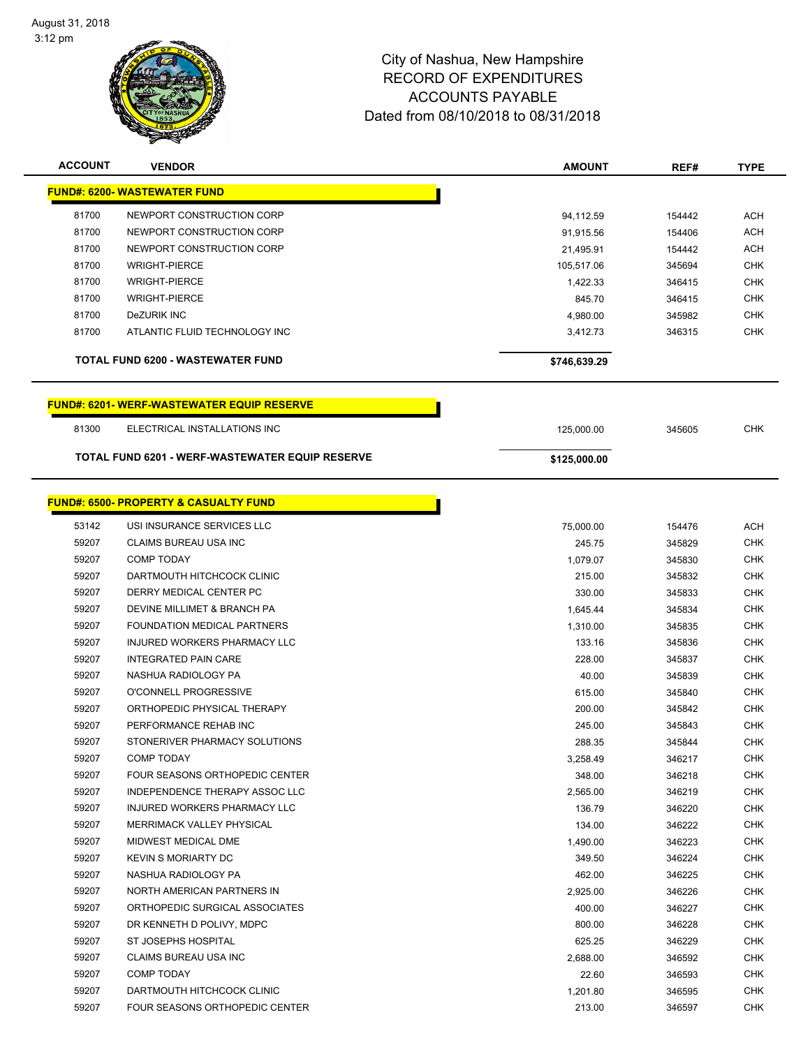

| <b>ACCOUNT</b> | <b>VENDOR</b>                                    | <b>AMOUNT</b> | REF#   | <b>TYPE</b> |
|----------------|--------------------------------------------------|---------------|--------|-------------|
|                | <u> FUND#: 6200- WASTEWATER FUND</u>             |               |        |             |
| 81700          | NEWPORT CONSTRUCTION CORP                        | 94,112.59     | 154442 | <b>ACH</b>  |
| 81700          | NEWPORT CONSTRUCTION CORP                        | 91,915.56     | 154406 | <b>ACH</b>  |
| 81700          | NEWPORT CONSTRUCTION CORP                        | 21,495.91     | 154442 | <b>ACH</b>  |
| 81700          | <b>WRIGHT-PIERCE</b>                             | 105,517.06    | 345694 | <b>CHK</b>  |
| 81700          | <b>WRIGHT-PIERCE</b>                             | 1,422.33      | 346415 | <b>CHK</b>  |
| 81700          | <b>WRIGHT-PIERCE</b>                             | 845.70        | 346415 | <b>CHK</b>  |
| 81700          | <b>DeZURIK INC</b>                               | 4,980.00      | 345982 | <b>CHK</b>  |
| 81700          | ATLANTIC FLUID TECHNOLOGY INC                    | 3,412.73      | 346315 | <b>CHK</b>  |
|                | <b>TOTAL FUND 6200 - WASTEWATER FUND</b>         | \$746,639.29  |        |             |
|                | <b>FUND#: 6201-WERF-WASTEWATER EQUIP RESERVE</b> |               |        |             |
| 81300          | ELECTRICAL INSTALLATIONS INC                     | 125,000.00    | 345605 | <b>CHK</b>  |
|                | TOTAL FUND 6201 - WERF-WASTEWATER EQUIP RESERVE  | \$125,000.00  |        |             |
|                |                                                  |               |        |             |
|                | <b>FUND#: 6500- PROPERTY &amp; CASUALTY FUND</b> |               |        |             |
| 53142          | USI INSURANCE SERVICES LLC                       | 75,000.00     | 154476 | <b>ACH</b>  |
| 59207          | CLAIMS BUREAU USA INC                            | 245.75        | 345829 | <b>CHK</b>  |
| 59207          | <b>COMP TODAY</b>                                | 1,079.07      | 345830 | <b>CHK</b>  |
| 59207          | DARTMOUTH HITCHCOCK CLINIC                       | 215.00        | 345832 | <b>CHK</b>  |
| 59207          | DERRY MEDICAL CENTER PC                          | 330.00        | 345833 | <b>CHK</b>  |
| 59207          | DEVINE MILLIMET & BRANCH PA                      | 1,645.44      | 345834 | <b>CHK</b>  |
| 59207          | FOUNDATION MEDICAL PARTNERS                      | 1,310.00      | 345835 | <b>CHK</b>  |
| 59207          | INJURED WORKERS PHARMACY LLC                     | 133.16        | 345836 | <b>CHK</b>  |
| 59207          | <b>INTEGRATED PAIN CARE</b>                      | 228.00        | 345837 | <b>CHK</b>  |
| 59207          | NASHUA RADIOLOGY PA                              | 40.00         | 345839 | <b>CHK</b>  |
| 59207          | O'CONNELL PROGRESSIVE                            | 615.00        | 345840 | <b>CHK</b>  |
| 59207          | ORTHOPEDIC PHYSICAL THERAPY                      | 200.00        | 345842 | <b>CHK</b>  |
| 59207          | PERFORMANCE REHAB INC                            | 245.00        | 345843 | <b>CHK</b>  |
| 59207          | STONERIVER PHARMACY SOLUTIONS                    | 288.35        | 345844 | <b>CHK</b>  |
| 59207          | COMP TODAY                                       | 3,258.49      | 346217 | <b>CHK</b>  |
| 59207          | FOUR SEASONS ORTHOPEDIC CENTER                   | 348.00        | 346218 | <b>CHK</b>  |
| 59207          | INDEPENDENCE THERAPY ASSOC LLC                   | 2,565.00      | 346219 | <b>CHK</b>  |
| 59207          | <b>INJURED WORKERS PHARMACY LLC</b>              | 136.79        | 346220 | <b>CHK</b>  |
| 59207          | <b>MERRIMACK VALLEY PHYSICAL</b>                 | 134.00        | 346222 | <b>CHK</b>  |
| 59207          | MIDWEST MEDICAL DME                              | 1,490.00      | 346223 | <b>CHK</b>  |
| 59207          | <b>KEVIN S MORIARTY DC</b>                       | 349.50        | 346224 | <b>CHK</b>  |
| 59207          | NASHUA RADIOLOGY PA                              | 462.00        | 346225 | <b>CHK</b>  |
| 59207          | NORTH AMERICAN PARTNERS IN                       | 2,925.00      | 346226 | <b>CHK</b>  |
| 59207          | ORTHOPEDIC SURGICAL ASSOCIATES                   | 400.00        | 346227 | <b>CHK</b>  |
| 59207          | DR KENNETH D POLIVY, MDPC                        | 800.00        | 346228 | <b>CHK</b>  |
| 59207          | ST JOSEPHS HOSPITAL                              | 625.25        | 346229 | <b>CHK</b>  |
| 59207          | CLAIMS BUREAU USA INC                            | 2,688.00      | 346592 | <b>CHK</b>  |
| 59207          | COMP TODAY                                       | 22.60         | 346593 | <b>CHK</b>  |
| 59207          | DARTMOUTH HITCHCOCK CLINIC                       | 1,201.80      | 346595 | <b>CHK</b>  |
| 59207          | FOUR SEASONS ORTHOPEDIC CENTER                   | 213.00        | 346597 | <b>CHK</b>  |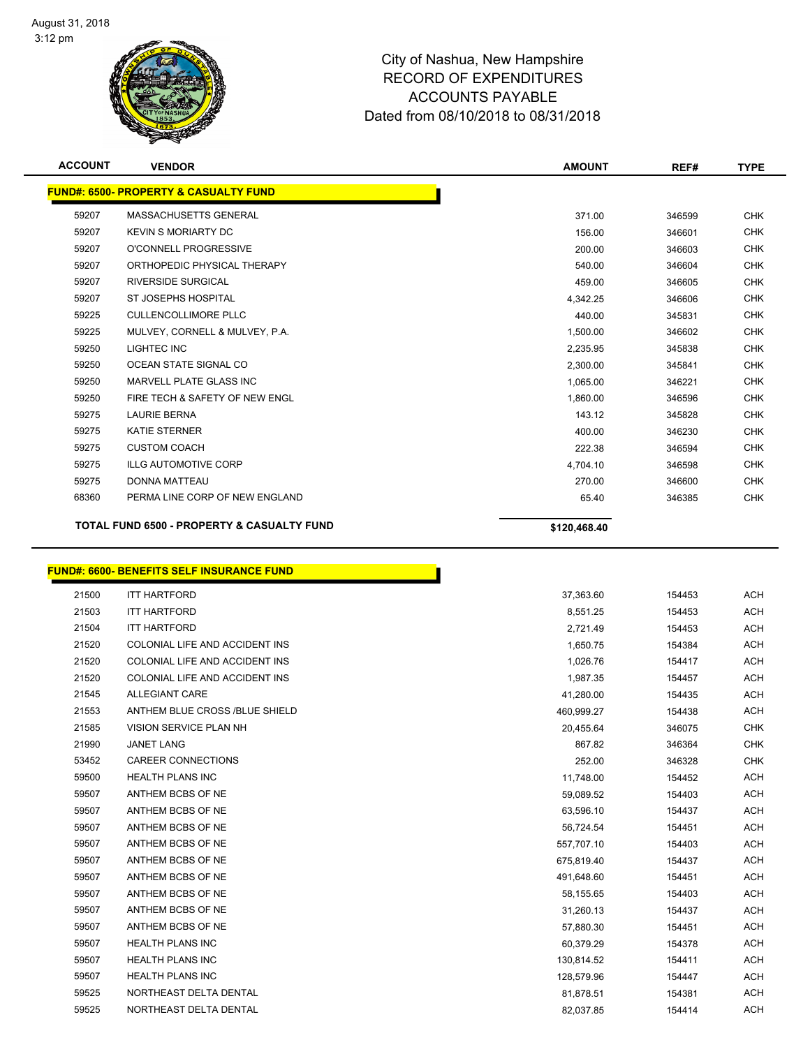

| <b>ACCOUNT</b> | <b>VENDOR</b>                                         | <b>AMOUNT</b> | REF#   | <b>TYPE</b> |
|----------------|-------------------------------------------------------|---------------|--------|-------------|
|                | <b>FUND#: 6500- PROPERTY &amp; CASUALTY FUND</b>      |               |        |             |
| 59207          | MASSACHUSETTS GENERAL                                 | 371.00        | 346599 | <b>CHK</b>  |
| 59207          | <b>KEVIN S MORIARTY DC</b>                            | 156.00        | 346601 | <b>CHK</b>  |
| 59207          | O'CONNELL PROGRESSIVE                                 | 200.00        | 346603 | <b>CHK</b>  |
| 59207          | ORTHOPEDIC PHYSICAL THERAPY                           | 540.00        | 346604 | <b>CHK</b>  |
| 59207          | <b>RIVERSIDE SURGICAL</b>                             | 459.00        | 346605 | <b>CHK</b>  |
| 59207          | <b>ST JOSEPHS HOSPITAL</b>                            | 4,342.25      | 346606 | <b>CHK</b>  |
| 59225          | <b>CULLENCOLLIMORE PLLC</b>                           | 440.00        | 345831 | <b>CHK</b>  |
| 59225          | MULVEY, CORNELL & MULVEY, P.A.                        | 1,500.00      | 346602 | <b>CHK</b>  |
| 59250          | LIGHTEC INC                                           | 2,235.95      | 345838 | <b>CHK</b>  |
| 59250          | OCEAN STATE SIGNAL CO                                 | 2,300.00      | 345841 | <b>CHK</b>  |
| 59250          | MARVELL PLATE GLASS INC                               | 1,065.00      | 346221 | <b>CHK</b>  |
| 59250          | FIRE TECH & SAFETY OF NEW ENGL                        | 1,860.00      | 346596 | <b>CHK</b>  |
| 59275          | <b>LAURIE BERNA</b>                                   | 143.12        | 345828 | <b>CHK</b>  |
| 59275          | <b>KATIE STERNER</b>                                  | 400.00        | 346230 | <b>CHK</b>  |
| 59275          | <b>CUSTOM COACH</b>                                   | 222.38        | 346594 | <b>CHK</b>  |
| 59275          | <b>ILLG AUTOMOTIVE CORP</b>                           | 4,704.10      | 346598 | <b>CHK</b>  |
| 59275          | <b>DONNA MATTEAU</b>                                  | 270.00        | 346600 | <b>CHK</b>  |
| 68360          | PERMA LINE CORP OF NEW ENGLAND                        | 65.40         | 346385 | <b>CHK</b>  |
|                | <b>TOTAL FUND 6500 - PROPERTY &amp; CASUALTY FUND</b> | \$120,468.40  |        |             |

#### **FUND#: 6600- BENEFITS SELF INSURANCE FUND**

| 21500 | <b>ITT HARTFORD</b>            | 37,363.60  | 154453 | <b>ACH</b> |
|-------|--------------------------------|------------|--------|------------|
| 21503 | <b>ITT HARTFORD</b>            | 8,551.25   | 154453 | <b>ACH</b> |
| 21504 | <b>ITT HARTFORD</b>            | 2,721.49   | 154453 | <b>ACH</b> |
| 21520 | COLONIAL LIFE AND ACCIDENT INS | 1,650.75   | 154384 | <b>ACH</b> |
| 21520 | COLONIAL LIFE AND ACCIDENT INS | 1,026.76   | 154417 | <b>ACH</b> |
| 21520 | COLONIAL LIFE AND ACCIDENT INS | 1,987.35   | 154457 | <b>ACH</b> |
| 21545 | <b>ALLEGIANT CARE</b>          | 41,280.00  | 154435 | <b>ACH</b> |
| 21553 | ANTHEM BLUE CROSS /BLUE SHIELD | 460,999.27 | 154438 | <b>ACH</b> |
| 21585 | VISION SERVICE PLAN NH         | 20,455.64  | 346075 | <b>CHK</b> |
| 21990 | <b>JANET LANG</b>              | 867.82     | 346364 | <b>CHK</b> |
| 53452 | CAREER CONNECTIONS             | 252.00     | 346328 | <b>CHK</b> |
| 59500 | <b>HEALTH PLANS INC</b>        | 11,748.00  | 154452 | <b>ACH</b> |
| 59507 | ANTHEM BCBS OF NE              | 59,089.52  | 154403 | <b>ACH</b> |
| 59507 | ANTHEM BCBS OF NE              | 63,596.10  | 154437 | <b>ACH</b> |
| 59507 | ANTHEM BCBS OF NE              | 56,724.54  | 154451 | <b>ACH</b> |
| 59507 | ANTHEM BCBS OF NE              | 557,707.10 | 154403 | <b>ACH</b> |
| 59507 | ANTHEM BCBS OF NE              | 675,819.40 | 154437 | <b>ACH</b> |
| 59507 | ANTHEM BCBS OF NE              | 491,648.60 | 154451 | <b>ACH</b> |
| 59507 | ANTHEM BCBS OF NE              | 58,155.65  | 154403 | <b>ACH</b> |
| 59507 | ANTHEM BCBS OF NE              | 31,260.13  | 154437 | <b>ACH</b> |
| 59507 | ANTHEM BCBS OF NE              | 57,880.30  | 154451 | <b>ACH</b> |
| 59507 | <b>HEALTH PLANS INC</b>        | 60,379.29  | 154378 | <b>ACH</b> |
| 59507 | <b>HEALTH PLANS INC</b>        | 130,814.52 | 154411 | <b>ACH</b> |
| 59507 | <b>HEALTH PLANS INC</b>        | 128,579.96 | 154447 | <b>ACH</b> |
| 59525 | NORTHEAST DELTA DENTAL         | 81,878.51  | 154381 | <b>ACH</b> |
| 59525 | NORTHEAST DELTA DENTAL         | 82,037.85  | 154414 | <b>ACH</b> |

h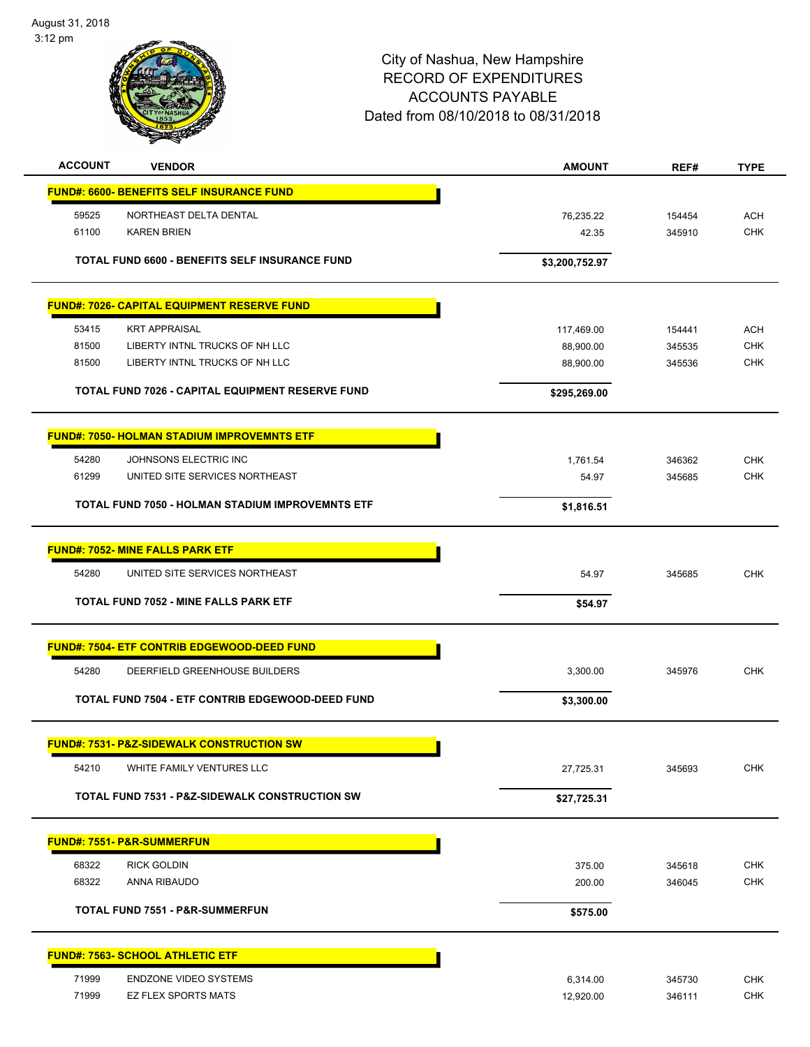

| <b>ACCOUNT</b> | <b>VENDOR</b>                                             | <b>AMOUNT</b>  | REF#   | <b>TYPE</b> |
|----------------|-----------------------------------------------------------|----------------|--------|-------------|
|                | <b>FUND#: 6600- BENEFITS SELF INSURANCE FUND</b>          |                |        |             |
| 59525          | NORTHEAST DELTA DENTAL                                    | 76,235.22      | 154454 | <b>ACH</b>  |
| 61100          | <b>KAREN BRIEN</b>                                        | 42.35          | 345910 | <b>CHK</b>  |
|                | TOTAL FUND 6600 - BENEFITS SELF INSURANCE FUND            | \$3,200,752.97 |        |             |
|                | <b>FUND#: 7026- CAPITAL EQUIPMENT RESERVE FUND</b>        |                |        |             |
| 53415          | <b>KRT APPRAISAL</b>                                      | 117,469.00     | 154441 | <b>ACH</b>  |
| 81500          | LIBERTY INTNL TRUCKS OF NH LLC                            | 88,900.00      | 345535 | <b>CHK</b>  |
| 81500          | LIBERTY INTNL TRUCKS OF NH LLC                            | 88,900.00      | 345536 | <b>CHK</b>  |
|                | TOTAL FUND 7026 - CAPITAL EQUIPMENT RESERVE FUND          | \$295,269.00   |        |             |
|                | <b>FUND#: 7050- HOLMAN STADIUM IMPROVEMNTS ETF</b>        |                |        |             |
| 54280          | JOHNSONS ELECTRIC INC                                     | 1,761.54       | 346362 | <b>CHK</b>  |
| 61299          | UNITED SITE SERVICES NORTHEAST                            | 54.97          | 345685 | <b>CHK</b>  |
|                | TOTAL FUND 7050 - HOLMAN STADIUM IMPROVEMNTS ETF          | \$1,816.51     |        |             |
|                | <b>FUND#: 7052- MINE FALLS PARK ETF</b>                   |                |        |             |
| 54280          | UNITED SITE SERVICES NORTHEAST                            | 54.97          | 345685 | <b>CHK</b>  |
|                | TOTAL FUND 7052 - MINE FALLS PARK ETF                     | \$54.97        |        |             |
|                |                                                           |                |        |             |
|                | <b>FUND#: 7504- ETF CONTRIB EDGEWOOD-DEED FUND</b>        |                |        |             |
| 54280          | DEERFIELD GREENHOUSE BUILDERS                             | 3,300.00       | 345976 | <b>CHK</b>  |
|                | TOTAL FUND 7504 - ETF CONTRIB EDGEWOOD-DEED FUND          | \$3,300.00     |        |             |
|                | <b>FUND#: 7531- P&amp;Z-SIDEWALK CONSTRUCTION SW</b>      |                |        |             |
| 54210          | WHITE FAMILY VENTURES LLC                                 | 27,725.31      | 345693 | <b>CHK</b>  |
|                | <b>TOTAL FUND 7531 - P&amp;Z-SIDEWALK CONSTRUCTION SW</b> | \$27,725.31    |        |             |
|                | <b>FUND#: 7551- P&amp;R-SUMMERFUN</b>                     |                |        |             |
| 68322          | <b>RICK GOLDIN</b>                                        | 375.00         | 345618 | <b>CHK</b>  |
| 68322          | ANNA RIBAUDO                                              | 200.00         | 346045 | <b>CHK</b>  |
|                | <b>TOTAL FUND 7551 - P&amp;R-SUMMERFUN</b>                | \$575.00       |        |             |
|                |                                                           |                |        |             |
|                | <b>FUND#: 7563- SCHOOL ATHLETIC ETF</b>                   |                |        |             |
| 71999          | <b>ENDZONE VIDEO SYSTEMS</b>                              | 6,314.00       | 345730 | <b>CHK</b>  |
| 71999          | <b>EZ FLEX SPORTS MATS</b>                                | 12,920.00      | 346111 | <b>CHK</b>  |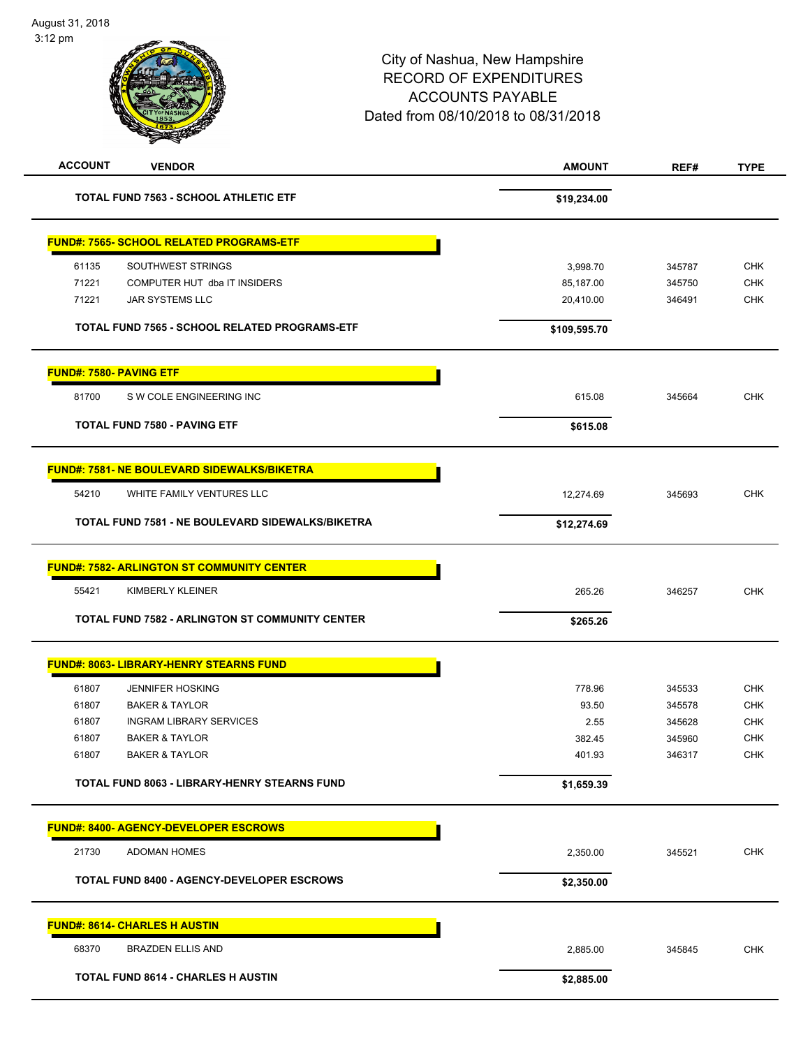| <b>ACCOUNT</b><br><b>VENDOR</b>                        | <b>AMOUNT</b> | REF#   | <b>TYPE</b> |
|--------------------------------------------------------|---------------|--------|-------------|
| <b>TOTAL FUND 7563 - SCHOOL ATHLETIC ETF</b>           | \$19,234.00   |        |             |
| <b>FUND#: 7565- SCHOOL RELATED PROGRAMS-ETF</b>        |               |        |             |
| 61135<br>SOUTHWEST STRINGS                             | 3,998.70      | 345787 | <b>CHK</b>  |
| 71221<br>COMPUTER HUT dba IT INSIDERS                  | 85,187.00     | 345750 | <b>CHK</b>  |
| 71221<br><b>JAR SYSTEMS LLC</b>                        | 20,410.00     | 346491 | <b>CHK</b>  |
| TOTAL FUND 7565 - SCHOOL RELATED PROGRAMS-ETF          | \$109,595.70  |        |             |
| <b>FUND#: 7580- PAVING ETF</b>                         |               |        |             |
| 81700<br>S W COLE ENGINEERING INC                      | 615.08        | 345664 | CHK         |
| <b>TOTAL FUND 7580 - PAVING ETF</b>                    | \$615.08      |        |             |
| <b>FUND#: 7581- NE BOULEVARD SIDEWALKS/BIKETRA</b>     |               |        |             |
| 54210<br>WHITE FAMILY VENTURES LLC                     | 12,274.69     | 345693 | <b>CHK</b>  |
| TOTAL FUND 7581 - NE BOULEVARD SIDEWALKS/BIKETRA       | \$12,274.69   |        |             |
| <b>FUND#: 7582- ARLINGTON ST COMMUNITY CENTER</b>      |               |        |             |
| 55421<br>KIMBERLY KLEINER                              | 265.26        | 346257 | <b>CHK</b>  |
| <b>TOTAL FUND 7582 - ARLINGTON ST COMMUNITY CENTER</b> | \$265.26      |        |             |
| <b>FUND#: 8063- LIBRARY-HENRY STEARNS FUND</b>         |               |        |             |
| 61807<br><b>JENNIFER HOSKING</b>                       | 778.96        | 345533 | <b>CHK</b>  |
| 61807<br><b>BAKER &amp; TAYLOR</b>                     | 93.50         | 345578 | <b>CHK</b>  |
| 61807<br><b>INGRAM LIBRARY SERVICES</b>                | 2.55          | 345628 | <b>CHK</b>  |
| 61807<br><b>BAKER &amp; TAYLOR</b>                     | 382.45        | 345960 | CHK         |
| <b>BAKER &amp; TAYLOR</b><br>61807                     | 401.93        | 346317 | CHK         |
| <b>TOTAL FUND 8063 - LIBRARY-HENRY STEARNS FUND</b>    | \$1,659.39    |        |             |
| <b>FUND#: 8400- AGENCY-DEVELOPER ESCROWS</b>           |               |        |             |
| 21730<br><b>ADOMAN HOMES</b>                           | 2,350.00      | 345521 | <b>CHK</b>  |
| <b>TOTAL FUND 8400 - AGENCY-DEVELOPER ESCROWS</b>      | \$2,350.00    |        |             |
| <b>FUND#: 8614- CHARLES H AUSTIN</b>                   |               |        |             |
| 68370<br><b>BRAZDEN ELLIS AND</b>                      | 2,885.00      | 345845 | <b>CHK</b>  |
| <b>TOTAL FUND 8614 - CHARLES H AUSTIN</b>              | \$2,885.00    |        |             |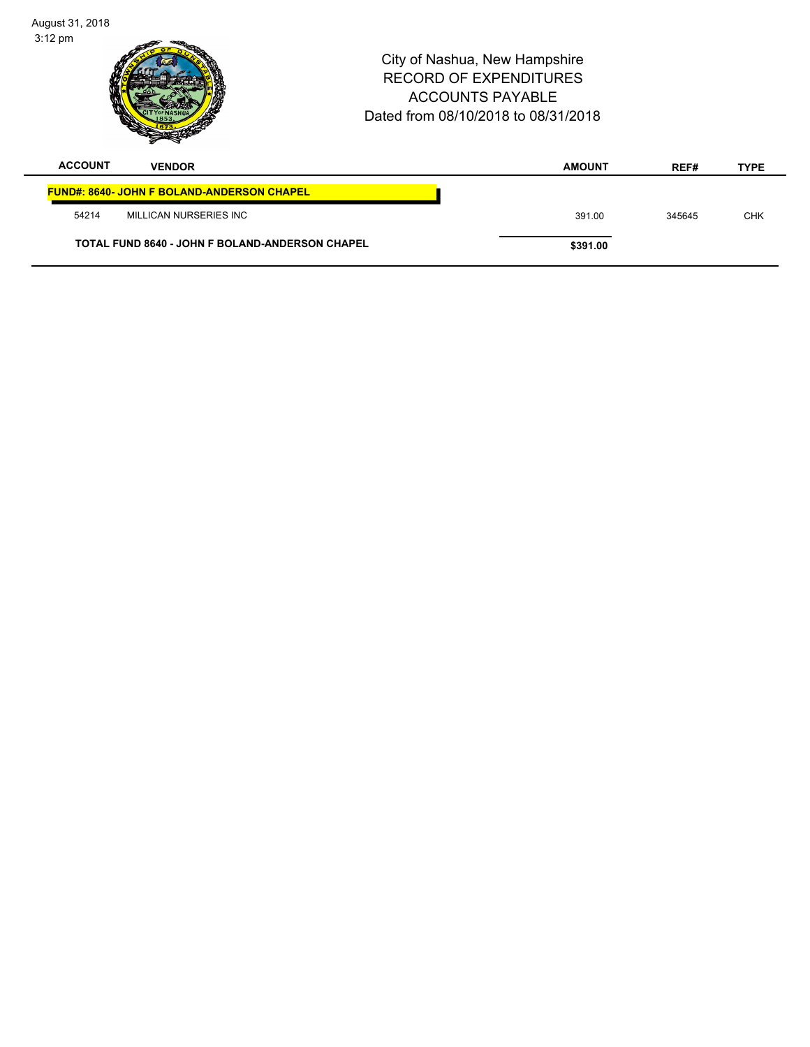| August 31, 2018<br>$3:12 \text{ pm}$<br>City of Nashua, New Hampshire<br>RECORD OF EXPENDITURES<br><b>ACCOUNTS PAYABLE</b><br>Dated from 08/10/2018 to 08/31/2018 |                                                        |  | Page 43 of 108 |        |             |
|-------------------------------------------------------------------------------------------------------------------------------------------------------------------|--------------------------------------------------------|--|----------------|--------|-------------|
| <b>ACCOUNT</b>                                                                                                                                                    | <b>VENDOR</b>                                          |  | <b>AMOUNT</b>  | REF#   | <b>TYPE</b> |
|                                                                                                                                                                   | <b>FUND#: 8640- JOHN F BOLAND-ANDERSON CHAPEL</b>      |  |                |        |             |
| 54214                                                                                                                                                             | MILLICAN NURSERIES INC                                 |  | 391.00         | 345645 | <b>CHK</b>  |
|                                                                                                                                                                   | <b>TOTAL FUND 8640 - JOHN F BOLAND-ANDERSON CHAPEL</b> |  | \$391.00       |        |             |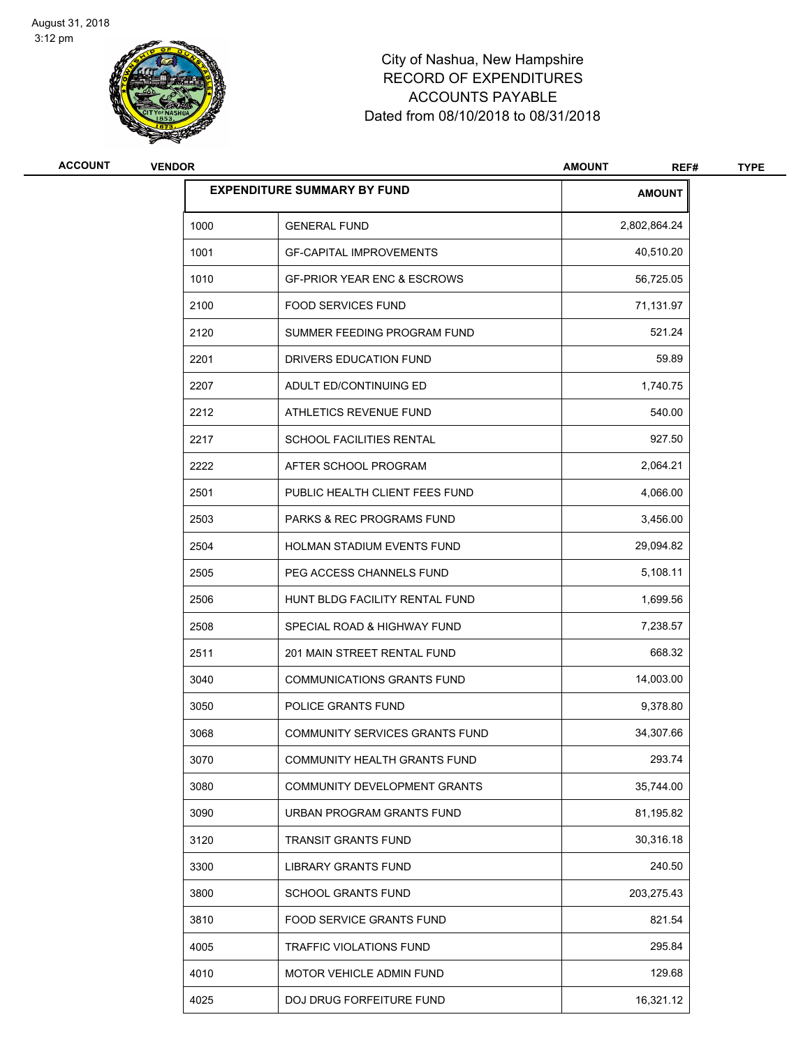

| ACCOUNT | <b>VENDOR</b> |                                        | <b>AMOUNT</b><br>REF# | <b>TYPE</b> |
|---------|---------------|----------------------------------------|-----------------------|-------------|
|         |               | <b>EXPENDITURE SUMMARY BY FUND</b>     | <b>AMOUNT</b>         |             |
|         | 1000          | <b>GENERAL FUND</b>                    | 2,802,864.24          |             |
|         | 1001          | <b>GF-CAPITAL IMPROVEMENTS</b>         | 40,510.20             |             |
|         | 1010          | <b>GF-PRIOR YEAR ENC &amp; ESCROWS</b> | 56,725.05             |             |
|         | 2100          | <b>FOOD SERVICES FUND</b>              | 71,131.97             |             |
|         | 2120          | SUMMER FEEDING PROGRAM FUND            | 521.24                |             |
|         | 2201          | DRIVERS EDUCATION FUND                 | 59.89                 |             |
|         | 2207          | ADULT ED/CONTINUING ED                 | 1,740.75              |             |
|         | 2212          | ATHLETICS REVENUE FUND                 | 540.00                |             |
|         | 2217          | SCHOOL FACILITIES RENTAL               | 927.50                |             |
|         | 2222          | AFTER SCHOOL PROGRAM                   | 2,064.21              |             |
|         | 2501          | PUBLIC HEALTH CLIENT FEES FUND         | 4,066.00              |             |
|         | 2503          | PARKS & REC PROGRAMS FUND              | 3,456.00              |             |
|         | 2504          | HOLMAN STADIUM EVENTS FUND             | 29,094.82             |             |
|         | 2505          | PEG ACCESS CHANNELS FUND               | 5,108.11              |             |
|         | 2506          | HUNT BLDG FACILITY RENTAL FUND         | 1,699.56              |             |
|         | 2508          | SPECIAL ROAD & HIGHWAY FUND            | 7,238.57              |             |
|         | 2511          | 201 MAIN STREET RENTAL FUND            | 668.32                |             |
|         | 3040          | <b>COMMUNICATIONS GRANTS FUND</b>      | 14,003.00             |             |
|         | 3050          | POLICE GRANTS FUND                     | 9,378.80              |             |
|         | 3068          | <b>COMMUNITY SERVICES GRANTS FUND</b>  | 34,307.66             |             |
|         | 3070          | COMMUNITY HEALTH GRANTS FUND           | 293.74                |             |
|         | 3080          | COMMUNITY DEVELOPMENT GRANTS           | 35,744.00             |             |
|         | 3090          | URBAN PROGRAM GRANTS FUND              | 81,195.82             |             |
|         | 3120          | <b>TRANSIT GRANTS FUND</b>             | 30,316.18             |             |
|         | 3300          | <b>LIBRARY GRANTS FUND</b>             | 240.50                |             |
|         | 3800          | <b>SCHOOL GRANTS FUND</b>              | 203,275.43            |             |
|         | 3810          | FOOD SERVICE GRANTS FUND               | 821.54                |             |
|         | 4005          | TRAFFIC VIOLATIONS FUND                | 295.84                |             |
|         | 4010          | MOTOR VEHICLE ADMIN FUND               | 129.68                |             |
|         | 4025          | DOJ DRUG FORFEITURE FUND               | 16,321.12             |             |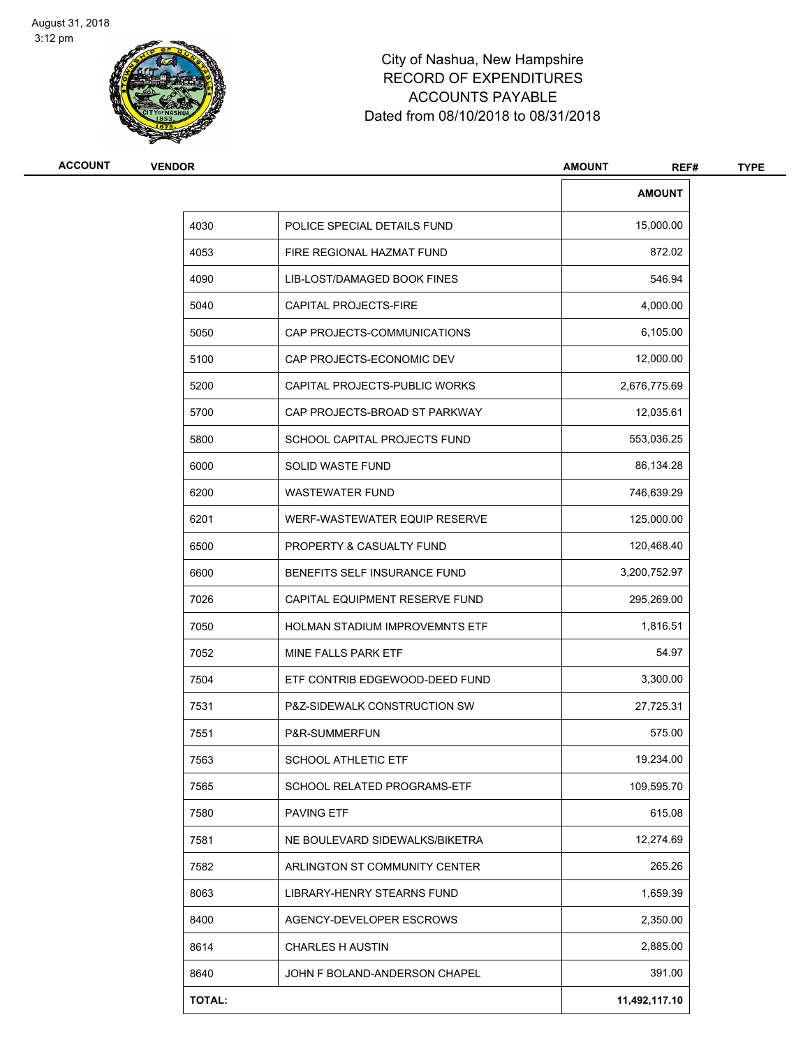

| ACCOUNT | <b>VENDOR</b> |                                       | <b>AMOUNT</b><br>REF# | <b>TYPE</b> |
|---------|---------------|---------------------------------------|-----------------------|-------------|
|         |               |                                       | <b>AMOUNT</b>         |             |
|         | 4030          | POLICE SPECIAL DETAILS FUND           | 15,000.00             |             |
|         | 4053          | FIRE REGIONAL HAZMAT FUND             | 872.02                |             |
|         | 4090          | LIB-LOST/DAMAGED BOOK FINES           | 546.94                |             |
|         | 5040          | CAPITAL PROJECTS-FIRE                 | 4,000.00              |             |
|         | 5050          | CAP PROJECTS-COMMUNICATIONS           | 6,105.00              |             |
|         | 5100          | CAP PROJECTS-ECONOMIC DEV             | 12,000.00             |             |
|         | 5200          | CAPITAL PROJECTS-PUBLIC WORKS         | 2,676,775.69          |             |
|         | 5700          | CAP PROJECTS-BROAD ST PARKWAY         | 12,035.61             |             |
|         | 5800          | SCHOOL CAPITAL PROJECTS FUND          | 553,036.25            |             |
|         | 6000          | SOLID WASTE FUND                      | 86,134.28             |             |
|         | 6200          | <b>WASTEWATER FUND</b>                | 746,639.29            |             |
|         | 6201          | WERF-WASTEWATER EQUIP RESERVE         | 125,000.00            |             |
|         | 6500          | PROPERTY & CASUALTY FUND              | 120,468.40            |             |
|         | 6600          | BENEFITS SELF INSURANCE FUND          | 3,200,752.97          |             |
|         | 7026          | CAPITAL EQUIPMENT RESERVE FUND        | 295,269.00            |             |
|         | 7050          | <b>HOLMAN STADIUM IMPROVEMNTS ETF</b> | 1,816.51              |             |
|         | 7052          | MINE FALLS PARK ETF                   | 54.97                 |             |
|         | 7504          | ETF CONTRIB EDGEWOOD-DEED FUND        | 3,300.00              |             |
|         | 7531          | P&Z-SIDEWALK CONSTRUCTION SW          | 27,725.31             |             |
|         | 7551          | P&R-SUMMERFUN                         | 575.00                |             |
|         | 7563          | <b>SCHOOL ATHLETIC ETF</b>            | 19,234.00             |             |
|         | 7565          | <b>SCHOOL RELATED PROGRAMS-ETF</b>    | 109,595.70            |             |
|         | 7580          | <b>PAVING ETF</b>                     | 615.08                |             |
|         | 7581          | NE BOULEVARD SIDEWALKS/BIKETRA        | 12,274.69             |             |
|         | 7582          | ARLINGTON ST COMMUNITY CENTER         | 265.26                |             |
|         | 8063          | LIBRARY-HENRY STEARNS FUND            | 1,659.39              |             |
|         | 8400          | AGENCY-DEVELOPER ESCROWS              | 2,350.00              |             |
|         | 8614          | <b>CHARLES H AUSTIN</b>               | 2,885.00              |             |
|         | 8640          | JOHN F BOLAND-ANDERSON CHAPEL         | 391.00                |             |
|         | TOTAL:        |                                       | 11,492,117.10         |             |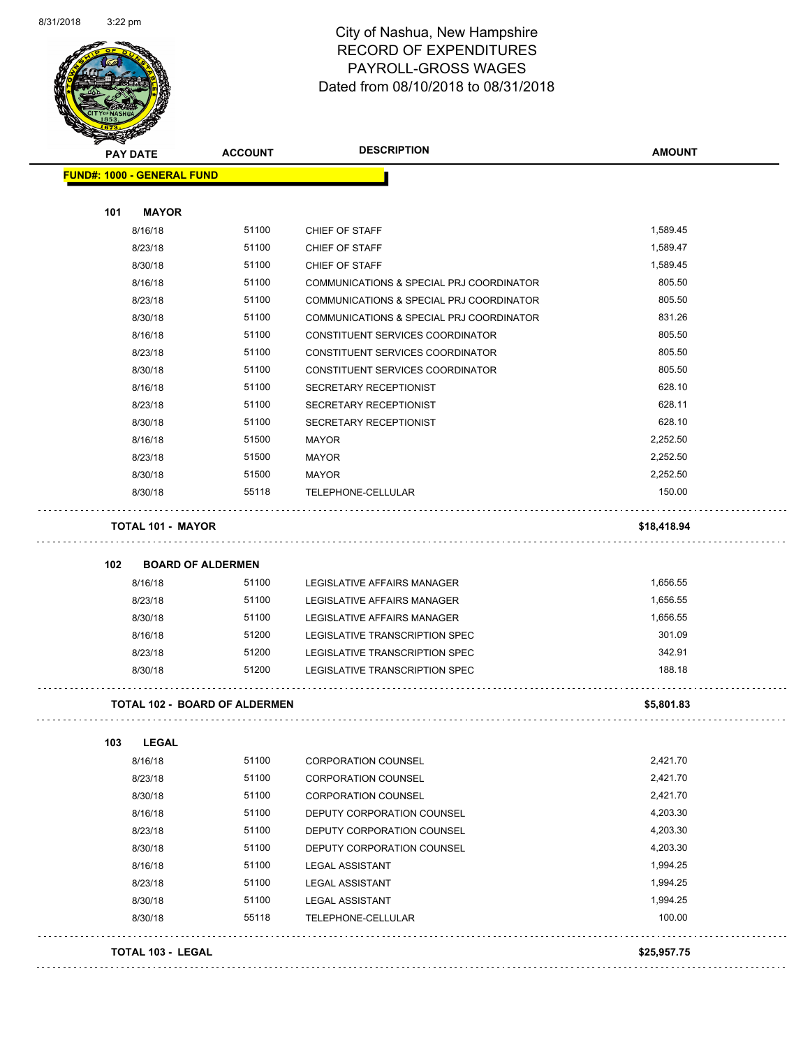

|                                   | <b>PAY DATE</b>          | <b>ACCOUNT</b>                       | <b>DESCRIPTION</b>                       | <b>AMOUNT</b> |
|-----------------------------------|--------------------------|--------------------------------------|------------------------------------------|---------------|
| <b>FUND#: 1000 - GENERAL FUND</b> |                          |                                      |                                          |               |
|                                   |                          |                                      |                                          |               |
| 101                               | <b>MAYOR</b>             |                                      |                                          |               |
|                                   | 8/16/18                  | 51100                                | CHIEF OF STAFF                           | 1,589.45      |
|                                   | 8/23/18                  | 51100                                | CHIEF OF STAFF                           | 1,589.47      |
|                                   | 8/30/18                  | 51100                                | CHIEF OF STAFF                           | 1,589.45      |
|                                   | 8/16/18                  | 51100                                | COMMUNICATIONS & SPECIAL PRJ COORDINATOR | 805.50        |
|                                   | 8/23/18                  | 51100                                | COMMUNICATIONS & SPECIAL PRJ COORDINATOR | 805.50        |
|                                   | 8/30/18                  | 51100                                | COMMUNICATIONS & SPECIAL PRJ COORDINATOR | 831.26        |
|                                   | 8/16/18                  | 51100                                | CONSTITUENT SERVICES COORDINATOR         | 805.50        |
|                                   | 8/23/18                  | 51100                                | CONSTITUENT SERVICES COORDINATOR         | 805.50        |
|                                   | 8/30/18                  | 51100                                | CONSTITUENT SERVICES COORDINATOR         | 805.50        |
|                                   | 8/16/18                  | 51100                                | SECRETARY RECEPTIONIST                   | 628.10        |
|                                   | 8/23/18                  | 51100                                | SECRETARY RECEPTIONIST                   | 628.11        |
|                                   | 8/30/18                  | 51100                                | SECRETARY RECEPTIONIST                   | 628.10        |
|                                   | 8/16/18                  | 51500                                | <b>MAYOR</b>                             | 2,252.50      |
|                                   | 8/23/18                  | 51500                                | <b>MAYOR</b>                             | 2,252.50      |
|                                   | 8/30/18                  | 51500                                | <b>MAYOR</b>                             | 2.252.50      |
|                                   | 8/30/18                  | 55118                                | TELEPHONE-CELLULAR                       | 150.00        |
|                                   | <b>TOTAL 101 - MAYOR</b> |                                      |                                          | \$18,418.94   |
| 102                               |                          | <b>BOARD OF ALDERMEN</b>             |                                          |               |
|                                   | 8/16/18                  | 51100                                | LEGISLATIVE AFFAIRS MANAGER              | 1,656.55      |
|                                   | 8/23/18                  | 51100                                | LEGISLATIVE AFFAIRS MANAGER              | 1,656.55      |
|                                   | 8/30/18                  | 51100                                | LEGISLATIVE AFFAIRS MANAGER              | 1,656.55      |
|                                   | 8/16/18                  | 51200                                | LEGISLATIVE TRANSCRIPTION SPEC           | 301.09        |
|                                   | 8/23/18                  | 51200                                | LEGISLATIVE TRANSCRIPTION SPEC           | 342.91        |
|                                   | 8/30/18                  | 51200                                | <b>LEGISLATIVE TRANSCRIPTION SPEC</b>    | 188.18        |
|                                   |                          | <b>TOTAL 102 - BOARD OF ALDERMEN</b> |                                          | \$5,801.83    |
| 103                               | <b>LEGAL</b>             |                                      |                                          |               |
|                                   | 8/16/18                  | 51100                                | <b>CORPORATION COUNSEL</b>               | 2,421.70      |
|                                   | 8/23/18                  | 51100                                | <b>CORPORATION COUNSEL</b>               | 2,421.70      |
|                                   | 8/30/18                  | 51100                                | <b>CORPORATION COUNSEL</b>               | 2,421.70      |
|                                   | 8/16/18                  | 51100                                | DEPUTY CORPORATION COUNSEL               | 4,203.30      |
|                                   | 8/23/18                  | 51100                                | DEPUTY CORPORATION COUNSEL               | 4,203.30      |
|                                   | 8/30/18                  | 51100                                | DEPUTY CORPORATION COUNSEL               | 4,203.30      |
|                                   | 8/16/18                  | 51100                                | <b>LEGAL ASSISTANT</b>                   | 1,994.25      |
|                                   | 8/23/18                  | 51100                                | <b>LEGAL ASSISTANT</b>                   | 1,994.25      |
|                                   | 8/30/18                  | 51100                                | <b>LEGAL ASSISTANT</b>                   | 1,994.25      |
|                                   | 8/30/18                  | 55118                                | TELEPHONE-CELLULAR                       | 100.00        |
|                                   | <b>TOTAL 103 - LEGAL</b> |                                      |                                          | \$25,957.75   |
|                                   |                          |                                      |                                          |               |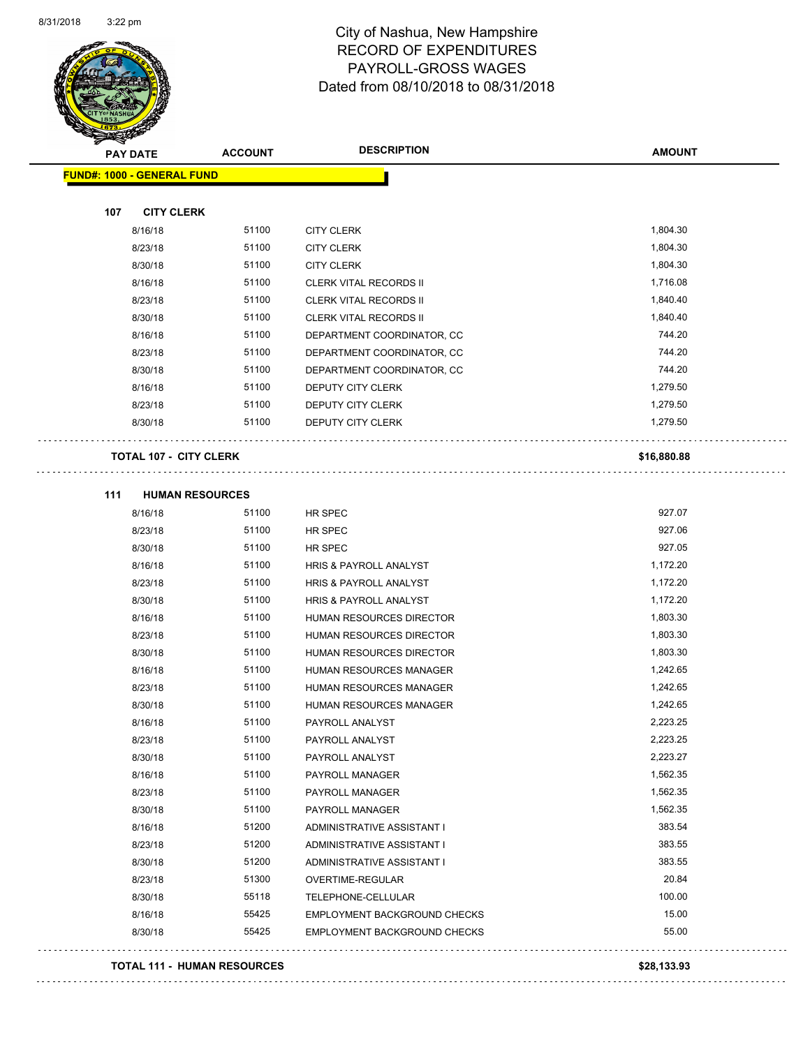

**AMOUNT**

| <b>FUND#: 1000 - GENERAL FUND</b> |       |                                |             |
|-----------------------------------|-------|--------------------------------|-------------|
| 107<br><b>CITY CLERK</b>          |       |                                |             |
| 8/16/18                           | 51100 | <b>CITY CLERK</b>              | 1,804.30    |
| 8/23/18                           | 51100 | <b>CITY CLERK</b>              | 1,804.30    |
| 8/30/18                           | 51100 | <b>CITY CLERK</b>              | 1,804.30    |
| 8/16/18                           | 51100 | <b>CLERK VITAL RECORDS II</b>  | 1,716.08    |
| 8/23/18                           | 51100 | <b>CLERK VITAL RECORDS II</b>  | 1,840.40    |
| 8/30/18                           | 51100 | <b>CLERK VITAL RECORDS II</b>  | 1,840.40    |
| 8/16/18                           | 51100 | DEPARTMENT COORDINATOR, CC     | 744.20      |
| 8/23/18                           | 51100 | DEPARTMENT COORDINATOR, CC     | 744.20      |
| 8/30/18                           | 51100 | DEPARTMENT COORDINATOR, CC     | 744.20      |
| 8/16/18                           | 51100 | DEPUTY CITY CLERK              | 1,279.50    |
| 8/23/18                           | 51100 | <b>DEPUTY CITY CLERK</b>       | 1,279.50    |
| 8/30/18                           | 51100 | DEPUTY CITY CLERK              | 1,279.50    |
|                                   |       |                                |             |
| <b>TOTAL 107 - CITY CLERK</b>     |       |                                | \$16,880.88 |
|                                   |       |                                |             |
| 111<br><b>HUMAN RESOURCES</b>     |       |                                |             |
| 8/16/18                           | 51100 | HR SPEC                        | 927.07      |
| 8/23/18                           | 51100 | HR SPEC                        | 927.06      |
| 8/30/18                           | 51100 | HR SPEC                        | 927.05      |
| 8/16/18                           | 51100 | HRIS & PAYROLL ANALYST         | 1,172.20    |
| 8/23/18                           | 51100 | HRIS & PAYROLL ANALYST         | 1,172.20    |
| 8/30/18                           | 51100 | HRIS & PAYROLL ANALYST         | 1,172.20    |
| 8/16/18                           | 51100 | HUMAN RESOURCES DIRECTOR       | 1,803.30    |
| 8/23/18                           | 51100 | HUMAN RESOURCES DIRECTOR       | 1,803.30    |
| 8/30/18                           | 51100 | HUMAN RESOURCES DIRECTOR       | 1,803.30    |
| 8/16/18                           | 51100 | HUMAN RESOURCES MANAGER        | 1,242.65    |
| 8/23/18                           | 51100 | HUMAN RESOURCES MANAGER        | 1,242.65    |
| 8/30/18                           | 51100 | <b>HUMAN RESOURCES MANAGER</b> | 1,242.65    |
| 8/16/18                           | 51100 | PAYROLL ANALYST                | 2,223.25    |
| 8/23/18                           | 51100 | PAYROLL ANALYST                | 2,223.25    |
| 8/30/18                           | 51100 | PAYROLL ANALYST                | 2,223.27    |
| 8/16/18                           | 51100 | PAYROLL MANAGER                | 1,562.35    |
| 8/23/18                           | 51100 | PAYROLL MANAGER                | 1,562.35    |
| 8/30/18                           | 51100 | PAYROLL MANAGER                | 1,562.35    |
| 8/16/18                           | 51200 | ADMINISTRATIVE ASSISTANT I     | 383.54      |
| 8/23/18                           | 51200 | ADMINISTRATIVE ASSISTANT I     | 383.55      |
| 8/30/18                           | 51200 | ADMINISTRATIVE ASSISTANT I     | 383.55      |
| 8/23/18                           | 51300 | OVERTIME-REGULAR               | 20.84       |
| 8/30/18                           | 55118 | TELEPHONE-CELLULAR             | 100.00      |
| 8/16/18                           | 55425 | EMPLOYMENT BACKGROUND CHECKS   | 15.00       |

8/30/18 55425 EMPLOYMENT BACKGROUND CHECKS 55.00

#### **TOTAL 111 - HUMAN RESOURCES \$28,133.93**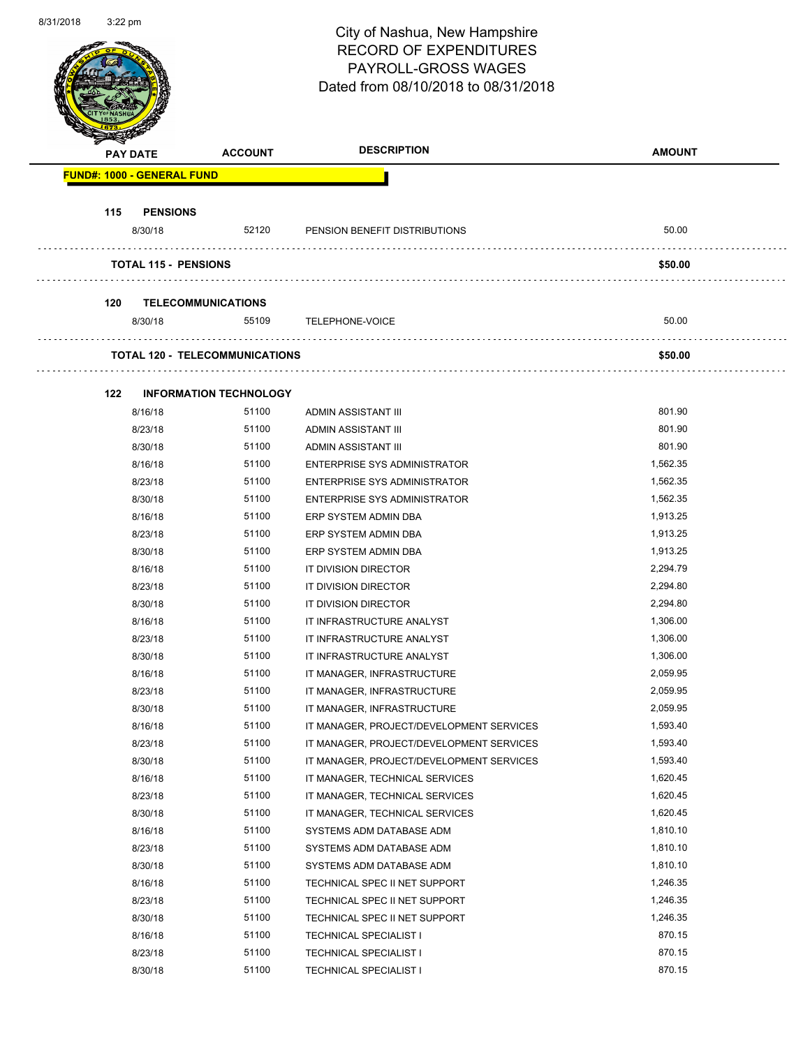Page 48 of 108

|     | <b>PAY DATE</b>                   | <b>ACCOUNT</b>                        | <b>DESCRIPTION</b>                       | <b>AMOUNT</b> |
|-----|-----------------------------------|---------------------------------------|------------------------------------------|---------------|
|     | <b>FUND#: 1000 - GENERAL FUND</b> |                                       |                                          |               |
| 115 | <b>PENSIONS</b>                   |                                       |                                          |               |
|     | 8/30/18                           | 52120                                 | PENSION BENEFIT DISTRIBUTIONS            | 50.00         |
|     | <b>TOTAL 115 - PENSIONS</b>       |                                       |                                          | \$50.00       |
|     |                                   |                                       |                                          |               |
| 120 | <b>TELECOMMUNICATIONS</b>         | 55109                                 |                                          | 50.00         |
|     | 8/30/18                           |                                       | <b>TELEPHONE-VOICE</b>                   |               |
|     |                                   | <b>TOTAL 120 - TELECOMMUNICATIONS</b> |                                          | \$50.00       |
| 122 |                                   | <b>INFORMATION TECHNOLOGY</b>         |                                          |               |
|     | 8/16/18                           | 51100                                 | ADMIN ASSISTANT III                      | 801.90        |
|     | 8/23/18                           | 51100                                 | ADMIN ASSISTANT III                      | 801.90        |
|     | 8/30/18                           | 51100                                 | ADMIN ASSISTANT III                      | 801.90        |
|     | 8/16/18                           | 51100                                 | ENTERPRISE SYS ADMINISTRATOR             | 1,562.35      |
|     | 8/23/18                           | 51100                                 | <b>ENTERPRISE SYS ADMINISTRATOR</b>      | 1,562.35      |
|     | 8/30/18                           | 51100                                 | ENTERPRISE SYS ADMINISTRATOR             | 1,562.35      |
|     | 8/16/18                           | 51100                                 | ERP SYSTEM ADMIN DBA                     | 1,913.25      |
|     | 8/23/18                           | 51100                                 | ERP SYSTEM ADMIN DBA                     | 1,913.25      |
|     | 8/30/18                           | 51100                                 | ERP SYSTEM ADMIN DBA                     | 1,913.25      |
|     | 8/16/18                           | 51100                                 | IT DIVISION DIRECTOR                     | 2,294.79      |
|     | 8/23/18                           | 51100                                 | IT DIVISION DIRECTOR                     | 2,294.80      |
|     | 8/30/18                           | 51100                                 | IT DIVISION DIRECTOR                     | 2,294.80      |
|     | 8/16/18                           | 51100                                 | IT INFRASTRUCTURE ANALYST                | 1,306.00      |
|     | 8/23/18                           | 51100                                 | IT INFRASTRUCTURE ANALYST                | 1,306.00      |
|     | 8/30/18                           | 51100                                 | IT INFRASTRUCTURE ANALYST                | 1,306.00      |
|     | 8/16/18                           | 51100                                 | IT MANAGER, INFRASTRUCTURE               | 2,059.95      |
|     | 8/23/18                           | 51100                                 | IT MANAGER, INFRASTRUCTURE               | 2,059.95      |
|     | 8/30/18                           | 51100                                 | IT MANAGER, INFRASTRUCTURE               | 2,059.95      |
|     | 8/16/18                           | 51100                                 | IT MANAGER, PROJECT/DEVELOPMENT SERVICES | 1,593.40      |
|     | 8/23/18                           | 51100                                 | IT MANAGER, PROJECT/DEVELOPMENT SERVICES | 1,593.40      |
|     | 8/30/18                           | 51100                                 | IT MANAGER, PROJECT/DEVELOPMENT SERVICES | 1,593.40      |
|     | 8/16/18                           | 51100                                 | IT MANAGER, TECHNICAL SERVICES           | 1,620.45      |
|     | 8/23/18                           | 51100                                 | IT MANAGER, TECHNICAL SERVICES           | 1,620.45      |
|     | 8/30/18                           | 51100                                 | IT MANAGER, TECHNICAL SERVICES           | 1,620.45      |
|     | 8/16/18                           | 51100                                 | SYSTEMS ADM DATABASE ADM                 | 1,810.10      |
|     | 8/23/18                           | 51100                                 | SYSTEMS ADM DATABASE ADM                 | 1,810.10      |
|     | 8/30/18                           | 51100                                 | SYSTEMS ADM DATABASE ADM                 | 1,810.10      |
|     | 8/16/18                           | 51100                                 | TECHNICAL SPEC II NET SUPPORT            | 1,246.35      |
|     | 8/23/18                           | 51100                                 | TECHNICAL SPEC II NET SUPPORT            | 1,246.35      |
|     | 8/30/18                           | 51100                                 | TECHNICAL SPEC II NET SUPPORT            | 1,246.35      |
|     | 8/16/18                           | 51100                                 | <b>TECHNICAL SPECIALIST I</b>            | 870.15        |
|     | 8/23/18                           | 51100                                 | <b>TECHNICAL SPECIALIST I</b>            | 870.15        |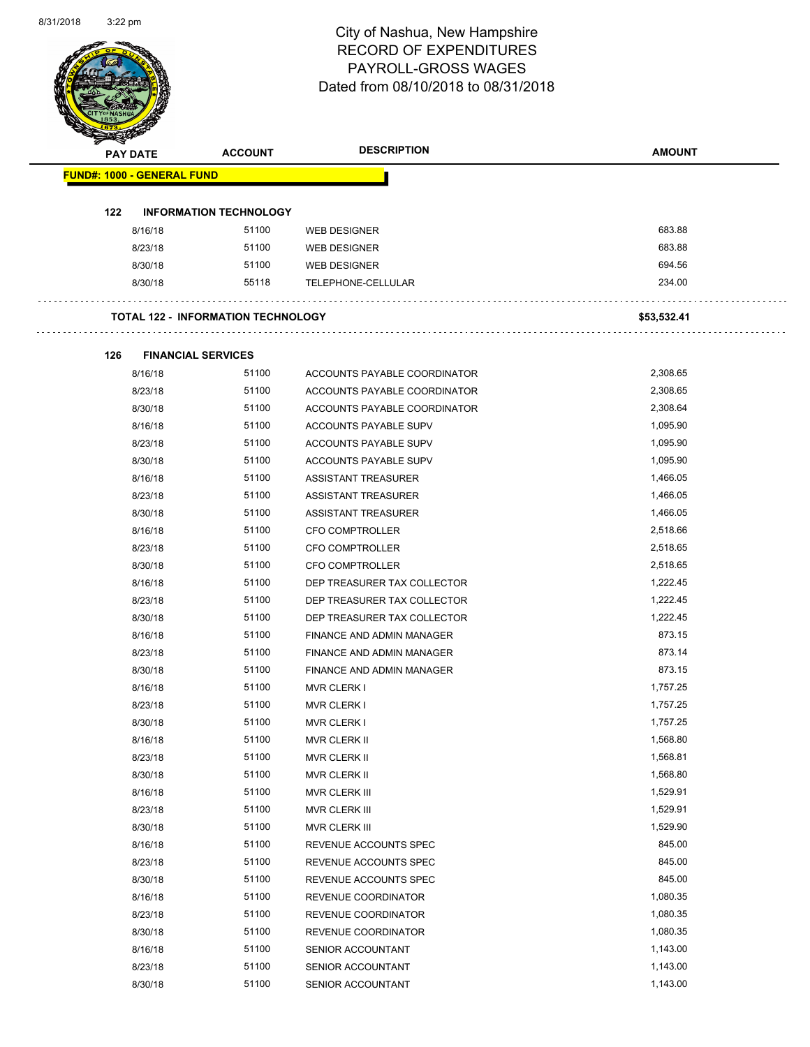| <b>PAY DATE</b>                   | <b>ACCOUNT</b>                            | <b>DESCRIPTION</b>               | <b>AMOUNT</b> |
|-----------------------------------|-------------------------------------------|----------------------------------|---------------|
| <b>FUND#: 1000 - GENERAL FUND</b> |                                           |                                  |               |
| 122                               | <b>INFORMATION TECHNOLOGY</b>             |                                  |               |
| 8/16/18                           | 51100                                     | <b>WEB DESIGNER</b>              | 683.88        |
| 8/23/18                           | 51100                                     | <b>WEB DESIGNER</b>              | 683.88        |
| 8/30/18                           | 51100                                     | <b>WEB DESIGNER</b>              | 694.56        |
| 8/30/18                           | 55118                                     | TELEPHONE-CELLULAR               | 234.00        |
|                                   | <b>TOTAL 122 - INFORMATION TECHNOLOGY</b> |                                  | \$53,532.41   |
| 126                               | <b>FINANCIAL SERVICES</b>                 |                                  |               |
| 8/16/18                           | 51100                                     | ACCOUNTS PAYABLE COORDINATOR     | 2,308.65      |
| 8/23/18                           | 51100                                     | ACCOUNTS PAYABLE COORDINATOR     | 2,308.65      |
| 8/30/18                           | 51100                                     | ACCOUNTS PAYABLE COORDINATOR     | 2,308.64      |
| 8/16/18                           | 51100                                     | ACCOUNTS PAYABLE SUPV            | 1,095.90      |
| 8/23/18                           | 51100                                     | ACCOUNTS PAYABLE SUPV            | 1,095.90      |
| 8/30/18                           | 51100                                     | ACCOUNTS PAYABLE SUPV            | 1,095.90      |
| 8/16/18                           | 51100                                     | ASSISTANT TREASURER              | 1,466.05      |
| 8/23/18                           | 51100                                     | ASSISTANT TREASURER              | 1,466.05      |
| 8/30/18                           | 51100                                     | ASSISTANT TREASURER              | 1,466.05      |
| 8/16/18                           | 51100                                     | <b>CFO COMPTROLLER</b>           | 2,518.66      |
| 8/23/18                           | 51100                                     | CFO COMPTROLLER                  | 2,518.65      |
| 8/30/18                           | 51100                                     | <b>CFO COMPTROLLER</b>           | 2,518.65      |
| 8/16/18                           | 51100                                     | DEP TREASURER TAX COLLECTOR      | 1,222.45      |
| 8/23/18                           | 51100                                     | DEP TREASURER TAX COLLECTOR      | 1,222.45      |
| 8/30/18                           | 51100                                     | DEP TREASURER TAX COLLECTOR      | 1,222.45      |
| 8/16/18                           | 51100                                     | FINANCE AND ADMIN MANAGER        | 873.15        |
| 8/23/18                           | 51100                                     | FINANCE AND ADMIN MANAGER        | 873.14        |
| 8/30/18                           | 51100                                     | <b>FINANCE AND ADMIN MANAGER</b> | 873.15        |
| 8/16/18                           | 51100                                     | <b>MVR CLERK I</b>               | 1,757.25      |
| 8/23/18                           | 51100                                     | <b>MVR CLERK I</b>               | 1,757.25      |
| 8/30/18                           | 51100                                     | <b>MVR CLERK I</b>               | 1,757.25      |
| 8/16/18                           | 51100                                     | MVR CLERK II                     | 1,568.80      |
| 8/23/18                           | 51100                                     | MVR CLERK II                     | 1,568.81      |
| 8/30/18                           | 51100                                     | MVR CLERK II                     | 1,568.80      |
| 8/16/18                           | 51100                                     | MVR CLERK III                    | 1,529.91      |
| 8/23/18                           | 51100                                     | <b>MVR CLERK III</b>             | 1,529.91      |
| 8/30/18                           | 51100                                     | MVR CLERK III                    | 1,529.90      |
| 8/16/18                           | 51100                                     | REVENUE ACCOUNTS SPEC            | 845.00        |
| 8/23/18                           | 51100                                     | REVENUE ACCOUNTS SPEC            | 845.00        |
| 8/30/18                           | 51100                                     | REVENUE ACCOUNTS SPEC            | 845.00        |
| 8/16/18                           | 51100                                     | REVENUE COORDINATOR              | 1,080.35      |
| 8/23/18                           | 51100                                     | REVENUE COORDINATOR              | 1,080.35      |
| 8/30/18                           | 51100                                     | REVENUE COORDINATOR              | 1,080.35      |
| 8/16/18                           | 51100                                     | SENIOR ACCOUNTANT                | 1,143.00      |
| 8/23/18                           | 51100                                     | SENIOR ACCOUNTANT                | 1,143.00      |
| 8/30/18                           | 51100                                     | SENIOR ACCOUNTANT                | 1,143.00      |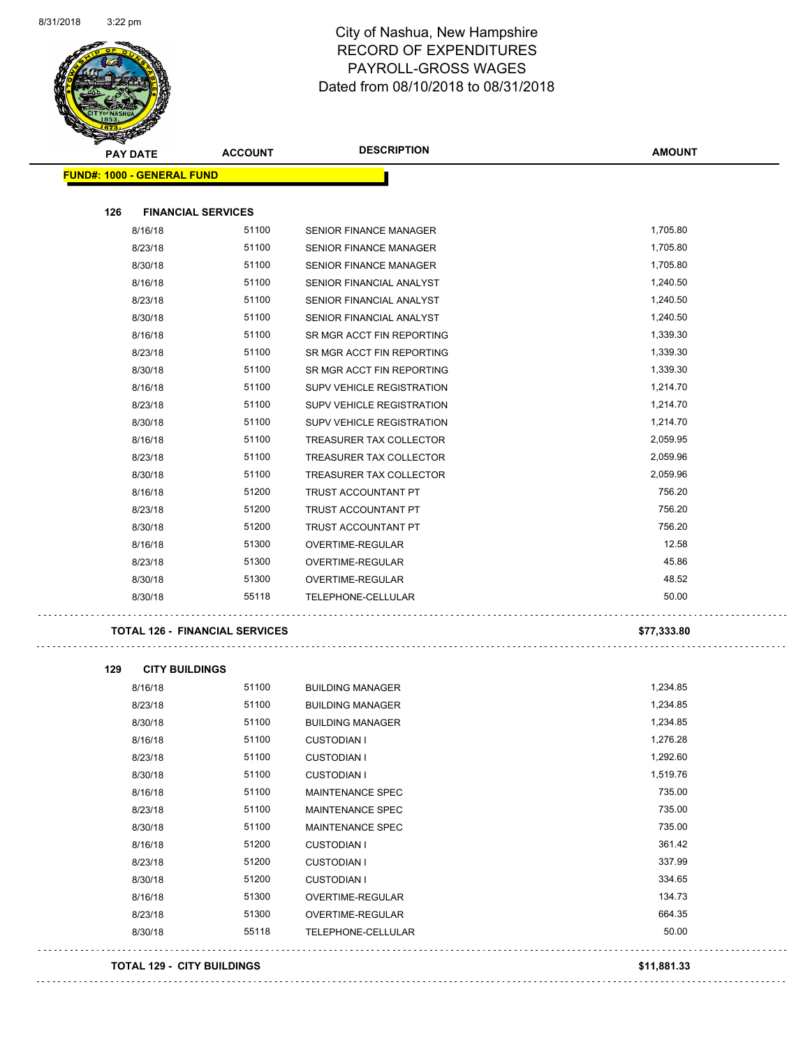

| $\mathscr{D} \rightarrow \mathscr{D}$<br><b>PAY DATE</b> | <b>ACCOUNT</b>                        | <b>DESCRIPTION</b>                                    | <b>AMOUNT</b> |
|----------------------------------------------------------|---------------------------------------|-------------------------------------------------------|---------------|
| <b>FUND#: 1000 - GENERAL FUND</b>                        |                                       |                                                       |               |
| 126                                                      | <b>FINANCIAL SERVICES</b>             |                                                       |               |
| 8/16/18                                                  | 51100                                 | <b>SENIOR FINANCE MANAGER</b>                         | 1,705.80      |
| 8/23/18                                                  | 51100                                 | <b>SENIOR FINANCE MANAGER</b>                         | 1,705.80      |
| 8/30/18                                                  | 51100                                 | <b>SENIOR FINANCE MANAGER</b>                         | 1,705.80      |
| 8/16/18                                                  | 51100                                 | SENIOR FINANCIAL ANALYST                              | 1,240.50      |
|                                                          | 51100                                 |                                                       | 1,240.50      |
| 8/23/18<br>8/30/18                                       | 51100                                 | SENIOR FINANCIAL ANALYST                              | 1,240.50      |
| 8/16/18                                                  | 51100                                 | SENIOR FINANCIAL ANALYST<br>SR MGR ACCT FIN REPORTING | 1,339.30      |
| 8/23/18                                                  | 51100                                 | SR MGR ACCT FIN REPORTING                             | 1,339.30      |
| 8/30/18                                                  | 51100                                 | SR MGR ACCT FIN REPORTING                             | 1,339.30      |
|                                                          |                                       |                                                       |               |
| 8/16/18                                                  | 51100                                 | SUPV VEHICLE REGISTRATION                             | 1,214.70      |
| 8/23/18                                                  | 51100<br>51100                        | SUPV VEHICLE REGISTRATION                             | 1,214.70      |
| 8/30/18                                                  |                                       | SUPV VEHICLE REGISTRATION                             | 1,214.70      |
| 8/16/18                                                  | 51100                                 | TREASURER TAX COLLECTOR                               | 2,059.95      |
| 8/23/18                                                  | 51100                                 | TREASURER TAX COLLECTOR                               | 2,059.96      |
| 8/30/18                                                  | 51100                                 | TREASURER TAX COLLECTOR                               | 2,059.96      |
| 8/16/18                                                  | 51200                                 | <b>TRUST ACCOUNTANT PT</b>                            | 756.20        |
| 8/23/18                                                  | 51200                                 | TRUST ACCOUNTANT PT                                   | 756.20        |
| 8/30/18                                                  | 51200                                 | TRUST ACCOUNTANT PT                                   | 756.20        |
| 8/16/18                                                  | 51300                                 | OVERTIME-REGULAR                                      | 12.58         |
| 8/23/18                                                  | 51300                                 | <b>OVERTIME-REGULAR</b>                               | 45.86         |
| 8/30/18                                                  | 51300                                 | OVERTIME-REGULAR                                      | 48.52         |
| 8/30/18                                                  | 55118                                 | TELEPHONE-CELLULAR                                    | 50.00         |
|                                                          | <b>TOTAL 126 - FINANCIAL SERVICES</b> |                                                       | \$77,333.80   |

| 129 | <b>CITY BUILDINGS</b> |       |                           |          |
|-----|-----------------------|-------|---------------------------|----------|
|     | 8/16/18               | 51100 | <b>BUILDING MANAGER</b>   | 1,234.85 |
|     | 8/23/18               | 51100 | <b>BUILDING MANAGER</b>   | 1,234.85 |
|     | 8/30/18               | 51100 | <b>BUILDING MANAGER</b>   | 1,234.85 |
|     | 8/16/18               | 51100 | <b>CUSTODIAN I</b>        | 1,276.28 |
|     | 8/23/18               | 51100 | <b>CUSTODIAN I</b>        | 1,292.60 |
|     | 8/30/18               | 51100 | <b>CUSTODIAN I</b>        | 1,519.76 |
|     | 8/16/18               | 51100 | <b>MAINTENANCE SPEC</b>   | 735.00   |
|     | 8/23/18               | 51100 | <b>MAINTENANCE SPEC</b>   | 735.00   |
|     | 8/30/18               | 51100 | <b>MAINTENANCE SPEC</b>   | 735.00   |
|     | 8/16/18               | 51200 | <b>CUSTODIAN I</b>        | 361.42   |
|     | 8/23/18               | 51200 | <b>CUSTODIAN I</b>        | 337.99   |
|     | 8/30/18               | 51200 | <b>CUSTODIAN I</b>        | 334.65   |
|     | 8/16/18               | 51300 | <b>OVERTIME-REGULAR</b>   | 134.73   |
|     | 8/23/18               | 51300 | <b>OVERTIME-REGULAR</b>   | 664.35   |
|     | 8/30/18               | 55118 | <b>TELEPHONE-CELLULAR</b> | 50.00    |

#### **TOTAL 129 - CITY BUILDINGS \$11,881.33**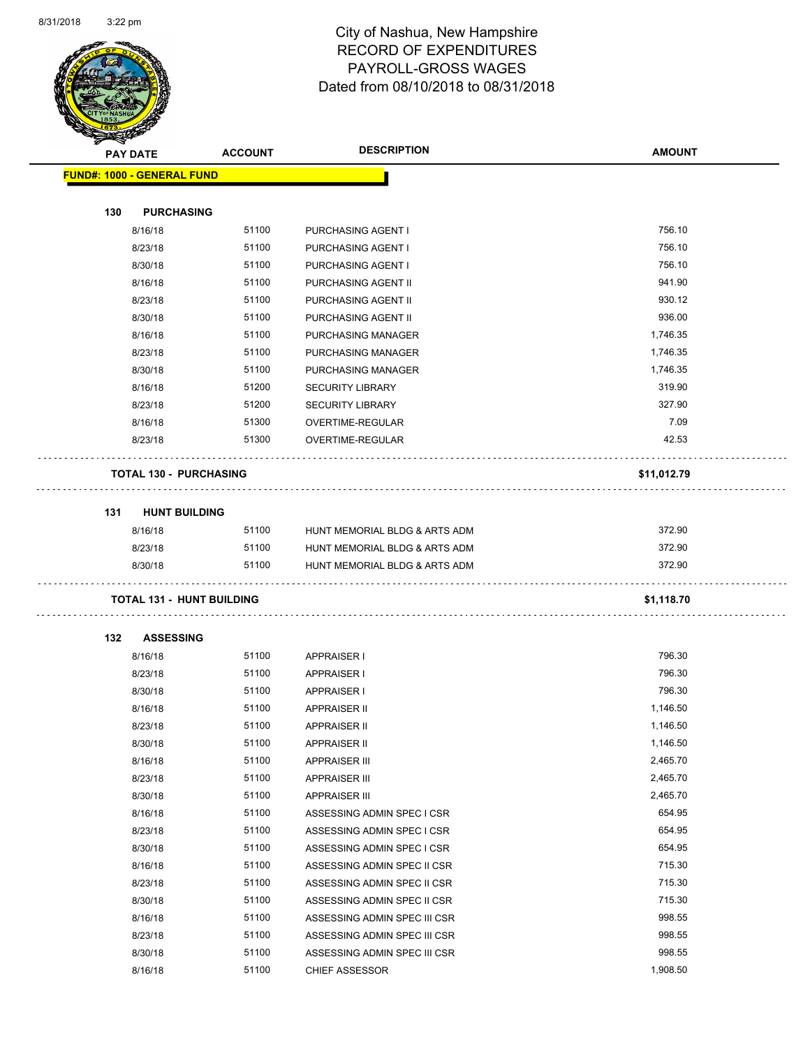$\overline{a}$ 



| $\tilde{\phantom{a}}$<br><b>PAY DATE</b> | <b>ACCOUNT</b> | <b>DESCRIPTION</b>            | <b>AMOUNT</b> |
|------------------------------------------|----------------|-------------------------------|---------------|
| <b>FUND#: 1000 - GENERAL FUND</b>        |                |                               |               |
|                                          |                |                               |               |
| 130<br><b>PURCHASING</b>                 |                |                               |               |
| 8/16/18                                  | 51100          | PURCHASING AGENT I            | 756.10        |
| 8/23/18                                  | 51100          | PURCHASING AGENT I            | 756.10        |
| 8/30/18                                  | 51100          | PURCHASING AGENT I            | 756.10        |
| 8/16/18                                  | 51100          | PURCHASING AGENT II           | 941.90        |
| 8/23/18                                  | 51100          | PURCHASING AGENT II           | 930.12        |
| 8/30/18                                  | 51100          | PURCHASING AGENT II           | 936.00        |
| 8/16/18                                  | 51100          | PURCHASING MANAGER            | 1,746.35      |
| 8/23/18                                  | 51100          | PURCHASING MANAGER            | 1,746.35      |
| 8/30/18                                  | 51100          | PURCHASING MANAGER            | 1,746.35      |
| 8/16/18                                  | 51200          | <b>SECURITY LIBRARY</b>       | 319.90        |
| 8/23/18                                  | 51200          | <b>SECURITY LIBRARY</b>       | 327.90        |
| 8/16/18                                  | 51300          | <b>OVERTIME-REGULAR</b>       | 7.09          |
| 8/23/18                                  | 51300          | OVERTIME-REGULAR              | 42.53         |
| <b>TOTAL 130 - PURCHASING</b>            |                |                               | \$11,012.79   |
| <b>HUNT BUILDING</b><br>131              |                |                               |               |
| 8/16/18                                  | 51100          | HUNT MEMORIAL BLDG & ARTS ADM | 372.90        |
| 8/23/18                                  | 51100          | HUNT MEMORIAL BLDG & ARTS ADM | 372.90        |
| 8/30/18                                  | 51100          | HUNT MEMORIAL BLDG & ARTS ADM | 372.90        |
| <b>TOTAL 131 - HUNT BUILDING</b>         |                |                               | \$1,118.70    |
|                                          |                |                               |               |
| <b>ASSESSING</b><br>132                  |                |                               |               |
| 8/16/18                                  | 51100          | <b>APPRAISER I</b>            | 796.30        |
| 8/23/18                                  | 51100          | <b>APPRAISER I</b>            | 796.30        |
| 8/30/18                                  | 51100          | <b>APPRAISER I</b>            | 796.30        |
| 8/16/18                                  | 51100          | <b>APPRAISER II</b>           | 1,146.50      |
| 8/23/18                                  | 51100          | <b>APPRAISER II</b>           | 1,146.50      |
| 8/30/18                                  | 51100          | APPRAISER II                  | 1,146.50      |
| 8/16/18                                  | 51100          | <b>APPRAISER III</b>          | 2,465.70      |
| 8/23/18                                  | 51100          | <b>APPRAISER III</b>          | 2,465.70      |
| 8/30/18                                  | 51100          | <b>APPRAISER III</b>          | 2,465.70      |
| 8/16/18                                  | 51100          | ASSESSING ADMIN SPEC I CSR    | 654.95        |
| 8/23/18                                  | 51100          | ASSESSING ADMIN SPEC I CSR    | 654.95        |
| 8/30/18                                  | 51100          | ASSESSING ADMIN SPEC I CSR    | 654.95        |
| 8/16/18                                  | 51100          | ASSESSING ADMIN SPEC II CSR   | 715.30        |
| 8/23/18                                  | 51100          | ASSESSING ADMIN SPEC II CSR   | 715.30        |
| 8/30/18                                  | 51100          | ASSESSING ADMIN SPEC II CSR   | 715.30        |
| 8/16/18                                  | 51100          | ASSESSING ADMIN SPEC III CSR  | 998.55        |
| 8/23/18                                  | 51100          | ASSESSING ADMIN SPEC III CSR  | 998.55        |
| 8/30/18                                  | 51100          | ASSESSING ADMIN SPEC III CSR  | 998.55        |
| 8/16/18                                  | 51100          | <b>CHIEF ASSESSOR</b>         | 1,908.50      |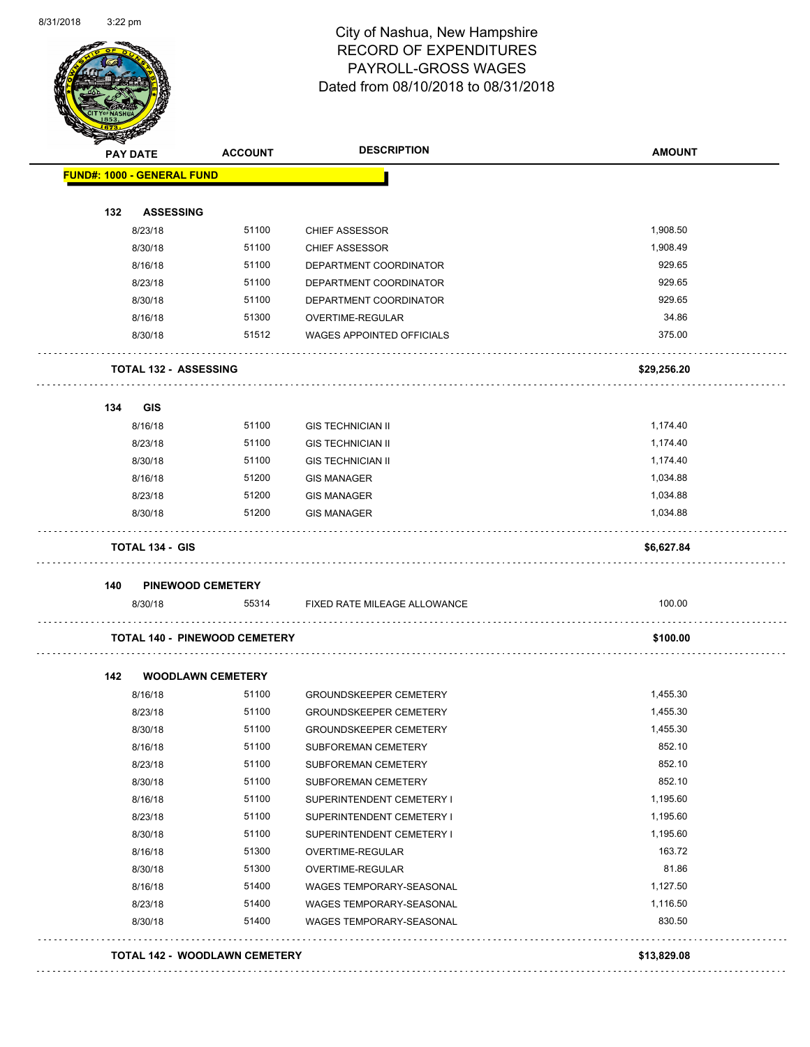Page 52 of 108

| <b>PAY DATE</b>                      | <b>ACCOUNT</b> | <b>DESCRIPTION</b>               | <b>AMOUNT</b> |
|--------------------------------------|----------------|----------------------------------|---------------|
| <b>FUND#: 1000 - GENERAL FUND</b>    |                |                                  |               |
| 132<br><b>ASSESSING</b>              |                |                                  |               |
| 8/23/18                              | 51100          | <b>CHIEF ASSESSOR</b>            | 1,908.50      |
| 8/30/18                              | 51100          | <b>CHIEF ASSESSOR</b>            | 1,908.49      |
| 8/16/18                              | 51100          | DEPARTMENT COORDINATOR           | 929.65        |
| 8/23/18                              | 51100          | DEPARTMENT COORDINATOR           | 929.65        |
| 8/30/18                              | 51100          | DEPARTMENT COORDINATOR           | 929.65        |
| 8/16/18                              | 51300          | OVERTIME-REGULAR                 | 34.86         |
| 8/30/18                              | 51512          | <b>WAGES APPOINTED OFFICIALS</b> | 375.00        |
| <b>TOTAL 132 - ASSESSING</b>         |                |                                  | \$29,256.20   |
| 134<br><b>GIS</b>                    |                |                                  |               |
| 8/16/18                              | 51100          | <b>GIS TECHNICIAN II</b>         | 1,174.40      |
| 8/23/18                              | 51100          | <b>GIS TECHNICIAN II</b>         | 1,174.40      |
| 8/30/18                              | 51100          | <b>GIS TECHNICIAN II</b>         | 1,174.40      |
| 8/16/18                              | 51200          | <b>GIS MANAGER</b>               | 1,034.88      |
| 8/23/18                              | 51200          | <b>GIS MANAGER</b>               | 1,034.88      |
| 8/30/18                              | 51200          | <b>GIS MANAGER</b>               | 1,034.88      |
| <b>TOTAL 134 - GIS</b>               |                |                                  | \$6,627.84    |
| 140<br><b>PINEWOOD CEMETERY</b>      |                |                                  |               |
| 8/30/18                              | 55314          | FIXED RATE MILEAGE ALLOWANCE     | 100.00        |
| <b>TOTAL 140 - PINEWOOD CEMETERY</b> |                |                                  | \$100.00      |
| <b>WOODLAWN CEMETERY</b><br>142      |                |                                  |               |
| 8/16/18                              | 51100          | <b>GROUNDSKEEPER CEMETERY</b>    | 1,455.30      |
| 8/23/18                              | 51100          | <b>GROUNDSKEEPER CEMETERY</b>    | 1,455.30      |
| 8/30/18                              | 51100          | GROUNDSKEEPER CEMETERY           | 1,455.30      |
| 8/16/18                              | 51100          | SUBFOREMAN CEMETERY              | 852.10        |
| 8/23/18                              | 51100          | SUBFOREMAN CEMETERY              | 852.10        |
| 8/30/18                              | 51100          | SUBFOREMAN CEMETERY              | 852.10        |
| 8/16/18                              | 51100          | SUPERINTENDENT CEMETERY I        | 1,195.60      |
| 8/23/18                              | 51100          | SUPERINTENDENT CEMETERY I        | 1,195.60      |
| 8/30/18                              | 51100          | SUPERINTENDENT CEMETERY I        | 1,195.60      |
| 8/16/18                              | 51300          | OVERTIME-REGULAR                 | 163.72        |
| 8/30/18                              | 51300          | OVERTIME-REGULAR                 | 81.86         |
| 8/16/18                              | 51400          | WAGES TEMPORARY-SEASONAL         | 1,127.50      |
|                                      | 51400          | WAGES TEMPORARY-SEASONAL         | 1,116.50      |
| 8/23/18                              |                |                                  |               |
| 8/30/18                              | 51400          | WAGES TEMPORARY-SEASONAL         | 830.50        |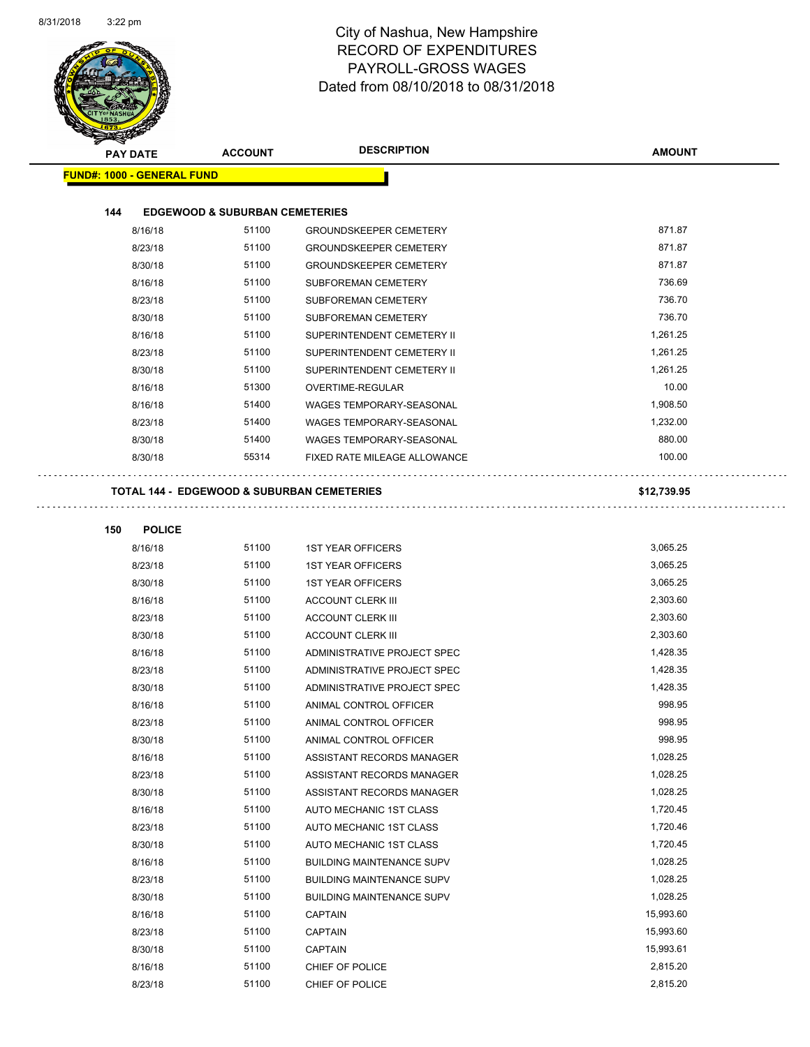| <b>PAY DATE</b>                   | <b>ACCOUNT</b>                                        | <b>DESCRIPTION</b>                  | <b>AMOUNT</b> |
|-----------------------------------|-------------------------------------------------------|-------------------------------------|---------------|
| <b>FUND#: 1000 - GENERAL FUND</b> |                                                       |                                     |               |
| 144                               |                                                       |                                     |               |
| 8/16/18                           | <b>EDGEWOOD &amp; SUBURBAN CEMETERIES</b><br>51100    | <b>GROUNDSKEEPER CEMETERY</b>       | 871.87        |
| 8/23/18                           | 51100                                                 | <b>GROUNDSKEEPER CEMETERY</b>       | 871.87        |
| 8/30/18                           | 51100                                                 | <b>GROUNDSKEEPER CEMETERY</b>       | 871.87        |
| 8/16/18                           | 51100                                                 | SUBFOREMAN CEMETERY                 | 736.69        |
| 8/23/18                           | 51100                                                 | SUBFOREMAN CEMETERY                 | 736.70        |
|                                   | 51100                                                 |                                     | 736.70        |
| 8/30/18                           | 51100                                                 | SUBFOREMAN CEMETERY                 | 1,261.25      |
| 8/16/18                           | 51100                                                 | SUPERINTENDENT CEMETERY II          |               |
| 8/23/18                           |                                                       | SUPERINTENDENT CEMETERY II          | 1,261.25      |
| 8/30/18                           | 51100                                                 | SUPERINTENDENT CEMETERY II          | 1,261.25      |
| 8/16/18                           | 51300                                                 | <b>OVERTIME-REGULAR</b>             | 10.00         |
| 8/16/18                           | 51400                                                 | WAGES TEMPORARY-SEASONAL            | 1,908.50      |
| 8/23/18                           | 51400                                                 | WAGES TEMPORARY-SEASONAL            | 1,232.00      |
| 8/30/18                           | 51400                                                 | WAGES TEMPORARY-SEASONAL            | 880.00        |
| 8/30/18                           | 55314                                                 | <b>FIXED RATE MILEAGE ALLOWANCE</b> | 100.00        |
|                                   | <b>TOTAL 144 - EDGEWOOD &amp; SUBURBAN CEMETERIES</b> |                                     | \$12,739.95   |
| 150<br><b>POLICE</b>              |                                                       |                                     |               |
| 8/16/18                           | 51100                                                 | <b>1ST YEAR OFFICERS</b>            | 3,065.25      |
| 8/23/18                           | 51100                                                 | <b>1ST YEAR OFFICERS</b>            | 3,065.25      |
| 8/30/18                           | 51100                                                 | <b>1ST YEAR OFFICERS</b>            | 3,065.25      |
| 8/16/18                           | 51100                                                 | <b>ACCOUNT CLERK III</b>            | 2,303.60      |
| 8/23/18                           | 51100                                                 | <b>ACCOUNT CLERK III</b>            | 2,303.60      |
| 8/30/18                           | 51100                                                 | <b>ACCOUNT CLERK III</b>            | 2,303.60      |
| 8/16/18                           | 51100                                                 | ADMINISTRATIVE PROJECT SPEC         | 1,428.35      |
| 8/23/18                           | 51100                                                 | ADMINISTRATIVE PROJECT SPEC         | 1,428.35      |
| 8/30/18                           | 51100                                                 | ADMINISTRATIVE PROJECT SPEC         | 1,428.35      |
| 8/16/18                           | 51100                                                 | ANIMAL CONTROL OFFICER              | 998.95        |
| 8/23/18                           | 51100                                                 | ANIMAL CONTROL OFFICER              | 998.95        |
| 8/30/18                           | 51100                                                 | ANIMAL CONTROL OFFICER              | 998.95        |
| 8/16/18                           | 51100                                                 | ASSISTANT RECORDS MANAGER           | 1,028.25      |
| 8/23/18                           | 51100                                                 | ASSISTANT RECORDS MANAGER           | 1,028.25      |
| 8/30/18                           | 51100                                                 | ASSISTANT RECORDS MANAGER           | 1,028.25      |
| 8/16/18                           | 51100                                                 | AUTO MECHANIC 1ST CLASS             | 1,720.45      |
| 8/23/18                           | 51100                                                 | AUTO MECHANIC 1ST CLASS             | 1,720.46      |
| 8/30/18                           | 51100                                                 | AUTO MECHANIC 1ST CLASS             | 1,720.45      |
|                                   | 51100                                                 | <b>BUILDING MAINTENANCE SUPV</b>    | 1,028.25      |
| 8/16/18<br>8/23/18                | 51100                                                 | <b>BUILDING MAINTENANCE SUPV</b>    | 1,028.25      |
| 8/30/18                           | 51100                                                 | <b>BUILDING MAINTENANCE SUPV</b>    | 1,028.25      |
|                                   | 51100                                                 |                                     | 15,993.60     |
| 8/16/18                           | 51100                                                 | <b>CAPTAIN</b>                      | 15,993.60     |
| 8/23/18                           |                                                       | <b>CAPTAIN</b>                      | 15,993.61     |
| 8/30/18                           | 51100                                                 | CAPTAIN                             |               |
| 8/16/18                           | 51100                                                 | CHIEF OF POLICE                     | 2,815.20      |
| 8/23/18                           | 51100                                                 | CHIEF OF POLICE                     | 2,815.20      |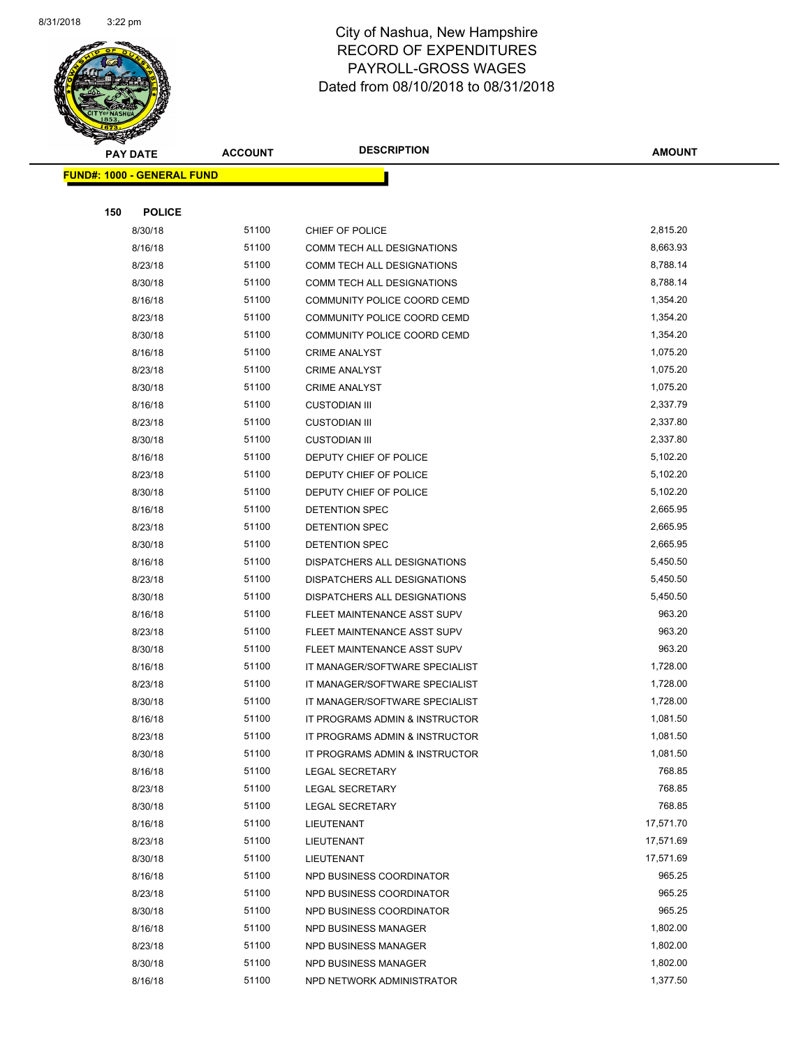

| $\tilde{\phantom{a}}$ | <b>PAY DATE</b>                   | <b>ACCOUNT</b> | <b>DESCRIPTION</b>             | <b>AMOUNT</b> |
|-----------------------|-----------------------------------|----------------|--------------------------------|---------------|
|                       | <b>FUND#: 1000 - GENERAL FUND</b> |                |                                |               |
|                       |                                   |                |                                |               |
| 150                   | <b>POLICE</b>                     |                |                                |               |
|                       | 8/30/18                           | 51100          | CHIEF OF POLICE                | 2,815.20      |
|                       | 8/16/18                           | 51100          | COMM TECH ALL DESIGNATIONS     | 8,663.93      |
|                       | 8/23/18                           | 51100          | COMM TECH ALL DESIGNATIONS     | 8,788.14      |
|                       | 8/30/18                           | 51100          | COMM TECH ALL DESIGNATIONS     | 8,788.14      |
|                       | 8/16/18                           | 51100          | COMMUNITY POLICE COORD CEMD    | 1,354.20      |
|                       | 8/23/18                           | 51100          | COMMUNITY POLICE COORD CEMD    | 1,354.20      |
|                       | 8/30/18                           | 51100          | COMMUNITY POLICE COORD CEMD    | 1,354.20      |
|                       | 8/16/18                           | 51100          | <b>CRIME ANALYST</b>           | 1,075.20      |
|                       | 8/23/18                           | 51100          | <b>CRIME ANALYST</b>           | 1,075.20      |
|                       | 8/30/18                           | 51100          | <b>CRIME ANALYST</b>           | 1,075.20      |
|                       | 8/16/18                           | 51100          | <b>CUSTODIAN III</b>           | 2,337.79      |
|                       | 8/23/18                           | 51100          | <b>CUSTODIAN III</b>           | 2,337.80      |
|                       | 8/30/18                           | 51100          | <b>CUSTODIAN III</b>           | 2,337.80      |
|                       | 8/16/18                           | 51100          | DEPUTY CHIEF OF POLICE         | 5,102.20      |
|                       | 8/23/18                           | 51100          | DEPUTY CHIEF OF POLICE         | 5,102.20      |
|                       | 8/30/18                           | 51100          | DEPUTY CHIEF OF POLICE         | 5,102.20      |
|                       | 8/16/18                           | 51100          | <b>DETENTION SPEC</b>          | 2,665.95      |
|                       | 8/23/18                           | 51100          | <b>DETENTION SPEC</b>          | 2,665.95      |
|                       | 8/30/18                           | 51100          | DETENTION SPEC                 | 2,665.95      |
|                       | 8/16/18                           | 51100          | DISPATCHERS ALL DESIGNATIONS   | 5,450.50      |
|                       | 8/23/18                           | 51100          | DISPATCHERS ALL DESIGNATIONS   | 5,450.50      |
|                       | 8/30/18                           | 51100          | DISPATCHERS ALL DESIGNATIONS   | 5,450.50      |
|                       | 8/16/18                           | 51100          | FLEET MAINTENANCE ASST SUPV    | 963.20        |
|                       | 8/23/18                           | 51100          | FLEET MAINTENANCE ASST SUPV    | 963.20        |
|                       | 8/30/18                           | 51100          | FLEET MAINTENANCE ASST SUPV    | 963.20        |
|                       | 8/16/18                           | 51100          | IT MANAGER/SOFTWARE SPECIALIST | 1,728.00      |
|                       | 8/23/18                           | 51100          | IT MANAGER/SOFTWARE SPECIALIST | 1,728.00      |
|                       | 8/30/18                           | 51100          | IT MANAGER/SOFTWARE SPECIALIST | 1,728.00      |
|                       | 8/16/18                           | 51100          | IT PROGRAMS ADMIN & INSTRUCTOR | 1,081.50      |
|                       | 8/23/18                           | 51100          | IT PROGRAMS ADMIN & INSTRUCTOR | 1,081.50      |
|                       | 8/30/18                           | 51100          | IT PROGRAMS ADMIN & INSTRUCTOR | 1,081.50      |
|                       | 8/16/18                           | 51100          | <b>LEGAL SECRETARY</b>         | 768.85        |
|                       | 8/23/18                           | 51100          | <b>LEGAL SECRETARY</b>         | 768.85        |
|                       | 8/30/18                           | 51100          | <b>LEGAL SECRETARY</b>         | 768.85        |
|                       | 8/16/18                           | 51100          | LIEUTENANT                     | 17,571.70     |
|                       | 8/23/18                           | 51100          | LIEUTENANT                     | 17,571.69     |
|                       | 8/30/18                           | 51100          | LIEUTENANT                     | 17,571.69     |
|                       | 8/16/18                           | 51100          | NPD BUSINESS COORDINATOR       | 965.25        |
|                       | 8/23/18                           | 51100          | NPD BUSINESS COORDINATOR       | 965.25        |
|                       | 8/30/18                           | 51100          | NPD BUSINESS COORDINATOR       | 965.25        |
|                       | 8/16/18                           | 51100          | NPD BUSINESS MANAGER           | 1,802.00      |
|                       | 8/23/18                           | 51100          | NPD BUSINESS MANAGER           | 1,802.00      |
|                       | 8/30/18                           | 51100          | NPD BUSINESS MANAGER           | 1,802.00      |
|                       | 8/16/18                           | 51100          | NPD NETWORK ADMINISTRATOR      | 1,377.50      |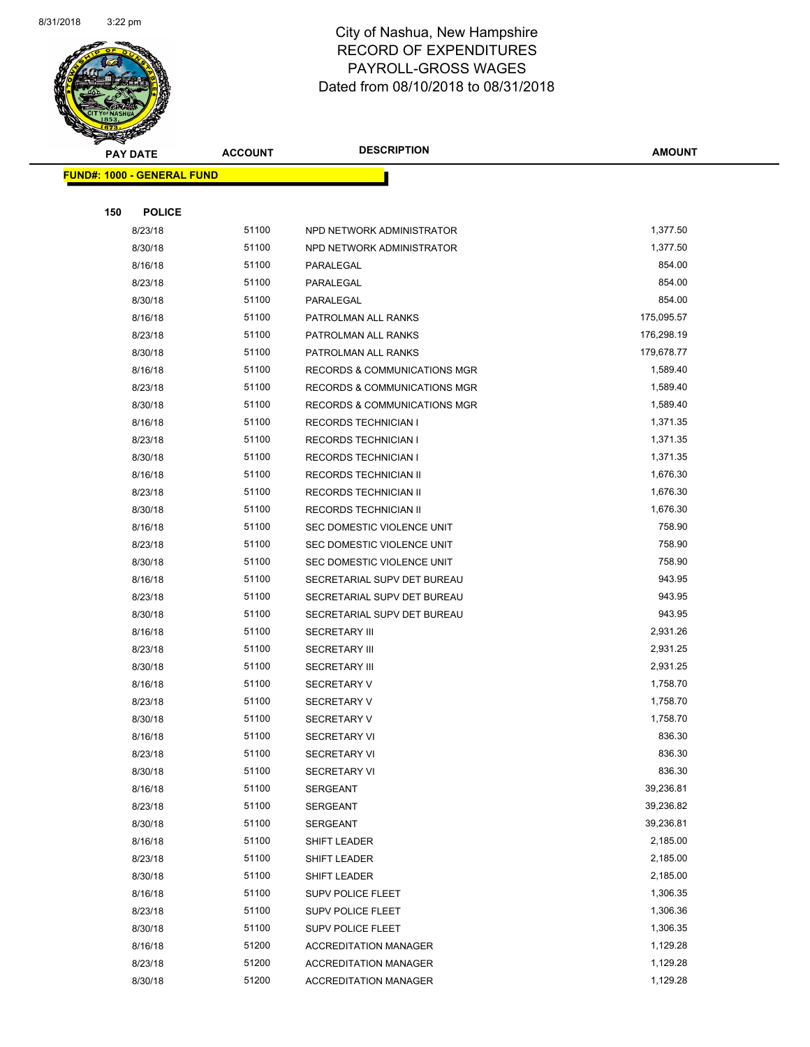

| <b>PAY DATE</b> |                                   | <b>ACCOUNT</b> | <b>DESCRIPTION</b>                      | <b>AMOUNT</b> |
|-----------------|-----------------------------------|----------------|-----------------------------------------|---------------|
|                 | <b>FUND#: 1000 - GENERAL FUND</b> |                |                                         |               |
|                 |                                   |                |                                         |               |
| 150             | <b>POLICE</b>                     |                |                                         |               |
|                 | 8/23/18                           | 51100          | NPD NETWORK ADMINISTRATOR               | 1,377.50      |
|                 | 8/30/18                           | 51100          | NPD NETWORK ADMINISTRATOR               | 1,377.50      |
|                 | 8/16/18                           | 51100          | PARALEGAL                               | 854.00        |
|                 | 8/23/18                           | 51100          | PARALEGAL                               | 854.00        |
|                 | 8/30/18                           | 51100          | PARALEGAL                               | 854.00        |
|                 | 8/16/18                           | 51100          | PATROLMAN ALL RANKS                     | 175,095.57    |
|                 | 8/23/18                           | 51100          | PATROLMAN ALL RANKS                     | 176,298.19    |
|                 | 8/30/18                           | 51100          | PATROLMAN ALL RANKS                     | 179,678.77    |
|                 | 8/16/18                           | 51100          | RECORDS & COMMUNICATIONS MGR            | 1,589.40      |
|                 | 8/23/18                           | 51100          | RECORDS & COMMUNICATIONS MGR            | 1,589.40      |
|                 | 8/30/18                           | 51100          | <b>RECORDS &amp; COMMUNICATIONS MGR</b> | 1,589.40      |
|                 | 8/16/18                           | 51100          | <b>RECORDS TECHNICIAN I</b>             | 1,371.35      |
|                 | 8/23/18                           | 51100          | <b>RECORDS TECHNICIAN I</b>             | 1,371.35      |
|                 | 8/30/18                           | 51100          | <b>RECORDS TECHNICIAN I</b>             | 1,371.35      |
|                 | 8/16/18                           | 51100          | <b>RECORDS TECHNICIAN II</b>            | 1,676.30      |
|                 | 8/23/18                           | 51100          | RECORDS TECHNICIAN II                   | 1,676.30      |
|                 | 8/30/18                           | 51100          | RECORDS TECHNICIAN II                   | 1,676.30      |
|                 | 8/16/18                           | 51100          | SEC DOMESTIC VIOLENCE UNIT              | 758.90        |
|                 | 8/23/18                           | 51100          | SEC DOMESTIC VIOLENCE UNIT              | 758.90        |
|                 | 8/30/18                           | 51100          | SEC DOMESTIC VIOLENCE UNIT              | 758.90        |
|                 | 8/16/18                           | 51100          | SECRETARIAL SUPV DET BUREAU             | 943.95        |
|                 | 8/23/18                           | 51100          | SECRETARIAL SUPV DET BUREAU             | 943.95        |
|                 | 8/30/18                           | 51100          | SECRETARIAL SUPV DET BUREAU             | 943.95        |
|                 | 8/16/18                           | 51100          | <b>SECRETARY III</b>                    | 2,931.26      |
|                 | 8/23/18                           | 51100          | <b>SECRETARY III</b>                    | 2,931.25      |
|                 | 8/30/18                           | 51100          | <b>SECRETARY III</b>                    | 2,931.25      |
|                 | 8/16/18                           | 51100          | <b>SECRETARY V</b>                      | 1,758.70      |
|                 | 8/23/18                           | 51100          | <b>SECRETARY V</b>                      | 1,758.70      |
|                 | 8/30/18                           | 51100          | <b>SECRETARY V</b>                      | 1,758.70      |
|                 | 8/16/18                           | 51100          | SECRETARY VI                            | 836.30        |
|                 | 8/23/18                           | 51100          | <b>SECRETARY VI</b>                     | 836.30        |
|                 | 8/30/18                           | 51100          | <b>SECRETARY VI</b>                     | 836.30        |
|                 | 8/16/18                           | 51100          | SERGEANT                                | 39,236.81     |
|                 | 8/23/18                           | 51100          | SERGEANT                                | 39,236.82     |
|                 | 8/30/18                           | 51100          | SERGEANT                                | 39,236.81     |
|                 | 8/16/18                           | 51100          | <b>SHIFT LEADER</b>                     | 2,185.00      |
|                 | 8/23/18                           | 51100          | SHIFT LEADER                            | 2,185.00      |
|                 | 8/30/18                           | 51100          | SHIFT LEADER                            | 2,185.00      |
|                 | 8/16/18                           | 51100          | SUPV POLICE FLEET                       | 1,306.35      |
|                 | 8/23/18                           | 51100          | SUPV POLICE FLEET                       | 1,306.36      |
|                 | 8/30/18                           | 51100          | <b>SUPV POLICE FLEET</b>                | 1,306.35      |
|                 | 8/16/18                           | 51200          | <b>ACCREDITATION MANAGER</b>            | 1,129.28      |
|                 | 8/23/18                           | 51200          | <b>ACCREDITATION MANAGER</b>            | 1,129.28      |
|                 | 8/30/18                           | 51200          | <b>ACCREDITATION MANAGER</b>            | 1,129.28      |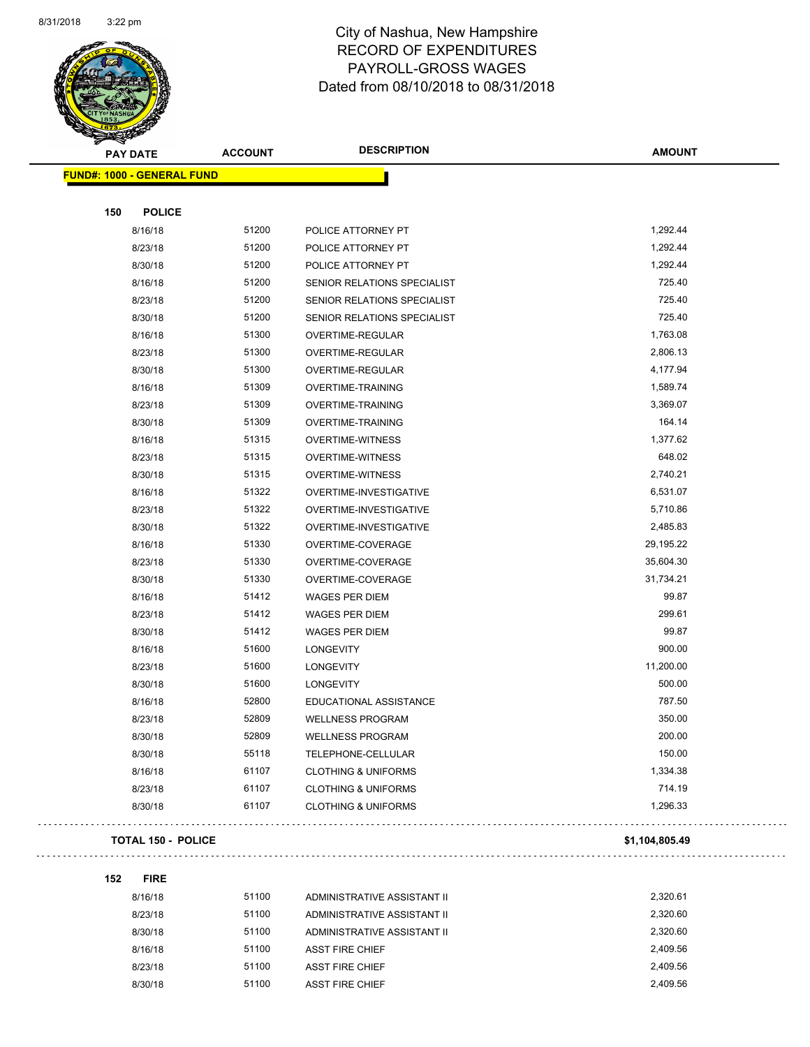

Page 56 of 108

|     | <b>PAY DATE</b>                   | <b>ACCOUNT</b> | <b>DESCRIPTION</b>             | <b>AMOUNT</b>  |
|-----|-----------------------------------|----------------|--------------------------------|----------------|
|     | <b>FUND#: 1000 - GENERAL FUND</b> |                |                                |                |
|     |                                   |                |                                |                |
| 150 | <b>POLICE</b>                     |                |                                |                |
|     | 8/16/18                           | 51200          | POLICE ATTORNEY PT             | 1,292.44       |
|     | 8/23/18                           | 51200          | POLICE ATTORNEY PT             | 1,292.44       |
|     | 8/30/18                           | 51200          | POLICE ATTORNEY PT             | 1,292.44       |
|     | 8/16/18                           | 51200          | SENIOR RELATIONS SPECIALIST    | 725.40         |
|     | 8/23/18                           | 51200          | SENIOR RELATIONS SPECIALIST    | 725.40         |
|     | 8/30/18                           | 51200          | SENIOR RELATIONS SPECIALIST    | 725.40         |
|     | 8/16/18                           | 51300          | OVERTIME-REGULAR               | 1,763.08       |
|     | 8/23/18                           | 51300          | OVERTIME-REGULAR               | 2,806.13       |
|     | 8/30/18                           | 51300          | OVERTIME-REGULAR               | 4,177.94       |
|     | 8/16/18                           | 51309          | <b>OVERTIME-TRAINING</b>       | 1,589.74       |
|     | 8/23/18                           | 51309          | <b>OVERTIME-TRAINING</b>       | 3,369.07       |
|     | 8/30/18                           | 51309          | <b>OVERTIME-TRAINING</b>       | 164.14         |
|     | 8/16/18                           | 51315          | <b>OVERTIME-WITNESS</b>        | 1,377.62       |
|     | 8/23/18                           | 51315          | OVERTIME-WITNESS               | 648.02         |
|     | 8/30/18                           | 51315          | <b>OVERTIME-WITNESS</b>        | 2,740.21       |
|     | 8/16/18                           | 51322          | OVERTIME-INVESTIGATIVE         | 6,531.07       |
|     | 8/23/18                           | 51322          | OVERTIME-INVESTIGATIVE         | 5,710.86       |
|     | 8/30/18                           | 51322          | OVERTIME-INVESTIGATIVE         | 2,485.83       |
|     | 8/16/18                           | 51330          | OVERTIME-COVERAGE              | 29,195.22      |
|     | 8/23/18                           | 51330          | OVERTIME-COVERAGE              | 35,604.30      |
|     | 8/30/18                           | 51330          | OVERTIME-COVERAGE              | 31,734.21      |
|     | 8/16/18                           | 51412          | <b>WAGES PER DIEM</b>          | 99.87          |
|     | 8/23/18                           | 51412          | WAGES PER DIEM                 | 299.61         |
|     | 8/30/18                           | 51412          | <b>WAGES PER DIEM</b>          | 99.87          |
|     | 8/16/18                           | 51600          | <b>LONGEVITY</b>               | 900.00         |
|     | 8/23/18                           | 51600          | <b>LONGEVITY</b>               | 11,200.00      |
|     | 8/30/18                           | 51600          | <b>LONGEVITY</b>               | 500.00         |
|     | 8/16/18                           | 52800          | EDUCATIONAL ASSISTANCE         | 787.50         |
|     | 8/23/18                           | 52809          | <b>WELLNESS PROGRAM</b>        | 350.00         |
|     | 8/30/18                           | 52809          | WELLNESS PROGRAM               | 200.00         |
|     | 8/30/18                           | 55118          | TELEPHONE-CELLULAR             | 150.00         |
|     | 8/16/18                           | 61107          | <b>CLOTHING &amp; UNIFORMS</b> | 1,334.38       |
|     | 8/23/18                           | 61107          | <b>CLOTHING &amp; UNIFORMS</b> | 714.19         |
|     | 8/30/18                           | 61107          | <b>CLOTHING &amp; UNIFORMS</b> | 1,296.33       |
|     | <b>TOTAL 150 - POLICE</b>         |                |                                | \$1,104,805.49 |

#### 

**152 FIRE**

 $\Box$  .

 $\ldots$  .

8/16/18 51100 ADMINISTRATIVE ASSISTANT II 2,320.61 8/23/18 51100 ADMINISTRATIVE ASSISTANT II 2,320.60 8/30/18 51100 ADMINISTRATIVE ASSISTANT II 2,320.60 8/16/18 51100 ASST FIRE CHIEF 2,409.56 8/23/18 51100 ASST FIRE CHIEF 2,409.56 8/30/18 51100 ASST FIRE CHIEF 2,409.56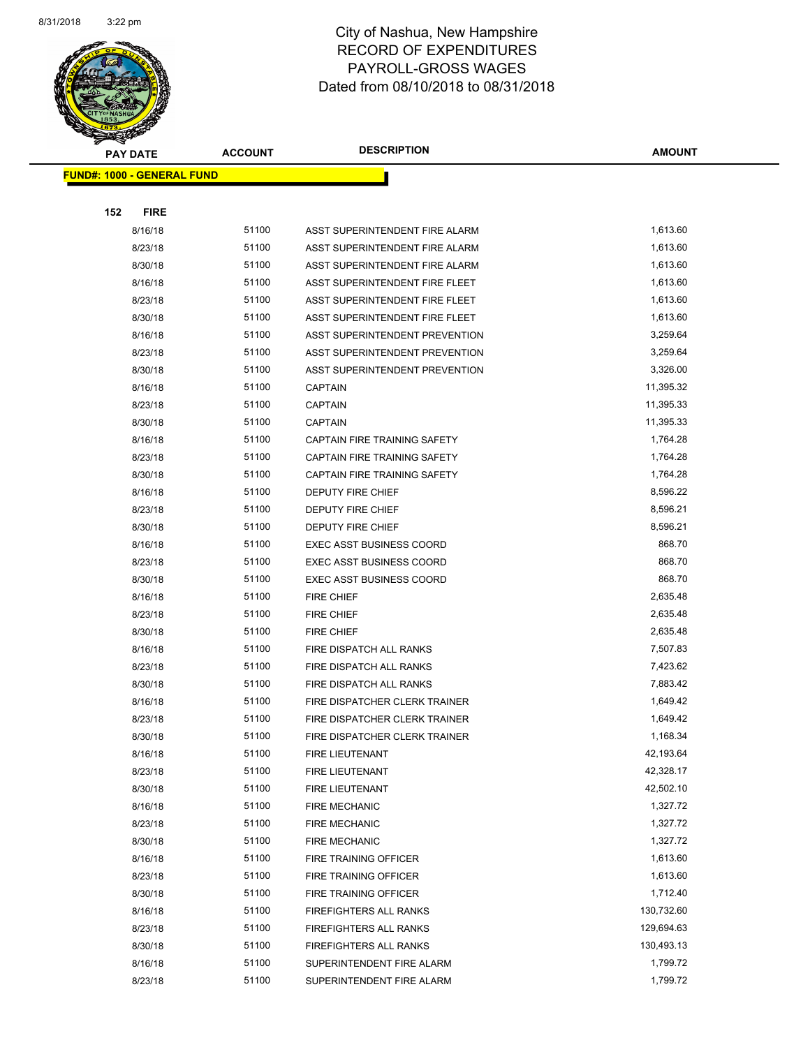

| <b>PAY DATE</b>                   | <b>ACCOUNT</b> | <b>DESCRIPTION</b>              | <b>AMOUNT</b> |
|-----------------------------------|----------------|---------------------------------|---------------|
| <b>FUND#: 1000 - GENERAL FUND</b> |                |                                 |               |
|                                   |                |                                 |               |
| <b>FIRE</b><br>152                |                |                                 |               |
| 8/16/18                           | 51100          | ASST SUPERINTENDENT FIRE ALARM  | 1,613.60      |
| 8/23/18                           | 51100          | ASST SUPERINTENDENT FIRE ALARM  | 1,613.60      |
| 8/30/18                           | 51100          | ASST SUPERINTENDENT FIRE ALARM  | 1,613.60      |
| 8/16/18                           | 51100          | ASST SUPERINTENDENT FIRE FLEET  | 1,613.60      |
| 8/23/18                           | 51100          | ASST SUPERINTENDENT FIRE FLEET  | 1,613.60      |
| 8/30/18                           | 51100          | ASST SUPERINTENDENT FIRE FLEET  | 1,613.60      |
| 8/16/18                           | 51100          | ASST SUPERINTENDENT PREVENTION  | 3,259.64      |
| 8/23/18                           | 51100          | ASST SUPERINTENDENT PREVENTION  | 3,259.64      |
| 8/30/18                           | 51100          | ASST SUPERINTENDENT PREVENTION  | 3,326.00      |
| 8/16/18                           | 51100          | <b>CAPTAIN</b>                  | 11,395.32     |
| 8/23/18                           | 51100          | CAPTAIN                         | 11,395.33     |
| 8/30/18                           | 51100          | <b>CAPTAIN</b>                  | 11,395.33     |
| 8/16/18                           | 51100          | CAPTAIN FIRE TRAINING SAFETY    | 1,764.28      |
| 8/23/18                           | 51100          | CAPTAIN FIRE TRAINING SAFETY    | 1,764.28      |
| 8/30/18                           | 51100          | CAPTAIN FIRE TRAINING SAFETY    | 1,764.28      |
| 8/16/18                           | 51100          | DEPUTY FIRE CHIEF               | 8,596.22      |
| 8/23/18                           | 51100          | <b>DEPUTY FIRE CHIEF</b>        | 8,596.21      |
| 8/30/18                           | 51100          | <b>DEPUTY FIRE CHIEF</b>        | 8,596.21      |
| 8/16/18                           | 51100          | <b>EXEC ASST BUSINESS COORD</b> | 868.70        |
| 8/23/18                           | 51100          | <b>EXEC ASST BUSINESS COORD</b> | 868.70        |
| 8/30/18                           | 51100          | <b>EXEC ASST BUSINESS COORD</b> | 868.70        |
| 8/16/18                           | 51100          | <b>FIRE CHIEF</b>               | 2,635.48      |
| 8/23/18                           | 51100          | <b>FIRE CHIEF</b>               | 2,635.48      |
| 8/30/18                           | 51100          | <b>FIRE CHIEF</b>               | 2,635.48      |
| 8/16/18                           | 51100          | FIRE DISPATCH ALL RANKS         | 7,507.83      |
| 8/23/18                           | 51100          | FIRE DISPATCH ALL RANKS         | 7,423.62      |
| 8/30/18                           | 51100          | FIRE DISPATCH ALL RANKS         | 7,883.42      |
| 8/16/18                           | 51100          | FIRE DISPATCHER CLERK TRAINER   | 1,649.42      |
| 8/23/18                           | 51100          | FIRE DISPATCHER CLERK TRAINER   | 1,649.42      |
| 8/30/18                           | 51100          | FIRE DISPATCHER CLERK TRAINER   | 1,168.34      |
| 8/16/18                           | 51100          | FIRE LIEUTENANT                 | 42,193.64     |
| 8/23/18                           | 51100          | FIRE LIEUTENANT                 | 42,328.17     |
| 8/30/18                           | 51100          | FIRE LIEUTENANT                 | 42,502.10     |
| 8/16/18                           | 51100          | FIRE MECHANIC                   | 1,327.72      |
| 8/23/18                           | 51100          | <b>FIRE MECHANIC</b>            | 1,327.72      |
| 8/30/18                           | 51100          | <b>FIRE MECHANIC</b>            | 1,327.72      |
| 8/16/18                           | 51100          | FIRE TRAINING OFFICER           | 1,613.60      |
| 8/23/18                           | 51100          | FIRE TRAINING OFFICER           | 1,613.60      |
| 8/30/18                           | 51100          | FIRE TRAINING OFFICER           | 1,712.40      |
| 8/16/18                           | 51100          | FIREFIGHTERS ALL RANKS          | 130,732.60    |
| 8/23/18                           | 51100          | FIREFIGHTERS ALL RANKS          | 129,694.63    |
| 8/30/18                           | 51100          | FIREFIGHTERS ALL RANKS          | 130,493.13    |
| 8/16/18                           | 51100          | SUPERINTENDENT FIRE ALARM       | 1,799.72      |
| 8/23/18                           | 51100          | SUPERINTENDENT FIRE ALARM       | 1,799.72      |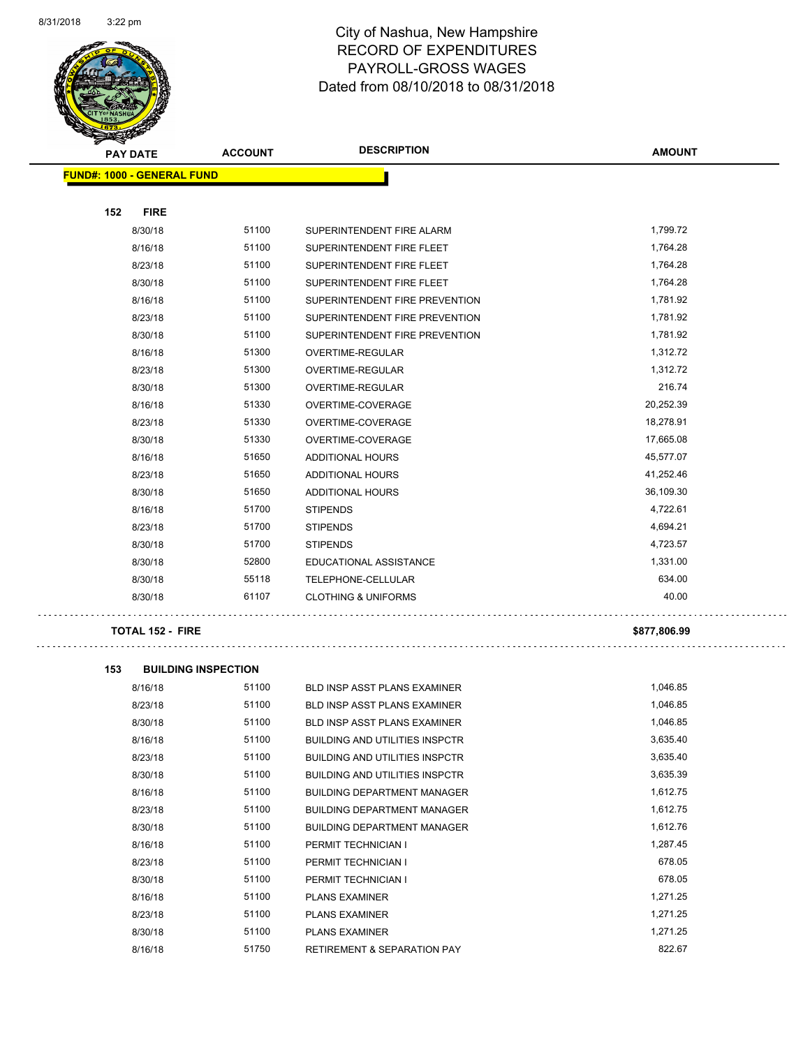

| <b>PAY DATE</b>                   | <b>ACCOUNT</b> | <b>DESCRIPTION</b>             | <b>AMOUNT</b> |
|-----------------------------------|----------------|--------------------------------|---------------|
| <b>FUND#: 1000 - GENERAL FUND</b> |                |                                |               |
|                                   |                |                                |               |
| 152<br><b>FIRE</b>                |                |                                |               |
| 8/30/18                           | 51100          | SUPERINTENDENT FIRE ALARM      | 1,799.72      |
| 8/16/18                           | 51100          | SUPERINTENDENT FIRE FLEET      | 1,764.28      |
| 8/23/18                           | 51100          | SUPERINTENDENT FIRE FLEET      | 1,764.28      |
| 8/30/18                           | 51100          | SUPERINTENDENT FIRE FLEET      | 1,764.28      |
| 8/16/18                           | 51100          | SUPERINTENDENT FIRE PREVENTION | 1,781.92      |
| 8/23/18                           | 51100          | SUPERINTENDENT FIRE PREVENTION | 1,781.92      |
| 8/30/18                           | 51100          | SUPERINTENDENT FIRE PREVENTION | 1,781.92      |
| 8/16/18                           | 51300          | OVERTIME-REGULAR               | 1,312.72      |
| 8/23/18                           | 51300          | OVERTIME-REGULAR               | 1,312.72      |
| 8/30/18                           | 51300          | OVERTIME-REGULAR               | 216.74        |
| 8/16/18                           | 51330          | OVERTIME-COVERAGE              | 20,252.39     |
| 8/23/18                           | 51330          | OVERTIME-COVERAGE              | 18,278.91     |
| 8/30/18                           | 51330          | OVERTIME-COVERAGE              | 17,665.08     |
| 8/16/18                           | 51650          | ADDITIONAL HOURS               | 45,577.07     |
| 8/23/18                           | 51650          | ADDITIONAL HOURS               | 41,252.46     |
| 8/30/18                           | 51650          | ADDITIONAL HOURS               | 36,109.30     |
| 8/16/18                           | 51700          | <b>STIPENDS</b>                | 4,722.61      |
| 8/23/18                           | 51700          | <b>STIPENDS</b>                | 4,694.21      |
| 8/30/18                           | 51700          | <b>STIPENDS</b>                | 4,723.57      |
| 8/30/18                           | 52800          | EDUCATIONAL ASSISTANCE         | 1,331.00      |
| 8/30/18                           | 55118          | TELEPHONE-CELLULAR             | 634.00        |
| 8/30/18                           | 61107          | <b>CLOTHING &amp; UNIFORMS</b> | 40.00         |

#### **TOTAL 152 - FIRE \$877,806.99**

**153 BUILDING INSPECTION** 8/16/18 51100 BLD INSP ASST PLANS EXAMINER 1,046.85 8/23/18 51100 BLD INSP ASST PLANS EXAMINER 1,046.85 8/30/18 51100 BLD INSP ASST PLANS EXAMINER 1,046.85 8/16/18 51100 BUILDING AND UTILITIES INSPCTR 3,635.40 8/23/18 51100 BUILDING AND UTILITIES INSPCTR 5 2635.40 8/30/18 51100 BUILDING AND UTILITIES INSPCTR 3,635.39 8/16/18 51100 BUILDING DEPARTMENT MANAGER 1,612.75 8/23/18 51100 BUILDING DEPARTMENT MANAGER 1,612.75 8/30/18 51100 BUILDING DEPARTMENT MANAGER 1,612.76 8/16/18 51100 PERMIT TECHNICIAN I 1,287.45 8/23/18 51100 PERMIT TECHNICIAN I 678.05 8/30/18 51100 PERMIT TECHNICIAN I 678.05 8/16/18 51100 PLANS EXAMINER 1,271.25 8/23/18 51100 PLANS EXAMINER 1,271.25 8/30/18 51100 PLANS EXAMINER 1,271.25 8/16/18 51750 RETIREMENT & SEPARATION PAY 822.67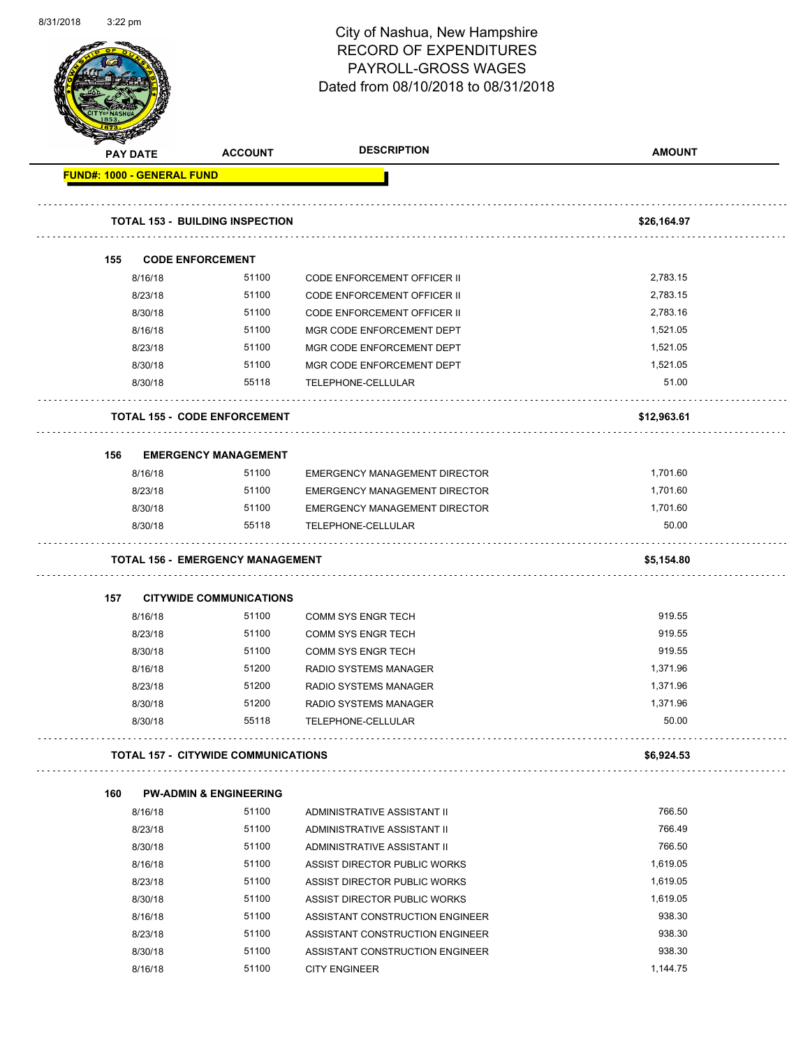| 8/31/2018 | $3:22$ pm |                                   |                                            | City of Nashua, New Hampshire<br><b>RECORD OF EXPENDITURES</b><br>PAYROLL-GROSS WAGES<br>Dated from 08/10/2018 to 08/31/2018 | Page 59 of 108       |
|-----------|-----------|-----------------------------------|--------------------------------------------|------------------------------------------------------------------------------------------------------------------------------|----------------------|
|           |           | <b>PAY DATE</b>                   | <b>ACCOUNT</b>                             | <b>DESCRIPTION</b>                                                                                                           | <b>AMOUNT</b>        |
|           |           | <b>FUND#: 1000 - GENERAL FUND</b> |                                            |                                                                                                                              |                      |
|           |           |                                   |                                            |                                                                                                                              |                      |
|           |           |                                   | <b>TOTAL 153 - BUILDING INSPECTION</b>     |                                                                                                                              | \$26,164.97          |
|           |           |                                   |                                            |                                                                                                                              |                      |
|           | 155       |                                   | <b>CODE ENFORCEMENT</b>                    |                                                                                                                              |                      |
|           |           | 8/16/18                           | 51100                                      | CODE ENFORCEMENT OFFICER II                                                                                                  | 2,783.15             |
|           |           | 8/23/18                           | 51100                                      | <b>CODE ENFORCEMENT OFFICER II</b>                                                                                           | 2,783.15             |
|           |           | 8/30/18                           | 51100                                      | CODE ENFORCEMENT OFFICER II                                                                                                  | 2,783.16             |
|           |           | 8/16/18                           | 51100                                      | MGR CODE ENFORCEMENT DEPT                                                                                                    | 1,521.05             |
|           |           | 8/23/18                           | 51100                                      | MGR CODE ENFORCEMENT DEPT                                                                                                    | 1,521.05             |
|           |           | 8/30/18                           | 51100                                      | MGR CODE ENFORCEMENT DEPT                                                                                                    | 1,521.05             |
|           |           | 8/30/18                           | 55118                                      | TELEPHONE-CELLULAR                                                                                                           | 51.00                |
|           |           |                                   | <b>TOTAL 155 - CODE ENFORCEMENT</b>        |                                                                                                                              | \$12,963.61          |
|           | 156       |                                   | <b>EMERGENCY MANAGEMENT</b>                |                                                                                                                              |                      |
|           |           | 8/16/18                           | 51100                                      | EMERGENCY MANAGEMENT DIRECTOR                                                                                                | 1,701.60             |
|           |           | 8/23/18                           | 51100                                      | <b>EMERGENCY MANAGEMENT DIRECTOR</b>                                                                                         | 1,701.60             |
|           |           | 8/30/18                           | 51100                                      | EMERGENCY MANAGEMENT DIRECTOR                                                                                                | 1,701.60             |
|           |           | 8/30/18                           | 55118                                      | TELEPHONE-CELLULAR                                                                                                           | 50.00                |
|           |           |                                   | <b>TOTAL 156 - EMERGENCY MANAGEMENT</b>    |                                                                                                                              | \$5,154.80           |
|           | 157       |                                   | <b>CITYWIDE COMMUNICATIONS</b>             |                                                                                                                              |                      |
|           |           | 8/16/18                           | 51100                                      | COMM SYS ENGR TECH                                                                                                           | 919.55               |
|           |           | 8/23/18                           | 51100                                      | <b>COMM SYS ENGR TECH</b>                                                                                                    | 919.55               |
|           |           | 8/30/18                           | 51100                                      | <b>COMM SYS ENGR TECH</b>                                                                                                    | 919.55               |
|           |           | 8/16/18                           | 51200                                      | RADIO SYSTEMS MANAGER                                                                                                        | 1,371.96             |
|           |           | 8/23/18                           | 51200                                      | RADIO SYSTEMS MANAGER                                                                                                        | 1,371.96             |
|           |           | 8/30/18                           | 51200                                      | RADIO SYSTEMS MANAGER                                                                                                        | 1,371.96             |
|           |           | 8/30/18                           | 55118                                      | TELEPHONE-CELLULAR                                                                                                           | 50.00                |
|           |           |                                   | <b>TOTAL 157 - CITYWIDE COMMUNICATIONS</b> |                                                                                                                              | \$6,924.53           |
|           |           |                                   |                                            |                                                                                                                              |                      |
|           | 160       |                                   | <b>PW-ADMIN &amp; ENGINEERING</b>          |                                                                                                                              |                      |
|           |           | 8/16/18                           | 51100                                      | ADMINISTRATIVE ASSISTANT II                                                                                                  | 766.50               |
|           |           | 8/23/18                           | 51100                                      | ADMINISTRATIVE ASSISTANT II                                                                                                  | 766.49               |
|           |           | 8/30/18                           | 51100                                      | ADMINISTRATIVE ASSISTANT II                                                                                                  | 766.50               |
|           |           | 8/16/18                           | 51100<br>51100                             | ASSIST DIRECTOR PUBLIC WORKS                                                                                                 | 1,619.05<br>1,619.05 |
|           |           | 8/23/18<br>8/30/18                | 51100                                      | ASSIST DIRECTOR PUBLIC WORKS<br>ASSIST DIRECTOR PUBLIC WORKS                                                                 | 1,619.05             |
|           |           | 8/16/18                           | 51100                                      | ASSISTANT CONSTRUCTION ENGINEER                                                                                              | 938.30               |
|           |           | 8/23/18                           | 51100                                      | ASSISTANT CONSTRUCTION ENGINEER                                                                                              | 938.30               |
|           |           | 8/30/18                           | 51100                                      | ASSISTANT CONSTRUCTION ENGINEER                                                                                              | 938.30               |
|           |           | 8/16/18                           | 51100                                      | <b>CITY ENGINEER</b>                                                                                                         | 1,144.75             |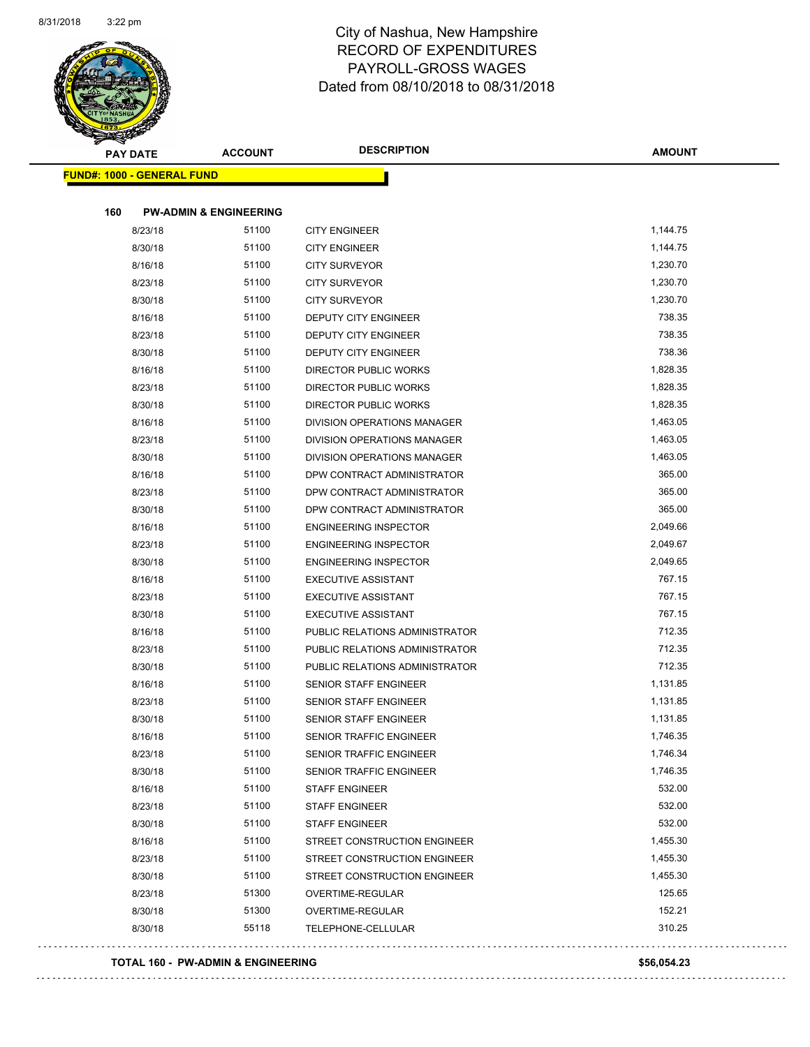

| <b>PAY DATE</b>                   | <b>ACCOUNT</b>                             | <b>DESCRIPTION</b>                           | <b>AMOUNT</b> |
|-----------------------------------|--------------------------------------------|----------------------------------------------|---------------|
| <b>FUND#: 1000 - GENERAL FUND</b> |                                            |                                              |               |
|                                   |                                            |                                              |               |
| 160                               | <b>PW-ADMIN &amp; ENGINEERING</b><br>51100 |                                              | 1,144.75      |
| 8/23/18<br>8/30/18                | 51100                                      | <b>CITY ENGINEER</b><br><b>CITY ENGINEER</b> | 1,144.75      |
| 8/16/18                           | 51100                                      | <b>CITY SURVEYOR</b>                         | 1,230.70      |
| 8/23/18                           | 51100                                      | <b>CITY SURVEYOR</b>                         | 1,230.70      |
| 8/30/18                           | 51100                                      | <b>CITY SURVEYOR</b>                         | 1,230.70      |
| 8/16/18                           | 51100                                      | DEPUTY CITY ENGINEER                         | 738.35        |
| 8/23/18                           | 51100                                      | <b>DEPUTY CITY ENGINEER</b>                  | 738.35        |
| 8/30/18                           | 51100                                      | DEPUTY CITY ENGINEER                         | 738.36        |
| 8/16/18                           | 51100                                      | DIRECTOR PUBLIC WORKS                        | 1,828.35      |
| 8/23/18                           | 51100                                      | <b>DIRECTOR PUBLIC WORKS</b>                 | 1,828.35      |
| 8/30/18                           | 51100                                      | DIRECTOR PUBLIC WORKS                        | 1,828.35      |
| 8/16/18                           | 51100                                      | <b>DIVISION OPERATIONS MANAGER</b>           | 1,463.05      |
| 8/23/18                           | 51100                                      | DIVISION OPERATIONS MANAGER                  | 1,463.05      |
| 8/30/18                           | 51100                                      | DIVISION OPERATIONS MANAGER                  | 1,463.05      |
| 8/16/18                           | 51100                                      | DPW CONTRACT ADMINISTRATOR                   | 365.00        |
| 8/23/18                           | 51100                                      | DPW CONTRACT ADMINISTRATOR                   | 365.00        |
| 8/30/18                           | 51100                                      | DPW CONTRACT ADMINISTRATOR                   | 365.00        |
| 8/16/18                           | 51100                                      | <b>ENGINEERING INSPECTOR</b>                 | 2,049.66      |
| 8/23/18                           | 51100                                      | <b>ENGINEERING INSPECTOR</b>                 | 2,049.67      |
| 8/30/18                           | 51100                                      | <b>ENGINEERING INSPECTOR</b>                 | 2,049.65      |
| 8/16/18                           | 51100                                      | <b>EXECUTIVE ASSISTANT</b>                   | 767.15        |
| 8/23/18                           | 51100                                      | <b>EXECUTIVE ASSISTANT</b>                   | 767.15        |
| 8/30/18                           | 51100                                      | <b>EXECUTIVE ASSISTANT</b>                   | 767.15        |
| 8/16/18                           | 51100                                      | PUBLIC RELATIONS ADMINISTRATOR               | 712.35        |
| 8/23/18                           | 51100                                      | PUBLIC RELATIONS ADMINISTRATOR               | 712.35        |
| 8/30/18                           | 51100                                      | PUBLIC RELATIONS ADMINISTRATOR               | 712.35        |
| 8/16/18                           | 51100                                      | <b>SENIOR STAFF ENGINEER</b>                 | 1,131.85      |
| 8/23/18                           | 51100                                      | <b>SENIOR STAFF ENGINEER</b>                 | 1,131.85      |
| 8/30/18                           | 51100                                      | SENIOR STAFF ENGINEER                        | 1,131.85      |
| 8/16/18                           | 51100                                      | SENIOR TRAFFIC ENGINEER                      | 1,746.35      |
| 8/23/18                           | 51100                                      | SENIOR TRAFFIC ENGINEER                      | 1,746.34      |
| 8/30/18                           | 51100                                      | SENIOR TRAFFIC ENGINEER                      | 1,746.35      |
| 8/16/18                           | 51100                                      | <b>STAFF ENGINEER</b>                        | 532.00        |
| 8/23/18                           | 51100                                      | <b>STAFF ENGINEER</b>                        | 532.00        |
| 8/30/18                           | 51100                                      | <b>STAFF ENGINEER</b>                        | 532.00        |
| 8/16/18                           | 51100                                      | STREET CONSTRUCTION ENGINEER                 | 1,455.30      |
| 8/23/18                           | 51100                                      | STREET CONSTRUCTION ENGINEER                 | 1,455.30      |
| 8/30/18                           | 51100                                      | STREET CONSTRUCTION ENGINEER                 | 1,455.30      |
| 8/23/18                           | 51300                                      | OVERTIME-REGULAR                             | 125.65        |
| 8/30/18                           | 51300                                      | OVERTIME-REGULAR                             | 152.21        |
| 8/30/18                           | 55118                                      | TELEPHONE-CELLULAR                           | 310.25        |

#### **TOTAL 160 - PW-ADMIN & ENGINEERING \$56,054.23**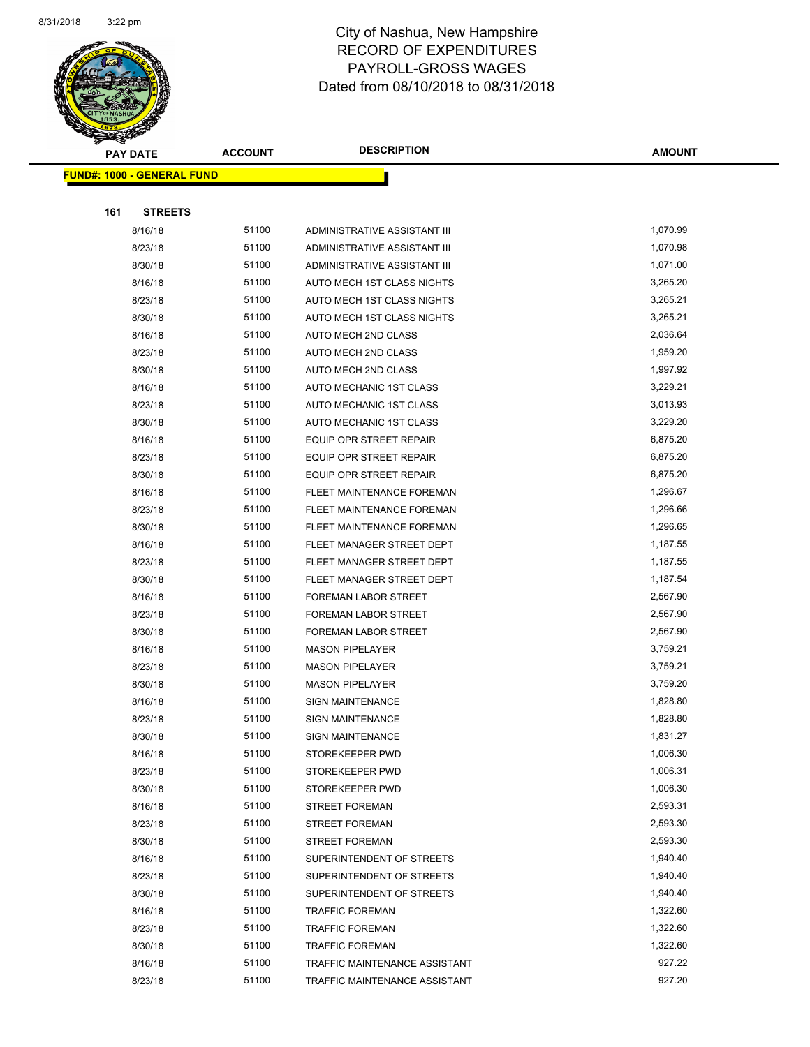

|     | <b>PAY DATE</b>                   | <b>ACCOUNT</b> | <b>DESCRIPTION</b>             | <b>AMOUNT</b> |
|-----|-----------------------------------|----------------|--------------------------------|---------------|
|     | <b>FUND#: 1000 - GENERAL FUND</b> |                |                                |               |
|     |                                   |                |                                |               |
| 161 | <b>STREETS</b>                    |                |                                |               |
|     | 8/16/18                           | 51100          | ADMINISTRATIVE ASSISTANT III   | 1,070.99      |
|     | 8/23/18                           | 51100          | ADMINISTRATIVE ASSISTANT III   | 1,070.98      |
|     | 8/30/18                           | 51100          | ADMINISTRATIVE ASSISTANT III   | 1,071.00      |
|     | 8/16/18                           | 51100          | AUTO MECH 1ST CLASS NIGHTS     | 3,265.20      |
|     | 8/23/18                           | 51100          | AUTO MECH 1ST CLASS NIGHTS     | 3,265.21      |
|     | 8/30/18                           | 51100          | AUTO MECH 1ST CLASS NIGHTS     | 3,265.21      |
|     | 8/16/18                           | 51100          | AUTO MECH 2ND CLASS            | 2,036.64      |
|     | 8/23/18                           | 51100          | AUTO MECH 2ND CLASS            | 1,959.20      |
|     | 8/30/18                           | 51100          | AUTO MECH 2ND CLASS            | 1,997.92      |
|     | 8/16/18                           | 51100          | AUTO MECHANIC 1ST CLASS        | 3,229.21      |
|     | 8/23/18                           | 51100          | AUTO MECHANIC 1ST CLASS        | 3,013.93      |
|     | 8/30/18                           | 51100          | AUTO MECHANIC 1ST CLASS        | 3,229.20      |
|     | 8/16/18                           | 51100          | EQUIP OPR STREET REPAIR        | 6,875.20      |
|     | 8/23/18                           | 51100          | EQUIP OPR STREET REPAIR        | 6,875.20      |
|     | 8/30/18                           | 51100          | <b>EQUIP OPR STREET REPAIR</b> | 6,875.20      |
|     | 8/16/18                           | 51100          | FLEET MAINTENANCE FOREMAN      | 1,296.67      |
|     | 8/23/18                           | 51100          | FLEET MAINTENANCE FOREMAN      | 1,296.66      |
|     | 8/30/18                           | 51100          | FLEET MAINTENANCE FOREMAN      | 1,296.65      |
|     | 8/16/18                           | 51100          | FLEET MANAGER STREET DEPT      | 1,187.55      |
|     | 8/23/18                           | 51100          | FLEET MANAGER STREET DEPT      | 1,187.55      |
|     | 8/30/18                           | 51100          | FLEET MANAGER STREET DEPT      | 1,187.54      |
|     | 8/16/18                           | 51100          | FOREMAN LABOR STREET           | 2,567.90      |
|     | 8/23/18                           | 51100          | <b>FOREMAN LABOR STREET</b>    | 2,567.90      |
|     | 8/30/18                           | 51100          | <b>FOREMAN LABOR STREET</b>    | 2,567.90      |
|     | 8/16/18                           | 51100          | <b>MASON PIPELAYER</b>         | 3,759.21      |
|     | 8/23/18                           | 51100          | <b>MASON PIPELAYER</b>         | 3,759.21      |
|     | 8/30/18                           | 51100          | <b>MASON PIPELAYER</b>         | 3,759.20      |
|     | 8/16/18                           | 51100          | <b>SIGN MAINTENANCE</b>        | 1,828.80      |
|     | 8/23/18                           | 51100          | <b>SIGN MAINTENANCE</b>        | 1,828.80      |
|     | 8/30/18                           | 51100          | SIGN MAINTENANCE               | 1,831.27      |
|     | 8/16/18                           | 51100          | STOREKEEPER PWD                | 1,006.30      |
|     | 8/23/18                           | 51100          | STOREKEEPER PWD                | 1,006.31      |
|     | 8/30/18                           | 51100          | STOREKEEPER PWD                | 1,006.30      |
|     | 8/16/18                           | 51100          | <b>STREET FOREMAN</b>          | 2,593.31      |
|     | 8/23/18                           | 51100          | <b>STREET FOREMAN</b>          | 2,593.30      |
|     | 8/30/18                           | 51100          | STREET FOREMAN                 | 2,593.30      |
|     | 8/16/18                           | 51100          | SUPERINTENDENT OF STREETS      | 1,940.40      |
|     | 8/23/18                           | 51100          | SUPERINTENDENT OF STREETS      | 1,940.40      |
|     | 8/30/18                           | 51100          | SUPERINTENDENT OF STREETS      | 1,940.40      |
|     | 8/16/18                           | 51100          | <b>TRAFFIC FOREMAN</b>         | 1,322.60      |
|     | 8/23/18                           | 51100          | <b>TRAFFIC FOREMAN</b>         | 1,322.60      |
|     | 8/30/18                           | 51100          | <b>TRAFFIC FOREMAN</b>         | 1,322.60      |
|     | 8/16/18                           | 51100          | TRAFFIC MAINTENANCE ASSISTANT  | 927.22        |
|     | 8/23/18                           | 51100          | TRAFFIC MAINTENANCE ASSISTANT  | 927.20        |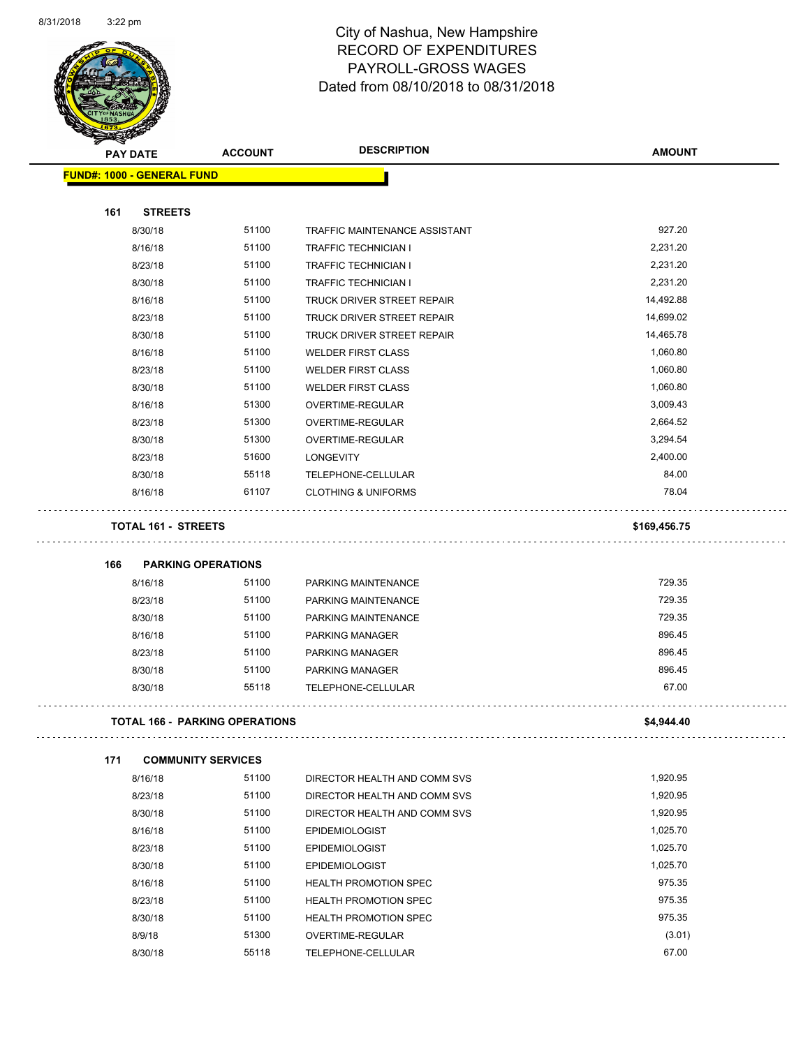

| <b>PAY DATE</b>                   | <b>ACCOUNT</b>                        | <b>DESCRIPTION</b>             | <b>AMOUNT</b> |
|-----------------------------------|---------------------------------------|--------------------------------|---------------|
| <b>FUND#: 1000 - GENERAL FUND</b> |                                       |                                |               |
|                                   |                                       |                                |               |
| 161<br><b>STREETS</b>             |                                       |                                |               |
| 8/30/18                           | 51100                                 | TRAFFIC MAINTENANCE ASSISTANT  | 927.20        |
| 8/16/18                           | 51100                                 | <b>TRAFFIC TECHNICIAN I</b>    | 2,231.20      |
| 8/23/18                           | 51100                                 | <b>TRAFFIC TECHNICIAN I</b>    | 2,231.20      |
| 8/30/18                           | 51100                                 | <b>TRAFFIC TECHNICIAN I</b>    | 2,231.20      |
| 8/16/18                           | 51100                                 | TRUCK DRIVER STREET REPAIR     | 14,492.88     |
| 8/23/18                           | 51100                                 | TRUCK DRIVER STREET REPAIR     | 14,699.02     |
| 8/30/18                           | 51100                                 | TRUCK DRIVER STREET REPAIR     | 14,465.78     |
| 8/16/18                           | 51100                                 | <b>WELDER FIRST CLASS</b>      | 1,060.80      |
| 8/23/18                           | 51100                                 | <b>WELDER FIRST CLASS</b>      | 1,060.80      |
| 8/30/18                           | 51100                                 | <b>WELDER FIRST CLASS</b>      | 1,060.80      |
| 8/16/18                           | 51300                                 | OVERTIME-REGULAR               | 3,009.43      |
| 8/23/18                           | 51300                                 | OVERTIME-REGULAR               | 2,664.52      |
| 8/30/18                           | 51300                                 | OVERTIME-REGULAR               | 3,294.54      |
| 8/23/18                           | 51600                                 | <b>LONGEVITY</b>               | 2,400.00      |
| 8/30/18                           | 55118                                 | TELEPHONE-CELLULAR             | 84.00         |
| 8/16/18                           | 61107                                 | <b>CLOTHING &amp; UNIFORMS</b> | 78.04         |
| <b>TOTAL 161 - STREETS</b>        |                                       |                                | \$169,456.75  |
|                                   |                                       |                                |               |
| 166                               | <b>PARKING OPERATIONS</b>             |                                |               |
| 8/16/18                           | 51100                                 | PARKING MAINTENANCE            | 729.35        |
| 8/23/18                           | 51100                                 | PARKING MAINTENANCE            | 729.35        |
| 8/30/18                           | 51100                                 | PARKING MAINTENANCE            | 729.35        |
| 8/16/18                           | 51100                                 | PARKING MANAGER                | 896.45        |
| 8/23/18                           | 51100                                 | <b>PARKING MANAGER</b>         | 896.45        |
| 8/30/18                           | 51100                                 | PARKING MANAGER                | 896.45        |
| 8/30/18                           | 55118                                 | TELEPHONE-CELLULAR             | 67.00         |
|                                   | <b>TOTAL 166 - PARKING OPERATIONS</b> |                                | \$4,944.40    |
| 171                               | <b>COMMUNITY SERVICES</b>             |                                |               |
| 8/16/18                           | 51100                                 | DIRECTOR HEALTH AND COMM SVS   | 1,920.95      |
| 8/23/18                           | 51100                                 | DIRECTOR HEALTH AND COMM SVS   | 1,920.95      |
| 8/30/18                           | 51100                                 | DIRECTOR HEALTH AND COMM SVS   | 1,920.95      |
| 8/16/18                           | 51100                                 | <b>EPIDEMIOLOGIST</b>          | 1,025.70      |
| 8/23/18                           | 51100                                 | <b>EPIDEMIOLOGIST</b>          | 1,025.70      |
| 8/30/18                           | 51100                                 | <b>EPIDEMIOLOGIST</b>          | 1,025.70      |
| 8/16/18                           | 51100                                 | <b>HEALTH PROMOTION SPEC</b>   | 975.35        |
| 8/23/18                           | 51100                                 | <b>HEALTH PROMOTION SPEC</b>   | 975.35        |
| 8/30/18                           | 51100                                 | <b>HEALTH PROMOTION SPEC</b>   | 975.35        |
| 8/9/18                            | 51300                                 | OVERTIME-REGULAR               | (3.01)        |
| 8/30/18                           | 55118                                 | TELEPHONE-CELLULAR             | 67.00         |
|                                   |                                       |                                |               |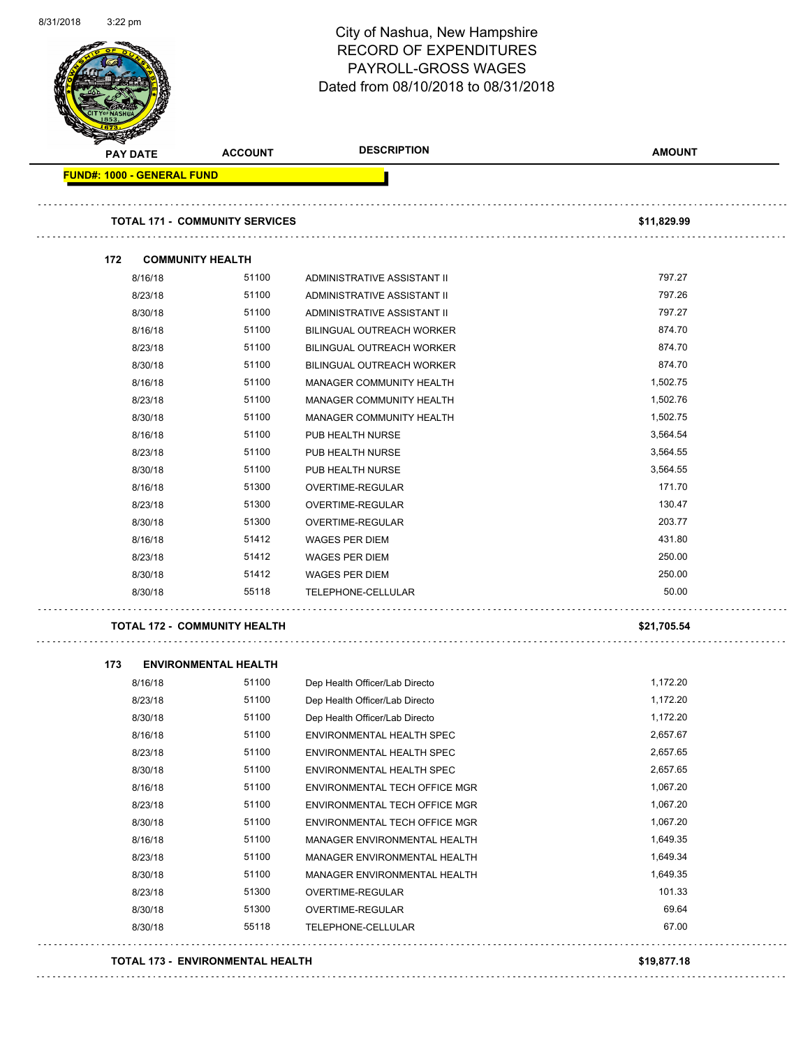|                                   |                                       | <b>RECORD OF EXPENDITURES</b><br>PAYROLL-GROSS WAGES<br>Dated from 08/10/2018 to 08/31/2018 |               |
|-----------------------------------|---------------------------------------|---------------------------------------------------------------------------------------------|---------------|
| <b>PAY DATE</b>                   | <b>ACCOUNT</b>                        | <b>DESCRIPTION</b>                                                                          | <b>AMOUNT</b> |
| <b>FUND#: 1000 - GENERAL FUND</b> |                                       |                                                                                             |               |
|                                   | <b>TOTAL 171 - COMMUNITY SERVICES</b> |                                                                                             | \$11,829.99   |
| 172                               | <b>COMMUNITY HEALTH</b>               |                                                                                             |               |
| 8/16/18                           | 51100                                 | ADMINISTRATIVE ASSISTANT II                                                                 | 797.27        |
| 8/23/18                           | 51100                                 | ADMINISTRATIVE ASSISTANT II                                                                 | 797.26        |
| 8/30/18                           | 51100                                 | ADMINISTRATIVE ASSISTANT II                                                                 | 797.27        |
| 8/16/18                           | 51100                                 | BILINGUAL OUTREACH WORKER                                                                   | 874.70        |
| 8/23/18                           | 51100                                 | BILINGUAL OUTREACH WORKER                                                                   | 874.70        |
| 8/30/18                           | 51100                                 | BILINGUAL OUTREACH WORKER                                                                   | 874.70        |
| 8/16/18                           | 51100                                 | MANAGER COMMUNITY HEALTH                                                                    | 1,502.75      |
| 8/23/18                           | 51100                                 | MANAGER COMMUNITY HEALTH                                                                    | 1,502.76      |
| 8/30/18                           | 51100                                 | MANAGER COMMUNITY HEALTH                                                                    | 1,502.75      |
| 8/16/18                           | 51100                                 | PUB HEALTH NURSE                                                                            | 3,564.54      |
| 8/23/18                           | 51100                                 | PUB HEALTH NURSE                                                                            | 3,564.55      |
| 8/30/18                           | 51100                                 | PUB HEALTH NURSE                                                                            | 3,564.55      |
| 8/16/18                           | 51300                                 | OVERTIME-REGULAR                                                                            | 171.70        |
| 8/23/18                           | 51300                                 | OVERTIME-REGULAR                                                                            | 130.47        |
| 8/30/18                           | 51300                                 | OVERTIME-REGULAR                                                                            | 203.77        |
| 8/16/18                           | 51412                                 | <b>WAGES PER DIEM</b>                                                                       | 431.80        |
| 8/23/18                           | 51412                                 | <b>WAGES PER DIEM</b>                                                                       | 250.00        |
| 8/30/18                           | 51412                                 | <b>WAGES PER DIEM</b>                                                                       | 250.00        |
| 8/30/18                           | 55118                                 | TELEPHONE-CELLULAR                                                                          | 50.00         |
|                                   | <b>TOTAL 172 - COMMUNITY HEALTH</b>   |                                                                                             | \$21,705.54   |
| 173                               | <b>ENVIRONMENTAL HEALTH</b>           |                                                                                             |               |
| 8/16/18                           | 51100                                 | Dep Health Officer/Lab Directo                                                              | 1,172.20      |
| 8/23/18                           | 51100                                 | Dep Health Officer/Lab Directo                                                              | 1,172.20      |
| 8/30/18                           | 51100                                 | Dep Health Officer/Lab Directo                                                              | 1,172.20      |
| 8/16/18                           | 51100                                 | ENVIRONMENTAL HEALTH SPEC                                                                   | 2,657.67      |
| 8/23/18                           | 51100                                 | ENVIRONMENTAL HEALTH SPEC                                                                   | 2,657.65      |
| 8/30/18                           | 51100                                 | ENVIRONMENTAL HEALTH SPEC                                                                   | 2,657.65      |
| 8/16/18                           | 51100                                 | ENVIRONMENTAL TECH OFFICE MGR                                                               | 1,067.20      |
| 8/23/18                           | 51100                                 | ENVIRONMENTAL TECH OFFICE MGR                                                               | 1,067.20      |
| 8/30/18                           | 51100                                 | ENVIRONMENTAL TECH OFFICE MGR                                                               | 1,067.20      |
| 8/16/18                           | 51100                                 | MANAGER ENVIRONMENTAL HEALTH                                                                | 1,649.35      |
|                                   | 51100                                 | MANAGER ENVIRONMENTAL HEALTH                                                                | 1,649.34      |
| 8/23/18                           |                                       |                                                                                             | 1,649.35      |
| 8/30/18                           | 51100                                 | MANAGER ENVIRONMENTAL HEALTH                                                                |               |
| 8/23/18                           | 51300                                 | OVERTIME-REGULAR                                                                            | 101.33        |
| 8/30/18                           | 51300                                 | OVERTIME-REGULAR                                                                            | 69.64         |

8/31/2018 3:22 pm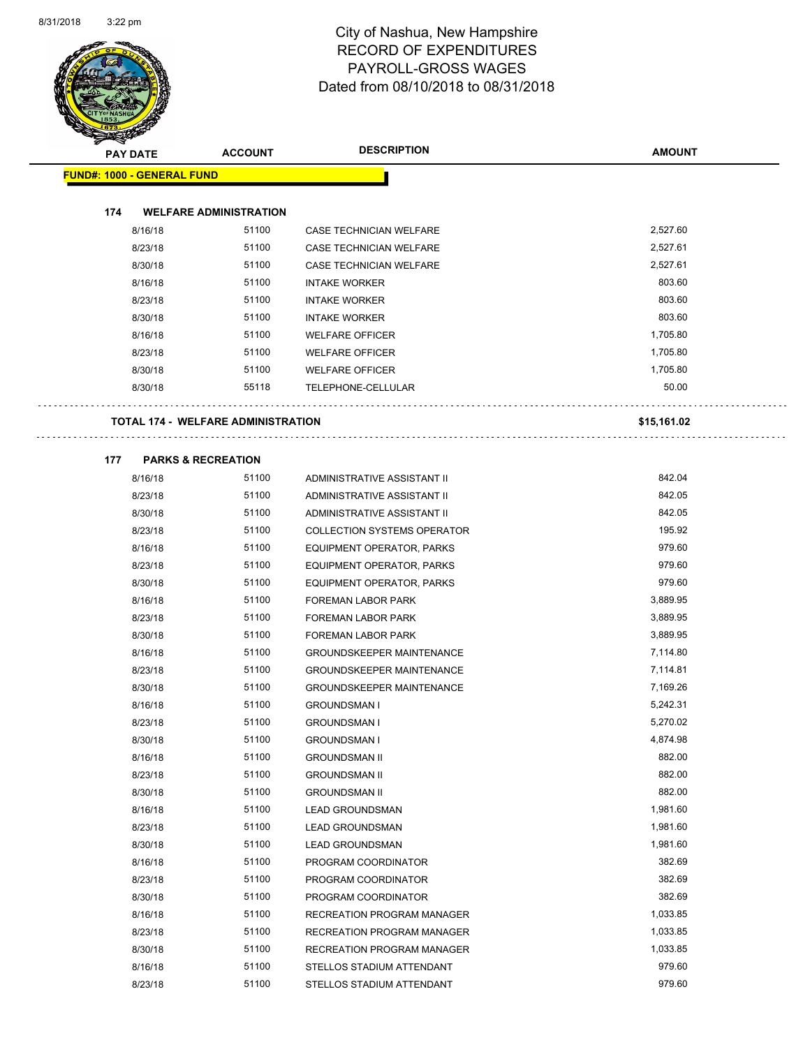$\bar{z}$  ,  $\bar{z}$ 

 $\bar{z}$  .  $\bar{z}$ 



### City of Nashua, New Hampshire RECORD OF EXPENDITURES PAYROLL-GROSS WAGES Dated from 08/10/2018 to 08/31/2018

| <b>PAY DATE</b>                           | <b>ACCOUNT</b>                | <b>DESCRIPTION</b>                                                   | <b>AMOUNT</b>        |
|-------------------------------------------|-------------------------------|----------------------------------------------------------------------|----------------------|
| <b>FUND#: 1000 - GENERAL FUND</b>         |                               |                                                                      |                      |
|                                           |                               |                                                                      |                      |
| 174                                       | <b>WELFARE ADMINISTRATION</b> |                                                                      |                      |
| 8/16/18                                   | 51100                         | CASE TECHNICIAN WELFARE                                              | 2,527.60             |
| 8/23/18                                   | 51100                         | CASE TECHNICIAN WELFARE                                              | 2,527.61             |
| 8/30/18                                   | 51100                         | CASE TECHNICIAN WELFARE                                              | 2,527.61             |
| 8/16/18                                   | 51100                         | <b>INTAKE WORKER</b>                                                 | 803.60               |
| 8/23/18                                   | 51100                         | <b>INTAKE WORKER</b>                                                 | 803.60               |
| 8/30/18                                   | 51100                         | <b>INTAKE WORKER</b>                                                 | 803.60               |
| 8/16/18                                   | 51100                         | <b>WELFARE OFFICER</b>                                               | 1,705.80             |
| 8/23/18                                   | 51100                         | <b>WELFARE OFFICER</b>                                               | 1,705.80             |
| 8/30/18                                   | 51100                         | <b>WELFARE OFFICER</b>                                               | 1,705.80             |
| 8/30/18                                   | 55118                         | TELEPHONE-CELLULAR                                                   | 50.00                |
|                                           |                               |                                                                      |                      |
| <b>TOTAL 174 - WELFARE ADMINISTRATION</b> |                               |                                                                      | \$15,161.02          |
|                                           |                               |                                                                      |                      |
| 177<br><b>PARKS &amp; RECREATION</b>      |                               |                                                                      |                      |
| 8/16/18                                   | 51100                         | ADMINISTRATIVE ASSISTANT II                                          | 842.04               |
| 8/23/18                                   | 51100                         | ADMINISTRATIVE ASSISTANT II                                          | 842.05               |
| 8/30/18                                   | 51100                         | ADMINISTRATIVE ASSISTANT II                                          | 842.05               |
| 8/23/18                                   | 51100                         | <b>COLLECTION SYSTEMS OPERATOR</b>                                   | 195.92               |
| 8/16/18                                   | 51100                         | EQUIPMENT OPERATOR, PARKS                                            | 979.60               |
| 8/23/18                                   | 51100                         | EQUIPMENT OPERATOR, PARKS                                            | 979.60               |
| 8/30/18                                   | 51100                         | EQUIPMENT OPERATOR, PARKS                                            | 979.60               |
| 8/16/18                                   | 51100                         | FOREMAN LABOR PARK                                                   | 3,889.95             |
| 8/23/18                                   | 51100                         | <b>FOREMAN LABOR PARK</b>                                            | 3,889.95             |
| 8/30/18                                   | 51100                         | <b>FOREMAN LABOR PARK</b>                                            | 3,889.95             |
| 8/16/18                                   | 51100<br>51100                | <b>GROUNDSKEEPER MAINTENANCE</b>                                     | 7,114.80             |
| 8/23/18                                   | 51100                         | <b>GROUNDSKEEPER MAINTENANCE</b><br><b>GROUNDSKEEPER MAINTENANCE</b> | 7,114.81<br>7,169.26 |
| 8/30/18<br>8/16/18                        | 51100                         | <b>GROUNDSMAN I</b>                                                  | 5,242.31             |
| 8/23/18                                   | 51100                         | <b>GROUNDSMAN I</b>                                                  | 5,270.02             |
| 8/30/18                                   | 51100                         | <b>GROUNDSMAN I</b>                                                  | 4,874.98             |
| 8/16/18                                   | 51100                         | <b>GROUNDSMAN II</b>                                                 | 882.00               |
| 8/23/18                                   | 51100                         | <b>GROUNDSMAN II</b>                                                 | 882.00               |
| 8/30/18                                   | 51100                         | <b>GROUNDSMAN II</b>                                                 | 882.00               |
| 8/16/18                                   | 51100                         | <b>LEAD GROUNDSMAN</b>                                               | 1,981.60             |
| 8/23/18                                   | 51100                         | <b>LEAD GROUNDSMAN</b>                                               | 1,981.60             |
| 8/30/18                                   | 51100                         | <b>LEAD GROUNDSMAN</b>                                               | 1,981.60             |
| 8/16/18                                   | 51100                         | PROGRAM COORDINATOR                                                  | 382.69               |
| 8/23/18                                   | 51100                         | PROGRAM COORDINATOR                                                  | 382.69               |
| 8/30/18                                   | 51100                         | PROGRAM COORDINATOR                                                  | 382.69               |
| 8/16/18                                   | 51100                         | RECREATION PROGRAM MANAGER                                           | 1,033.85             |
| 8/23/18                                   | 51100                         | RECREATION PROGRAM MANAGER                                           | 1,033.85             |

8/30/18 51100 RECREATION PROGRAM MANAGER 1,033.85 8/16/18 51100 STELLOS STADIUM ATTENDANT 979.60 8/23/18 51100 STELLOS STADIUM ATTENDANT 979.60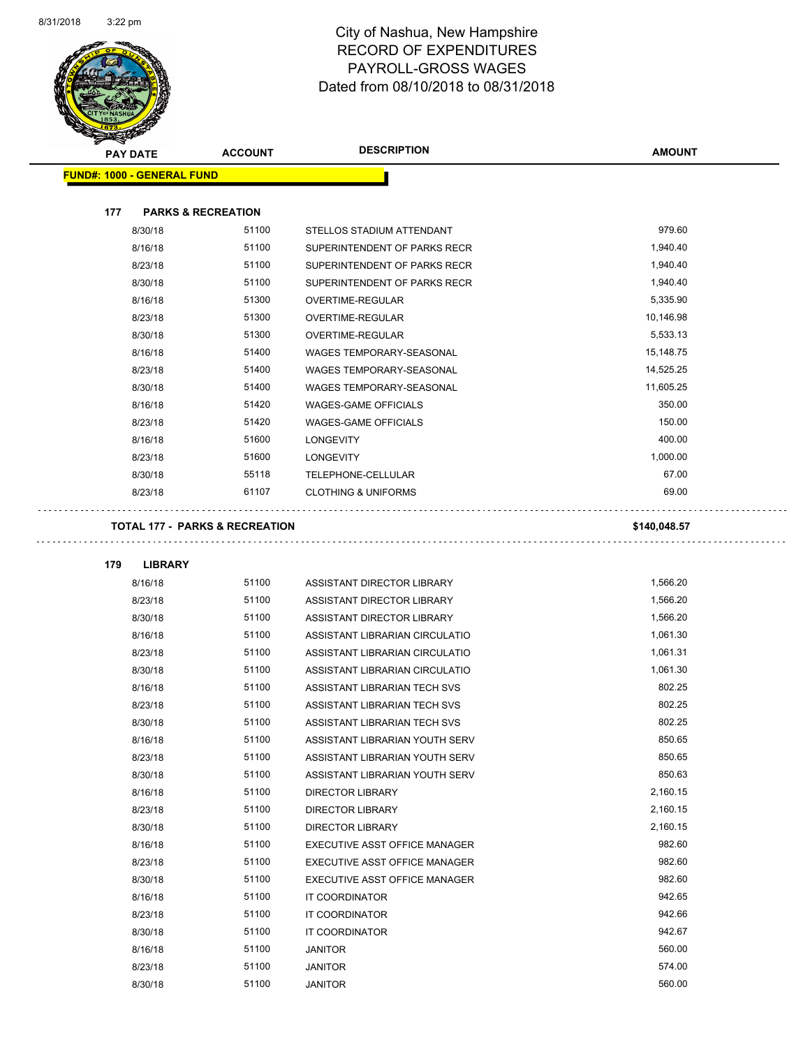$\sim$ 

 $\Box$ 



### City of Nashua, New Hampshire RECORD OF EXPENDITURES PAYROLL-GROSS WAGES Dated from 08/10/2018 to 08/31/2018

| <b>PAY DATE</b>                   | <b>ACCOUNT</b>                            | <b>DESCRIPTION</b>             | <b>AMOUNT</b> |
|-----------------------------------|-------------------------------------------|--------------------------------|---------------|
| <b>FUND#: 1000 - GENERAL FUND</b> |                                           |                                |               |
|                                   |                                           |                                |               |
| 177                               | <b>PARKS &amp; RECREATION</b>             |                                |               |
| 8/30/18                           | 51100                                     | STELLOS STADIUM ATTENDANT      | 979.60        |
| 8/16/18                           | 51100                                     | SUPERINTENDENT OF PARKS RECR   | 1,940.40      |
| 8/23/18                           | 51100                                     | SUPERINTENDENT OF PARKS RECR   | 1,940.40      |
| 8/30/18                           | 51100                                     | SUPERINTENDENT OF PARKS RECR   | 1,940.40      |
| 8/16/18                           | 51300                                     | OVERTIME-REGULAR               | 5,335.90      |
| 8/23/18                           | 51300                                     | OVERTIME-REGULAR               | 10,146.98     |
| 8/30/18                           | 51300                                     | OVERTIME-REGULAR               | 5,533.13      |
| 8/16/18                           | 51400                                     | WAGES TEMPORARY-SEASONAL       | 15,148.75     |
| 8/23/18                           | 51400                                     | WAGES TEMPORARY-SEASONAL       | 14,525.25     |
| 8/30/18                           | 51400                                     | WAGES TEMPORARY-SEASONAL       | 11,605.25     |
| 8/16/18                           | 51420                                     | <b>WAGES-GAME OFFICIALS</b>    | 350.00        |
| 8/23/18                           | 51420                                     | <b>WAGES-GAME OFFICIALS</b>    | 150.00        |
| 8/16/18                           | 51600                                     | <b>LONGEVITY</b>               | 400.00        |
| 8/23/18                           | 51600                                     | <b>LONGEVITY</b>               | 1,000.00      |
| 8/30/18                           | 55118                                     | TELEPHONE-CELLULAR             | 67.00         |
| 8/23/18                           | 61107                                     | <b>CLOTHING &amp; UNIFORMS</b> | 69.00         |
|                                   |                                           |                                |               |
|                                   | <b>TOTAL 177 - PARKS &amp; RECREATION</b> |                                | \$140,048.57  |
| 179<br><b>LIBRARY</b>             |                                           |                                |               |
| 8/16/18                           | 51100                                     | ASSISTANT DIRECTOR LIBRARY     | 1,566.20      |
| 8/23/18                           | 51100                                     | ASSISTANT DIRECTOR LIBRARY     | 1,566.20      |
| 8/30/18                           | 51100                                     | ASSISTANT DIRECTOR LIBRARY     | 1,566.20      |
| 8/16/18                           | 51100                                     | ASSISTANT LIBRARIAN CIRCULATIO | 1,061.30      |
| 8/23/18                           | 51100                                     | ASSISTANT LIBRARIAN CIRCULATIO | 1,061.31      |
| 8/30/18                           | 51100                                     | ASSISTANT LIBRARIAN CIRCULATIO | 1,061.30      |
| 8/16/18                           | 51100                                     | ASSISTANT LIBRARIAN TECH SVS   | 802.25        |
| 8/23/18                           | 51100                                     | ASSISTANT LIBRARIAN TECH SVS   | 802.25        |
| 8/30/18                           | 51100                                     | ASSISTANT LIBRARIAN TECH SVS   | 802.25        |
| 8/16/18                           | 51100                                     | ASSISTANT LIBRARIAN YOUTH SERV | 850.65        |
| 8/23/18                           | 51100                                     | ASSISTANT LIBRARIAN YOUTH SERV | 850.65        |
| 8/30/18                           | 51100                                     | ASSISTANT LIBRARIAN YOUTH SERV | 850.63        |
| 8/16/18                           | 51100                                     | <b>DIRECTOR LIBRARY</b>        | 2,160.15      |
| 8/23/18                           | 51100                                     | <b>DIRECTOR LIBRARY</b>        | 2,160.15      |
| 8/30/18                           | 51100                                     | <b>DIRECTOR LIBRARY</b>        | 2,160.15      |
| 8/16/18                           | 51100                                     | EXECUTIVE ASST OFFICE MANAGER  | 982.60        |
| 8/23/18                           | 51100                                     | EXECUTIVE ASST OFFICE MANAGER  | 982.60        |
| 8/30/18                           | 51100                                     | EXECUTIVE ASST OFFICE MANAGER  | 982.60        |
| 8/16/18                           | 51100                                     | IT COORDINATOR                 | 942.65        |
| 8/23/18                           | 51100                                     | IT COORDINATOR                 | 942.66        |
| 8/30/18                           | 51100                                     | IT COORDINATOR                 | 942.67        |

8/16/18 51100 JANITOR 560.00 8/23/18 51100 JANITOR 574.00 8/30/18 51100 JANITOR 560.00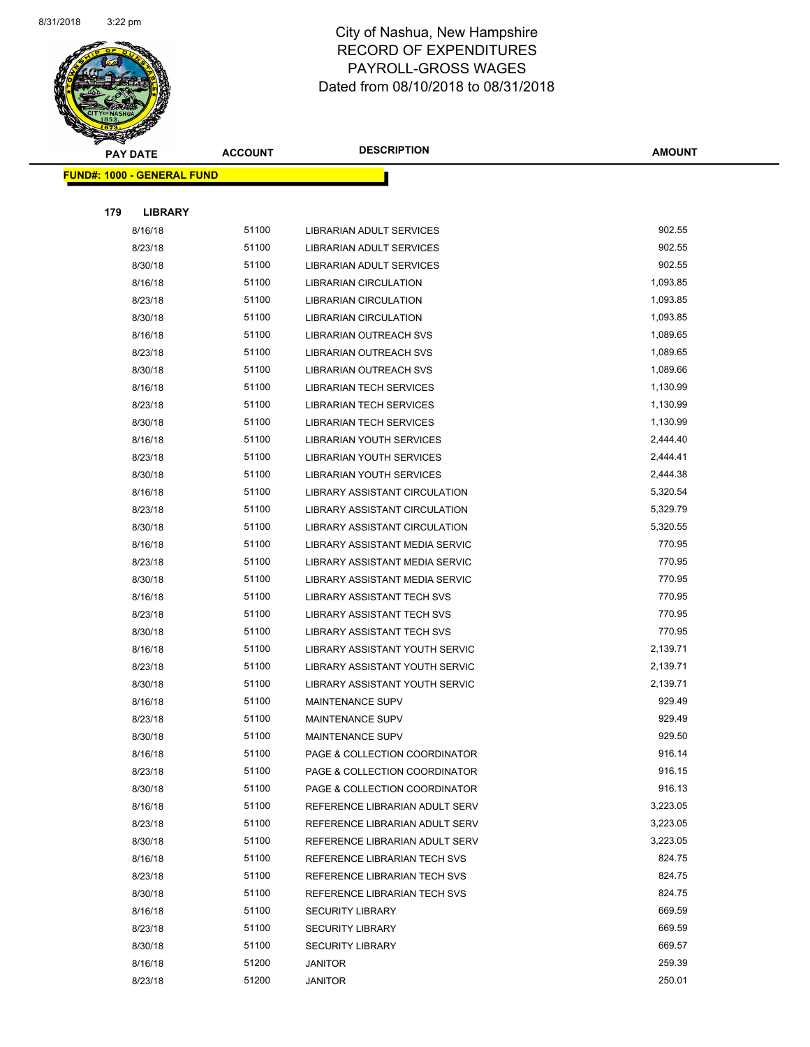

|     | <b>PAY DATE</b>                   | <b>ACCOUNT</b> | <b>DESCRIPTION</b>                    | <b>AMOUNT</b> |
|-----|-----------------------------------|----------------|---------------------------------------|---------------|
|     | <b>FUND#: 1000 - GENERAL FUND</b> |                |                                       |               |
|     |                                   |                |                                       |               |
| 179 | <b>LIBRARY</b>                    |                |                                       |               |
|     | 8/16/18                           | 51100          | LIBRARIAN ADULT SERVICES              | 902.55        |
|     | 8/23/18                           | 51100          | LIBRARIAN ADULT SERVICES              | 902.55        |
|     | 8/30/18                           | 51100          | LIBRARIAN ADULT SERVICES              | 902.55        |
|     | 8/16/18                           | 51100          | <b>LIBRARIAN CIRCULATION</b>          | 1,093.85      |
|     | 8/23/18                           | 51100          | <b>LIBRARIAN CIRCULATION</b>          | 1,093.85      |
|     | 8/30/18                           | 51100          | <b>LIBRARIAN CIRCULATION</b>          | 1,093.85      |
|     | 8/16/18                           | 51100          | LIBRARIAN OUTREACH SVS                | 1,089.65      |
|     | 8/23/18                           | 51100          | LIBRARIAN OUTREACH SVS                | 1,089.65      |
|     | 8/30/18                           | 51100          | LIBRARIAN OUTREACH SVS                | 1,089.66      |
|     | 8/16/18                           | 51100          | <b>LIBRARIAN TECH SERVICES</b>        | 1,130.99      |
|     | 8/23/18                           | 51100          | <b>LIBRARIAN TECH SERVICES</b>        | 1,130.99      |
|     | 8/30/18                           | 51100          | <b>LIBRARIAN TECH SERVICES</b>        | 1,130.99      |
|     | 8/16/18                           | 51100          | LIBRARIAN YOUTH SERVICES              | 2,444.40      |
|     | 8/23/18                           | 51100          | LIBRARIAN YOUTH SERVICES              | 2,444.41      |
|     | 8/30/18                           | 51100          | LIBRARIAN YOUTH SERVICES              | 2,444.38      |
|     | 8/16/18                           | 51100          | <b>LIBRARY ASSISTANT CIRCULATION</b>  | 5,320.54      |
|     | 8/23/18                           | 51100          | LIBRARY ASSISTANT CIRCULATION         | 5,329.79      |
|     | 8/30/18                           | 51100          | LIBRARY ASSISTANT CIRCULATION         | 5,320.55      |
|     | 8/16/18                           | 51100          | LIBRARY ASSISTANT MEDIA SERVIC        | 770.95        |
|     | 8/23/18                           | 51100          | LIBRARY ASSISTANT MEDIA SERVIC        | 770.95        |
|     | 8/30/18                           | 51100          | LIBRARY ASSISTANT MEDIA SERVIC        | 770.95        |
|     | 8/16/18                           | 51100          | LIBRARY ASSISTANT TECH SVS            | 770.95        |
|     | 8/23/18                           | 51100          | LIBRARY ASSISTANT TECH SVS            | 770.95        |
|     | 8/30/18                           | 51100          | LIBRARY ASSISTANT TECH SVS            | 770.95        |
|     | 8/16/18                           | 51100          | LIBRARY ASSISTANT YOUTH SERVIC        | 2,139.71      |
|     | 8/23/18                           | 51100          | <b>LIBRARY ASSISTANT YOUTH SERVIC</b> | 2,139.71      |
|     | 8/30/18                           | 51100          | LIBRARY ASSISTANT YOUTH SERVIC        | 2,139.71      |
|     | 8/16/18                           | 51100          | <b>MAINTENANCE SUPV</b>               | 929.49        |
|     | 8/23/18                           | 51100          | <b>MAINTENANCE SUPV</b>               | 929.49        |
|     | 8/30/18                           | 51100          | MAINTENANCE SUPV                      | 929.50        |
|     | 8/16/18                           | 51100          | PAGE & COLLECTION COORDINATOR         | 916.14        |
|     | 8/23/18                           | 51100          | PAGE & COLLECTION COORDINATOR         | 916.15        |
|     | 8/30/18                           | 51100          | PAGE & COLLECTION COORDINATOR         | 916.13        |
|     | 8/16/18                           | 51100          | REFERENCE LIBRARIAN ADULT SERV        | 3,223.05      |
|     | 8/23/18                           | 51100          | REFERENCE LIBRARIAN ADULT SERV        | 3,223.05      |
|     | 8/30/18                           | 51100          | REFERENCE LIBRARIAN ADULT SERV        | 3,223.05      |
|     | 8/16/18                           | 51100          | REFERENCE LIBRARIAN TECH SVS          | 824.75        |
|     | 8/23/18                           | 51100          | REFERENCE LIBRARIAN TECH SVS          | 824.75        |
|     | 8/30/18                           | 51100          | REFERENCE LIBRARIAN TECH SVS          | 824.75        |
|     | 8/16/18                           | 51100          | <b>SECURITY LIBRARY</b>               | 669.59        |
|     | 8/23/18                           | 51100          | <b>SECURITY LIBRARY</b>               | 669.59        |
|     | 8/30/18                           | 51100          | <b>SECURITY LIBRARY</b>               | 669.57        |
|     | 8/16/18                           | 51200          | <b>JANITOR</b>                        | 259.39        |
|     | 8/23/18                           | 51200          | JANITOR                               | 250.01        |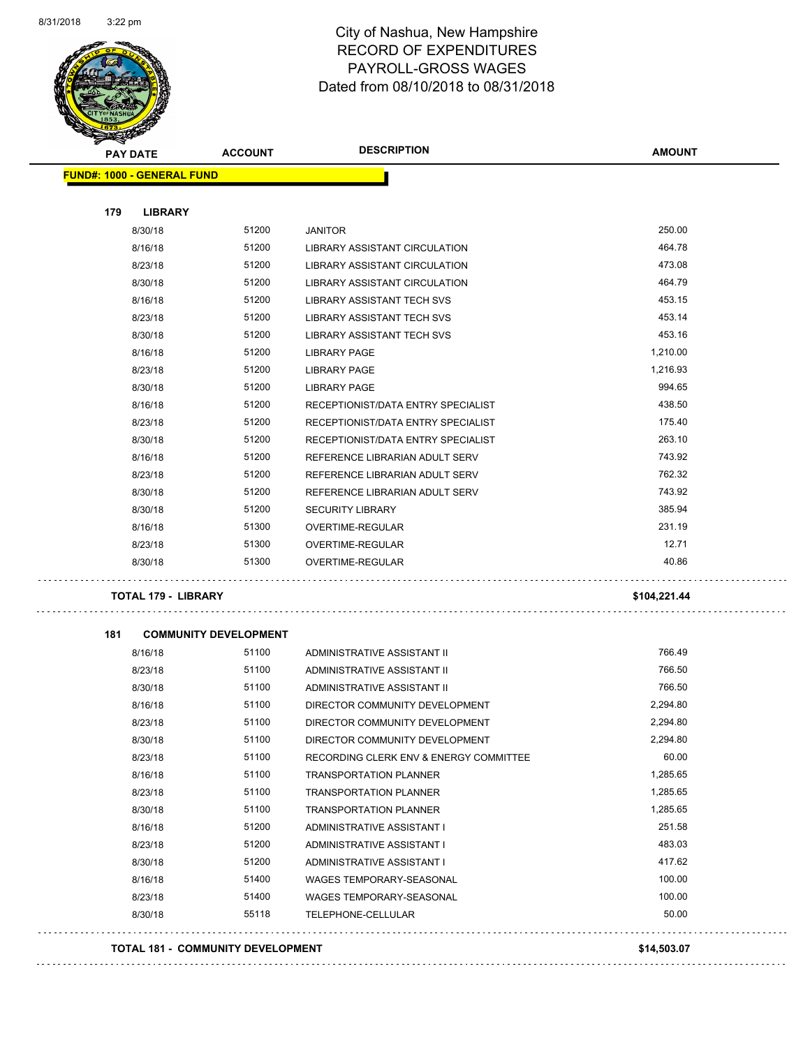

### City of Nashua, New Hampshire RECORD OF EXPENDITURES PAYROLL-GROSS WAGES Dated from 08/10/2018 to 08/31/2018

|     | <b>PAY DATE</b>                   | <b>ACCOUNT</b>               | <b>DESCRIPTION</b>                     | <b>AMOUNT</b> |
|-----|-----------------------------------|------------------------------|----------------------------------------|---------------|
|     | <b>FUND#: 1000 - GENERAL FUND</b> |                              |                                        |               |
|     |                                   |                              |                                        |               |
| 179 | <b>LIBRARY</b>                    |                              |                                        |               |
|     | 8/30/18                           | 51200                        | <b>JANITOR</b>                         | 250.00        |
|     | 8/16/18                           | 51200                        | LIBRARY ASSISTANT CIRCULATION          | 464.78        |
|     | 8/23/18                           | 51200                        | LIBRARY ASSISTANT CIRCULATION          | 473.08        |
|     | 8/30/18                           | 51200                        | LIBRARY ASSISTANT CIRCULATION          | 464.79        |
|     | 8/16/18                           | 51200                        | LIBRARY ASSISTANT TECH SVS             | 453.15        |
|     | 8/23/18                           | 51200                        | LIBRARY ASSISTANT TECH SVS             | 453.14        |
|     | 8/30/18                           | 51200                        | <b>LIBRARY ASSISTANT TECH SVS</b>      | 453.16        |
|     | 8/16/18                           | 51200                        | <b>LIBRARY PAGE</b>                    | 1,210.00      |
|     | 8/23/18                           | 51200                        | <b>LIBRARY PAGE</b>                    | 1,216.93      |
|     | 8/30/18                           | 51200                        | <b>LIBRARY PAGE</b>                    | 994.65        |
|     | 8/16/18                           | 51200                        | RECEPTIONIST/DATA ENTRY SPECIALIST     | 438.50        |
|     | 8/23/18                           | 51200                        | RECEPTIONIST/DATA ENTRY SPECIALIST     | 175.40        |
|     | 8/30/18                           | 51200                        | RECEPTIONIST/DATA ENTRY SPECIALIST     | 263.10        |
|     | 8/16/18                           | 51200                        | REFERENCE LIBRARIAN ADULT SERV         | 743.92        |
|     | 8/23/18                           | 51200                        | REFERENCE LIBRARIAN ADULT SERV         | 762.32        |
|     | 8/30/18                           | 51200                        | REFERENCE LIBRARIAN ADULT SERV         | 743.92        |
|     | 8/30/18                           | 51200                        | <b>SECURITY LIBRARY</b>                | 385.94        |
|     | 8/16/18                           | 51300                        | <b>OVERTIME-REGULAR</b>                | 231.19        |
|     | 8/23/18                           | 51300                        | OVERTIME-REGULAR                       | 12.71         |
|     | 8/30/18                           | 51300                        | OVERTIME-REGULAR                       | 40.86         |
|     | <b>TOTAL 179 - LIBRARY</b>        |                              |                                        | \$104,221.44  |
| 181 |                                   | <b>COMMUNITY DEVELOPMENT</b> |                                        |               |
|     | 8/16/18                           | 51100                        | ADMINISTRATIVE ASSISTANT II            | 766.49        |
|     | 8/23/18                           | 51100                        | ADMINISTRATIVE ASSISTANT II            | 766.50        |
|     | 8/30/18                           | 51100                        | ADMINISTRATIVE ASSISTANT II            | 766.50        |
|     | 8/16/18                           | 51100                        | DIRECTOR COMMUNITY DEVELOPMENT         | 2,294.80      |
|     | 8/23/18                           | 51100                        | DIRECTOR COMMUNITY DEVELOPMENT         | 2,294.80      |
|     | 8/30/18                           | 51100                        | DIRECTOR COMMUNITY DEVELOPMENT         | 2,294.80      |
|     | 8/23/18                           | 51100                        | RECORDING CLERK ENV & ENERGY COMMITTEE | 60.00         |
|     | 8/16/18                           | 51100                        | <b>TRANSPORTATION PLANNER</b>          | 1,285.65      |
|     | 8/23/18                           | 51100                        | <b>TRANSPORTATION PLANNER</b>          | 1,285.65      |
|     | 8/30/18                           | 51100                        | <b>TRANSPORTATION PLANNER</b>          | 1,285.65      |
|     | 8/16/18                           | 51200                        | ADMINISTRATIVE ASSISTANT I             | 251.58        |
|     | 8/23/18                           | 51200                        | ADMINISTRATIVE ASSISTANT I             | 483.03        |
|     | 8/30/18                           | 51200                        | ADMINISTRATIVE ASSISTANT I             | 417.62        |
|     | 8/16/18                           | 51400                        | WAGES TEMPORARY-SEASONAL               | 100.00        |
|     | 8/23/18                           | 51400                        | WAGES TEMPORARY-SEASONAL               | 100.00        |
|     | 8/30/18                           | 55118                        | TELEPHONE-CELLULAR                     | 50.00         |
|     |                                   |                              |                                        |               |

**TOTAL 181 - COMMUNITY DEVELOPMENT \$14,503.07**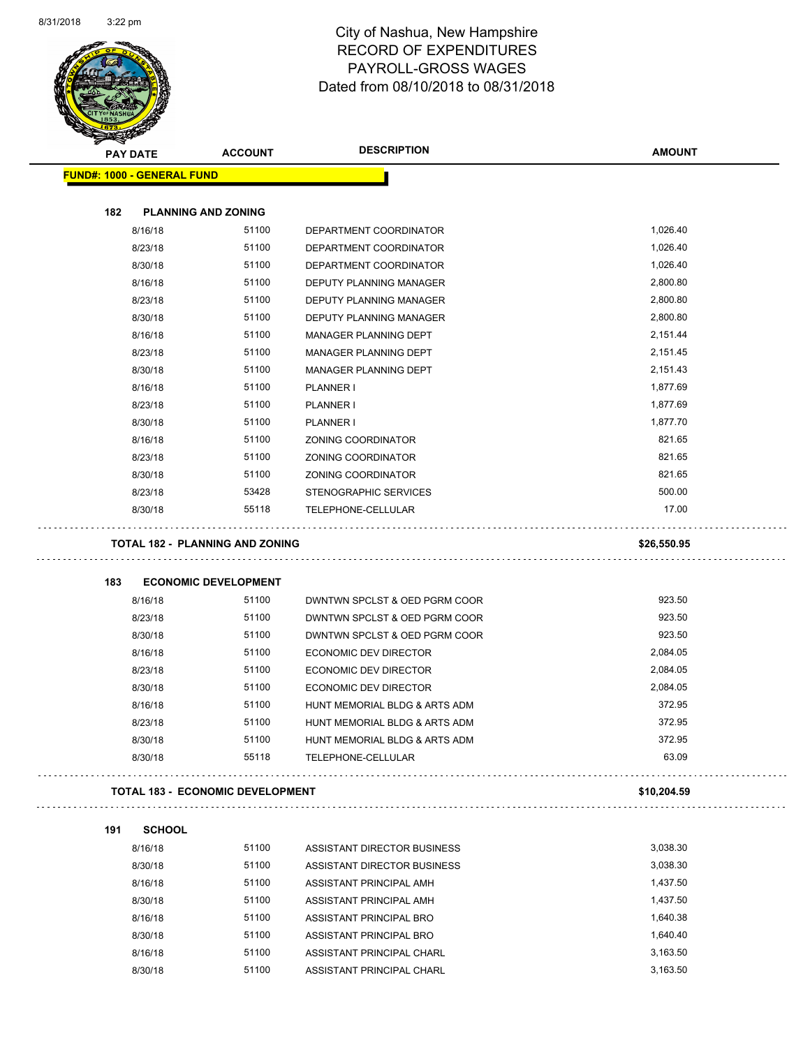

| <b>PAY DATE</b>                   | <b>ACCOUNT</b>                          | <b>DESCRIPTION</b>             | <b>AMOUNT</b> |
|-----------------------------------|-----------------------------------------|--------------------------------|---------------|
| <b>FUND#: 1000 - GENERAL FUND</b> |                                         |                                |               |
| 182                               | <b>PLANNING AND ZONING</b>              |                                |               |
| 8/16/18                           | 51100                                   | DEPARTMENT COORDINATOR         | 1,026.40      |
| 8/23/18                           | 51100                                   | DEPARTMENT COORDINATOR         | 1,026.40      |
| 8/30/18                           | 51100                                   | DEPARTMENT COORDINATOR         | 1,026.40      |
| 8/16/18                           | 51100                                   | DEPUTY PLANNING MANAGER        | 2,800.80      |
| 8/23/18                           | 51100                                   | <b>DEPUTY PLANNING MANAGER</b> | 2,800.80      |
| 8/30/18                           | 51100                                   | DEPUTY PLANNING MANAGER        | 2,800.80      |
| 8/16/18                           | 51100                                   | MANAGER PLANNING DEPT          | 2,151.44      |
| 8/23/18                           | 51100                                   | MANAGER PLANNING DEPT          | 2,151.45      |
| 8/30/18                           | 51100                                   | MANAGER PLANNING DEPT          | 2,151.43      |
| 8/16/18                           | 51100                                   | <b>PLANNER I</b>               | 1,877.69      |
| 8/23/18                           | 51100                                   | <b>PLANNER I</b>               | 1,877.69      |
| 8/30/18                           | 51100                                   | <b>PLANNER I</b>               | 1,877.70      |
| 8/16/18                           | 51100                                   | ZONING COORDINATOR             | 821.65        |
| 8/23/18                           | 51100                                   | ZONING COORDINATOR             | 821.65        |
| 8/30/18                           | 51100                                   | <b>ZONING COORDINATOR</b>      | 821.65        |
| 8/23/18                           | 53428                                   | STENOGRAPHIC SERVICES          | 500.00        |
| 8/30/18                           | 55118                                   | TELEPHONE-CELLULAR             | 17.00         |
| 183                               | <b>ECONOMIC DEVELOPMENT</b>             |                                |               |
| 8/16/18                           | 51100                                   | DWNTWN SPCLST & OED PGRM COOR  | 923.50        |
| 8/23/18                           | 51100                                   | DWNTWN SPCLST & OED PGRM COOR  | 923.50        |
| 8/30/18                           | 51100                                   | DWNTWN SPCLST & OED PGRM COOR  | 923.50        |
| 8/16/18                           | 51100                                   | <b>ECONOMIC DEV DIRECTOR</b>   | 2,084.05      |
| 8/23/18                           | 51100                                   | <b>ECONOMIC DEV DIRECTOR</b>   | 2,084.05      |
| 8/30/18                           | 51100                                   | <b>ECONOMIC DEV DIRECTOR</b>   | 2,084.05      |
| 8/16/18                           | 51100                                   | HUNT MEMORIAL BLDG & ARTS ADM  | 372.95        |
| 8/23/18                           | 51100                                   | HUNT MEMORIAL BLDG & ARTS ADM  | 372.95        |
| 8/30/18                           | 51100                                   | HUNT MEMORIAL BLDG & ARTS ADM  | 372.95        |
| 8/30/18                           | 55118                                   | TELEPHONE-CELLULAR             | 63.09         |
|                                   | <b>TOTAL 183 - ECONOMIC DEVELOPMENT</b> |                                | \$10,204.59   |
| <b>SCHOOL</b><br>191              |                                         |                                |               |
| 8/16/18                           | 51100                                   | ASSISTANT DIRECTOR BUSINESS    | 3,038.30      |
| 8/30/18                           | 51100                                   | ASSISTANT DIRECTOR BUSINESS    | 3,038.30      |
| 8/16/18                           | 51100                                   | ASSISTANT PRINCIPAL AMH        | 1,437.50      |
| 8/30/18                           | 51100                                   | ASSISTANT PRINCIPAL AMH        | 1,437.50      |
| 8/16/18                           | 51100                                   | ASSISTANT PRINCIPAL BRO        | 1,640.38      |
| 8/30/18                           | 51100                                   | ASSISTANT PRINCIPAL BRO        | 1,640.40      |
| 8/16/18                           | 51100                                   | ASSISTANT PRINCIPAL CHARL      | 3,163.50      |
|                                   |                                         |                                |               |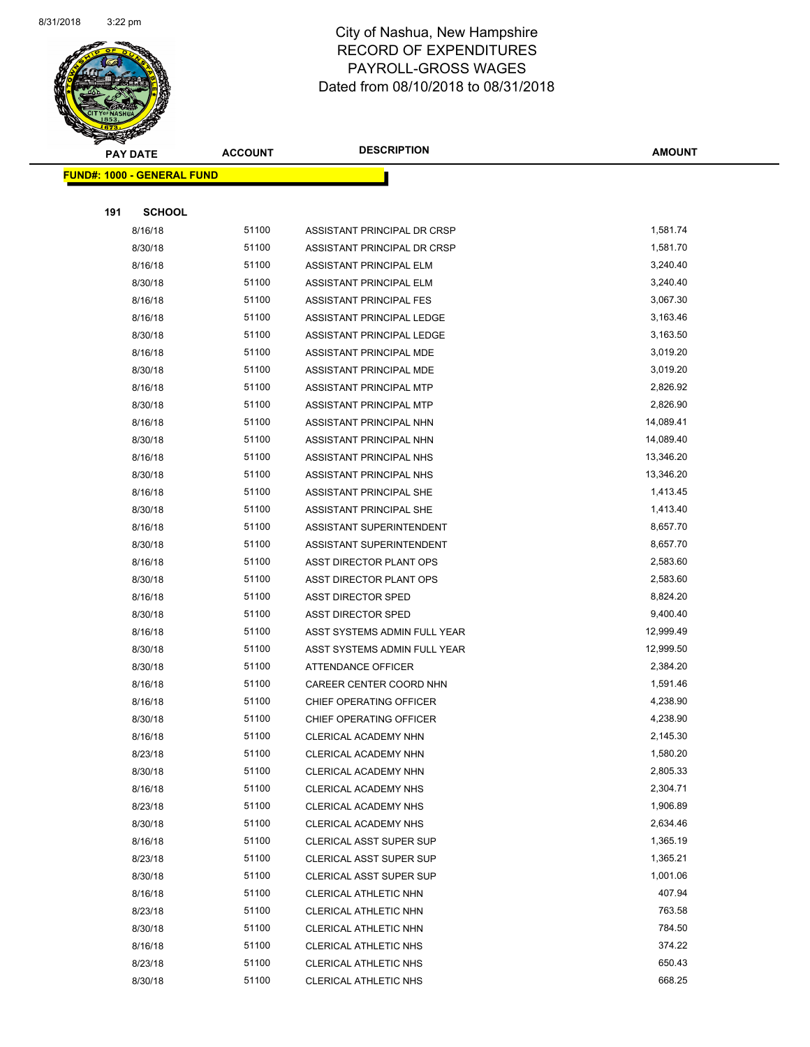

|     | <b>PAY DATE</b>                    | <b>ACCOUNT</b> | <b>DESCRIPTION</b>             | <b>AMOUNT</b> |
|-----|------------------------------------|----------------|--------------------------------|---------------|
|     | <u> FUND#: 1000 - GENERAL FUND</u> |                |                                |               |
|     |                                    |                |                                |               |
| 191 | <b>SCHOOL</b>                      |                |                                |               |
|     | 8/16/18                            | 51100          | ASSISTANT PRINCIPAL DR CRSP    | 1,581.74      |
|     | 8/30/18                            | 51100          | ASSISTANT PRINCIPAL DR CRSP    | 1,581.70      |
|     | 8/16/18                            | 51100          | ASSISTANT PRINCIPAL ELM        | 3,240.40      |
|     | 8/30/18                            | 51100          | ASSISTANT PRINCIPAL ELM        | 3,240.40      |
|     | 8/16/18                            | 51100          | ASSISTANT PRINCIPAL FES        | 3,067.30      |
|     | 8/16/18                            | 51100          | ASSISTANT PRINCIPAL LEDGE      | 3,163.46      |
|     | 8/30/18                            | 51100          | ASSISTANT PRINCIPAL LEDGE      | 3,163.50      |
|     | 8/16/18                            | 51100          | ASSISTANT PRINCIPAL MDE        | 3,019.20      |
|     | 8/30/18                            | 51100          | ASSISTANT PRINCIPAL MDE        | 3,019.20      |
|     | 8/16/18                            | 51100          | ASSISTANT PRINCIPAL MTP        | 2,826.92      |
|     | 8/30/18                            | 51100          | ASSISTANT PRINCIPAL MTP        | 2,826.90      |
|     | 8/16/18                            | 51100          | <b>ASSISTANT PRINCIPAL NHN</b> | 14,089.41     |
|     | 8/30/18                            | 51100          | ASSISTANT PRINCIPAL NHN        | 14,089.40     |
|     | 8/16/18                            | 51100          | ASSISTANT PRINCIPAL NHS        | 13,346.20     |
|     | 8/30/18                            | 51100          | ASSISTANT PRINCIPAL NHS        | 13,346.20     |
|     | 8/16/18                            | 51100          | ASSISTANT PRINCIPAL SHE        | 1,413.45      |
|     | 8/30/18                            | 51100          | ASSISTANT PRINCIPAL SHE        | 1,413.40      |
|     | 8/16/18                            | 51100          | ASSISTANT SUPERINTENDENT       | 8,657.70      |
|     | 8/30/18                            | 51100          | ASSISTANT SUPERINTENDENT       | 8,657.70      |
|     | 8/16/18                            | 51100          | ASST DIRECTOR PLANT OPS        | 2,583.60      |
|     | 8/30/18                            | 51100          | ASST DIRECTOR PLANT OPS        | 2,583.60      |
|     | 8/16/18                            | 51100          | <b>ASST DIRECTOR SPED</b>      | 8,824.20      |
|     | 8/30/18                            | 51100          | <b>ASST DIRECTOR SPED</b>      | 9,400.40      |
|     | 8/16/18                            | 51100          | ASST SYSTEMS ADMIN FULL YEAR   | 12,999.49     |
|     | 8/30/18                            | 51100          | ASST SYSTEMS ADMIN FULL YEAR   | 12,999.50     |
|     | 8/30/18                            | 51100          | ATTENDANCE OFFICER             | 2,384.20      |
|     | 8/16/18                            | 51100          | CAREER CENTER COORD NHN        | 1,591.46      |
|     | 8/16/18                            | 51100          | CHIEF OPERATING OFFICER        | 4,238.90      |
|     | 8/30/18                            | 51100          | CHIEF OPERATING OFFICER        | 4,238.90      |
|     | 8/16/18                            | 51100          | CLERICAL ACADEMY NHN           | 2,145.30      |
|     | 8/23/18                            | 51100          | CLERICAL ACADEMY NHN           | 1,580.20      |
|     | 8/30/18                            | 51100          | CLERICAL ACADEMY NHN           | 2,805.33      |
|     | 8/16/18                            | 51100          | CLERICAL ACADEMY NHS           | 2,304.71      |
|     | 8/23/18                            | 51100          | CLERICAL ACADEMY NHS           | 1,906.89      |
|     | 8/30/18                            | 51100          | CLERICAL ACADEMY NHS           | 2,634.46      |
|     | 8/16/18                            | 51100          | <b>CLERICAL ASST SUPER SUP</b> | 1,365.19      |
|     | 8/23/18                            | 51100          | <b>CLERICAL ASST SUPER SUP</b> | 1,365.21      |
|     | 8/30/18                            | 51100          | <b>CLERICAL ASST SUPER SUP</b> | 1,001.06      |
|     | 8/16/18                            | 51100          | CLERICAL ATHLETIC NHN          | 407.94        |
|     | 8/23/18                            | 51100          | CLERICAL ATHLETIC NHN          | 763.58        |
|     | 8/30/18                            | 51100          | CLERICAL ATHLETIC NHN          | 784.50        |
|     | 8/16/18                            | 51100          | CLERICAL ATHLETIC NHS          | 374.22        |
|     | 8/23/18                            | 51100          | CLERICAL ATHLETIC NHS          | 650.43        |
|     | 8/30/18                            | 51100          | CLERICAL ATHLETIC NHS          | 668.25        |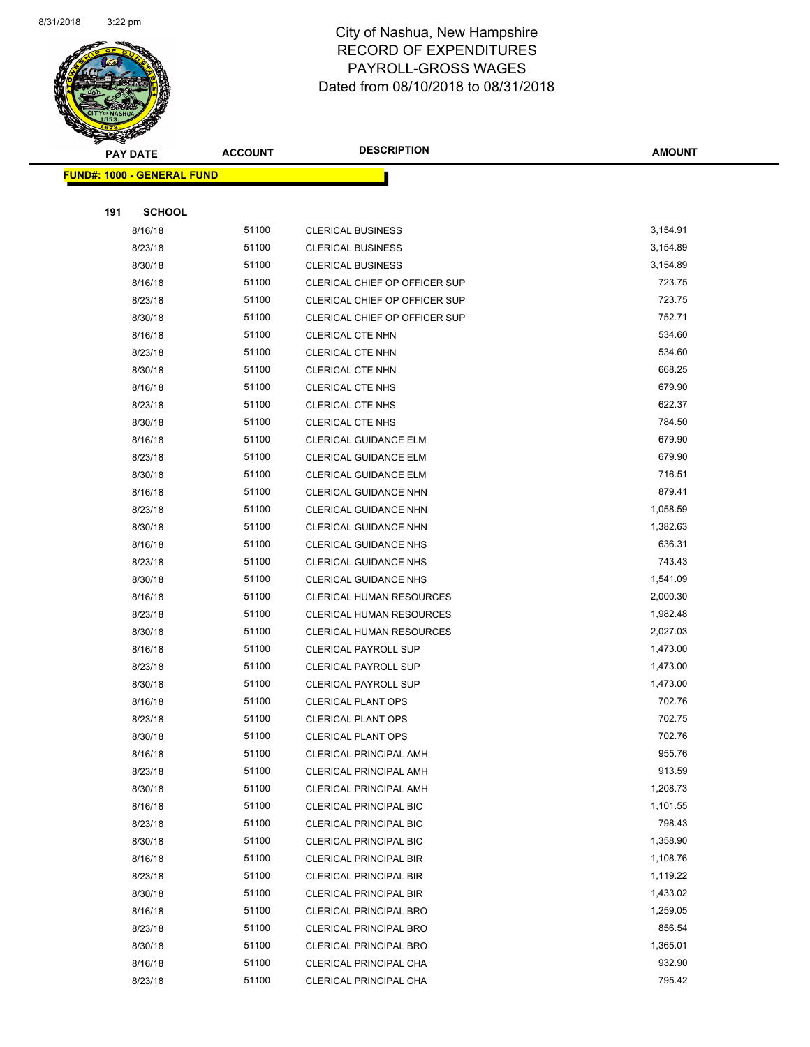

|     | <b>PAY DATE</b>                    | <b>ACCOUNT</b> | <b>DESCRIPTION</b>              | <b>AMOUNT</b> |
|-----|------------------------------------|----------------|---------------------------------|---------------|
|     | <u> FUND#: 1000 - GENERAL FUND</u> |                |                                 |               |
|     |                                    |                |                                 |               |
| 191 | <b>SCHOOL</b>                      |                |                                 |               |
|     | 8/16/18                            | 51100          | <b>CLERICAL BUSINESS</b>        | 3,154.91      |
|     | 8/23/18                            | 51100          | <b>CLERICAL BUSINESS</b>        | 3,154.89      |
|     | 8/30/18                            | 51100          | <b>CLERICAL BUSINESS</b>        | 3,154.89      |
|     | 8/16/18                            | 51100          | CLERICAL CHIEF OP OFFICER SUP   | 723.75        |
|     | 8/23/18                            | 51100          | CLERICAL CHIEF OP OFFICER SUP   | 723.75        |
|     | 8/30/18                            | 51100          | CLERICAL CHIEF OP OFFICER SUP   | 752.71        |
|     | 8/16/18                            | 51100          | <b>CLERICAL CTE NHN</b>         | 534.60        |
|     | 8/23/18                            | 51100          | <b>CLERICAL CTE NHN</b>         | 534.60        |
|     | 8/30/18                            | 51100          | <b>CLERICAL CTE NHN</b>         | 668.25        |
|     | 8/16/18                            | 51100          | <b>CLERICAL CTE NHS</b>         | 679.90        |
|     | 8/23/18                            | 51100          | <b>CLERICAL CTE NHS</b>         | 622.37        |
|     | 8/30/18                            | 51100          | <b>CLERICAL CTE NHS</b>         | 784.50        |
|     | 8/16/18                            | 51100          | CLERICAL GUIDANCE ELM           | 679.90        |
|     | 8/23/18                            | 51100          | <b>CLERICAL GUIDANCE ELM</b>    | 679.90        |
|     | 8/30/18                            | 51100          | CLERICAL GUIDANCE ELM           | 716.51        |
|     | 8/16/18                            | 51100          | <b>CLERICAL GUIDANCE NHN</b>    | 879.41        |
|     | 8/23/18                            | 51100          | CLERICAL GUIDANCE NHN           | 1,058.59      |
|     | 8/30/18                            | 51100          | <b>CLERICAL GUIDANCE NHN</b>    | 1,382.63      |
|     | 8/16/18                            | 51100          | <b>CLERICAL GUIDANCE NHS</b>    | 636.31        |
|     | 8/23/18                            | 51100          | <b>CLERICAL GUIDANCE NHS</b>    | 743.43        |
|     | 8/30/18                            | 51100          | <b>CLERICAL GUIDANCE NHS</b>    | 1,541.09      |
|     | 8/16/18                            | 51100          | <b>CLERICAL HUMAN RESOURCES</b> | 2,000.30      |
|     | 8/23/18                            | 51100          | <b>CLERICAL HUMAN RESOURCES</b> | 1,982.48      |
|     | 8/30/18                            | 51100          | <b>CLERICAL HUMAN RESOURCES</b> | 2,027.03      |
|     | 8/16/18                            | 51100          | <b>CLERICAL PAYROLL SUP</b>     | 1,473.00      |
|     | 8/23/18                            | 51100          | <b>CLERICAL PAYROLL SUP</b>     | 1,473.00      |
|     | 8/30/18                            | 51100          | <b>CLERICAL PAYROLL SUP</b>     | 1,473.00      |
|     | 8/16/18                            | 51100          | <b>CLERICAL PLANT OPS</b>       | 702.76        |
|     | 8/23/18                            | 51100          | <b>CLERICAL PLANT OPS</b>       | 702.75        |
|     | 8/30/18                            | 51100          | CLERICAL PLANT OPS              | 702.76        |
|     | 8/16/18                            | 51100          | <b>CLERICAL PRINCIPAL AMH</b>   | 955.76        |
|     | 8/23/18                            | 51100          | <b>CLERICAL PRINCIPAL AMH</b>   | 913.59        |
|     | 8/30/18                            | 51100          | <b>CLERICAL PRINCIPAL AMH</b>   | 1,208.73      |
|     | 8/16/18                            | 51100          | <b>CLERICAL PRINCIPAL BIC</b>   | 1,101.55      |
|     | 8/23/18                            | 51100          | <b>CLERICAL PRINCIPAL BIC</b>   | 798.43        |
|     | 8/30/18                            | 51100          | <b>CLERICAL PRINCIPAL BIC</b>   | 1,358.90      |
|     | 8/16/18                            | 51100          | <b>CLERICAL PRINCIPAL BIR</b>   | 1,108.76      |
|     | 8/23/18                            | 51100          | CLERICAL PRINCIPAL BIR          | 1,119.22      |
|     | 8/30/18                            | 51100          | <b>CLERICAL PRINCIPAL BIR</b>   | 1,433.02      |
|     | 8/16/18                            | 51100          | <b>CLERICAL PRINCIPAL BRO</b>   | 1,259.05      |
|     | 8/23/18                            | 51100          | <b>CLERICAL PRINCIPAL BRO</b>   | 856.54        |
|     | 8/30/18                            | 51100          | <b>CLERICAL PRINCIPAL BRO</b>   | 1,365.01      |
|     | 8/16/18                            | 51100          | CLERICAL PRINCIPAL CHA          | 932.90        |
|     | 8/23/18                            | 51100          | CLERICAL PRINCIPAL CHA          | 795.42        |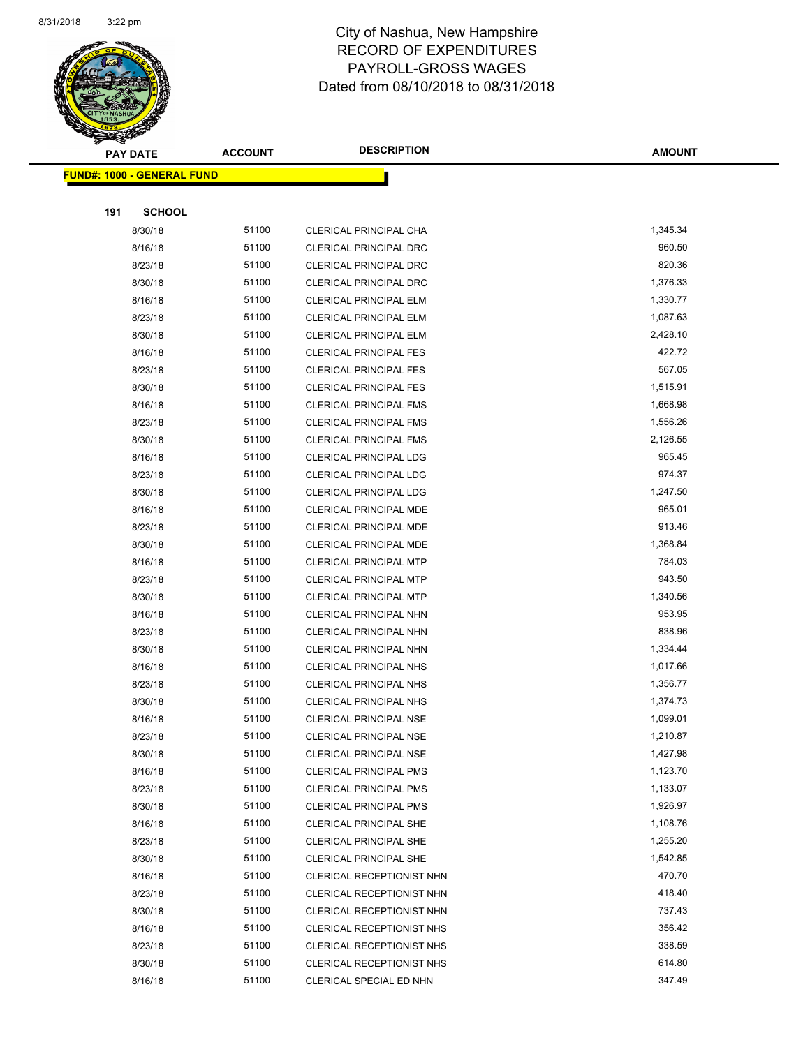

**AMOUNT**

|     | <u> FUND#: 1000 - GENERAL FUND</u> |       |                               |          |
|-----|------------------------------------|-------|-------------------------------|----------|
|     |                                    |       |                               |          |
| 191 | <b>SCHOOL</b>                      |       |                               |          |
|     | 8/30/18                            | 51100 | CLERICAL PRINCIPAL CHA        | 1,345.34 |
|     | 8/16/18                            | 51100 | <b>CLERICAL PRINCIPAL DRC</b> | 960.50   |
|     | 8/23/18                            | 51100 | <b>CLERICAL PRINCIPAL DRC</b> | 820.36   |
|     | 8/30/18                            | 51100 | <b>CLERICAL PRINCIPAL DRC</b> | 1,376.33 |
|     | 8/16/18                            | 51100 | <b>CLERICAL PRINCIPAL ELM</b> | 1,330.77 |
|     | 8/23/18                            | 51100 | <b>CLERICAL PRINCIPAL ELM</b> | 1,087.63 |
|     | 8/30/18                            | 51100 | <b>CLERICAL PRINCIPAL ELM</b> | 2,428.10 |
|     | 8/16/18                            | 51100 | <b>CLERICAL PRINCIPAL FES</b> | 422.72   |
|     | 8/23/18                            | 51100 | <b>CLERICAL PRINCIPAL FES</b> | 567.05   |
|     | 8/30/18                            | 51100 | <b>CLERICAL PRINCIPAL FES</b> | 1,515.91 |
|     | 8/16/18                            | 51100 | <b>CLERICAL PRINCIPAL FMS</b> | 1,668.98 |
|     | 8/23/18                            | 51100 | <b>CLERICAL PRINCIPAL FMS</b> | 1,556.26 |
|     | 8/30/18                            | 51100 | <b>CLERICAL PRINCIPAL FMS</b> | 2,126.55 |
|     | 8/16/18                            | 51100 | <b>CLERICAL PRINCIPAL LDG</b> | 965.45   |
|     | 8/23/18                            | 51100 | <b>CLERICAL PRINCIPAL LDG</b> | 974.37   |
|     | 8/30/18                            | 51100 | <b>CLERICAL PRINCIPAL LDG</b> | 1,247.50 |
|     | 8/16/18                            | 51100 | CLERICAL PRINCIPAL MDE        | 965.01   |
|     | 8/23/18                            | 51100 | CLERICAL PRINCIPAL MDE        | 913.46   |
|     | 8/30/18                            | 51100 | CLERICAL PRINCIPAL MDE        | 1,368.84 |
|     | 8/16/18                            | 51100 | <b>CLERICAL PRINCIPAL MTP</b> | 784.03   |
|     | 8/23/18                            | 51100 | <b>CLERICAL PRINCIPAL MTP</b> | 943.50   |
|     | 8/30/18                            | 51100 | <b>CLERICAL PRINCIPAL MTP</b> | 1,340.56 |
|     | 8/16/18                            | 51100 | CLERICAL PRINCIPAL NHN        | 953.95   |
|     | 8/23/18                            | 51100 | CLERICAL PRINCIPAL NHN        | 838.96   |
|     | 8/30/18                            | 51100 | CLERICAL PRINCIPAL NHN        | 1,334.44 |
|     | 8/16/18                            | 51100 | CLERICAL PRINCIPAL NHS        | 1,017.66 |
|     | 8/23/18                            | 51100 | CLERICAL PRINCIPAL NHS        | 1,356.77 |
|     | 8/30/18                            | 51100 | CLERICAL PRINCIPAL NHS        | 1,374.73 |
|     | 8/16/18                            | 51100 | <b>CLERICAL PRINCIPAL NSE</b> | 1,099.01 |
|     | 8/23/18                            | 51100 | <b>CLERICAL PRINCIPAL NSE</b> | 1,210.87 |
|     | 8/30/18                            | 51100 | CLERICAL PRINCIPAL NSE        | 1,427.98 |
|     | 8/16/18                            | 51100 | <b>CLERICAL PRINCIPAL PMS</b> | 1,123.70 |
|     | 8/23/18                            | 51100 | <b>CLERICAL PRINCIPAL PMS</b> | 1,133.07 |
|     | 8/30/18                            | 51100 | <b>CLERICAL PRINCIPAL PMS</b> | 1,926.97 |
|     | 8/16/18                            | 51100 | <b>CLERICAL PRINCIPAL SHE</b> | 1,108.76 |
|     | 8/23/18                            | 51100 | <b>CLERICAL PRINCIPAL SHE</b> | 1,255.20 |
|     | 8/30/18                            | 51100 | <b>CLERICAL PRINCIPAL SHE</b> | 1,542.85 |
|     | 8/16/18                            | 51100 | CLERICAL RECEPTIONIST NHN     | 470.70   |
|     | 8/23/18                            | 51100 | CLERICAL RECEPTIONIST NHN     | 418.40   |
|     | 8/30/18                            | 51100 | CLERICAL RECEPTIONIST NHN     | 737.43   |
|     | 8/16/18                            | 51100 | CLERICAL RECEPTIONIST NHS     | 356.42   |
|     | 8/23/18                            | 51100 | CLERICAL RECEPTIONIST NHS     | 338.59   |
|     | 8/30/18                            | 51100 | CLERICAL RECEPTIONIST NHS     | 614.80   |
|     | 8/16/18                            | 51100 | CLERICAL SPECIAL ED NHN       | 347.49   |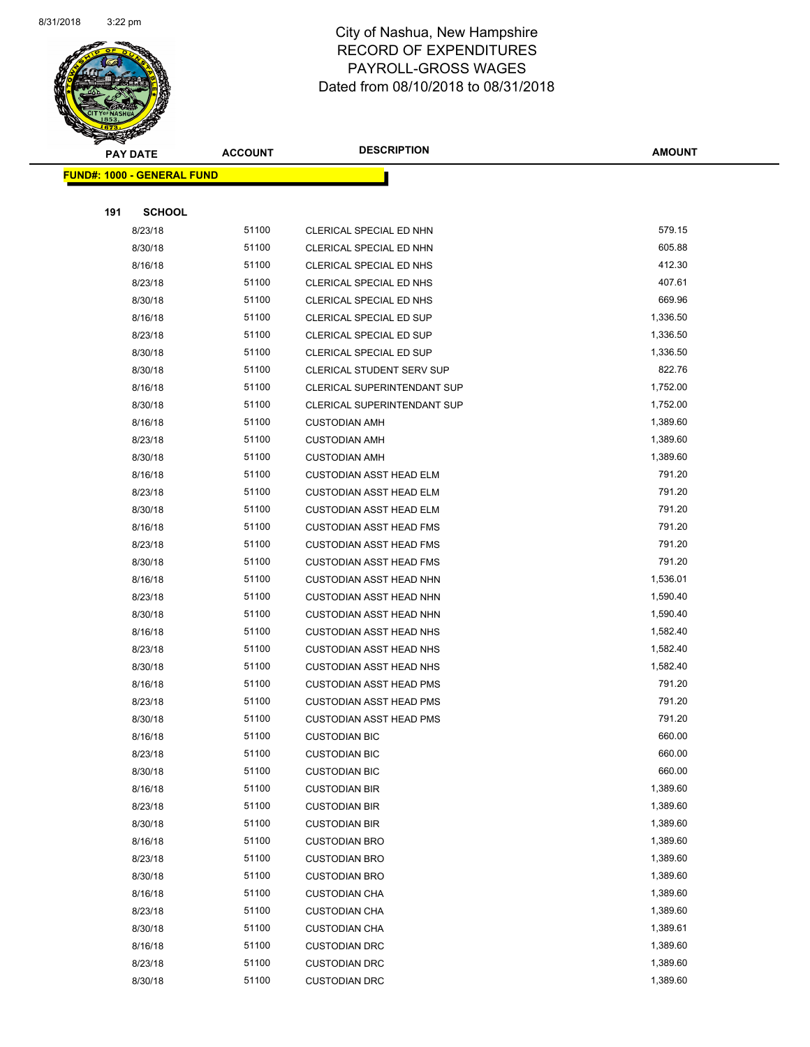

**AMOUNT**

| <b>FUND#: 1000 - GENERAL FUND</b> |       |                                |          |  |  |
|-----------------------------------|-------|--------------------------------|----------|--|--|
|                                   |       |                                |          |  |  |
| 191<br><b>SCHOOL</b>              |       |                                |          |  |  |
| 8/23/18                           | 51100 | CLERICAL SPECIAL ED NHN        | 579.15   |  |  |
| 8/30/18                           | 51100 | CLERICAL SPECIAL ED NHN        | 605.88   |  |  |
| 8/16/18                           | 51100 | CLERICAL SPECIAL ED NHS        | 412.30   |  |  |
| 8/23/18                           | 51100 | CLERICAL SPECIAL ED NHS        | 407.61   |  |  |
| 8/30/18                           | 51100 | CLERICAL SPECIAL ED NHS        | 669.96   |  |  |
| 8/16/18                           | 51100 | CLERICAL SPECIAL ED SUP        | 1,336.50 |  |  |
| 8/23/18                           | 51100 | CLERICAL SPECIAL ED SUP        | 1,336.50 |  |  |
| 8/30/18                           | 51100 | CLERICAL SPECIAL ED SUP        | 1,336.50 |  |  |
| 8/30/18                           | 51100 | CLERICAL STUDENT SERV SUP      | 822.76   |  |  |
| 8/16/18                           | 51100 | CLERICAL SUPERINTENDANT SUP    | 1,752.00 |  |  |
| 8/30/18                           | 51100 | CLERICAL SUPERINTENDANT SUP    | 1,752.00 |  |  |
| 8/16/18                           | 51100 | <b>CUSTODIAN AMH</b>           | 1,389.60 |  |  |
| 8/23/18                           | 51100 | <b>CUSTODIAN AMH</b>           | 1,389.60 |  |  |
| 8/30/18                           | 51100 | <b>CUSTODIAN AMH</b>           | 1,389.60 |  |  |
| 8/16/18                           | 51100 | <b>CUSTODIAN ASST HEAD ELM</b> | 791.20   |  |  |
| 8/23/18                           | 51100 | <b>CUSTODIAN ASST HEAD ELM</b> | 791.20   |  |  |
| 8/30/18                           | 51100 | <b>CUSTODIAN ASST HEAD ELM</b> | 791.20   |  |  |
| 8/16/18                           | 51100 | <b>CUSTODIAN ASST HEAD FMS</b> | 791.20   |  |  |
| 8/23/18                           | 51100 | <b>CUSTODIAN ASST HEAD FMS</b> | 791.20   |  |  |
| 8/30/18                           | 51100 | <b>CUSTODIAN ASST HEAD FMS</b> | 791.20   |  |  |
| 8/16/18                           | 51100 | <b>CUSTODIAN ASST HEAD NHN</b> | 1,536.01 |  |  |
| 8/23/18                           | 51100 | <b>CUSTODIAN ASST HEAD NHN</b> | 1,590.40 |  |  |
| 8/30/18                           | 51100 | <b>CUSTODIAN ASST HEAD NHN</b> | 1,590.40 |  |  |
| 8/16/18                           | 51100 | <b>CUSTODIAN ASST HEAD NHS</b> | 1,582.40 |  |  |
| 8/23/18                           | 51100 | <b>CUSTODIAN ASST HEAD NHS</b> | 1,582.40 |  |  |
| 8/30/18                           | 51100 | <b>CUSTODIAN ASST HEAD NHS</b> | 1,582.40 |  |  |
| 8/16/18                           | 51100 | <b>CUSTODIAN ASST HEAD PMS</b> | 791.20   |  |  |
| 8/23/18                           | 51100 | <b>CUSTODIAN ASST HEAD PMS</b> | 791.20   |  |  |
| 8/30/18                           | 51100 | <b>CUSTODIAN ASST HEAD PMS</b> | 791.20   |  |  |
| 8/16/18                           | 51100 | <b>CUSTODIAN BIC</b>           | 660.00   |  |  |
| 8/23/18                           | 51100 | <b>CUSTODIAN BIC</b>           | 660.00   |  |  |
| 8/30/18                           | 51100 | <b>CUSTODIAN BIC</b>           | 660.00   |  |  |
| 8/16/18                           | 51100 | <b>CUSTODIAN BIR</b>           | 1,389.60 |  |  |
| 8/23/18                           | 51100 | <b>CUSTODIAN BIR</b>           | 1,389.60 |  |  |
| 8/30/18                           | 51100 | <b>CUSTODIAN BIR</b>           | 1,389.60 |  |  |
| 8/16/18                           | 51100 | <b>CUSTODIAN BRO</b>           | 1,389.60 |  |  |
| 8/23/18                           | 51100 | <b>CUSTODIAN BRO</b>           | 1,389.60 |  |  |
| 8/30/18                           | 51100 | <b>CUSTODIAN BRO</b>           | 1,389.60 |  |  |
| 8/16/18                           | 51100 | <b>CUSTODIAN CHA</b>           | 1,389.60 |  |  |
| 8/23/18                           | 51100 | <b>CUSTODIAN CHA</b>           | 1,389.60 |  |  |
| 8/30/18                           | 51100 | <b>CUSTODIAN CHA</b>           | 1,389.61 |  |  |
| 8/16/18                           | 51100 | <b>CUSTODIAN DRC</b>           | 1,389.60 |  |  |
| 8/23/18                           | 51100 | <b>CUSTODIAN DRC</b>           | 1,389.60 |  |  |
| 8/30/18                           | 51100 | <b>CUSTODIAN DRC</b>           | 1,389.60 |  |  |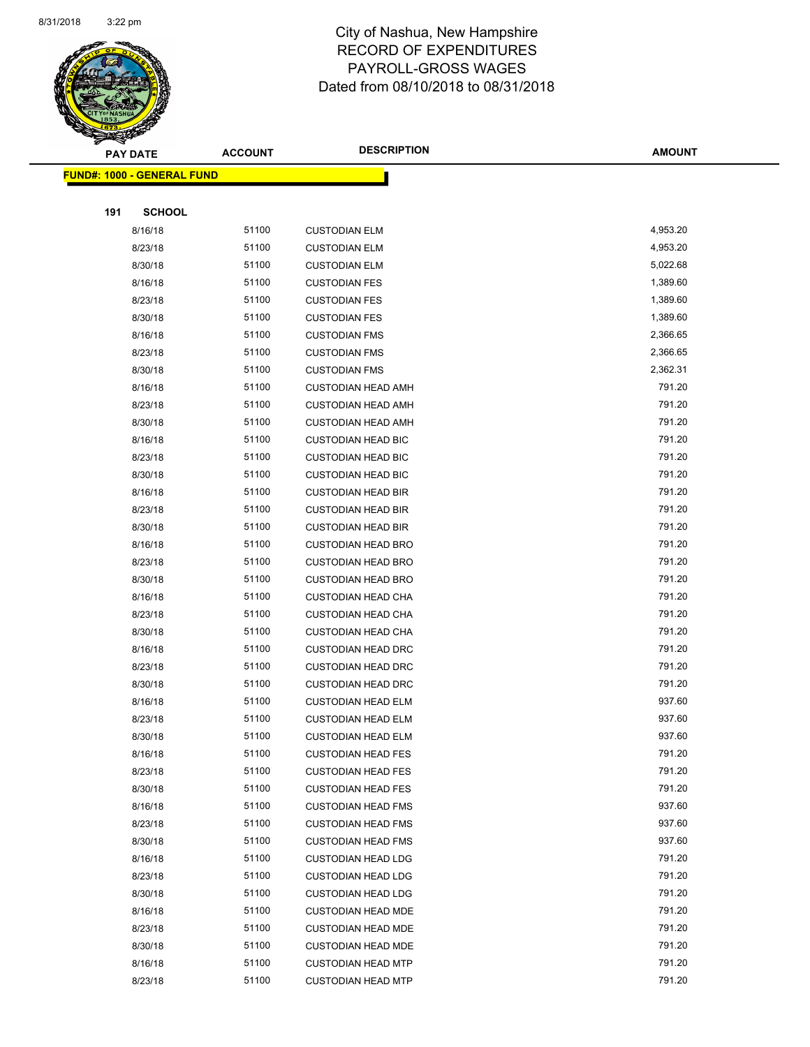

Page 73 of 108

|     | <b>PAY DATE</b>                    | <b>ACCOUNT</b> | <b>DESCRIPTION</b>                                     | <b>AMOUNT</b>    |
|-----|------------------------------------|----------------|--------------------------------------------------------|------------------|
|     | <u> FUND#: 1000 - GENERAL FUND</u> |                |                                                        |                  |
|     |                                    |                |                                                        |                  |
| 191 | <b>SCHOOL</b>                      |                |                                                        |                  |
|     | 8/16/18                            | 51100          | <b>CUSTODIAN ELM</b>                                   | 4,953.20         |
|     | 8/23/18                            | 51100          | <b>CUSTODIAN ELM</b>                                   | 4,953.20         |
|     | 8/30/18                            | 51100          | <b>CUSTODIAN ELM</b>                                   | 5,022.68         |
|     | 8/16/18                            | 51100          | <b>CUSTODIAN FES</b>                                   | 1,389.60         |
|     | 8/23/18                            | 51100          | <b>CUSTODIAN FES</b>                                   | 1,389.60         |
|     | 8/30/18                            | 51100          | <b>CUSTODIAN FES</b>                                   | 1,389.60         |
|     | 8/16/18                            | 51100          | <b>CUSTODIAN FMS</b>                                   | 2,366.65         |
|     | 8/23/18                            | 51100          | <b>CUSTODIAN FMS</b>                                   | 2,366.65         |
|     | 8/30/18                            | 51100          | <b>CUSTODIAN FMS</b>                                   | 2,362.31         |
|     | 8/16/18                            | 51100          | <b>CUSTODIAN HEAD AMH</b>                              | 791.20           |
|     | 8/23/18                            | 51100          | <b>CUSTODIAN HEAD AMH</b>                              | 791.20           |
|     | 8/30/18                            | 51100          | <b>CUSTODIAN HEAD AMH</b>                              | 791.20           |
|     | 8/16/18                            | 51100          | <b>CUSTODIAN HEAD BIC</b>                              | 791.20           |
|     | 8/23/18                            | 51100          | <b>CUSTODIAN HEAD BIC</b>                              | 791.20           |
|     | 8/30/18                            | 51100          | <b>CUSTODIAN HEAD BIC</b>                              | 791.20           |
|     | 8/16/18                            | 51100          | <b>CUSTODIAN HEAD BIR</b>                              | 791.20           |
|     | 8/23/18                            | 51100          | <b>CUSTODIAN HEAD BIR</b>                              | 791.20           |
|     | 8/30/18                            | 51100          | <b>CUSTODIAN HEAD BIR</b>                              | 791.20           |
|     | 8/16/18                            | 51100          | <b>CUSTODIAN HEAD BRO</b>                              | 791.20           |
|     | 8/23/18                            | 51100          | <b>CUSTODIAN HEAD BRO</b>                              | 791.20           |
|     | 8/30/18                            | 51100          | <b>CUSTODIAN HEAD BRO</b>                              | 791.20           |
|     | 8/16/18                            | 51100          | <b>CUSTODIAN HEAD CHA</b>                              | 791.20           |
|     | 8/23/18                            | 51100          | <b>CUSTODIAN HEAD CHA</b>                              | 791.20           |
|     | 8/30/18                            | 51100          | <b>CUSTODIAN HEAD CHA</b>                              | 791.20           |
|     | 8/16/18                            | 51100          | <b>CUSTODIAN HEAD DRC</b>                              | 791.20           |
|     | 8/23/18                            | 51100          | <b>CUSTODIAN HEAD DRC</b>                              | 791.20           |
|     | 8/30/18                            | 51100          | <b>CUSTODIAN HEAD DRC</b>                              | 791.20           |
|     | 8/16/18                            | 51100          | <b>CUSTODIAN HEAD ELM</b>                              | 937.60           |
|     | 8/23/18                            | 51100          | <b>CUSTODIAN HEAD ELM</b>                              | 937.60           |
|     | 8/30/18                            | 51100          | <b>CUSTODIAN HEAD ELM</b>                              | 937.60           |
|     | 8/16/18                            | 51100          | <b>CUSTODIAN HEAD FES</b>                              | 791.20           |
|     | 8/23/18                            | 51100          | <b>CUSTODIAN HEAD FES</b>                              | 791.20           |
|     | 8/30/18                            | 51100          | <b>CUSTODIAN HEAD FES</b>                              | 791.20           |
|     | 8/16/18                            | 51100          | <b>CUSTODIAN HEAD FMS</b>                              | 937.60           |
|     | 8/23/18                            | 51100          | <b>CUSTODIAN HEAD FMS</b>                              | 937.60           |
|     | 8/30/18                            | 51100<br>51100 | <b>CUSTODIAN HEAD FMS</b>                              | 937.60<br>791.20 |
|     | 8/16/18                            |                | <b>CUSTODIAN HEAD LDG</b>                              |                  |
|     | 8/23/18                            | 51100<br>51100 | <b>CUSTODIAN HEAD LDG</b>                              | 791.20<br>791.20 |
|     | 8/30/18                            | 51100          | <b>CUSTODIAN HEAD LDG</b>                              | 791.20           |
|     | 8/16/18                            | 51100          | <b>CUSTODIAN HEAD MDE</b>                              | 791.20           |
|     | 8/23/18<br>8/30/18                 | 51100          | <b>CUSTODIAN HEAD MDE</b>                              | 791.20           |
|     | 8/16/18                            | 51100          | <b>CUSTODIAN HEAD MDE</b><br><b>CUSTODIAN HEAD MTP</b> | 791.20           |
|     | 8/23/18                            | 51100          | <b>CUSTODIAN HEAD MTP</b>                              | 791.20           |
|     |                                    |                |                                                        |                  |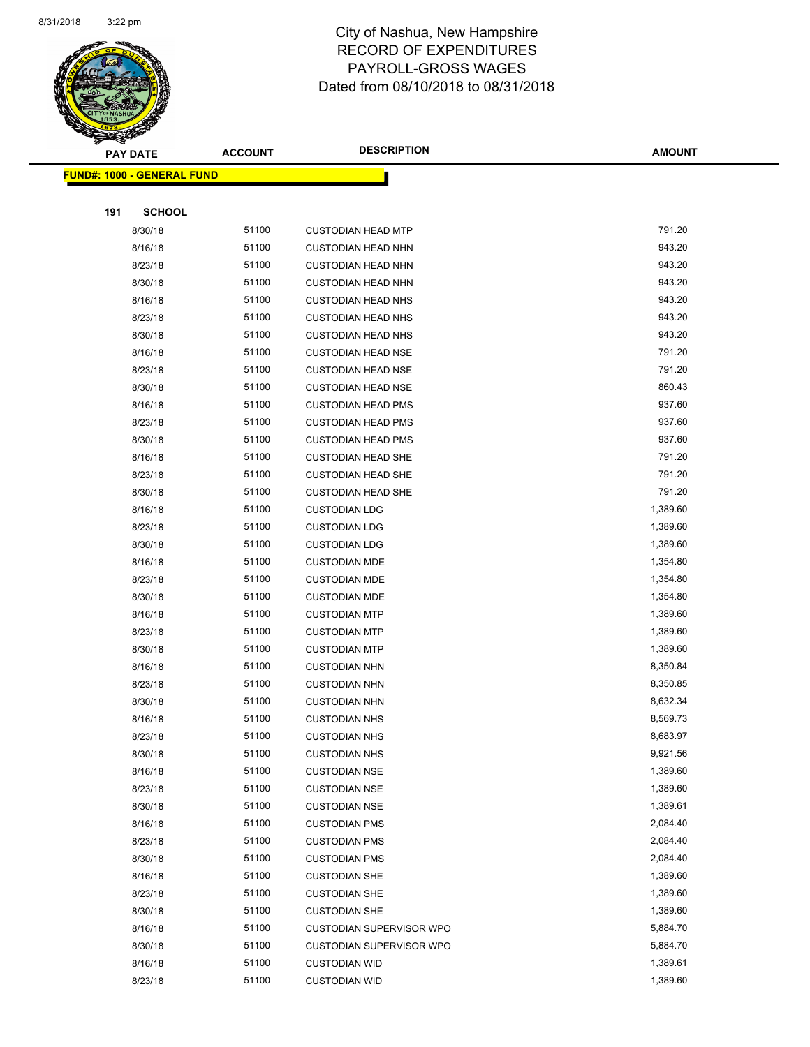

|     | <b>PAY DATE</b>                    | <b>ACCOUNT</b> | <b>DESCRIPTION</b>              | <b>AMOUNT</b> |
|-----|------------------------------------|----------------|---------------------------------|---------------|
|     | <u> FUND#: 1000 - GENERAL FUND</u> |                |                                 |               |
|     |                                    |                |                                 |               |
| 191 | <b>SCHOOL</b>                      |                |                                 |               |
|     | 8/30/18                            | 51100          | <b>CUSTODIAN HEAD MTP</b>       | 791.20        |
|     | 8/16/18                            | 51100          | <b>CUSTODIAN HEAD NHN</b>       | 943.20        |
|     | 8/23/18                            | 51100          | <b>CUSTODIAN HEAD NHN</b>       | 943.20        |
|     | 8/30/18                            | 51100          | <b>CUSTODIAN HEAD NHN</b>       | 943.20        |
|     | 8/16/18                            | 51100          | <b>CUSTODIAN HEAD NHS</b>       | 943.20        |
|     | 8/23/18                            | 51100          | <b>CUSTODIAN HEAD NHS</b>       | 943.20        |
|     | 8/30/18                            | 51100          | <b>CUSTODIAN HEAD NHS</b>       | 943.20        |
|     | 8/16/18                            | 51100          | <b>CUSTODIAN HEAD NSE</b>       | 791.20        |
|     | 8/23/18                            | 51100          | <b>CUSTODIAN HEAD NSE</b>       | 791.20        |
|     | 8/30/18                            | 51100          | <b>CUSTODIAN HEAD NSE</b>       | 860.43        |
|     | 8/16/18                            | 51100          | <b>CUSTODIAN HEAD PMS</b>       | 937.60        |
|     | 8/23/18                            | 51100          | <b>CUSTODIAN HEAD PMS</b>       | 937.60        |
|     | 8/30/18                            | 51100          | <b>CUSTODIAN HEAD PMS</b>       | 937.60        |
|     | 8/16/18                            | 51100          | <b>CUSTODIAN HEAD SHE</b>       | 791.20        |
|     | 8/23/18                            | 51100          | <b>CUSTODIAN HEAD SHE</b>       | 791.20        |
|     | 8/30/18                            | 51100          | <b>CUSTODIAN HEAD SHE</b>       | 791.20        |
|     | 8/16/18                            | 51100          | <b>CUSTODIAN LDG</b>            | 1,389.60      |
|     | 8/23/18                            | 51100          | <b>CUSTODIAN LDG</b>            | 1,389.60      |
|     | 8/30/18                            | 51100          | <b>CUSTODIAN LDG</b>            | 1,389.60      |
|     | 8/16/18                            | 51100          | <b>CUSTODIAN MDE</b>            | 1,354.80      |
|     | 8/23/18                            | 51100          | <b>CUSTODIAN MDE</b>            | 1,354.80      |
|     | 8/30/18                            | 51100          | <b>CUSTODIAN MDE</b>            | 1,354.80      |
|     | 8/16/18                            | 51100          | <b>CUSTODIAN MTP</b>            | 1,389.60      |
|     | 8/23/18                            | 51100          | <b>CUSTODIAN MTP</b>            | 1,389.60      |
|     | 8/30/18                            | 51100          | <b>CUSTODIAN MTP</b>            | 1,389.60      |
|     | 8/16/18                            | 51100          | <b>CUSTODIAN NHN</b>            | 8,350.84      |
|     | 8/23/18                            | 51100          | <b>CUSTODIAN NHN</b>            | 8,350.85      |
|     | 8/30/18                            | 51100          | <b>CUSTODIAN NHN</b>            | 8,632.34      |
|     | 8/16/18                            | 51100          | <b>CUSTODIAN NHS</b>            | 8,569.73      |
|     | 8/23/18                            | 51100          | <b>CUSTODIAN NHS</b>            | 8,683.97      |
|     | 8/30/18                            | 51100          | <b>CUSTODIAN NHS</b>            | 9,921.56      |
|     | 8/16/18                            | 51100          | <b>CUSTODIAN NSE</b>            | 1,389.60      |
|     | 8/23/18                            | 51100          | <b>CUSTODIAN NSE</b>            | 1,389.60      |
|     | 8/30/18                            | 51100          | <b>CUSTODIAN NSE</b>            | 1,389.61      |
|     | 8/16/18                            | 51100          | <b>CUSTODIAN PMS</b>            | 2,084.40      |
|     | 8/23/18                            | 51100          | <b>CUSTODIAN PMS</b>            | 2,084.40      |
|     | 8/30/18                            | 51100          | <b>CUSTODIAN PMS</b>            | 2,084.40      |
|     | 8/16/18                            | 51100          | <b>CUSTODIAN SHE</b>            | 1,389.60      |
|     | 8/23/18                            | 51100          | <b>CUSTODIAN SHE</b>            | 1,389.60      |
|     | 8/30/18                            | 51100          | <b>CUSTODIAN SHE</b>            | 1,389.60      |
|     | 8/16/18                            | 51100          | <b>CUSTODIAN SUPERVISOR WPO</b> | 5,884.70      |
|     | 8/30/18                            | 51100          | CUSTODIAN SUPERVISOR WPO        | 5,884.70      |
|     | 8/16/18                            | 51100          | <b>CUSTODIAN WID</b>            | 1,389.61      |
|     | 8/23/18                            | 51100          | <b>CUSTODIAN WID</b>            | 1,389.60      |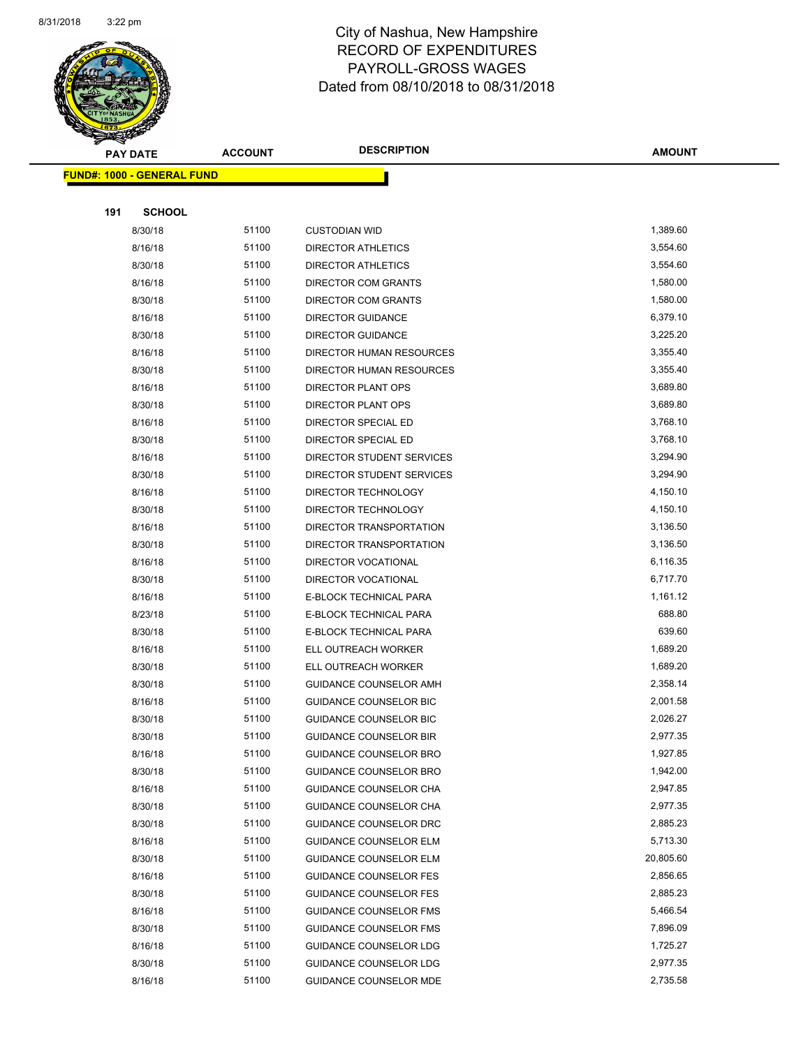

|     | <b>FUND#: 1000 - GENERAL FUND</b> |       |                               |           |
|-----|-----------------------------------|-------|-------------------------------|-----------|
|     |                                   |       |                               |           |
| 191 | <b>SCHOOL</b>                     |       |                               |           |
|     | 8/30/18                           | 51100 | <b>CUSTODIAN WID</b>          | 1,389.60  |
|     | 8/16/18                           | 51100 | <b>DIRECTOR ATHLETICS</b>     | 3,554.60  |
|     | 8/30/18                           | 51100 | <b>DIRECTOR ATHLETICS</b>     | 3,554.60  |
|     | 8/16/18                           | 51100 | DIRECTOR COM GRANTS           | 1,580.00  |
|     | 8/30/18                           | 51100 | DIRECTOR COM GRANTS           | 1,580.00  |
|     | 8/16/18                           | 51100 | <b>DIRECTOR GUIDANCE</b>      | 6,379.10  |
|     | 8/30/18                           | 51100 | <b>DIRECTOR GUIDANCE</b>      | 3,225.20  |
|     | 8/16/18                           | 51100 | DIRECTOR HUMAN RESOURCES      | 3,355.40  |
|     | 8/30/18                           | 51100 | DIRECTOR HUMAN RESOURCES      | 3,355.40  |
|     | 8/16/18                           | 51100 | DIRECTOR PLANT OPS            | 3,689.80  |
|     | 8/30/18                           | 51100 | DIRECTOR PLANT OPS            | 3,689.80  |
|     | 8/16/18                           | 51100 | DIRECTOR SPECIAL ED           | 3,768.10  |
|     | 8/30/18                           | 51100 | DIRECTOR SPECIAL ED           | 3,768.10  |
|     | 8/16/18                           | 51100 | DIRECTOR STUDENT SERVICES     | 3,294.90  |
|     | 8/30/18                           | 51100 | DIRECTOR STUDENT SERVICES     | 3,294.90  |
|     | 8/16/18                           | 51100 | DIRECTOR TECHNOLOGY           | 4,150.10  |
|     | 8/30/18                           | 51100 | DIRECTOR TECHNOLOGY           | 4,150.10  |
|     | 8/16/18                           | 51100 | DIRECTOR TRANSPORTATION       | 3,136.50  |
|     | 8/30/18                           | 51100 | DIRECTOR TRANSPORTATION       | 3,136.50  |
|     | 8/16/18                           | 51100 | DIRECTOR VOCATIONAL           | 6,116.35  |
|     | 8/30/18                           | 51100 | DIRECTOR VOCATIONAL           | 6,717.70  |
|     | 8/16/18                           | 51100 | E-BLOCK TECHNICAL PARA        | 1,161.12  |
|     | 8/23/18                           | 51100 | E-BLOCK TECHNICAL PARA        | 688.80    |
|     | 8/30/18                           | 51100 | E-BLOCK TECHNICAL PARA        | 639.60    |
|     | 8/16/18                           | 51100 | ELL OUTREACH WORKER           | 1,689.20  |
|     | 8/30/18                           | 51100 | ELL OUTREACH WORKER           | 1,689.20  |
|     | 8/30/18                           | 51100 | GUIDANCE COUNSELOR AMH        | 2,358.14  |
|     | 8/16/18                           | 51100 | GUIDANCE COUNSELOR BIC        | 2,001.58  |
|     | 8/30/18                           | 51100 | GUIDANCE COUNSELOR BIC        | 2,026.27  |
|     | 8/30/18                           | 51100 | <b>GUIDANCE COUNSELOR BIR</b> | 2,977.35  |
|     | 8/16/18                           | 51100 | GUIDANCE COUNSELOR BRO        | 1,927.85  |
|     | 8/30/18                           | 51100 | GUIDANCE COUNSELOR BRO        | 1,942.00  |
|     | 8/16/18                           | 51100 | GUIDANCE COUNSELOR CHA        | 2,947.85  |
|     | 8/30/18                           | 51100 | GUIDANCE COUNSELOR CHA        | 2,977.35  |
|     | 8/30/18                           | 51100 | GUIDANCE COUNSELOR DRC        | 2,885.23  |
|     | 8/16/18                           | 51100 | <b>GUIDANCE COUNSELOR ELM</b> | 5,713.30  |
|     | 8/30/18                           | 51100 | <b>GUIDANCE COUNSELOR ELM</b> | 20,805.60 |
|     | 8/16/18                           | 51100 | <b>GUIDANCE COUNSELOR FES</b> | 2,856.65  |
|     | 8/30/18                           | 51100 | <b>GUIDANCE COUNSELOR FES</b> | 2,885.23  |
|     | 8/16/18                           | 51100 | <b>GUIDANCE COUNSELOR FMS</b> | 5,466.54  |
|     | 8/30/18                           | 51100 | <b>GUIDANCE COUNSELOR FMS</b> | 7,896.09  |
|     | 8/16/18                           | 51100 | <b>GUIDANCE COUNSELOR LDG</b> | 1,725.27  |
|     | 8/30/18                           | 51100 | <b>GUIDANCE COUNSELOR LDG</b> | 2,977.35  |
|     | 8/16/18                           | 51100 | <b>GUIDANCE COUNSELOR MDE</b> | 2,735.58  |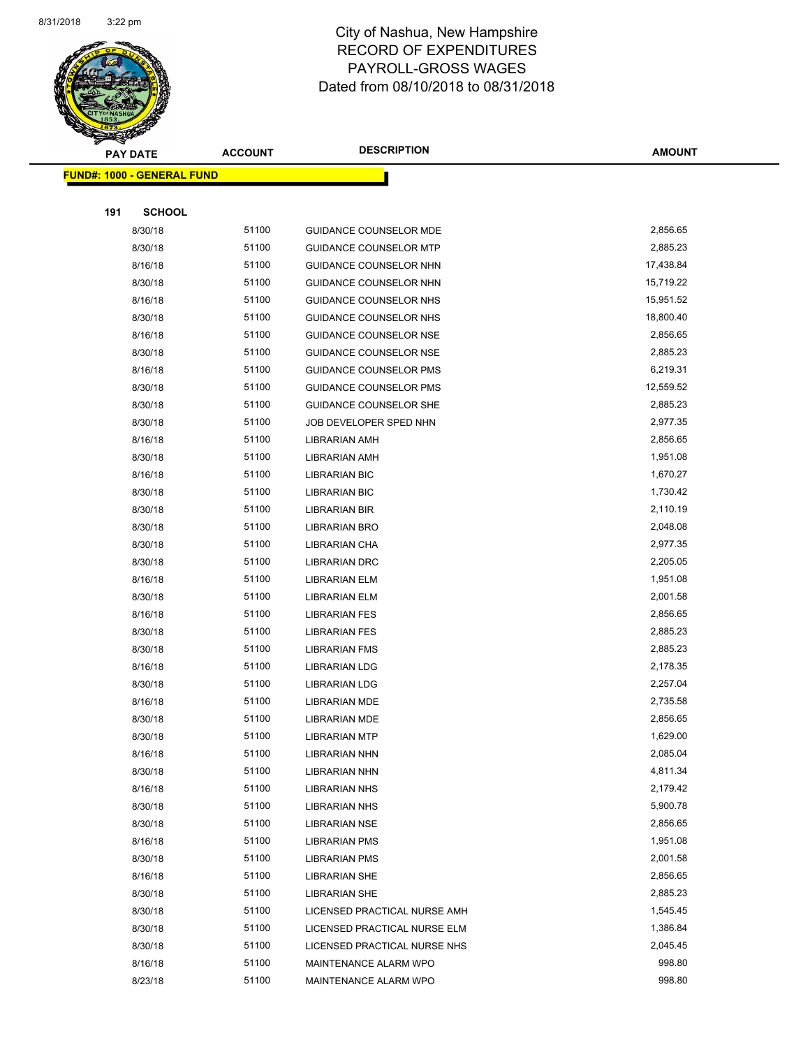

| <b>FUND#: 1000 - GENERAL FUND</b> |                |                                                       |                      |
|-----------------------------------|----------------|-------------------------------------------------------|----------------------|
|                                   |                |                                                       |                      |
| 191<br><b>SCHOOL</b>              |                |                                                       |                      |
| 8/30/18                           | 51100          | <b>GUIDANCE COUNSELOR MDE</b>                         | 2,856.65             |
| 8/30/18                           | 51100          | <b>GUIDANCE COUNSELOR MTP</b>                         | 2,885.23             |
| 8/16/18                           | 51100          | GUIDANCE COUNSELOR NHN                                | 17,438.84            |
| 8/30/18                           | 51100          | GUIDANCE COUNSELOR NHN                                | 15,719.22            |
| 8/16/18                           | 51100          | GUIDANCE COUNSELOR NHS                                | 15,951.52            |
| 8/30/18                           | 51100          | GUIDANCE COUNSELOR NHS                                | 18,800.40            |
| 8/16/18                           | 51100          | <b>GUIDANCE COUNSELOR NSE</b>                         | 2,856.65             |
| 8/30/18                           | 51100          | GUIDANCE COUNSELOR NSE                                | 2,885.23             |
| 8/16/18                           | 51100          | <b>GUIDANCE COUNSELOR PMS</b>                         | 6,219.31             |
| 8/30/18                           | 51100          | <b>GUIDANCE COUNSELOR PMS</b>                         | 12,559.52            |
| 8/30/18                           | 51100          | GUIDANCE COUNSELOR SHE                                | 2,885.23             |
| 8/30/18                           | 51100          | JOB DEVELOPER SPED NHN                                | 2,977.35             |
| 8/16/18                           | 51100          | <b>LIBRARIAN AMH</b>                                  | 2,856.65             |
| 8/30/18                           | 51100          | <b>LIBRARIAN AMH</b>                                  | 1,951.08             |
| 8/16/18                           | 51100          | <b>LIBRARIAN BIC</b>                                  | 1,670.27             |
| 8/30/18                           | 51100          | <b>LIBRARIAN BIC</b>                                  | 1,730.42             |
| 8/30/18                           | 51100          | <b>LIBRARIAN BIR</b>                                  | 2,110.19             |
| 8/30/18                           | 51100          | LIBRARIAN BRO                                         | 2,048.08             |
| 8/30/18                           | 51100          | <b>LIBRARIAN CHA</b>                                  | 2,977.35             |
| 8/30/18                           | 51100          | <b>LIBRARIAN DRC</b>                                  | 2,205.05             |
| 8/16/18                           | 51100          | <b>LIBRARIAN ELM</b>                                  | 1,951.08             |
| 8/30/18                           | 51100          | <b>LIBRARIAN ELM</b>                                  | 2,001.58             |
| 8/16/18                           | 51100          | LIBRARIAN FES                                         | 2,856.65             |
| 8/30/18                           | 51100          | LIBRARIAN FES                                         | 2,885.23             |
| 8/30/18                           | 51100          | <b>LIBRARIAN FMS</b>                                  | 2,885.23             |
| 8/16/18                           | 51100          | <b>LIBRARIAN LDG</b>                                  | 2,178.35             |
| 8/30/18                           | 51100          | <b>LIBRARIAN LDG</b>                                  | 2,257.04             |
| 8/16/18                           | 51100          | LIBRARIAN MDE                                         | 2,735.58             |
| 8/30/18                           | 51100          | <b>LIBRARIAN MDE</b>                                  | 2,856.65             |
| 8/30/18                           | 51100          | <b>LIBRARIAN MTP</b>                                  | 1,629.00             |
| 8/16/18                           | 51100          | <b>LIBRARIAN NHN</b>                                  | 2,085.04             |
| 8/30/18                           | 51100          | <b>LIBRARIAN NHN</b>                                  | 4,811.34             |
| 8/16/18                           | 51100          | <b>LIBRARIAN NHS</b>                                  | 2,179.42             |
| 8/30/18                           | 51100          | LIBRARIAN NHS                                         | 5,900.78             |
| 8/30/18                           | 51100          | <b>LIBRARIAN NSE</b>                                  | 2,856.65             |
| 8/16/18                           | 51100          | <b>LIBRARIAN PMS</b>                                  | 1,951.08             |
| 8/30/18                           | 51100          | <b>LIBRARIAN PMS</b>                                  | 2,001.58             |
| 8/16/18                           | 51100          | LIBRARIAN SHE                                         | 2,856.65             |
| 8/30/18                           | 51100          | LIBRARIAN SHE                                         | 2,885.23             |
| 8/30/18                           | 51100<br>51100 | LICENSED PRACTICAL NURSE AMH                          | 1,545.45<br>1,386.84 |
| 8/30/18                           | 51100          | LICENSED PRACTICAL NURSE ELM                          | 2,045.45             |
| 8/30/18<br>8/16/18                | 51100          | LICENSED PRACTICAL NURSE NHS<br>MAINTENANCE ALARM WPO | 998.80               |
| 8/23/18                           | 51100          | MAINTENANCE ALARM WPO                                 | 998.80               |
|                                   |                |                                                       |                      |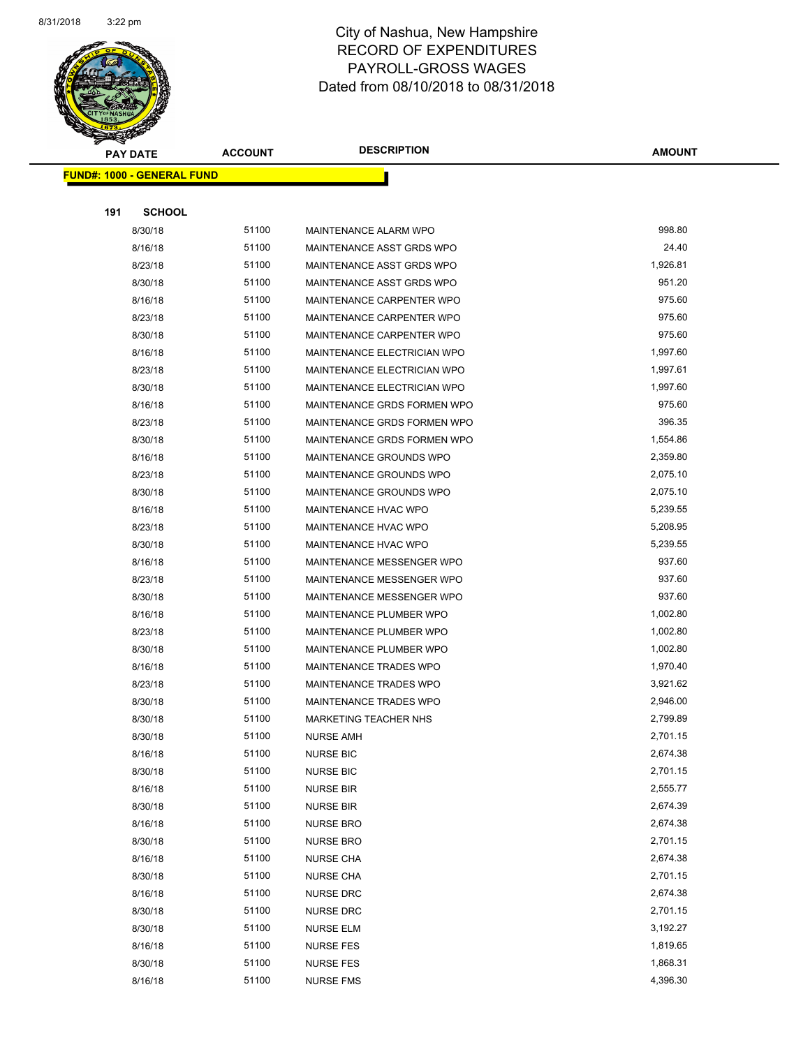

| <b>PAY DATE</b>                    | <b>ACCOUNT</b> | <b>DESCRIPTION</b>            | <b>AMOUNT</b> |
|------------------------------------|----------------|-------------------------------|---------------|
| <u> FUND#: 1000 - GENERAL FUND</u> |                |                               |               |
|                                    |                |                               |               |
| 191<br><b>SCHOOL</b>               |                |                               |               |
| 8/30/18                            | 51100          | MAINTENANCE ALARM WPO         | 998.80        |
| 8/16/18                            | 51100          | MAINTENANCE ASST GRDS WPO     | 24.40         |
| 8/23/18                            | 51100          | MAINTENANCE ASST GRDS WPO     | 1,926.81      |
| 8/30/18                            | 51100          | MAINTENANCE ASST GRDS WPO     | 951.20        |
| 8/16/18                            | 51100          | MAINTENANCE CARPENTER WPO     | 975.60        |
| 8/23/18                            | 51100          | MAINTENANCE CARPENTER WPO     | 975.60        |
| 8/30/18                            | 51100          | MAINTENANCE CARPENTER WPO     | 975.60        |
| 8/16/18                            | 51100          | MAINTENANCE ELECTRICIAN WPO   | 1,997.60      |
| 8/23/18                            | 51100          | MAINTENANCE ELECTRICIAN WPO   | 1,997.61      |
| 8/30/18                            | 51100          | MAINTENANCE ELECTRICIAN WPO   | 1,997.60      |
| 8/16/18                            | 51100          | MAINTENANCE GRDS FORMEN WPO   | 975.60        |
| 8/23/18                            | 51100          | MAINTENANCE GRDS FORMEN WPO   | 396.35        |
| 8/30/18                            | 51100          | MAINTENANCE GRDS FORMEN WPO   | 1,554.86      |
| 8/16/18                            | 51100          | MAINTENANCE GROUNDS WPO       | 2,359.80      |
| 8/23/18                            | 51100          | MAINTENANCE GROUNDS WPO       | 2,075.10      |
| 8/30/18                            | 51100          | MAINTENANCE GROUNDS WPO       | 2,075.10      |
| 8/16/18                            | 51100          | MAINTENANCE HVAC WPO          | 5,239.55      |
| 8/23/18                            | 51100          | MAINTENANCE HVAC WPO          | 5,208.95      |
| 8/30/18                            | 51100          | MAINTENANCE HVAC WPO          | 5,239.55      |
| 8/16/18                            | 51100          | MAINTENANCE MESSENGER WPO     | 937.60        |
| 8/23/18                            | 51100          | MAINTENANCE MESSENGER WPO     | 937.60        |
| 8/30/18                            | 51100          | MAINTENANCE MESSENGER WPO     | 937.60        |
| 8/16/18                            | 51100          | MAINTENANCE PLUMBER WPO       | 1,002.80      |
| 8/23/18                            | 51100          | MAINTENANCE PLUMBER WPO       | 1,002.80      |
| 8/30/18                            | 51100          | MAINTENANCE PLUMBER WPO       | 1,002.80      |
| 8/16/18                            | 51100          | <b>MAINTENANCE TRADES WPO</b> | 1,970.40      |
| 8/23/18                            | 51100          | <b>MAINTENANCE TRADES WPO</b> | 3,921.62      |
| 8/30/18                            | 51100          | <b>MAINTENANCE TRADES WPO</b> | 2,946.00      |
| 8/30/18                            | 51100          | <b>MARKETING TEACHER NHS</b>  | 2,799.89      |
| 8/30/18                            | 51100          | NURSE AMH                     | 2,701.15      |
| 8/16/18                            | 51100          | <b>NURSE BIC</b>              | 2,674.38      |
| 8/30/18                            | 51100          | <b>NURSE BIC</b>              | 2,701.15      |
| 8/16/18                            | 51100          | <b>NURSE BIR</b>              | 2,555.77      |
| 8/30/18                            | 51100          | <b>NURSE BIR</b>              | 2,674.39      |
| 8/16/18                            | 51100          | <b>NURSE BRO</b>              | 2,674.38      |
| 8/30/18                            | 51100          | <b>NURSE BRO</b>              | 2,701.15      |
| 8/16/18                            | 51100          | <b>NURSE CHA</b>              | 2,674.38      |
| 8/30/18                            | 51100          | <b>NURSE CHA</b>              | 2,701.15      |
| 8/16/18                            | 51100          | <b>NURSE DRC</b>              | 2,674.38      |
| 8/30/18                            | 51100          | <b>NURSE DRC</b>              | 2,701.15      |
| 8/30/18                            | 51100          | <b>NURSE ELM</b>              | 3,192.27      |
| 8/16/18                            | 51100          | <b>NURSE FES</b>              | 1,819.65      |
| 8/30/18                            | 51100          | <b>NURSE FES</b>              | 1,868.31      |
| 8/16/18                            | 51100          | <b>NURSE FMS</b>              | 4,396.30      |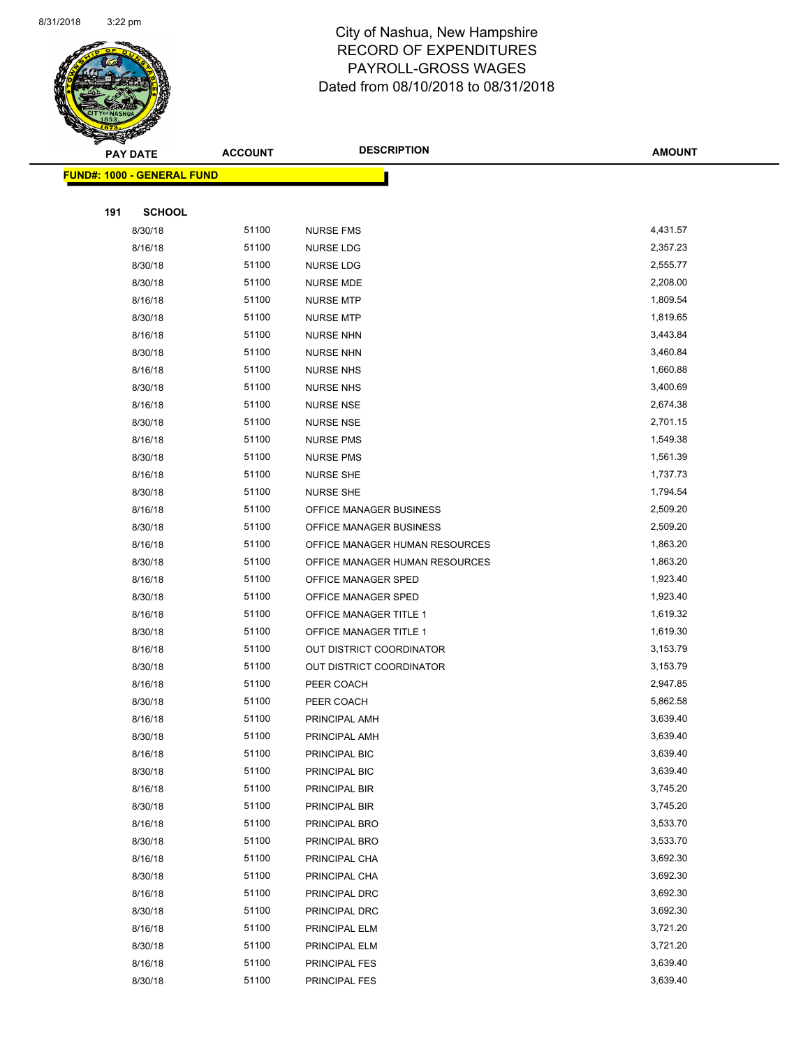

|     | <b>PAY DATE</b>                    | <b>ACCOUNT</b> | <b>DESCRIPTION</b>             | <b>AMOUNT</b> |
|-----|------------------------------------|----------------|--------------------------------|---------------|
|     | <u> FUND#: 1000 - GENERAL FUND</u> |                |                                |               |
|     |                                    |                |                                |               |
| 191 | <b>SCHOOL</b>                      |                |                                |               |
|     | 8/30/18                            | 51100          | <b>NURSE FMS</b>               | 4,431.57      |
|     | 8/16/18                            | 51100          | <b>NURSE LDG</b>               | 2,357.23      |
|     | 8/30/18                            | 51100          | <b>NURSE LDG</b>               | 2,555.77      |
|     | 8/30/18                            | 51100          | <b>NURSE MDE</b>               | 2,208.00      |
|     | 8/16/18                            | 51100          | <b>NURSE MTP</b>               | 1,809.54      |
|     | 8/30/18                            | 51100          | <b>NURSE MTP</b>               | 1,819.65      |
|     | 8/16/18                            | 51100          | <b>NURSE NHN</b>               | 3,443.84      |
|     | 8/30/18                            | 51100          | <b>NURSE NHN</b>               | 3,460.84      |
|     | 8/16/18                            | 51100          | <b>NURSE NHS</b>               | 1,660.88      |
|     | 8/30/18                            | 51100          | <b>NURSE NHS</b>               | 3,400.69      |
|     | 8/16/18                            | 51100          | <b>NURSE NSE</b>               | 2,674.38      |
|     | 8/30/18                            | 51100          | <b>NURSE NSE</b>               | 2,701.15      |
|     | 8/16/18                            | 51100          | <b>NURSE PMS</b>               | 1,549.38      |
|     | 8/30/18                            | 51100          | <b>NURSE PMS</b>               | 1,561.39      |
|     | 8/16/18                            | 51100          | <b>NURSE SHE</b>               | 1,737.73      |
|     | 8/30/18                            | 51100          | <b>NURSE SHE</b>               | 1,794.54      |
|     | 8/16/18                            | 51100          | OFFICE MANAGER BUSINESS        | 2,509.20      |
|     | 8/30/18                            | 51100          | OFFICE MANAGER BUSINESS        | 2,509.20      |
|     | 8/16/18                            | 51100          | OFFICE MANAGER HUMAN RESOURCES | 1,863.20      |
|     | 8/30/18                            | 51100          | OFFICE MANAGER HUMAN RESOURCES | 1,863.20      |
|     | 8/16/18                            | 51100          | OFFICE MANAGER SPED            | 1,923.40      |
|     | 8/30/18                            | 51100          | OFFICE MANAGER SPED            | 1,923.40      |
|     | 8/16/18                            | 51100          | OFFICE MANAGER TITLE 1         | 1,619.32      |
|     | 8/30/18                            | 51100          | OFFICE MANAGER TITLE 1         | 1,619.30      |
|     | 8/16/18                            | 51100          | OUT DISTRICT COORDINATOR       | 3,153.79      |
|     | 8/30/18                            | 51100          | OUT DISTRICT COORDINATOR       | 3,153.79      |
|     | 8/16/18                            | 51100          | PEER COACH                     | 2,947.85      |
|     | 8/30/18                            | 51100          | PEER COACH                     | 5,862.58      |
|     | 8/16/18                            | 51100          | PRINCIPAL AMH                  | 3,639.40      |
|     | 8/30/18                            | 51100          | PRINCIPAL AMH                  | 3,639.40      |
|     | 8/16/18                            | 51100          | PRINCIPAL BIC                  | 3,639.40      |
|     | 8/30/18                            | 51100          | PRINCIPAL BIC                  | 3,639.40      |
|     | 8/16/18                            | 51100          | PRINCIPAL BIR                  | 3,745.20      |
|     | 8/30/18                            | 51100          | PRINCIPAL BIR                  | 3,745.20      |
|     | 8/16/18                            | 51100          | PRINCIPAL BRO                  | 3,533.70      |
|     | 8/30/18                            | 51100          | PRINCIPAL BRO                  | 3,533.70      |
|     | 8/16/18                            | 51100          | PRINCIPAL CHA                  | 3,692.30      |
|     | 8/30/18                            | 51100          | PRINCIPAL CHA                  | 3,692.30      |
|     | 8/16/18                            | 51100          | PRINCIPAL DRC                  | 3,692.30      |
|     | 8/30/18                            | 51100          | PRINCIPAL DRC                  | 3,692.30      |
|     | 8/16/18                            | 51100          | PRINCIPAL ELM                  | 3,721.20      |
|     | 8/30/18                            | 51100          | PRINCIPAL ELM                  | 3,721.20      |
|     | 8/16/18                            | 51100          | PRINCIPAL FES                  | 3,639.40      |
|     | 8/30/18                            | 51100          | PRINCIPAL FES                  | 3,639.40      |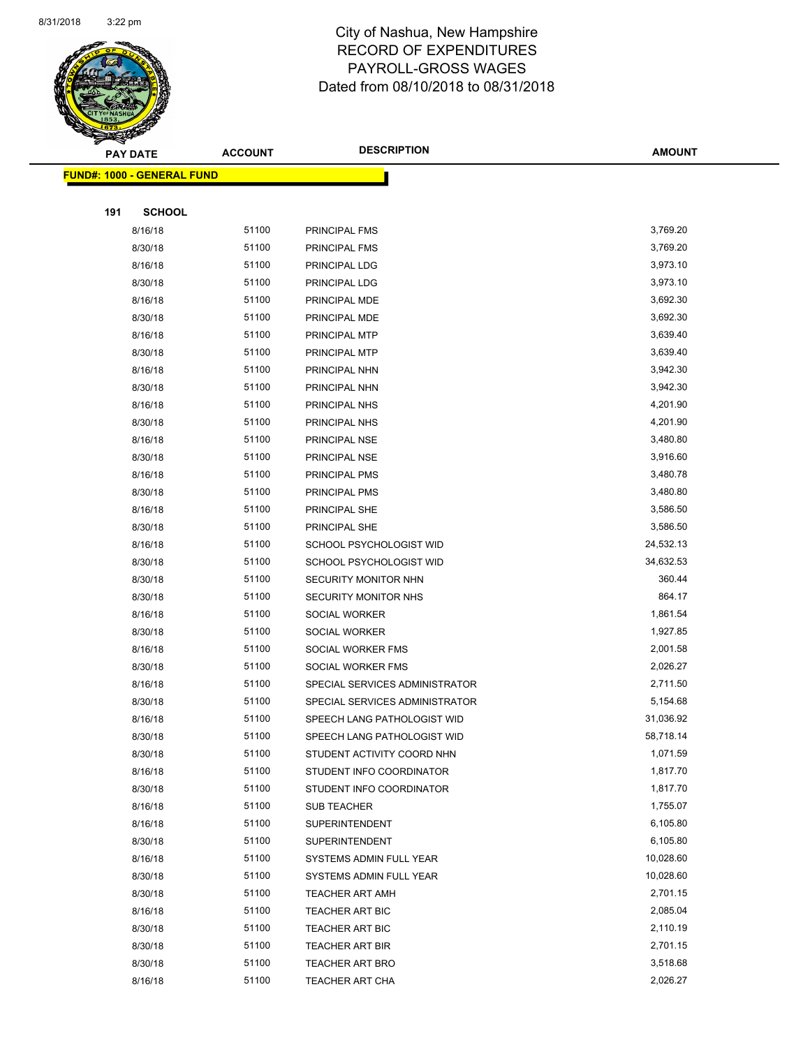

| <b>FUND#: 1000 - GENERAL FUND</b> |       |                                |           |
|-----------------------------------|-------|--------------------------------|-----------|
|                                   |       |                                |           |
| 191<br><b>SCHOOL</b>              |       |                                |           |
| 8/16/18                           | 51100 | PRINCIPAL FMS                  | 3,769.20  |
| 8/30/18                           | 51100 | PRINCIPAL FMS                  | 3,769.20  |
| 8/16/18                           | 51100 | PRINCIPAL LDG                  | 3,973.10  |
| 8/30/18                           | 51100 | PRINCIPAL LDG                  | 3,973.10  |
| 8/16/18                           | 51100 | PRINCIPAL MDE                  | 3,692.30  |
| 8/30/18                           | 51100 | PRINCIPAL MDE                  | 3,692.30  |
| 8/16/18                           | 51100 | PRINCIPAL MTP                  | 3,639.40  |
| 8/30/18                           | 51100 | PRINCIPAL MTP                  | 3,639.40  |
| 8/16/18                           | 51100 | PRINCIPAL NHN                  | 3,942.30  |
| 8/30/18                           | 51100 | PRINCIPAL NHN                  | 3,942.30  |
| 8/16/18                           | 51100 | PRINCIPAL NHS                  | 4,201.90  |
| 8/30/18                           | 51100 | PRINCIPAL NHS                  | 4,201.90  |
| 8/16/18                           | 51100 | PRINCIPAL NSE                  | 3,480.80  |
| 8/30/18                           | 51100 | PRINCIPAL NSE                  | 3,916.60  |
| 8/16/18                           | 51100 | PRINCIPAL PMS                  | 3,480.78  |
| 8/30/18                           | 51100 | PRINCIPAL PMS                  | 3,480.80  |
| 8/16/18                           | 51100 | PRINCIPAL SHE                  | 3,586.50  |
| 8/30/18                           | 51100 | PRINCIPAL SHE                  | 3,586.50  |
| 8/16/18                           | 51100 | SCHOOL PSYCHOLOGIST WID        | 24,532.13 |
| 8/30/18                           | 51100 | SCHOOL PSYCHOLOGIST WID        | 34,632.53 |
| 8/30/18                           | 51100 | SECURITY MONITOR NHN           | 360.44    |
| 8/30/18                           | 51100 | <b>SECURITY MONITOR NHS</b>    | 864.17    |
| 8/16/18                           | 51100 | <b>SOCIAL WORKER</b>           | 1,861.54  |
| 8/30/18                           | 51100 | SOCIAL WORKER                  | 1,927.85  |
| 8/16/18                           | 51100 | SOCIAL WORKER FMS              | 2,001.58  |
| 8/30/18                           | 51100 | SOCIAL WORKER FMS              | 2,026.27  |
| 8/16/18                           | 51100 | SPECIAL SERVICES ADMINISTRATOR | 2,711.50  |
| 8/30/18                           | 51100 | SPECIAL SERVICES ADMINISTRATOR | 5,154.68  |
| 8/16/18                           | 51100 | SPEECH LANG PATHOLOGIST WID    | 31,036.92 |
| 8/30/18                           | 51100 | SPEECH LANG PATHOLOGIST WID    | 58,718.14 |
| 8/30/18                           | 51100 | STUDENT ACTIVITY COORD NHN     | 1,071.59  |
| 8/16/18                           | 51100 | STUDENT INFO COORDINATOR       | 1,817.70  |
| 8/30/18                           | 51100 | STUDENT INFO COORDINATOR       | 1,817.70  |
| 8/16/18                           | 51100 | SUB TEACHER                    | 1,755.07  |
| 8/16/18                           | 51100 | SUPERINTENDENT                 | 6,105.80  |
| 8/30/18                           | 51100 | SUPERINTENDENT                 | 6,105.80  |
| 8/16/18                           | 51100 | SYSTEMS ADMIN FULL YEAR        | 10,028.60 |
| 8/30/18                           | 51100 | SYSTEMS ADMIN FULL YEAR        | 10,028.60 |
| 8/30/18                           | 51100 | <b>TEACHER ART AMH</b>         | 2,701.15  |
| 8/16/18                           | 51100 | <b>TEACHER ART BIC</b>         | 2,085.04  |
| 8/30/18                           | 51100 | <b>TEACHER ART BIC</b>         | 2,110.19  |
| 8/30/18                           | 51100 | <b>TEACHER ART BIR</b>         | 2,701.15  |
| 8/30/18                           | 51100 | <b>TEACHER ART BRO</b>         | 3,518.68  |
| 8/16/18                           | 51100 | TEACHER ART CHA                | 2,026.27  |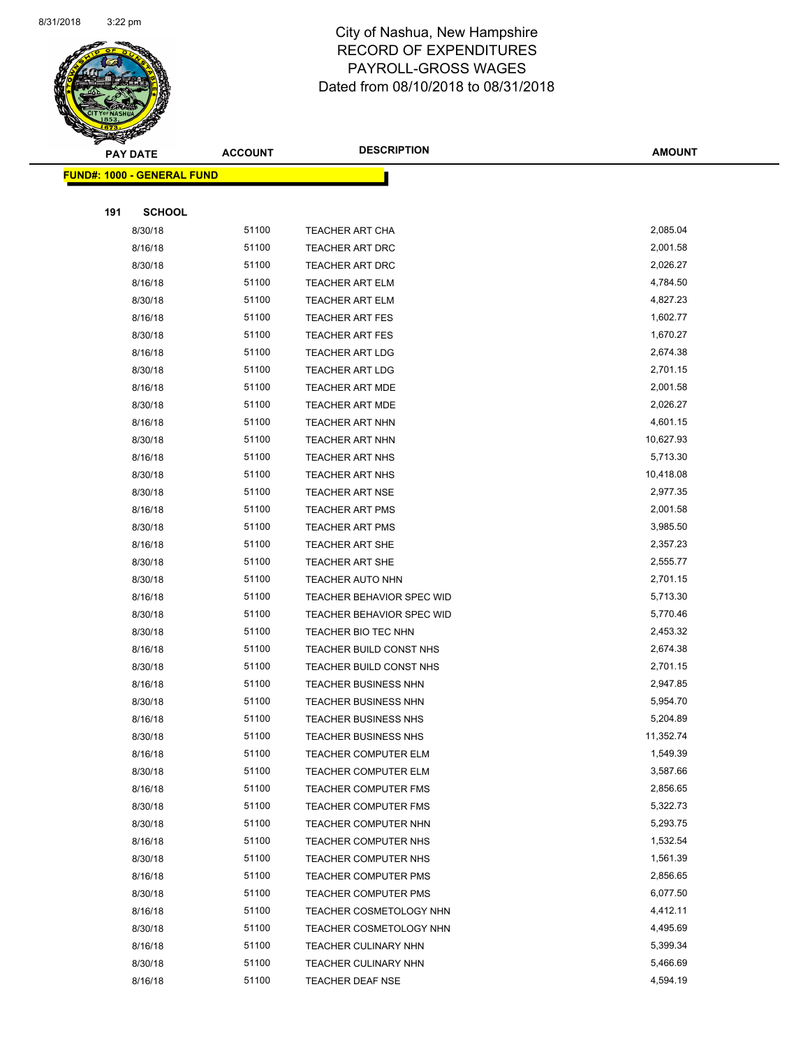

| <b>FUND#: 1000 - GENERAL FUND</b> |       |                                  |           |
|-----------------------------------|-------|----------------------------------|-----------|
|                                   |       |                                  |           |
| 191<br><b>SCHOOL</b>              |       |                                  |           |
| 8/30/18                           | 51100 | <b>TEACHER ART CHA</b>           | 2,085.04  |
| 8/16/18                           | 51100 | <b>TEACHER ART DRC</b>           | 2,001.58  |
| 8/30/18                           | 51100 | <b>TEACHER ART DRC</b>           | 2,026.27  |
| 8/16/18                           | 51100 | <b>TEACHER ART ELM</b>           | 4,784.50  |
| 8/30/18                           | 51100 | <b>TEACHER ART ELM</b>           | 4,827.23  |
| 8/16/18                           | 51100 | <b>TEACHER ART FES</b>           | 1,602.77  |
| 8/30/18                           | 51100 | <b>TEACHER ART FES</b>           | 1,670.27  |
| 8/16/18                           | 51100 | <b>TEACHER ART LDG</b>           | 2,674.38  |
| 8/30/18                           | 51100 | <b>TEACHER ART LDG</b>           | 2,701.15  |
| 8/16/18                           | 51100 | <b>TEACHER ART MDE</b>           | 2,001.58  |
| 8/30/18                           | 51100 | <b>TEACHER ART MDE</b>           | 2,026.27  |
| 8/16/18                           | 51100 | <b>TEACHER ART NHN</b>           | 4,601.15  |
| 8/30/18                           | 51100 | <b>TEACHER ART NHN</b>           | 10,627.93 |
| 8/16/18                           | 51100 | <b>TEACHER ART NHS</b>           | 5,713.30  |
| 8/30/18                           | 51100 | <b>TEACHER ART NHS</b>           | 10,418.08 |
| 8/30/18                           | 51100 | <b>TEACHER ART NSE</b>           | 2,977.35  |
| 8/16/18                           | 51100 | <b>TEACHER ART PMS</b>           | 2,001.58  |
| 8/30/18                           | 51100 | <b>TEACHER ART PMS</b>           | 3,985.50  |
| 8/16/18                           | 51100 | <b>TEACHER ART SHE</b>           | 2,357.23  |
| 8/30/18                           | 51100 | <b>TEACHER ART SHE</b>           | 2,555.77  |
| 8/30/18                           | 51100 | <b>TEACHER AUTO NHN</b>          | 2,701.15  |
| 8/16/18                           | 51100 | TEACHER BEHAVIOR SPEC WID        | 5,713.30  |
| 8/30/18                           | 51100 | <b>TEACHER BEHAVIOR SPEC WID</b> | 5,770.46  |
| 8/30/18                           | 51100 | TEACHER BIO TEC NHN              | 2,453.32  |
| 8/16/18                           | 51100 | TEACHER BUILD CONST NHS          | 2,674.38  |
| 8/30/18                           | 51100 | TEACHER BUILD CONST NHS          | 2,701.15  |
| 8/16/18                           | 51100 | TEACHER BUSINESS NHN             | 2,947.85  |
| 8/30/18                           | 51100 | <b>TEACHER BUSINESS NHN</b>      | 5,954.70  |
| 8/16/18                           | 51100 | <b>TEACHER BUSINESS NHS</b>      | 5,204.89  |
| 8/30/18                           | 51100 | <b>TEACHER BUSINESS NHS</b>      | 11,352.74 |
| 8/16/18                           | 51100 | TEACHER COMPUTER ELM             | 1,549.39  |
| 8/30/18                           | 51100 | <b>TEACHER COMPUTER ELM</b>      | 3,587.66  |
| 8/16/18                           | 51100 | <b>TEACHER COMPUTER FMS</b>      | 2,856.65  |
| 8/30/18                           | 51100 | <b>TEACHER COMPUTER FMS</b>      | 5,322.73  |
| 8/30/18                           | 51100 | TEACHER COMPUTER NHN             | 5,293.75  |
| 8/16/18                           | 51100 | TEACHER COMPUTER NHS             | 1,532.54  |
| 8/30/18                           | 51100 | TEACHER COMPUTER NHS             | 1,561.39  |
| 8/16/18                           | 51100 | <b>TEACHER COMPUTER PMS</b>      | 2,856.65  |
| 8/30/18                           | 51100 | <b>TEACHER COMPUTER PMS</b>      | 6,077.50  |
| 8/16/18                           | 51100 | TEACHER COSMETOLOGY NHN          | 4,412.11  |
| 8/30/18                           | 51100 | TEACHER COSMETOLOGY NHN          | 4,495.69  |
| 8/16/18                           | 51100 | <b>TEACHER CULINARY NHN</b>      | 5,399.34  |
| 8/30/18                           | 51100 | <b>TEACHER CULINARY NHN</b>      | 5,466.69  |
| 8/16/18                           | 51100 | TEACHER DEAF NSE                 | 4,594.19  |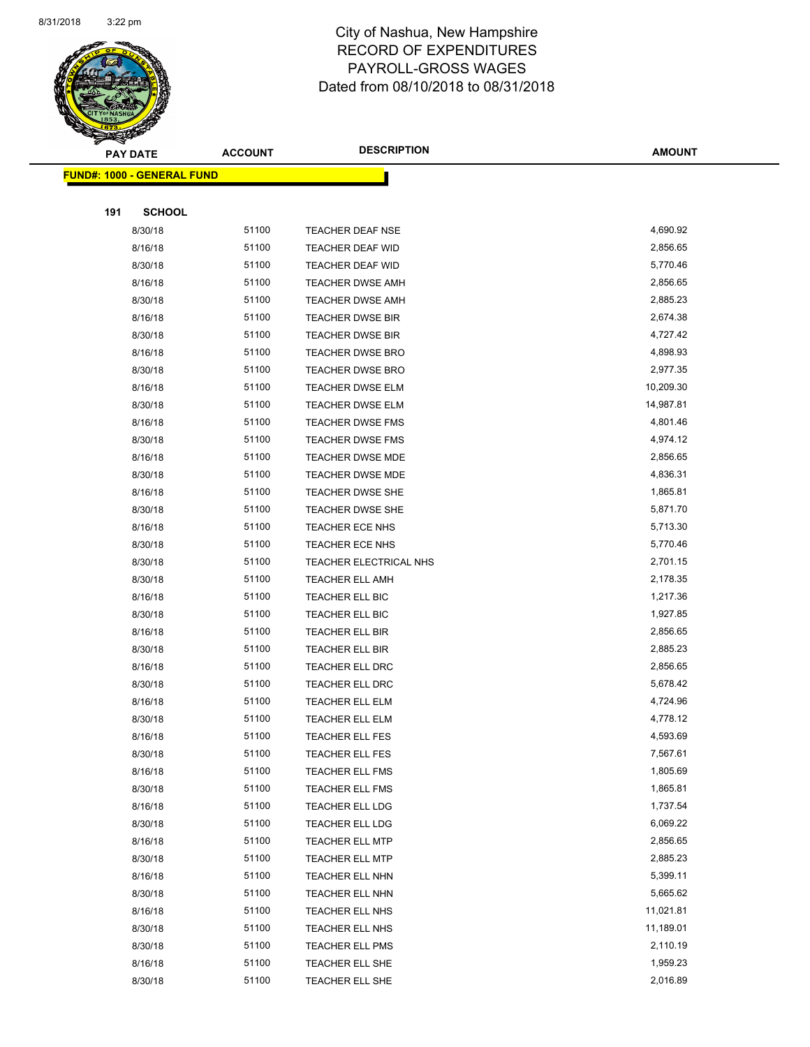

|     | <b>PAY DATE</b>                    | <b>ACCOUNT</b> | <b>DESCRIPTION</b>      | <b>AMOUNT</b> |
|-----|------------------------------------|----------------|-------------------------|---------------|
|     | <u> FUND#: 1000 - GENERAL FUND</u> |                |                         |               |
|     |                                    |                |                         |               |
| 191 | <b>SCHOOL</b>                      |                |                         |               |
|     | 8/30/18                            | 51100          | <b>TEACHER DEAF NSE</b> | 4,690.92      |
|     | 8/16/18                            | 51100          | <b>TEACHER DEAF WID</b> | 2,856.65      |
|     | 8/30/18                            | 51100          | <b>TEACHER DEAF WID</b> | 5,770.46      |
|     | 8/16/18                            | 51100          | <b>TEACHER DWSE AMH</b> | 2,856.65      |
|     | 8/30/18                            | 51100          | <b>TEACHER DWSE AMH</b> | 2,885.23      |
|     | 8/16/18                            | 51100          | <b>TEACHER DWSE BIR</b> | 2,674.38      |
|     | 8/30/18                            | 51100          | <b>TEACHER DWSE BIR</b> | 4,727.42      |
|     | 8/16/18                            | 51100          | TEACHER DWSE BRO        | 4,898.93      |
|     | 8/30/18                            | 51100          | <b>TEACHER DWSE BRO</b> | 2,977.35      |
|     | 8/16/18                            | 51100          | TEACHER DWSE ELM        | 10,209.30     |
|     | 8/30/18                            | 51100          | <b>TEACHER DWSE ELM</b> | 14,987.81     |
|     | 8/16/18                            | 51100          | <b>TEACHER DWSE FMS</b> | 4,801.46      |
|     | 8/30/18                            | 51100          | <b>TEACHER DWSE FMS</b> | 4,974.12      |
|     | 8/16/18                            | 51100          | TEACHER DWSE MDE        | 2,856.65      |
|     | 8/30/18                            | 51100          | TEACHER DWSE MDE        | 4,836.31      |
|     | 8/16/18                            | 51100          | <b>TEACHER DWSE SHE</b> | 1,865.81      |
|     | 8/30/18                            | 51100          | <b>TEACHER DWSE SHE</b> | 5,871.70      |
|     | 8/16/18                            | 51100          | TEACHER ECE NHS         | 5,713.30      |
|     | 8/30/18                            | 51100          | TEACHER ECE NHS         | 5,770.46      |
|     | 8/30/18                            | 51100          | TEACHER ELECTRICAL NHS  | 2,701.15      |
|     | 8/30/18                            | 51100          | <b>TEACHER ELL AMH</b>  | 2,178.35      |
|     | 8/16/18                            | 51100          | TEACHER ELL BIC         | 1,217.36      |
|     | 8/30/18                            | 51100          | TEACHER ELL BIC         | 1,927.85      |
|     | 8/16/18                            | 51100          | TEACHER ELL BIR         | 2,856.65      |
|     | 8/30/18                            | 51100          | TEACHER ELL BIR         | 2,885.23      |
|     | 8/16/18                            | 51100          | <b>TEACHER ELL DRC</b>  | 2,856.65      |
|     | 8/30/18                            | 51100          | TEACHER ELL DRC         | 5,678.42      |
|     | 8/16/18                            | 51100          | TEACHER ELL ELM         | 4,724.96      |
|     | 8/30/18                            | 51100          | TEACHER ELL ELM         | 4,778.12      |
|     | 8/16/18                            | 51100          | TEACHER ELL FES         | 4,593.69      |
|     | 8/30/18                            | 51100          | TEACHER ELL FES         | 7,567.61      |
|     | 8/16/18                            | 51100          | <b>TEACHER ELL FMS</b>  | 1,805.69      |
|     | 8/30/18                            | 51100          | <b>TEACHER ELL FMS</b>  | 1,865.81      |
|     | 8/16/18                            | 51100          | TEACHER ELL LDG         | 1,737.54      |
|     | 8/30/18                            | 51100          | TEACHER ELL LDG         | 6,069.22      |
|     | 8/16/18                            | 51100          | <b>TEACHER ELL MTP</b>  | 2,856.65      |
|     | 8/30/18                            | 51100          | TEACHER ELL MTP         | 2,885.23      |
|     | 8/16/18                            | 51100          | TEACHER ELL NHN         | 5,399.11      |
|     | 8/30/18                            | 51100          | TEACHER ELL NHN         | 5,665.62      |
|     | 8/16/18                            | 51100          | TEACHER ELL NHS         | 11,021.81     |
|     | 8/30/18                            | 51100          | TEACHER ELL NHS         | 11,189.01     |
|     | 8/30/18                            | 51100          | TEACHER ELL PMS         | 2,110.19      |
|     | 8/16/18                            | 51100          | TEACHER ELL SHE         | 1,959.23      |
|     | 8/30/18                            | 51100          | TEACHER ELL SHE         | 2,016.89      |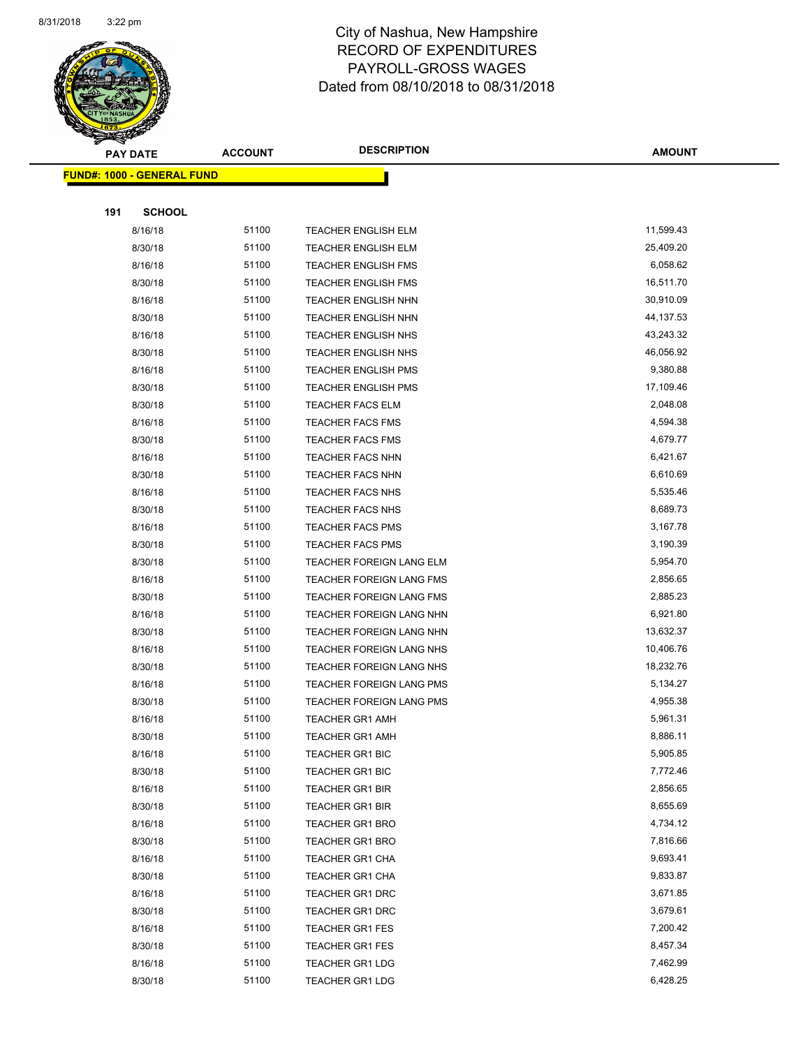

|     | <u> FUND#: 1000 - GENERAL FUND</u> |       |                            |           |
|-----|------------------------------------|-------|----------------------------|-----------|
|     |                                    |       |                            |           |
| 191 | <b>SCHOOL</b>                      |       |                            |           |
|     | 8/16/18                            | 51100 | TEACHER ENGLISH ELM        | 11,599.43 |
|     | 8/30/18                            | 51100 | <b>TEACHER ENGLISH ELM</b> | 25,409.20 |
|     | 8/16/18                            | 51100 | <b>TEACHER ENGLISH FMS</b> | 6,058.62  |
|     | 8/30/18                            | 51100 | <b>TEACHER ENGLISH FMS</b> | 16,511.70 |
|     | 8/16/18                            | 51100 | <b>TEACHER ENGLISH NHN</b> | 30,910.09 |
|     | 8/30/18                            | 51100 | <b>TEACHER ENGLISH NHN</b> | 44,137.53 |
|     | 8/16/18                            | 51100 | <b>TEACHER ENGLISH NHS</b> | 43,243.32 |
|     | 8/30/18                            | 51100 | TEACHER ENGLISH NHS        | 46,056.92 |
|     | 8/16/18                            | 51100 | <b>TEACHER ENGLISH PMS</b> | 9,380.88  |
|     | 8/30/18                            | 51100 | <b>TEACHER ENGLISH PMS</b> | 17,109.46 |
|     | 8/30/18                            | 51100 | <b>TEACHER FACS ELM</b>    | 2,048.08  |
|     | 8/16/18                            | 51100 | <b>TEACHER FACS FMS</b>    | 4,594.38  |
|     | 8/30/18                            | 51100 | <b>TEACHER FACS FMS</b>    | 4,679.77  |
|     | 8/16/18                            | 51100 | <b>TEACHER FACS NHN</b>    | 6,421.67  |
|     | 8/30/18                            | 51100 | <b>TEACHER FACS NHN</b>    | 6,610.69  |
|     | 8/16/18                            | 51100 | TEACHER FACS NHS           | 5,535.46  |
|     | 8/30/18                            | 51100 | TEACHER FACS NHS           | 8,689.73  |
|     | 8/16/18                            | 51100 | <b>TEACHER FACS PMS</b>    | 3,167.78  |
|     | 8/30/18                            | 51100 | <b>TEACHER FACS PMS</b>    | 3,190.39  |
|     | 8/30/18                            | 51100 | TEACHER FOREIGN LANG ELM   | 5,954.70  |
|     | 8/16/18                            | 51100 | TEACHER FOREIGN LANG FMS   | 2,856.65  |
|     | 8/30/18                            | 51100 | TEACHER FOREIGN LANG FMS   | 2,885.23  |
|     | 8/16/18                            | 51100 | TEACHER FOREIGN LANG NHN   | 6,921.80  |
|     | 8/30/18                            | 51100 | TEACHER FOREIGN LANG NHN   | 13,632.37 |
|     | 8/16/18                            | 51100 | TEACHER FOREIGN LANG NHS   | 10,406.76 |
|     | 8/30/18                            | 51100 | TEACHER FOREIGN LANG NHS   | 18,232.76 |
|     | 8/16/18                            | 51100 | TEACHER FOREIGN LANG PMS   | 5,134.27  |
|     | 8/30/18                            | 51100 | TEACHER FOREIGN LANG PMS   | 4,955.38  |
|     | 8/16/18                            | 51100 | <b>TEACHER GR1 AMH</b>     | 5,961.31  |
|     | 8/30/18                            | 51100 | <b>TEACHER GR1 AMH</b>     | 8,886.11  |
|     | 8/16/18                            | 51100 | TEACHER GR1 BIC            | 5,905.85  |
|     | 8/30/18                            | 51100 | <b>TEACHER GR1 BIC</b>     | 7,772.46  |
|     | 8/16/18                            | 51100 | TEACHER GR1 BIR            | 2,856.65  |
|     | 8/30/18                            | 51100 | <b>TEACHER GR1 BIR</b>     | 8,655.69  |
|     | 8/16/18                            | 51100 | <b>TEACHER GR1 BRO</b>     | 4,734.12  |
|     | 8/30/18                            | 51100 | <b>TEACHER GR1 BRO</b>     | 7,816.66  |
|     | 8/16/18                            | 51100 | TEACHER GR1 CHA            | 9,693.41  |
|     | 8/30/18                            | 51100 | TEACHER GR1 CHA            | 9,833.87  |
|     | 8/16/18                            | 51100 | TEACHER GR1 DRC            | 3,671.85  |
|     | 8/30/18                            | 51100 | TEACHER GR1 DRC            | 3,679.61  |
|     | 8/16/18                            | 51100 | <b>TEACHER GR1 FES</b>     | 7,200.42  |
|     | 8/30/18                            | 51100 | TEACHER GR1 FES            | 8,457.34  |
|     | 8/16/18                            | 51100 | TEACHER GR1 LDG            | 7,462.99  |
|     | 8/30/18                            | 51100 | TEACHER GR1 LDG            | 6,428.25  |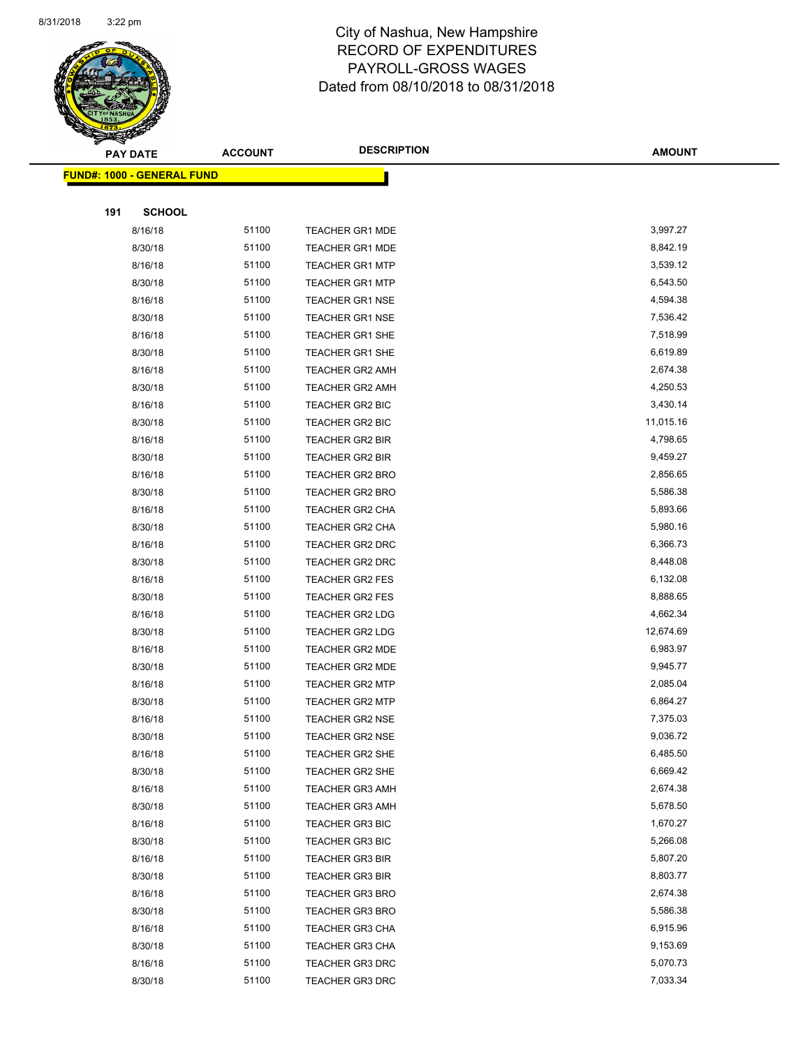

|     | <b>PAY DATE</b>                   | <b>ACCOUNT</b> | <b>DESCRIPTION</b>     | <b>AMOUNT</b> |
|-----|-----------------------------------|----------------|------------------------|---------------|
|     | <b>FUND#: 1000 - GENERAL FUND</b> |                |                        |               |
|     |                                   |                |                        |               |
| 191 | <b>SCHOOL</b>                     |                |                        |               |
|     | 8/16/18                           | 51100          | <b>TEACHER GR1 MDE</b> | 3,997.27      |
|     | 8/30/18                           | 51100          | <b>TEACHER GR1 MDE</b> | 8,842.19      |
|     | 8/16/18                           | 51100          | <b>TEACHER GR1 MTP</b> | 3,539.12      |
|     | 8/30/18                           | 51100          | <b>TEACHER GR1 MTP</b> | 6,543.50      |
|     | 8/16/18                           | 51100          | <b>TEACHER GR1 NSE</b> | 4,594.38      |
|     | 8/30/18                           | 51100          | <b>TEACHER GR1 NSE</b> | 7,536.42      |
|     | 8/16/18                           | 51100          | <b>TEACHER GR1 SHE</b> | 7,518.99      |
|     | 8/30/18                           | 51100          | TEACHER GR1 SHE        | 6,619.89      |
|     | 8/16/18                           | 51100          | <b>TEACHER GR2 AMH</b> | 2,674.38      |
|     | 8/30/18                           | 51100          | <b>TEACHER GR2 AMH</b> | 4,250.53      |
|     | 8/16/18                           | 51100          | TEACHER GR2 BIC        | 3,430.14      |
|     | 8/30/18                           | 51100          | <b>TEACHER GR2 BIC</b> | 11,015.16     |
|     | 8/16/18                           | 51100          | TEACHER GR2 BIR        | 4,798.65      |
|     | 8/30/18                           | 51100          | TEACHER GR2 BIR        | 9,459.27      |
|     | 8/16/18                           | 51100          | <b>TEACHER GR2 BRO</b> | 2,856.65      |
|     | 8/30/18                           | 51100          | <b>TEACHER GR2 BRO</b> | 5,586.38      |
|     | 8/16/18                           | 51100          | TEACHER GR2 CHA        | 5,893.66      |
|     | 8/30/18                           | 51100          | TEACHER GR2 CHA        | 5,980.16      |
|     | 8/16/18                           | 51100          | <b>TEACHER GR2 DRC</b> | 6,366.73      |
|     | 8/30/18                           | 51100          | <b>TEACHER GR2 DRC</b> | 8,448.08      |
|     | 8/16/18                           | 51100          | <b>TEACHER GR2 FES</b> | 6,132.08      |
|     | 8/30/18                           | 51100          | <b>TEACHER GR2 FES</b> | 8,888.65      |
|     | 8/16/18                           | 51100          | TEACHER GR2 LDG        | 4,662.34      |
|     | 8/30/18                           | 51100          | <b>TEACHER GR2 LDG</b> | 12,674.69     |
|     | 8/16/18                           | 51100          | TEACHER GR2 MDE        | 6,983.97      |
|     | 8/30/18                           | 51100          | <b>TEACHER GR2 MDE</b> | 9,945.77      |
|     | 8/16/18                           | 51100          | <b>TEACHER GR2 MTP</b> | 2,085.04      |
|     | 8/30/18                           | 51100          | <b>TEACHER GR2 MTP</b> | 6,864.27      |
|     | 8/16/18                           | 51100          | <b>TEACHER GR2 NSE</b> | 7,375.03      |
|     | 8/30/18                           | 51100          | TEACHER GR2 NSE        | 9,036.72      |
|     | 8/16/18                           | 51100          | TEACHER GR2 SHE        | 6,485.50      |
|     | 8/30/18                           | 51100          | <b>TEACHER GR2 SHE</b> | 6,669.42      |
|     | 8/16/18                           | 51100          | <b>TEACHER GR3 AMH</b> | 2,674.38      |
|     | 8/30/18                           | 51100          | <b>TEACHER GR3 AMH</b> | 5,678.50      |
|     | 8/16/18                           | 51100          | <b>TEACHER GR3 BIC</b> | 1,670.27      |
|     | 8/30/18                           | 51100          | <b>TEACHER GR3 BIC</b> | 5,266.08      |
|     | 8/16/18                           | 51100          | <b>TEACHER GR3 BIR</b> | 5,807.20      |
|     | 8/30/18                           | 51100          | <b>TEACHER GR3 BIR</b> | 8,803.77      |
|     | 8/16/18                           | 51100          | <b>TEACHER GR3 BRO</b> | 2,674.38      |
|     | 8/30/18                           | 51100          | <b>TEACHER GR3 BRO</b> | 5,586.38      |
|     | 8/16/18                           | 51100          | <b>TEACHER GR3 CHA</b> | 6,915.96      |
|     | 8/30/18                           | 51100          | <b>TEACHER GR3 CHA</b> | 9,153.69      |
|     | 8/16/18                           | 51100          | TEACHER GR3 DRC        | 5,070.73      |
|     | 8/30/18                           | 51100          | TEACHER GR3 DRC        | 7,033.34      |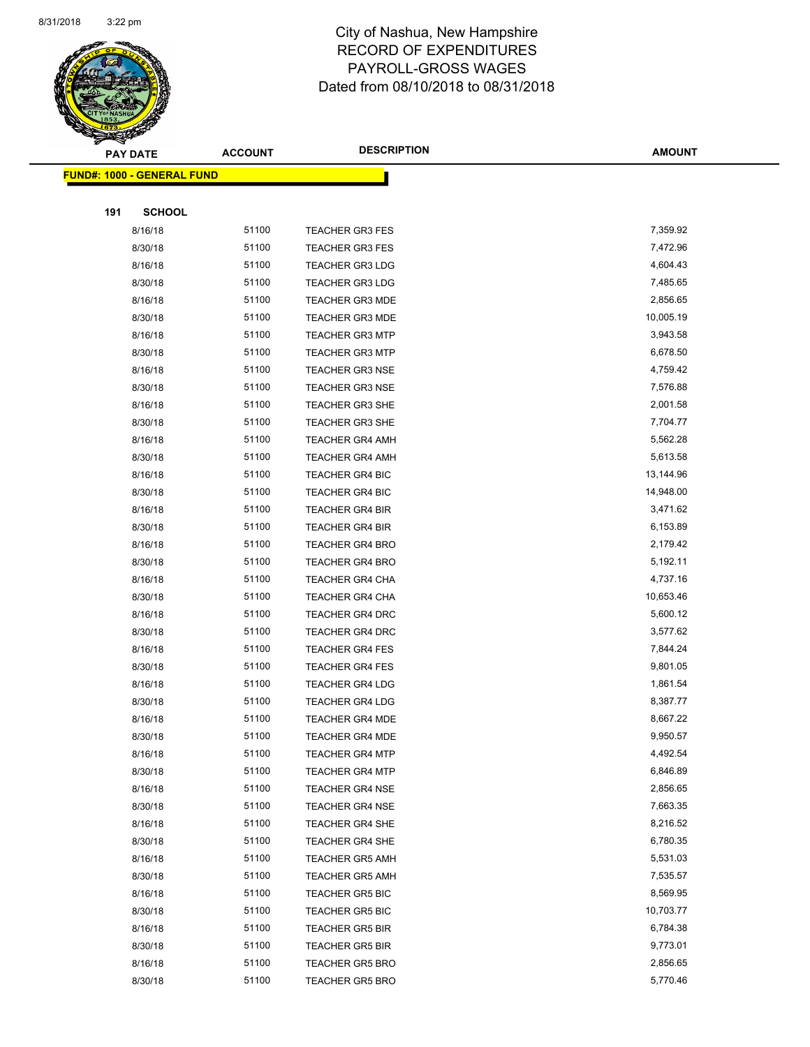

|     | <b>PAY DATE</b>                    | <b>ACCOUNT</b> | <b>DESCRIPTION</b>     | <b>AMOUNT</b> |
|-----|------------------------------------|----------------|------------------------|---------------|
|     | <u> FUND#: 1000 - GENERAL FUND</u> |                |                        |               |
|     |                                    |                |                        |               |
| 191 | <b>SCHOOL</b>                      |                |                        |               |
|     | 8/16/18                            | 51100          | <b>TEACHER GR3 FES</b> | 7,359.92      |
|     | 8/30/18                            | 51100          | <b>TEACHER GR3 FES</b> | 7,472.96      |
|     | 8/16/18                            | 51100          | <b>TEACHER GR3 LDG</b> | 4,604.43      |
|     | 8/30/18                            | 51100          | <b>TEACHER GR3 LDG</b> | 7,485.65      |
|     | 8/16/18                            | 51100          | <b>TEACHER GR3 MDE</b> | 2,856.65      |
|     | 8/30/18                            | 51100          | <b>TEACHER GR3 MDE</b> | 10,005.19     |
|     | 8/16/18                            | 51100          | <b>TEACHER GR3 MTP</b> | 3,943.58      |
|     | 8/30/18                            | 51100          | <b>TEACHER GR3 MTP</b> | 6,678.50      |
|     | 8/16/18                            | 51100          | <b>TEACHER GR3 NSE</b> | 4,759.42      |
|     | 8/30/18                            | 51100          | <b>TEACHER GR3 NSE</b> | 7,576.88      |
|     | 8/16/18                            | 51100          | <b>TEACHER GR3 SHE</b> | 2,001.58      |
|     | 8/30/18                            | 51100          | <b>TEACHER GR3 SHE</b> | 7,704.77      |
|     | 8/16/18                            | 51100          | <b>TEACHER GR4 AMH</b> | 5,562.28      |
|     | 8/30/18                            | 51100          | <b>TEACHER GR4 AMH</b> | 5,613.58      |
|     | 8/16/18                            | 51100          | <b>TEACHER GR4 BIC</b> | 13,144.96     |
|     | 8/30/18                            | 51100          | <b>TEACHER GR4 BIC</b> | 14,948.00     |
|     | 8/16/18                            | 51100          | <b>TEACHER GR4 BIR</b> | 3,471.62      |
|     | 8/30/18                            | 51100          | <b>TEACHER GR4 BIR</b> | 6,153.89      |
|     | 8/16/18                            | 51100          | <b>TEACHER GR4 BRO</b> | 2,179.42      |
|     | 8/30/18                            | 51100          | <b>TEACHER GR4 BRO</b> | 5,192.11      |
|     | 8/16/18                            | 51100          | <b>TEACHER GR4 CHA</b> | 4,737.16      |
|     | 8/30/18                            | 51100          | <b>TEACHER GR4 CHA</b> | 10,653.46     |
|     | 8/16/18                            | 51100          | <b>TEACHER GR4 DRC</b> | 5,600.12      |
|     | 8/30/18                            | 51100          | TEACHER GR4 DRC        | 3,577.62      |
|     | 8/16/18                            | 51100          | <b>TEACHER GR4 FES</b> | 7,844.24      |
|     | 8/30/18                            | 51100          | <b>TEACHER GR4 FES</b> | 9,801.05      |
|     | 8/16/18                            | 51100          | <b>TEACHER GR4 LDG</b> | 1,861.54      |
|     | 8/30/18                            | 51100          | <b>TEACHER GR4 LDG</b> | 8,387.77      |
|     | 8/16/18                            | 51100          | <b>TEACHER GR4 MDE</b> | 8,667.22      |
|     | 8/30/18                            | 51100          | TEACHER GR4 MDE        | 9,950.57      |
|     | 8/16/18                            | 51100          | <b>TEACHER GR4 MTP</b> | 4,492.54      |
|     | 8/30/18                            | 51100          | TEACHER GR4 MTP        | 6,846.89      |
|     | 8/16/18                            | 51100          | <b>TEACHER GR4 NSE</b> | 2,856.65      |
|     | 8/30/18                            | 51100          | TEACHER GR4 NSE        | 7,663.35      |
|     | 8/16/18                            | 51100          | <b>TEACHER GR4 SHE</b> | 8,216.52      |
|     | 8/30/18                            | 51100          | TEACHER GR4 SHE        | 6,780.35      |
|     | 8/16/18                            | 51100          | <b>TEACHER GR5 AMH</b> | 5,531.03      |
|     | 8/30/18                            | 51100          | <b>TEACHER GR5 AMH</b> | 7,535.57      |
|     | 8/16/18                            | 51100          | <b>TEACHER GR5 BIC</b> | 8,569.95      |
|     | 8/30/18                            | 51100          | <b>TEACHER GR5 BIC</b> | 10,703.77     |
|     | 8/16/18                            | 51100          | <b>TEACHER GR5 BIR</b> | 6,784.38      |
|     | 8/30/18                            | 51100          | <b>TEACHER GR5 BIR</b> | 9,773.01      |
|     | 8/16/18                            | 51100          | <b>TEACHER GR5 BRO</b> | 2,856.65      |
|     | 8/30/18                            | 51100          | TEACHER GR5 BRO        | 5,770.46      |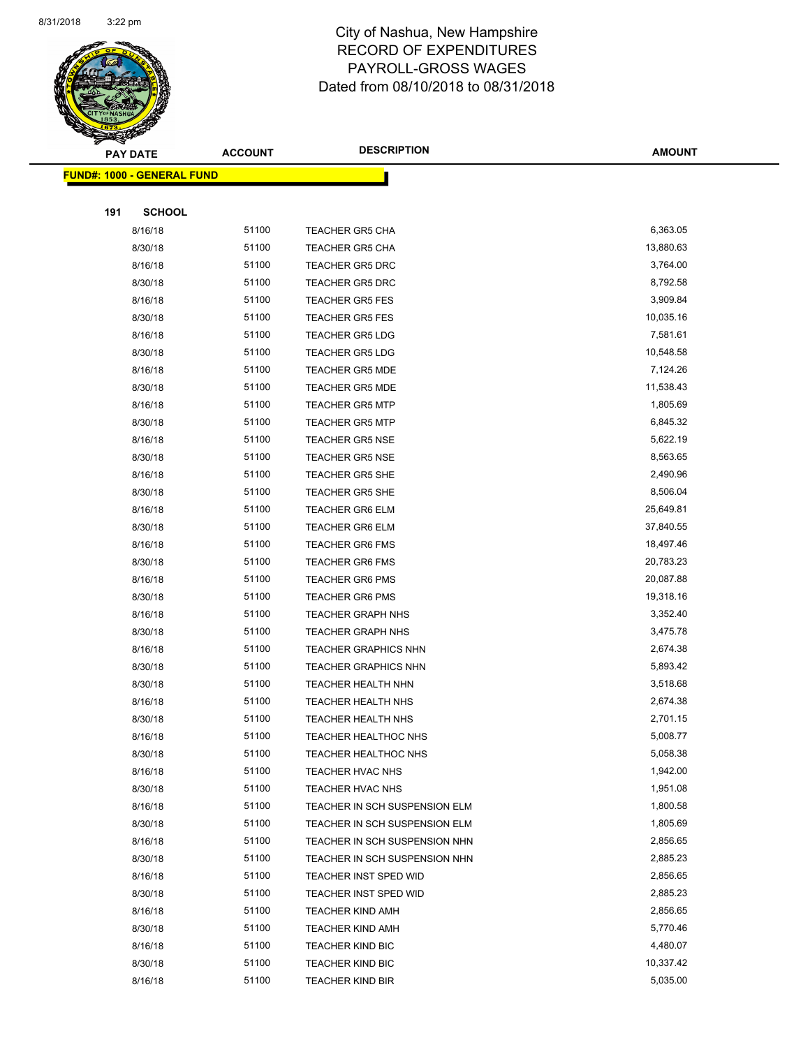

|     | <b>FUND#: 1000 - GENERAL FUND</b> |       |                               |           |
|-----|-----------------------------------|-------|-------------------------------|-----------|
|     |                                   |       |                               |           |
| 191 | <b>SCHOOL</b>                     |       |                               |           |
|     | 8/16/18                           | 51100 | <b>TEACHER GR5 CHA</b>        | 6,363.05  |
|     | 8/30/18                           | 51100 | <b>TEACHER GR5 CHA</b>        | 13,880.63 |
|     | 8/16/18                           | 51100 | <b>TEACHER GR5 DRC</b>        | 3,764.00  |
|     | 8/30/18                           | 51100 | <b>TEACHER GR5 DRC</b>        | 8,792.58  |
|     | 8/16/18                           | 51100 | <b>TEACHER GR5 FES</b>        | 3,909.84  |
|     | 8/30/18                           | 51100 | <b>TEACHER GR5 FES</b>        | 10,035.16 |
|     | 8/16/18                           | 51100 | <b>TEACHER GR5 LDG</b>        | 7,581.61  |
|     | 8/30/18                           | 51100 | <b>TEACHER GR5 LDG</b>        | 10,548.58 |
|     | 8/16/18                           | 51100 | <b>TEACHER GR5 MDE</b>        | 7,124.26  |
|     | 8/30/18                           | 51100 | <b>TEACHER GR5 MDE</b>        | 11,538.43 |
|     | 8/16/18                           | 51100 | <b>TEACHER GR5 MTP</b>        | 1,805.69  |
|     | 8/30/18                           | 51100 | <b>TEACHER GR5 MTP</b>        | 6,845.32  |
|     | 8/16/18                           | 51100 | <b>TEACHER GR5 NSE</b>        | 5,622.19  |
|     | 8/30/18                           | 51100 | <b>TEACHER GR5 NSE</b>        | 8,563.65  |
|     | 8/16/18                           | 51100 | <b>TEACHER GR5 SHE</b>        | 2,490.96  |
|     | 8/30/18                           | 51100 | <b>TEACHER GR5 SHE</b>        | 8,506.04  |
|     | 8/16/18                           | 51100 | <b>TEACHER GR6 ELM</b>        | 25,649.81 |
|     | 8/30/18                           | 51100 | <b>TEACHER GR6 ELM</b>        | 37,840.55 |
|     | 8/16/18                           | 51100 | <b>TEACHER GR6 FMS</b>        | 18,497.46 |
|     | 8/30/18                           | 51100 | <b>TEACHER GR6 FMS</b>        | 20,783.23 |
|     | 8/16/18                           | 51100 | <b>TEACHER GR6 PMS</b>        | 20,087.88 |
|     | 8/30/18                           | 51100 | <b>TEACHER GR6 PMS</b>        | 19,318.16 |
|     | 8/16/18                           | 51100 | <b>TEACHER GRAPH NHS</b>      | 3,352.40  |
|     | 8/30/18                           | 51100 | <b>TEACHER GRAPH NHS</b>      | 3,475.78  |
|     | 8/16/18                           | 51100 | <b>TEACHER GRAPHICS NHN</b>   | 2,674.38  |
|     | 8/30/18                           | 51100 | <b>TEACHER GRAPHICS NHN</b>   | 5,893.42  |
|     | 8/30/18                           | 51100 | <b>TEACHER HEALTH NHN</b>     | 3,518.68  |
|     | 8/16/18                           | 51100 | TEACHER HEALTH NHS            | 2,674.38  |
|     | 8/30/18                           | 51100 | TEACHER HEALTH NHS            | 2,701.15  |
|     | 8/16/18                           | 51100 | TEACHER HEALTHOC NHS          | 5,008.77  |
|     | 8/30/18                           | 51100 | TEACHER HEALTHOC NHS          | 5,058.38  |
|     | 8/16/18                           | 51100 | TEACHER HVAC NHS              | 1,942.00  |
|     | 8/30/18                           | 51100 | TEACHER HVAC NHS              | 1,951.08  |
|     | 8/16/18                           | 51100 | TEACHER IN SCH SUSPENSION ELM | 1,800.58  |
|     | 8/30/18                           | 51100 | TEACHER IN SCH SUSPENSION ELM | 1,805.69  |
|     | 8/16/18                           | 51100 | TEACHER IN SCH SUSPENSION NHN | 2,856.65  |
|     | 8/30/18                           | 51100 | TEACHER IN SCH SUSPENSION NHN | 2,885.23  |
|     | 8/16/18                           | 51100 | TEACHER INST SPED WID         | 2,856.65  |
|     | 8/30/18                           | 51100 | TEACHER INST SPED WID         | 2,885.23  |
|     | 8/16/18                           | 51100 | <b>TEACHER KIND AMH</b>       | 2,856.65  |
|     | 8/30/18                           | 51100 | <b>TEACHER KIND AMH</b>       | 5,770.46  |
|     | 8/16/18                           | 51100 | <b>TEACHER KIND BIC</b>       | 4,480.07  |
|     | 8/30/18                           | 51100 | <b>TEACHER KIND BIC</b>       | 10,337.42 |
|     | 8/16/18                           | 51100 | TEACHER KIND BIR              | 5,035.00  |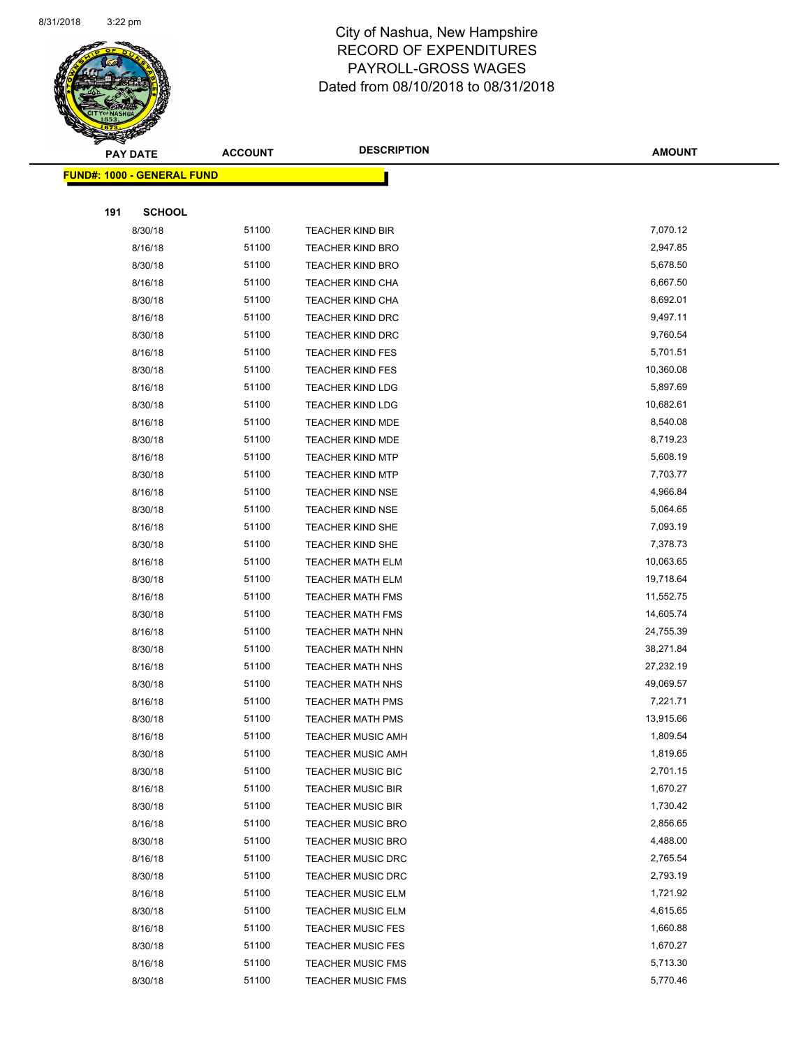

|     | <b>PAY DATE</b>                    | <b>ACCOUNT</b> | <b>DESCRIPTION</b>       | <b>AMOUNT</b> |  |
|-----|------------------------------------|----------------|--------------------------|---------------|--|
|     | <u> FUND#: 1000 - GENERAL FUND</u> |                |                          |               |  |
|     |                                    |                |                          |               |  |
| 191 | <b>SCHOOL</b>                      |                |                          |               |  |
|     | 8/30/18                            | 51100          | <b>TEACHER KIND BIR</b>  | 7,070.12      |  |
|     | 8/16/18                            | 51100          | <b>TEACHER KIND BRO</b>  | 2,947.85      |  |
|     | 8/30/18                            | 51100          | <b>TEACHER KIND BRO</b>  | 5,678.50      |  |
|     | 8/16/18                            | 51100          | <b>TEACHER KIND CHA</b>  | 6,667.50      |  |
|     | 8/30/18                            | 51100          | TEACHER KIND CHA         | 8,692.01      |  |
|     | 8/16/18                            | 51100          | <b>TEACHER KIND DRC</b>  | 9,497.11      |  |
|     | 8/30/18                            | 51100          | <b>TEACHER KIND DRC</b>  | 9,760.54      |  |
|     | 8/16/18                            | 51100          | <b>TEACHER KIND FES</b>  | 5,701.51      |  |
|     | 8/30/18                            | 51100          | <b>TEACHER KIND FES</b>  | 10,360.08     |  |
|     | 8/16/18                            | 51100          | <b>TEACHER KIND LDG</b>  | 5,897.69      |  |
|     | 8/30/18                            | 51100          | <b>TEACHER KIND LDG</b>  | 10,682.61     |  |
|     | 8/16/18                            | 51100          | <b>TEACHER KIND MDE</b>  | 8,540.08      |  |
|     | 8/30/18                            | 51100          | TEACHER KIND MDE         | 8,719.23      |  |
|     | 8/16/18                            | 51100          | <b>TEACHER KIND MTP</b>  | 5,608.19      |  |
|     | 8/30/18                            | 51100          | <b>TEACHER KIND MTP</b>  | 7,703.77      |  |
|     | 8/16/18                            | 51100          | <b>TEACHER KIND NSE</b>  | 4,966.84      |  |
|     | 8/30/18                            | 51100          | <b>TEACHER KIND NSE</b>  | 5,064.65      |  |
|     | 8/16/18                            | 51100          | TEACHER KIND SHE         | 7,093.19      |  |
|     | 8/30/18                            | 51100          | <b>TEACHER KIND SHE</b>  | 7,378.73      |  |
|     | 8/16/18                            | 51100          | TEACHER MATH ELM         | 10,063.65     |  |
|     | 8/30/18                            | 51100          | <b>TEACHER MATH ELM</b>  | 19,718.64     |  |
|     | 8/16/18                            | 51100          | <b>TEACHER MATH FMS</b>  | 11,552.75     |  |
|     | 8/30/18                            | 51100          | <b>TEACHER MATH FMS</b>  | 14,605.74     |  |
|     | 8/16/18                            | 51100          | <b>TEACHER MATH NHN</b>  | 24,755.39     |  |
|     | 8/30/18                            | 51100          | <b>TEACHER MATH NHN</b>  | 38,271.84     |  |
|     | 8/16/18                            | 51100          | <b>TEACHER MATH NHS</b>  | 27,232.19     |  |
|     | 8/30/18                            | 51100          | <b>TEACHER MATH NHS</b>  | 49,069.57     |  |
|     | 8/16/18                            | 51100          | <b>TEACHER MATH PMS</b>  | 7,221.71      |  |
|     | 8/30/18                            | 51100          | <b>TEACHER MATH PMS</b>  | 13,915.66     |  |
|     | 8/16/18                            | 51100          | TEACHER MUSIC AMH        | 1,809.54      |  |
|     | 8/30/18                            | 51100          | <b>TEACHER MUSIC AMH</b> | 1,819.65      |  |
|     | 8/30/18                            | 51100          | <b>TEACHER MUSIC BIC</b> | 2,701.15      |  |
|     | 8/16/18                            | 51100          | <b>TEACHER MUSIC BIR</b> | 1,670.27      |  |
|     | 8/30/18                            | 51100          | <b>TEACHER MUSIC BIR</b> | 1,730.42      |  |
|     | 8/16/18                            | 51100          | <b>TEACHER MUSIC BRO</b> | 2,856.65      |  |
|     | 8/30/18                            | 51100          | <b>TEACHER MUSIC BRO</b> | 4,488.00      |  |
|     | 8/16/18                            | 51100          | TEACHER MUSIC DRC        | 2,765.54      |  |
|     | 8/30/18                            | 51100          | <b>TEACHER MUSIC DRC</b> | 2,793.19      |  |
|     | 8/16/18                            | 51100          | <b>TEACHER MUSIC ELM</b> | 1,721.92      |  |
|     | 8/30/18                            | 51100          | <b>TEACHER MUSIC ELM</b> | 4,615.65      |  |
|     | 8/16/18                            | 51100          | <b>TEACHER MUSIC FES</b> | 1,660.88      |  |
|     | 8/30/18                            | 51100          | <b>TEACHER MUSIC FES</b> | 1,670.27      |  |
|     | 8/16/18                            | 51100          | <b>TEACHER MUSIC FMS</b> | 5,713.30      |  |
|     | 8/30/18                            | 51100          | <b>TEACHER MUSIC FMS</b> | 5,770.46      |  |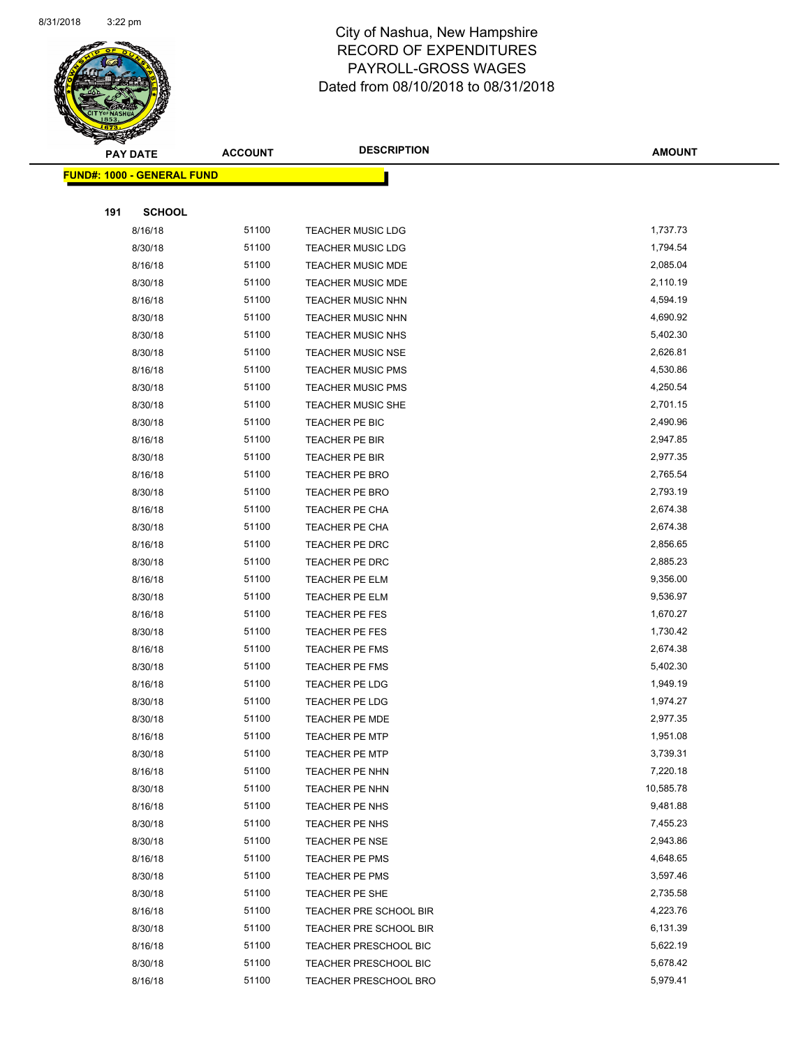

|     | <b>PAY DATE</b>                    | <b>ACCOUNT</b> | <b>DESCRIPTION</b>       | <b>AMOUNT</b> |
|-----|------------------------------------|----------------|--------------------------|---------------|
|     | <u> FUND#: 1000 - GENERAL FUND</u> |                |                          |               |
|     |                                    |                |                          |               |
| 191 | <b>SCHOOL</b>                      |                |                          |               |
|     | 8/16/18                            | 51100          | <b>TEACHER MUSIC LDG</b> | 1,737.73      |
|     | 8/30/18                            | 51100          | <b>TEACHER MUSIC LDG</b> | 1,794.54      |
|     | 8/16/18                            | 51100          | <b>TEACHER MUSIC MDE</b> | 2,085.04      |
|     | 8/30/18                            | 51100          | <b>TEACHER MUSIC MDE</b> | 2,110.19      |
|     | 8/16/18                            | 51100          | TEACHER MUSIC NHN        | 4,594.19      |
|     | 8/30/18                            | 51100          | TEACHER MUSIC NHN        | 4,690.92      |
|     | 8/30/18                            | 51100          | TEACHER MUSIC NHS        | 5,402.30      |
|     | 8/30/18                            | 51100          | <b>TEACHER MUSIC NSE</b> | 2,626.81      |
|     | 8/16/18                            | 51100          | <b>TEACHER MUSIC PMS</b> | 4,530.86      |
|     | 8/30/18                            | 51100          | <b>TEACHER MUSIC PMS</b> | 4,250.54      |
|     | 8/30/18                            | 51100          | <b>TEACHER MUSIC SHE</b> | 2,701.15      |
|     | 8/30/18                            | 51100          | TEACHER PE BIC           | 2,490.96      |
|     | 8/16/18                            | 51100          | TEACHER PE BIR           | 2,947.85      |
|     | 8/30/18                            | 51100          | TEACHER PE BIR           | 2,977.35      |
|     | 8/16/18                            | 51100          | <b>TEACHER PE BRO</b>    | 2,765.54      |
|     | 8/30/18                            | 51100          | TEACHER PE BRO           | 2,793.19      |
|     | 8/16/18                            | 51100          | TEACHER PE CHA           | 2,674.38      |
|     | 8/30/18                            | 51100          | TEACHER PE CHA           | 2,674.38      |
|     | 8/16/18                            | 51100          | TEACHER PE DRC           | 2,856.65      |
|     | 8/30/18                            | 51100          | TEACHER PE DRC           | 2,885.23      |
|     | 8/16/18                            | 51100          | TEACHER PE ELM           | 9,356.00      |
|     | 8/30/18                            | 51100          | TEACHER PE ELM           | 9,536.97      |
|     | 8/16/18                            | 51100          | TEACHER PE FES           | 1,670.27      |
|     | 8/30/18                            | 51100          | TEACHER PE FES           | 1,730.42      |
|     | 8/16/18                            | 51100          | <b>TEACHER PE FMS</b>    | 2,674.38      |
|     | 8/30/18                            | 51100          | <b>TEACHER PE FMS</b>    | 5,402.30      |
|     | 8/16/18                            | 51100          | TEACHER PE LDG           | 1,949.19      |
|     | 8/30/18                            | 51100          | <b>TEACHER PE LDG</b>    | 1,974.27      |
|     | 8/30/18                            | 51100          | <b>TEACHER PE MDE</b>    | 2,977.35      |
|     | 8/16/18                            | 51100          | TEACHER PE MTP           | 1,951.08      |
|     | 8/30/18                            | 51100          | <b>TEACHER PE MTP</b>    | 3,739.31      |
|     | 8/16/18                            | 51100          | TEACHER PE NHN           | 7,220.18      |
|     | 8/30/18                            | 51100          | TEACHER PE NHN           | 10,585.78     |
|     | 8/16/18                            | 51100          | TEACHER PE NHS           | 9,481.88      |
|     | 8/30/18                            | 51100          | TEACHER PE NHS           | 7,455.23      |
|     | 8/30/18                            | 51100          | <b>TEACHER PE NSE</b>    | 2,943.86      |
|     | 8/16/18                            | 51100          | TEACHER PE PMS           | 4,648.65      |
|     | 8/30/18                            | 51100          | TEACHER PE PMS           | 3,597.46      |
|     | 8/30/18                            | 51100          | TEACHER PE SHE           | 2,735.58      |
|     | 8/16/18                            | 51100          | TEACHER PRE SCHOOL BIR   | 4,223.76      |
|     | 8/30/18                            | 51100          | TEACHER PRE SCHOOL BIR   | 6,131.39      |
|     | 8/16/18                            | 51100          | TEACHER PRESCHOOL BIC    | 5,622.19      |
|     | 8/30/18                            | 51100          | TEACHER PRESCHOOL BIC    | 5,678.42      |
|     | 8/16/18                            | 51100          | TEACHER PRESCHOOL BRO    | 5,979.41      |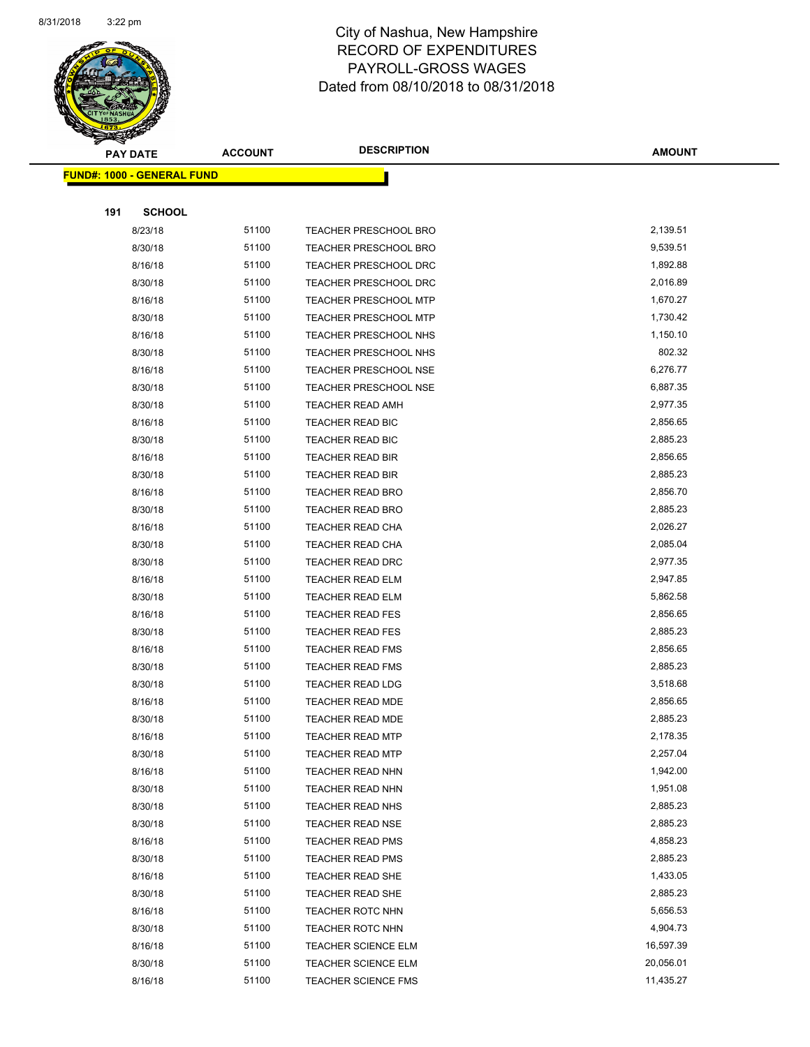

|     | <b>PAY DATE</b>                   | <b>ACCOUNT</b> | <b>DESCRIPTION</b>           | <b>AMOUNT</b> |  |
|-----|-----------------------------------|----------------|------------------------------|---------------|--|
|     | <b>FUND#: 1000 - GENERAL FUND</b> |                |                              |               |  |
|     |                                   |                |                              |               |  |
| 191 | <b>SCHOOL</b>                     |                |                              |               |  |
|     | 8/23/18                           | 51100          | <b>TEACHER PRESCHOOL BRO</b> | 2,139.51      |  |
|     | 8/30/18                           | 51100          | <b>TEACHER PRESCHOOL BRO</b> | 9,539.51      |  |
|     | 8/16/18                           | 51100          | <b>TEACHER PRESCHOOL DRC</b> | 1,892.88      |  |
|     | 8/30/18                           | 51100          | <b>TEACHER PRESCHOOL DRC</b> | 2,016.89      |  |
|     | 8/16/18                           | 51100          | TEACHER PRESCHOOL MTP        | 1,670.27      |  |
|     | 8/30/18                           | 51100          | <b>TEACHER PRESCHOOL MTP</b> | 1,730.42      |  |
|     | 8/16/18                           | 51100          | TEACHER PRESCHOOL NHS        | 1,150.10      |  |
|     | 8/30/18                           | 51100          | <b>TEACHER PRESCHOOL NHS</b> | 802.32        |  |
|     | 8/16/18                           | 51100          | <b>TEACHER PRESCHOOL NSE</b> | 6,276.77      |  |
|     | 8/30/18                           | 51100          | <b>TEACHER PRESCHOOL NSE</b> | 6,887.35      |  |
|     | 8/30/18                           | 51100          | <b>TEACHER READ AMH</b>      | 2,977.35      |  |
|     | 8/16/18                           | 51100          | TEACHER READ BIC             | 2,856.65      |  |
|     | 8/30/18                           | 51100          | <b>TEACHER READ BIC</b>      | 2,885.23      |  |
|     | 8/16/18                           | 51100          | <b>TEACHER READ BIR</b>      | 2,856.65      |  |
|     | 8/30/18                           | 51100          | <b>TEACHER READ BIR</b>      | 2,885.23      |  |
|     | 8/16/18                           | 51100          | <b>TEACHER READ BRO</b>      | 2,856.70      |  |
|     | 8/30/18                           | 51100          | <b>TEACHER READ BRO</b>      | 2,885.23      |  |
|     | 8/16/18                           | 51100          | <b>TEACHER READ CHA</b>      | 2,026.27      |  |
|     | 8/30/18                           | 51100          | TEACHER READ CHA             | 2,085.04      |  |
|     | 8/30/18                           | 51100          | <b>TEACHER READ DRC</b>      | 2,977.35      |  |
|     | 8/16/18                           | 51100          | <b>TEACHER READ ELM</b>      | 2,947.85      |  |
|     | 8/30/18                           | 51100          | <b>TEACHER READ ELM</b>      | 5,862.58      |  |
|     | 8/16/18                           | 51100          | <b>TEACHER READ FES</b>      | 2,856.65      |  |
|     | 8/30/18                           | 51100          | <b>TEACHER READ FES</b>      | 2,885.23      |  |
|     | 8/16/18                           | 51100          | <b>TEACHER READ FMS</b>      | 2,856.65      |  |
|     | 8/30/18                           | 51100          | <b>TEACHER READ FMS</b>      | 2,885.23      |  |
|     | 8/30/18                           | 51100          | <b>TEACHER READ LDG</b>      | 3,518.68      |  |
|     | 8/16/18                           | 51100          | TEACHER READ MDE             | 2,856.65      |  |
|     | 8/30/18                           | 51100          | <b>TEACHER READ MDE</b>      | 2,885.23      |  |
|     | 8/16/18                           | 51100          | TEACHER READ MTP             | 2,178.35      |  |
|     | 8/30/18                           | 51100          | <b>TEACHER READ MTP</b>      | 2,257.04      |  |
|     | 8/16/18                           | 51100          | TEACHER READ NHN             | 1,942.00      |  |
|     | 8/30/18                           | 51100          | TEACHER READ NHN             | 1,951.08      |  |
|     | 8/30/18                           | 51100          | TEACHER READ NHS             | 2,885.23      |  |
|     | 8/30/18                           | 51100          | <b>TEACHER READ NSE</b>      | 2,885.23      |  |
|     | 8/16/18                           | 51100          | <b>TEACHER READ PMS</b>      | 4,858.23      |  |
|     | 8/30/18                           | 51100          | <b>TEACHER READ PMS</b>      | 2,885.23      |  |
|     | 8/16/18                           | 51100          | <b>TEACHER READ SHE</b>      | 1,433.05      |  |
|     | 8/30/18                           | 51100          | <b>TEACHER READ SHE</b>      | 2,885.23      |  |
|     | 8/16/18                           | 51100          | <b>TEACHER ROTC NHN</b>      | 5,656.53      |  |
|     | 8/30/18                           | 51100          | <b>TEACHER ROTC NHN</b>      | 4,904.73      |  |
|     | 8/16/18                           | 51100          | <b>TEACHER SCIENCE ELM</b>   | 16,597.39     |  |
|     | 8/30/18                           | 51100          | <b>TEACHER SCIENCE ELM</b>   | 20,056.01     |  |
|     | 8/16/18                           | 51100          | <b>TEACHER SCIENCE FMS</b>   | 11,435.27     |  |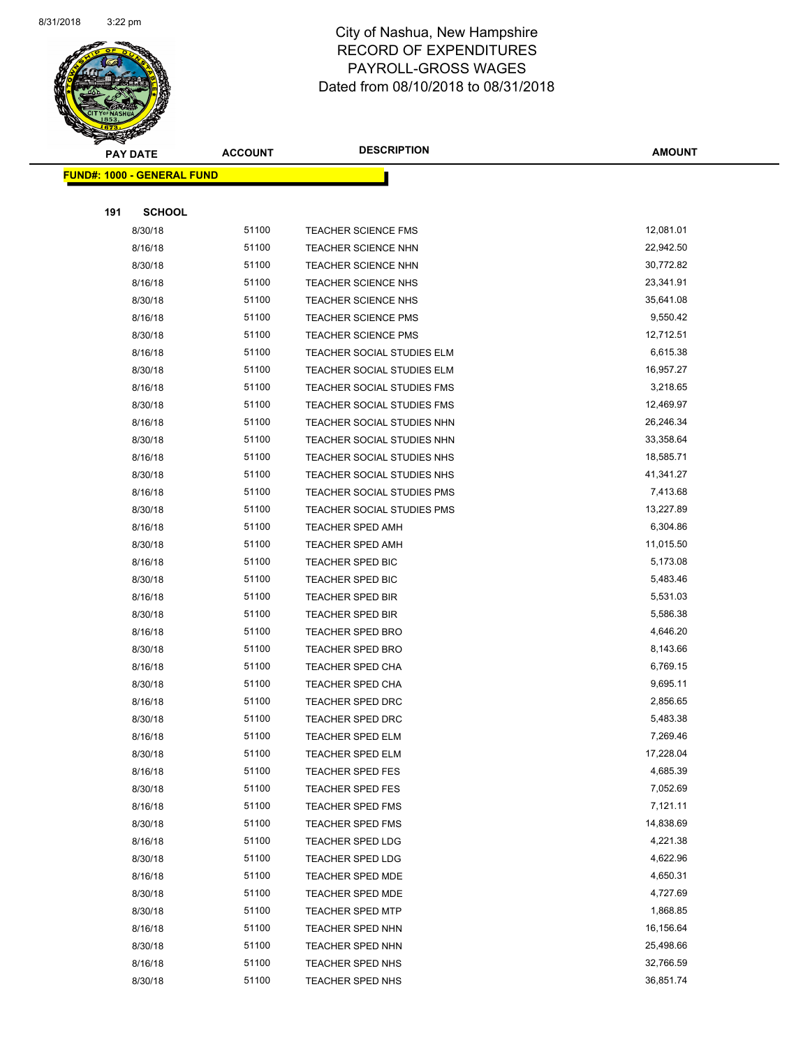

|     | <u> FUND#: 1000 - GENERAL FUND</u> |       |                            |           |
|-----|------------------------------------|-------|----------------------------|-----------|
|     |                                    |       |                            |           |
| 191 | <b>SCHOOL</b>                      |       |                            |           |
|     | 8/30/18                            | 51100 | <b>TEACHER SCIENCE FMS</b> | 12,081.01 |
|     | 8/16/18                            | 51100 | <b>TEACHER SCIENCE NHN</b> | 22,942.50 |
|     | 8/30/18                            | 51100 | <b>TEACHER SCIENCE NHN</b> | 30,772.82 |
|     | 8/16/18                            | 51100 | <b>TEACHER SCIENCE NHS</b> | 23,341.91 |
|     | 8/30/18                            | 51100 | TEACHER SCIENCE NHS        | 35,641.08 |
|     | 8/16/18                            | 51100 | TEACHER SCIENCE PMS        | 9,550.42  |
|     | 8/30/18                            | 51100 | <b>TEACHER SCIENCE PMS</b> | 12,712.51 |
|     | 8/16/18                            | 51100 | TEACHER SOCIAL STUDIES ELM | 6,615.38  |
|     | 8/30/18                            | 51100 | TEACHER SOCIAL STUDIES ELM | 16,957.27 |
|     | 8/16/18                            | 51100 | TEACHER SOCIAL STUDIES FMS | 3,218.65  |
|     | 8/30/18                            | 51100 | TEACHER SOCIAL STUDIES FMS | 12,469.97 |
|     | 8/16/18                            | 51100 | TEACHER SOCIAL STUDIES NHN | 26,246.34 |
|     | 8/30/18                            | 51100 | TEACHER SOCIAL STUDIES NHN | 33,358.64 |
|     | 8/16/18                            | 51100 | TEACHER SOCIAL STUDIES NHS | 18,585.71 |
|     | 8/30/18                            | 51100 | TEACHER SOCIAL STUDIES NHS | 41,341.27 |
|     | 8/16/18                            | 51100 | TEACHER SOCIAL STUDIES PMS | 7,413.68  |
|     | 8/30/18                            | 51100 | TEACHER SOCIAL STUDIES PMS | 13,227.89 |
|     | 8/16/18                            | 51100 | <b>TEACHER SPED AMH</b>    | 6,304.86  |
|     | 8/30/18                            | 51100 | <b>TEACHER SPED AMH</b>    | 11,015.50 |
|     | 8/16/18                            | 51100 | TEACHER SPED BIC           | 5,173.08  |
|     | 8/30/18                            | 51100 | <b>TEACHER SPED BIC</b>    | 5,483.46  |
|     | 8/16/18                            | 51100 | <b>TEACHER SPED BIR</b>    | 5,531.03  |
|     | 8/30/18                            | 51100 | <b>TEACHER SPED BIR</b>    | 5,586.38  |
|     | 8/16/18                            | 51100 | <b>TEACHER SPED BRO</b>    | 4,646.20  |
|     | 8/30/18                            | 51100 | TEACHER SPED BRO           | 8,143.66  |
|     | 8/16/18                            | 51100 | <b>TEACHER SPED CHA</b>    | 6,769.15  |
|     | 8/30/18                            | 51100 | <b>TEACHER SPED CHA</b>    | 9,695.11  |
|     | 8/16/18                            | 51100 | <b>TEACHER SPED DRC</b>    | 2,856.65  |
|     | 8/30/18                            | 51100 | <b>TEACHER SPED DRC</b>    | 5,483.38  |
|     | 8/16/18                            | 51100 | TEACHER SPED ELM           | 7,269.46  |
|     | 8/30/18                            | 51100 | TEACHER SPED ELM           | 17,228.04 |
|     | 8/16/18                            | 51100 | <b>TEACHER SPED FES</b>    | 4,685.39  |
|     | 8/30/18                            | 51100 | TEACHER SPED FES           | 7,052.69  |
|     | 8/16/18                            | 51100 | <b>TEACHER SPED FMS</b>    | 7,121.11  |
|     | 8/30/18                            | 51100 | <b>TEACHER SPED FMS</b>    | 14,838.69 |
|     | 8/16/18                            | 51100 | <b>TEACHER SPED LDG</b>    | 4,221.38  |
|     | 8/30/18                            | 51100 | <b>TEACHER SPED LDG</b>    | 4,622.96  |
|     | 8/16/18                            | 51100 | TEACHER SPED MDE           | 4,650.31  |
|     | 8/30/18                            | 51100 | TEACHER SPED MDE           | 4,727.69  |
|     | 8/30/18                            | 51100 | <b>TEACHER SPED MTP</b>    | 1,868.85  |
|     | 8/16/18                            | 51100 | <b>TEACHER SPED NHN</b>    | 16,156.64 |
|     | 8/30/18                            | 51100 | <b>TEACHER SPED NHN</b>    | 25,498.66 |
|     | 8/16/18                            | 51100 | TEACHER SPED NHS           | 32,766.59 |
|     | 8/30/18                            | 51100 | TEACHER SPED NHS           | 36,851.74 |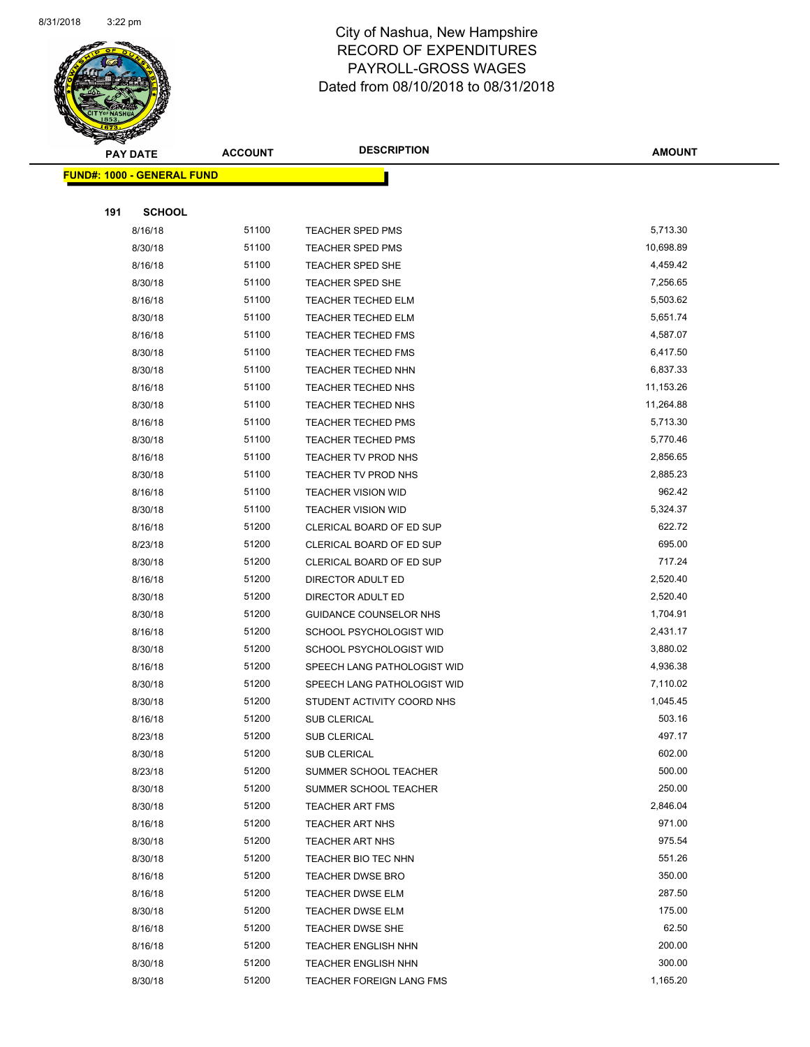

|     | <u> FUND#: 1000 - GENERAL FUND</u> |       |                             |           |
|-----|------------------------------------|-------|-----------------------------|-----------|
|     |                                    |       |                             |           |
| 191 | <b>SCHOOL</b>                      |       |                             |           |
|     | 8/16/18                            | 51100 | <b>TEACHER SPED PMS</b>     | 5,713.30  |
|     | 8/30/18                            | 51100 | <b>TEACHER SPED PMS</b>     | 10,698.89 |
|     | 8/16/18                            | 51100 | <b>TEACHER SPED SHE</b>     | 4,459.42  |
|     | 8/30/18                            | 51100 | <b>TEACHER SPED SHE</b>     | 7,256.65  |
|     | 8/16/18                            | 51100 | <b>TEACHER TECHED ELM</b>   | 5,503.62  |
|     | 8/30/18                            | 51100 | <b>TEACHER TECHED ELM</b>   | 5,651.74  |
|     | 8/16/18                            | 51100 | <b>TEACHER TECHED FMS</b>   | 4,587.07  |
|     | 8/30/18                            | 51100 | <b>TEACHER TECHED FMS</b>   | 6,417.50  |
|     | 8/30/18                            | 51100 | <b>TEACHER TECHED NHN</b>   | 6,837.33  |
|     | 8/16/18                            | 51100 | TEACHER TECHED NHS          | 11,153.26 |
|     | 8/30/18                            | 51100 | <b>TEACHER TECHED NHS</b>   | 11,264.88 |
|     | 8/16/18                            | 51100 | <b>TEACHER TECHED PMS</b>   | 5,713.30  |
|     | 8/30/18                            | 51100 | <b>TEACHER TECHED PMS</b>   | 5,770.46  |
|     | 8/16/18                            | 51100 | TEACHER TV PROD NHS         | 2,856.65  |
|     | 8/30/18                            | 51100 | TEACHER TV PROD NHS         | 2,885.23  |
|     | 8/16/18                            | 51100 | <b>TEACHER VISION WID</b>   | 962.42    |
|     | 8/30/18                            | 51100 | <b>TEACHER VISION WID</b>   | 5,324.37  |
|     | 8/16/18                            | 51200 | CLERICAL BOARD OF ED SUP    | 622.72    |
|     | 8/23/18                            | 51200 | CLERICAL BOARD OF ED SUP    | 695.00    |
|     | 8/30/18                            | 51200 | CLERICAL BOARD OF ED SUP    | 717.24    |
|     | 8/16/18                            | 51200 | DIRECTOR ADULT ED           | 2,520.40  |
|     | 8/30/18                            | 51200 | DIRECTOR ADULT ED           | 2,520.40  |
|     | 8/30/18                            | 51200 | GUIDANCE COUNSELOR NHS      | 1,704.91  |
|     | 8/16/18                            | 51200 | SCHOOL PSYCHOLOGIST WID     | 2,431.17  |
|     | 8/30/18                            | 51200 | SCHOOL PSYCHOLOGIST WID     | 3,880.02  |
|     | 8/16/18                            | 51200 | SPEECH LANG PATHOLOGIST WID | 4,936.38  |
|     | 8/30/18                            | 51200 | SPEECH LANG PATHOLOGIST WID | 7,110.02  |
|     | 8/30/18                            | 51200 | STUDENT ACTIVITY COORD NHS  | 1,045.45  |
|     | 8/16/18                            | 51200 | <b>SUB CLERICAL</b>         | 503.16    |
|     | 8/23/18                            | 51200 | <b>SUB CLERICAL</b>         | 497.17    |
|     | 8/30/18                            | 51200 | SUB CLERICAL                | 602.00    |
|     | 8/23/18                            | 51200 | SUMMER SCHOOL TEACHER       | 500.00    |
|     | 8/30/18                            | 51200 | SUMMER SCHOOL TEACHER       | 250.00    |
|     | 8/30/18                            | 51200 | <b>TEACHER ART FMS</b>      | 2,846.04  |
|     | 8/16/18                            | 51200 | <b>TEACHER ART NHS</b>      | 971.00    |
|     | 8/30/18                            | 51200 | <b>TEACHER ART NHS</b>      | 975.54    |
|     | 8/30/18                            | 51200 | TEACHER BIO TEC NHN         | 551.26    |
|     | 8/16/18                            | 51200 | <b>TEACHER DWSE BRO</b>     | 350.00    |
|     | 8/16/18                            | 51200 | <b>TEACHER DWSE ELM</b>     | 287.50    |
|     | 8/30/18                            | 51200 | TEACHER DWSE ELM            | 175.00    |
|     | 8/16/18                            | 51200 | <b>TEACHER DWSE SHE</b>     | 62.50     |
|     | 8/16/18                            | 51200 | <b>TEACHER ENGLISH NHN</b>  | 200.00    |
|     | 8/30/18                            | 51200 | <b>TEACHER ENGLISH NHN</b>  | 300.00    |
|     | 8/30/18                            | 51200 | TEACHER FOREIGN LANG FMS    | 1,165.20  |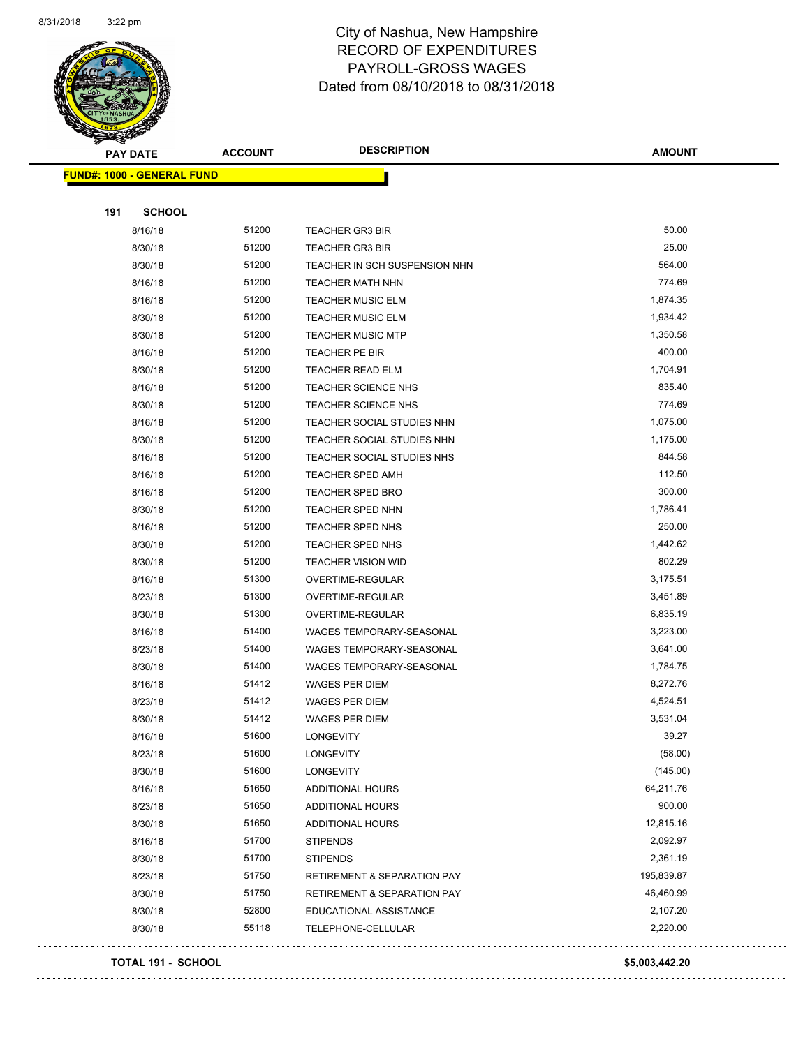

| <b>PAY DATE</b>                   | <b>ACCOUNT</b> | <b>DESCRIPTION</b>                     | <b>AMOUNT</b> |
|-----------------------------------|----------------|----------------------------------------|---------------|
| <b>FUND#: 1000 - GENERAL FUND</b> |                |                                        |               |
|                                   |                |                                        |               |
| 191<br><b>SCHOOL</b>              |                |                                        |               |
| 8/16/18                           | 51200          | <b>TEACHER GR3 BIR</b>                 | 50.00         |
| 8/30/18                           | 51200          | <b>TEACHER GR3 BIR</b>                 | 25.00         |
| 8/30/18                           | 51200          | TEACHER IN SCH SUSPENSION NHN          | 564.00        |
| 8/16/18                           | 51200          | TEACHER MATH NHN                       | 774.69        |
| 8/16/18                           | 51200          | <b>TEACHER MUSIC ELM</b>               | 1,874.35      |
| 8/30/18                           | 51200          | <b>TEACHER MUSIC ELM</b>               | 1,934.42      |
| 8/30/18                           | 51200          | <b>TEACHER MUSIC MTP</b>               | 1,350.58      |
| 8/16/18                           | 51200          | TEACHER PE BIR                         | 400.00        |
| 8/30/18                           | 51200          | <b>TEACHER READ ELM</b>                | 1,704.91      |
| 8/16/18                           | 51200          | TEACHER SCIENCE NHS                    | 835.40        |
| 8/30/18                           | 51200          | TEACHER SCIENCE NHS                    | 774.69        |
| 8/16/18                           | 51200          | TEACHER SOCIAL STUDIES NHN             | 1,075.00      |
| 8/30/18                           | 51200          | TEACHER SOCIAL STUDIES NHN             | 1,175.00      |
| 8/16/18                           | 51200          | TEACHER SOCIAL STUDIES NHS             | 844.58        |
| 8/16/18                           | 51200          | <b>TEACHER SPED AMH</b>                | 112.50        |
| 8/16/18                           | 51200          | <b>TEACHER SPED BRO</b>                | 300.00        |
| 8/30/18                           | 51200          | <b>TEACHER SPED NHN</b>                | 1,786.41      |
| 8/16/18                           | 51200          | TEACHER SPED NHS                       | 250.00        |
| 8/30/18                           | 51200          | TEACHER SPED NHS                       | 1,442.62      |
| 8/30/18                           | 51200          | <b>TEACHER VISION WID</b>              | 802.29        |
| 8/16/18                           | 51300          | OVERTIME-REGULAR                       | 3,175.51      |
| 8/23/18                           | 51300          | OVERTIME-REGULAR                       | 3,451.89      |
| 8/30/18                           | 51300          | OVERTIME-REGULAR                       | 6,835.19      |
| 8/16/18                           | 51400          | WAGES TEMPORARY-SEASONAL               | 3,223.00      |
| 8/23/18                           | 51400          | WAGES TEMPORARY-SEASONAL               | 3,641.00      |
| 8/30/18                           | 51400          | WAGES TEMPORARY-SEASONAL               | 1,784.75      |
| 8/16/18                           | 51412          | WAGES PER DIEM                         | 8,272.76      |
| 8/23/18                           | 51412          | <b>WAGES PER DIEM</b>                  | 4,524.51      |
| 8/30/18                           | 51412          | <b>WAGES PER DIEM</b>                  | 3,531.04      |
| 8/16/18                           | 51600          | LONGEVITY                              | 39.27         |
| 8/23/18                           | 51600          | <b>LONGEVITY</b>                       | (58.00)       |
| 8/30/18                           | 51600          | <b>LONGEVITY</b>                       | (145.00)      |
| 8/16/18                           | 51650          | ADDITIONAL HOURS                       | 64,211.76     |
| 8/23/18                           | 51650          | ADDITIONAL HOURS                       | 900.00        |
| 8/30/18                           | 51650          | ADDITIONAL HOURS                       | 12,815.16     |
| 8/16/18                           | 51700          | <b>STIPENDS</b>                        | 2,092.97      |
| 8/30/18                           | 51700          | <b>STIPENDS</b>                        | 2,361.19      |
| 8/23/18                           | 51750          | <b>RETIREMENT &amp; SEPARATION PAY</b> | 195,839.87    |
| 8/30/18                           | 51750          | RETIREMENT & SEPARATION PAY            | 46,460.99     |
| 8/30/18                           | 52800          | EDUCATIONAL ASSISTANCE                 | 2,107.20      |
| 8/30/18                           | 55118          | TELEPHONE-CELLULAR                     | 2,220.00      |

#### **TOTAL 191 - SCHOOL \$5,003,442.20**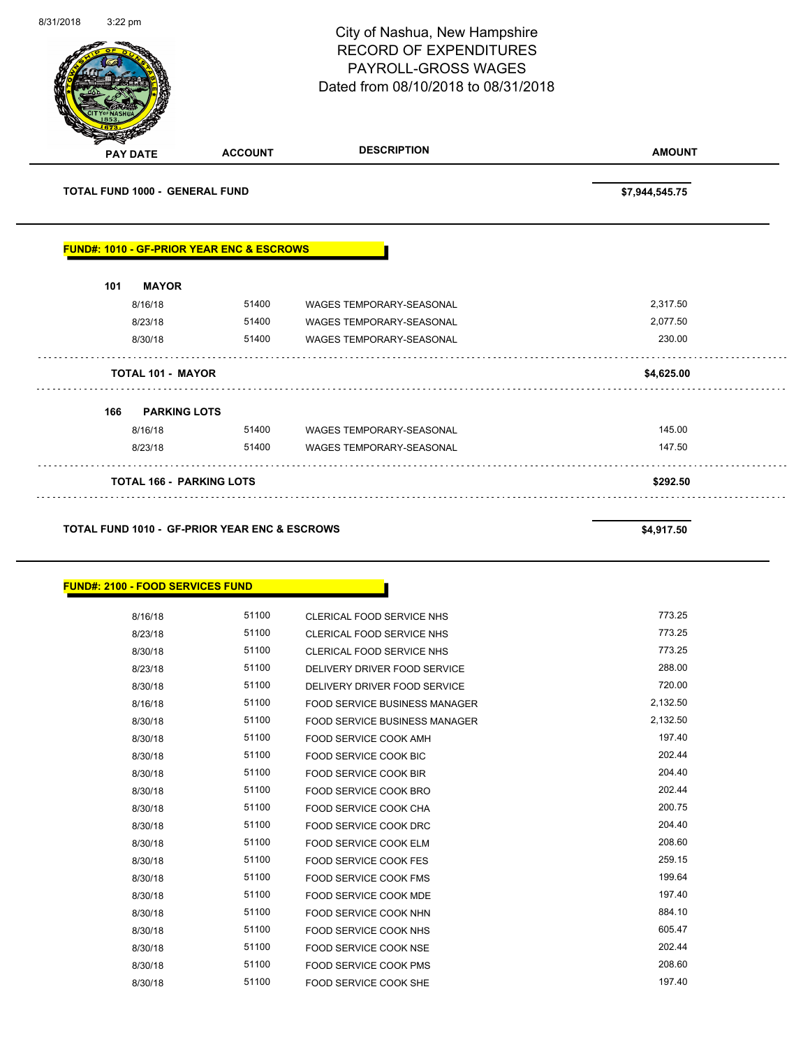|                                                                             |                     | City of Nashua, New Hampshire<br><b>RECORD OF EXPENDITURES</b><br>PAYROLL-GROSS WAGES<br>Dated from 08/10/2018 to 08/31/2018 | Page 92 of 108       |
|-----------------------------------------------------------------------------|---------------------|------------------------------------------------------------------------------------------------------------------------------|----------------------|
| <b>PAY DATE</b>                                                             | <b>ACCOUNT</b>      | <b>DESCRIPTION</b>                                                                                                           | <b>AMOUNT</b>        |
| <b>TOTAL FUND 1000 - GENERAL FUND</b>                                       |                     |                                                                                                                              | \$7,944,545.75       |
| <b>FUND#: 1010 - GF-PRIOR YEAR ENC &amp; ESCROWS</b><br><b>MAYOR</b><br>101 |                     |                                                                                                                              |                      |
| 8/16/18<br>8/23/18                                                          | 51400<br>51400      | WAGES TEMPORARY-SEASONAL<br>WAGES TEMPORARY-SEASONAL                                                                         | 2,317.50<br>2,077.50 |
| 8/30/18<br><b>TOTAL 101 - MAYOR</b>                                         | 51400               | <b>WAGES TEMPORARY-SEASONAL</b>                                                                                              | 230.00<br>\$4,625.00 |
| 166                                                                         | <b>PARKING LOTS</b> |                                                                                                                              |                      |
| 8/16/18                                                                     |                     | 51400 WAGES TEMPORARY-SEASONAL                                                                                               | 145.00               |
| 8/23/18                                                                     | 51400               | <b>WAGES TEMPORARY-SEASONAL</b>                                                                                              | 147.50               |

### TOTAL FUND 1010 - GF-PRIOR YEAR ENC & ESCROWS **\$4,917.50**

# **FUND#: 2100 - FOOD SERVICES FUND**

| 8/16/18 | 51100 | CLERICAL FOOD SERVICE NHS            | 773.25   |
|---------|-------|--------------------------------------|----------|
| 8/23/18 | 51100 | CLERICAL FOOD SERVICE NHS            | 773.25   |
| 8/30/18 | 51100 | CLERICAL FOOD SERVICE NHS            | 773.25   |
| 8/23/18 | 51100 | DELIVERY DRIVER FOOD SERVICE         | 288.00   |
| 8/30/18 | 51100 | DELIVERY DRIVER FOOD SERVICE         | 720.00   |
| 8/16/18 | 51100 | <b>FOOD SERVICE BUSINESS MANAGER</b> | 2,132.50 |
| 8/30/18 | 51100 | <b>FOOD SERVICE BUSINESS MANAGER</b> | 2,132.50 |
| 8/30/18 | 51100 | FOOD SERVICE COOK AMH                | 197.40   |
| 8/30/18 | 51100 | <b>FOOD SERVICE COOK BIC</b>         | 202.44   |
| 8/30/18 | 51100 | FOOD SERVICE COOK BIR                | 204.40   |
| 8/30/18 | 51100 | <b>FOOD SERVICE COOK BRO</b>         | 202.44   |
| 8/30/18 | 51100 | FOOD SERVICE COOK CHA                | 200.75   |
| 8/30/18 | 51100 | FOOD SERVICE COOK DRC                | 204.40   |
| 8/30/18 | 51100 | <b>FOOD SERVICE COOK ELM</b>         | 208.60   |
| 8/30/18 | 51100 | FOOD SERVICE COOK FES                | 259.15   |
| 8/30/18 | 51100 | FOOD SERVICE COOK FMS                | 199.64   |
| 8/30/18 | 51100 | FOOD SERVICE COOK MDE                | 197.40   |
| 8/30/18 | 51100 | FOOD SERVICE COOK NHN                | 884.10   |
| 8/30/18 | 51100 | <b>FOOD SERVICE COOK NHS</b>         | 605.47   |
| 8/30/18 | 51100 | <b>FOOD SERVICE COOK NSE</b>         | 202.44   |
| 8/30/18 | 51100 | <b>FOOD SERVICE COOK PMS</b>         | 208.60   |
| 8/30/18 | 51100 | FOOD SERVICE COOK SHE                | 197.40   |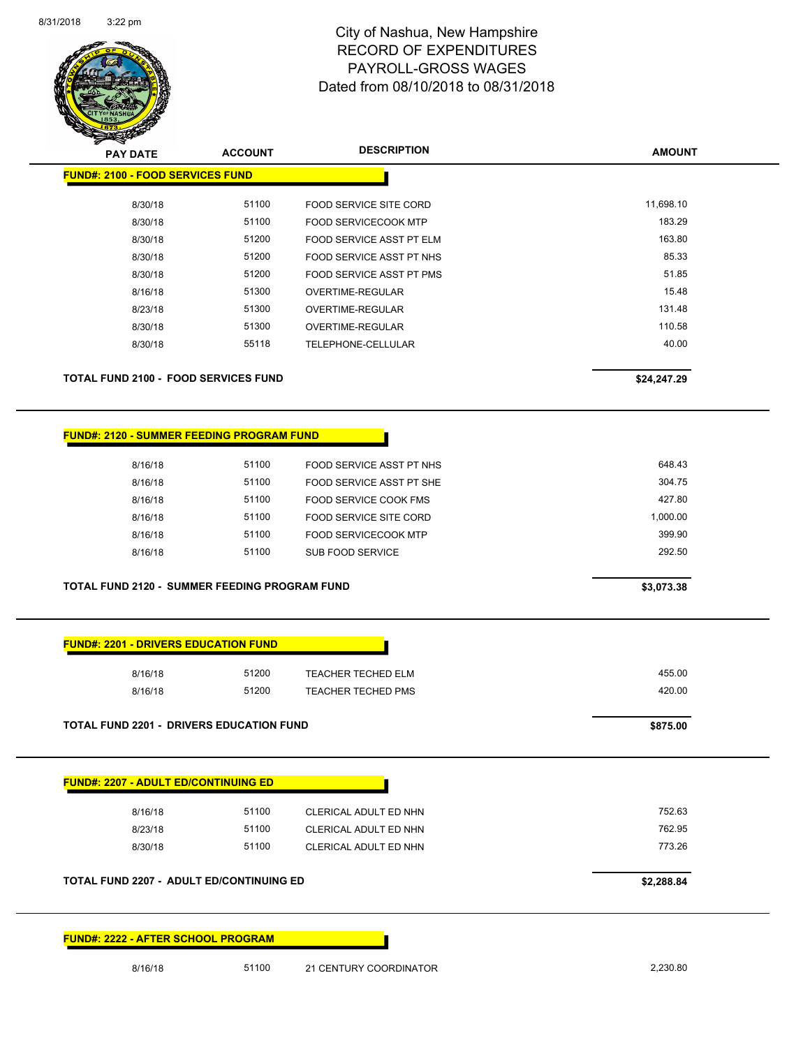

| <b>PAY DATE</b>                                  | <b>ACCOUNT</b> |                                 | <b>AMOUNT</b> |
|--------------------------------------------------|----------------|---------------------------------|---------------|
| <b>FUND#: 2100 - FOOD SERVICES FUND</b>          |                |                                 |               |
| 8/30/18                                          | 51100          | FOOD SERVICE SITE CORD          | 11,698.10     |
| 8/30/18                                          | 51100          | <b>FOOD SERVICECOOK MTP</b>     | 183.29        |
| 8/30/18                                          | 51200          | <b>FOOD SERVICE ASST PT ELM</b> | 163.80        |
| 8/30/18                                          | 51200          | <b>FOOD SERVICE ASST PT NHS</b> | 85.33         |
| 8/30/18                                          | 51200          | FOOD SERVICE ASST PT PMS        | 51.85         |
| 8/16/18                                          | 51300          | OVERTIME-REGULAR                | 15.48         |
| 8/23/18                                          | 51300          | <b>OVERTIME-REGULAR</b>         | 131.48        |
| 8/30/18                                          | 51300          | OVERTIME-REGULAR                | 110.58        |
| 8/30/18                                          | 55118          | TELEPHONE-CELLULAR              | 40.00         |
| <b>TOTAL FUND 2100 - FOOD SERVICES FUND</b>      |                |                                 | \$24,247.29   |
| <b>FUND#: 2120 - SUMMER FEEDING PROGRAM FUND</b> |                |                                 |               |
| 8/16/18                                          | 51100          | FOOD SERVICE ASST PT NHS        | 648.43        |
| 8/16/18                                          | 51100          | FOOD SERVICE ASST PT SHE        | 304.75        |
| 8/16/18                                          | 51100          | FOOD SERVICE COOK FMS           | 427.80        |
| 8/16/18                                          | 51100          | <b>FOOD SERVICE SITE CORD</b>   | 1,000.00      |
| 8/16/18                                          | 51100          | <b>FOOD SERVICECOOK MTP</b>     | 399.90        |
| 8/16/18                                          | 51100          | <b>SUB FOOD SERVICE</b>         | 292.50        |

| <u> FUND#. ZZUI - DRIVERS EDUCATION FUND</u>    |       |                           |          |
|-------------------------------------------------|-------|---------------------------|----------|
| 8/16/18                                         | 51200 | <b>TEACHER TECHED ELM</b> | 455.00   |
| 8/16/18                                         | 51200 | <b>TEACHER TECHED PMS</b> | 420.00   |
| <b>TOTAL FUND 2201 - DRIVERS EDUCATION FUND</b> |       |                           | \$875.00 |

| 8/23/18 | 51100 | CLERICAL ADULT ED NHN | 762.95 |
|---------|-------|-----------------------|--------|
| 8/30/18 | 51100 | CLERICAL ADULT ED NHN | 773.26 |
|         |       |                       |        |

| FUND#: 2222 - AFTER SCHOOL PROGRAM |  |
|------------------------------------|--|
|------------------------------------|--|

8/16/18 51100 21 CENTURY COORDINATOR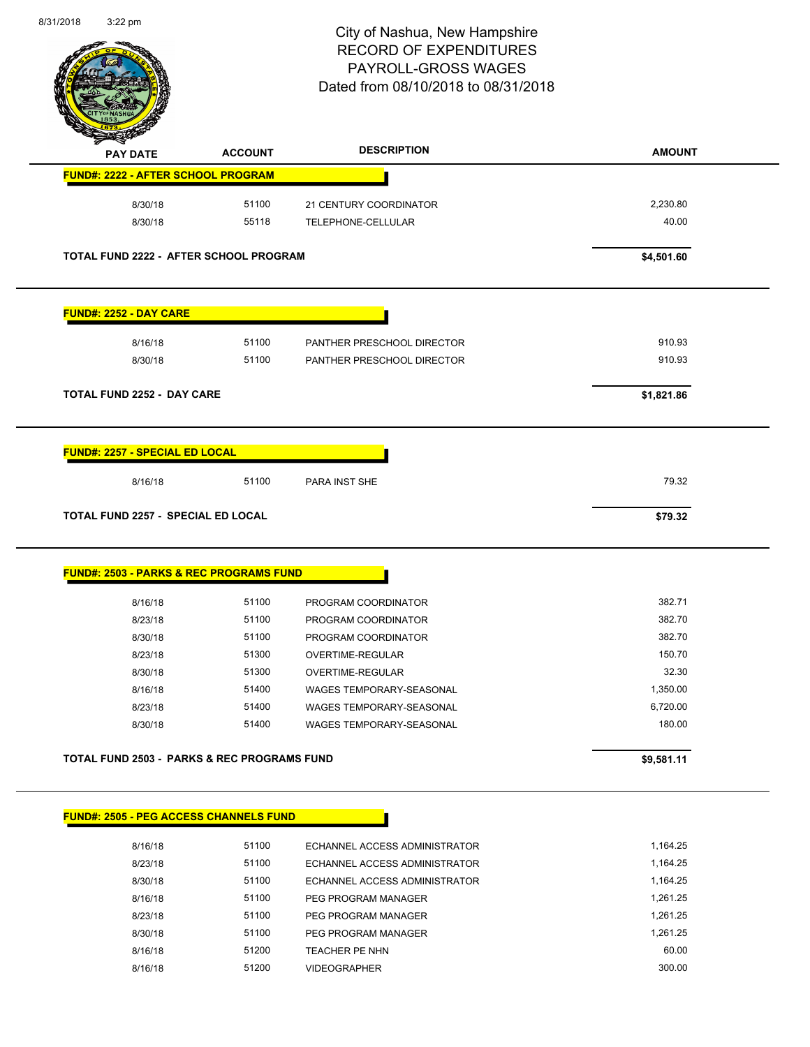$\overline{a}$ 



# City of Nashua, New Hampshire RECORD OF EXPENDITURES PAYROLL-GROSS WAGES Dated from 08/10/2018 to 08/31/2018

Page 94 of 108

| <b>PAY DATE</b>                                                                                                                                                                                            | <b>ACCOUNT</b>                                | <b>DESCRIPTION</b>                                             | <b>AMOUNT</b>        |
|------------------------------------------------------------------------------------------------------------------------------------------------------------------------------------------------------------|-----------------------------------------------|----------------------------------------------------------------|----------------------|
| <b>FUND#: 2222 - AFTER SCHOOL PROGRAM</b>                                                                                                                                                                  |                                               |                                                                |                      |
| 8/30/18                                                                                                                                                                                                    | 51100                                         | 21 CENTURY COORDINATOR                                         | 2,230.80             |
| 8/30/18                                                                                                                                                                                                    | 55118                                         | TELEPHONE-CELLULAR                                             | 40.00                |
|                                                                                                                                                                                                            | <b>TOTAL FUND 2222 - AFTER SCHOOL PROGRAM</b> |                                                                | \$4,501.60           |
| <b>FUND#: 2252 - DAY CARE</b>                                                                                                                                                                              |                                               |                                                                |                      |
| 8/16/18                                                                                                                                                                                                    | 51100                                         | PANTHER PRESCHOOL DIRECTOR                                     | 910.93               |
| 8/30/18                                                                                                                                                                                                    | 51100                                         | PANTHER PRESCHOOL DIRECTOR                                     | 910.93               |
| <b>TOTAL FUND 2252 - DAY CARE</b>                                                                                                                                                                          |                                               |                                                                | \$1,821.86           |
|                                                                                                                                                                                                            | 51100                                         |                                                                | 79.32                |
|                                                                                                                                                                                                            |                                               |                                                                | \$79.32              |
|                                                                                                                                                                                                            |                                               |                                                                |                      |
| 8/16/18                                                                                                                                                                                                    | 51100                                         | PROGRAM COORDINATOR                                            | 382.71               |
| 8/23/18                                                                                                                                                                                                    | 51100                                         | PROGRAM COORDINATOR                                            | 382.70               |
| 8/30/18                                                                                                                                                                                                    | 51100                                         | PROGRAM COORDINATOR                                            | 382.70               |
| 8/23/18                                                                                                                                                                                                    | 51300                                         | OVERTIME-REGULAR                                               | 150.70               |
| 8/30/18                                                                                                                                                                                                    | 51300                                         | <b>OVERTIME-REGULAR</b>                                        | 32.30                |
| 8/16/18                                                                                                                                                                                                    | 51400                                         | WAGES TEMPORARY-SEASONAL                                       | 1,350.00             |
| 8/23/18                                                                                                                                                                                                    | 51400                                         | <b>WAGES TEMPORARY-SEASONAL</b>                                | 6,720.00             |
| 8/30/18                                                                                                                                                                                                    | 51400                                         | WAGES TEMPORARY-SEASONAL                                       | 180.00               |
|                                                                                                                                                                                                            |                                               |                                                                | \$9,581.11           |
|                                                                                                                                                                                                            |                                               |                                                                |                      |
|                                                                                                                                                                                                            |                                               |                                                                |                      |
| <b>TOTAL FUND 2257 - SPECIAL ED LOCAL</b><br><b>FUND#: 2503 - PARKS &amp; REC PROGRAMS FUND</b><br>TOTAL FUND 2503 - PARKS & REC PROGRAMS FUND<br><b>FUND#: 2505 - PEG ACCESS CHANNELS FUND</b><br>8/16/18 | 51100                                         | ECHANNEL ACCESS ADMINISTRATOR                                  | 1,164.25             |
| 8/23/18<br>8/30/18                                                                                                                                                                                         | 51100<br>51100                                | ECHANNEL ACCESS ADMINISTRATOR<br>ECHANNEL ACCESS ADMINISTRATOR | 1,164.25<br>1,164.25 |

8/16/18 61100 PEG PROGRAM MANAGER 1,261.25 8/23/18 51100 PEG PROGRAM MANAGER 1,261.25 8/30/18 51100 PEG PROGRAM MANAGER 1,261.25 8/16/18 51200 TEACHER PE NHN 60.00 8/16/18 51200 VIDEOGRAPHER 300.00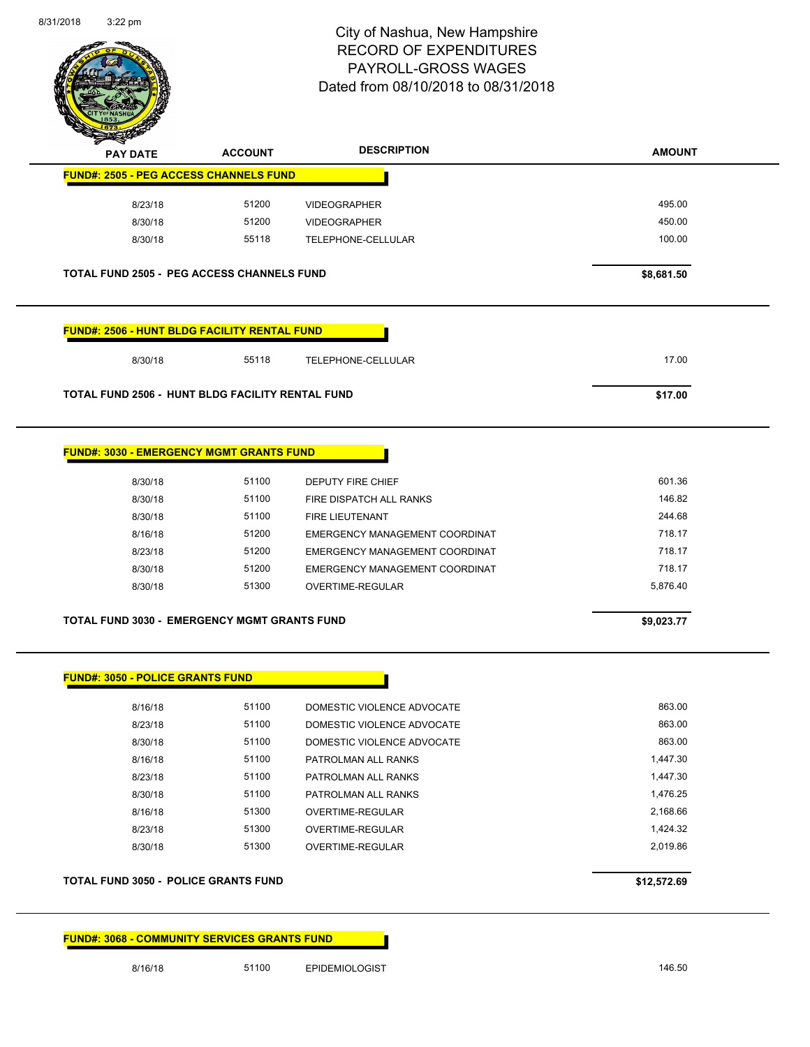

| <b>STATERS</b>                                          |                                           |                                                                                                                                            |                                                |
|---------------------------------------------------------|-------------------------------------------|--------------------------------------------------------------------------------------------------------------------------------------------|------------------------------------------------|
| <b>PAY DATE</b>                                         | <b>ACCOUNT</b>                            | <b>DESCRIPTION</b>                                                                                                                         | <b>AMOUNT</b>                                  |
| <b>FUND#: 2505 - PEG ACCESS CHANNELS FUND</b>           |                                           |                                                                                                                                            |                                                |
| 8/23/18                                                 | 51200                                     | <b>VIDEOGRAPHER</b>                                                                                                                        | 495.00                                         |
| 8/30/18                                                 | 51200                                     | <b>VIDEOGRAPHER</b>                                                                                                                        | 450.00                                         |
| 8/30/18                                                 | 55118                                     | TELEPHONE-CELLULAR                                                                                                                         | 100.00                                         |
| <b>TOTAL FUND 2505 - PEG ACCESS CHANNELS FUND</b>       |                                           |                                                                                                                                            | \$8,681.50                                     |
| <b>FUND#: 2506 - HUNT BLDG FACILITY RENTAL FUND</b>     |                                           |                                                                                                                                            |                                                |
| 8/30/18                                                 | 55118                                     | TELEPHONE-CELLULAR                                                                                                                         | 17.00                                          |
| <b>TOTAL FUND 2506 - HUNT BLDG FACILITY RENTAL FUND</b> |                                           |                                                                                                                                            | \$17.00                                        |
| 8/30/18<br>8/30/18<br>8/30/18<br>8/16/18<br>8/23/18     | 51100<br>51100<br>51100<br>51200<br>51200 | <b>DEPUTY FIRE CHIEF</b><br>FIRE DISPATCH ALL RANKS<br>FIRE LIEUTENANT<br>EMERGENCY MANAGEMENT COORDINAT<br>EMERGENCY MANAGEMENT COORDINAT | 601.36<br>146.82<br>244.68<br>718.17<br>718.17 |
| 8/30/18<br>8/30/18                                      | 51200<br>51300                            | EMERGENCY MANAGEMENT COORDINAT<br>OVERTIME-REGULAR                                                                                         | 718.17<br>5,876.40                             |
| <b>TOTAL FUND 3030 - EMERGENCY MGMT GRANTS FUND</b>     |                                           |                                                                                                                                            | \$9,023.77                                     |
| <b>FUND#: 3050 - POLICE GRANTS FUND</b>                 |                                           |                                                                                                                                            |                                                |
| 8/16/18                                                 | 51100                                     | DOMESTIC VIOLENCE ADVOCATE                                                                                                                 | 863.00                                         |
| 8/23/18                                                 | 51100                                     | DOMESTIC VIOLENCE ADVOCATE                                                                                                                 | 863.00                                         |
| 8/30/18                                                 | 51100                                     | DOMESTIC VIOLENCE ADVOCATE                                                                                                                 | 863.00                                         |
| 8/16/18                                                 | 51100                                     | PATROLMAN ALL RANKS                                                                                                                        | 1,447.30                                       |
| 8/23/18                                                 | 51100                                     | PATROLMAN ALL RANKS                                                                                                                        | 1,447.30                                       |

8/30/18 51100 PATROLMAN ALL RANKS 1,476.25 8/16/18 51300 OVERTIME-REGULAR 2,168.66 8/23/18 51300 OVERTIME-REGULAR 1,424.32 8/30/18 51300 OVERTIME-REGULAR 2,019.86

**TOTAL FUND 3050 - POLICE GRANTS FUND \$12,572.69** 

**FUND#: 3068 - COMMUNITY SERVICES GRANTS FUND** 8/16/18 51100 EPIDEMIOLOGIST 51100 51100 51100 51100 51100 51100 51100 51100 51100 51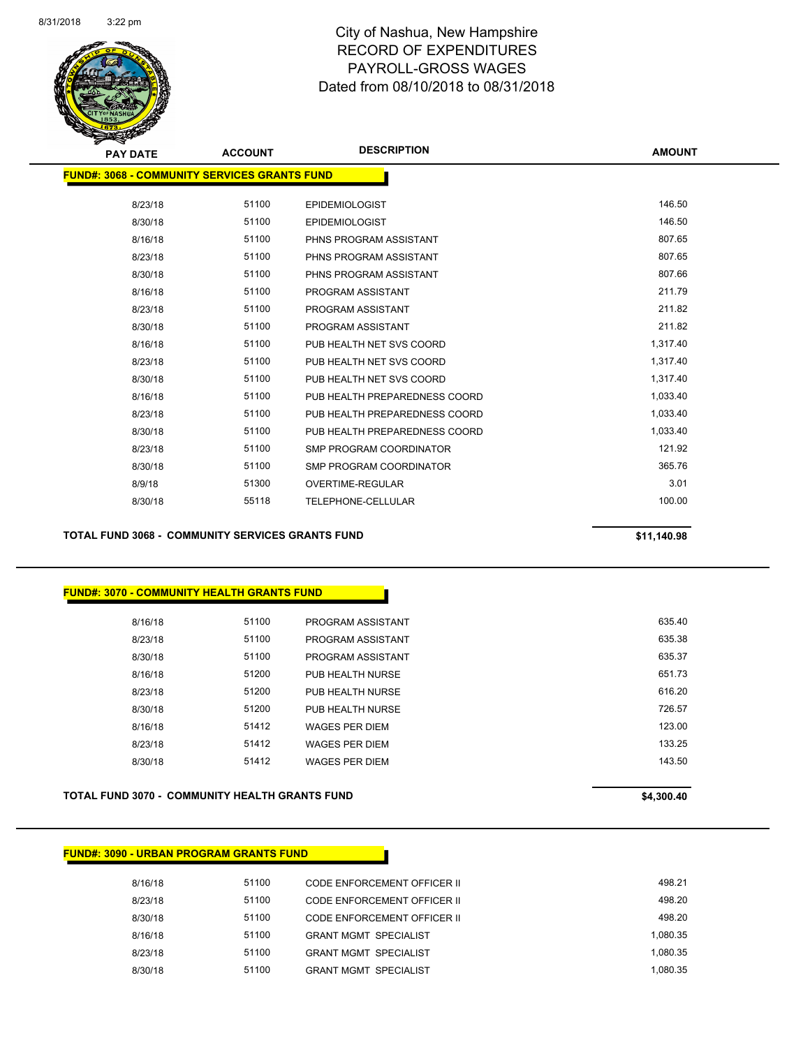

| <b>PAY DATE</b>                                      | <b>ACCOUNT</b> | <b>DESCRIPTION</b>             | <b>AMOUNT</b> |
|------------------------------------------------------|----------------|--------------------------------|---------------|
| <u> FUND#: 3068 - COMMUNITY SERVICES GRANTS FUND</u> |                |                                |               |
| 8/23/18                                              | 51100          | <b>EPIDEMIOLOGIST</b>          | 146.50        |
| 8/30/18                                              | 51100          | <b>EPIDEMIOLOGIST</b>          | 146.50        |
| 8/16/18                                              | 51100          | PHNS PROGRAM ASSISTANT         | 807.65        |
| 8/23/18                                              | 51100          | PHNS PROGRAM ASSISTANT         | 807.65        |
| 8/30/18                                              | 51100          | PHNS PROGRAM ASSISTANT         | 807.66        |
| 8/16/18                                              | 51100          | PROGRAM ASSISTANT              | 211.79        |
| 8/23/18                                              | 51100          | PROGRAM ASSISTANT              | 211.82        |
| 8/30/18                                              | 51100          | PROGRAM ASSISTANT              | 211.82        |
| 8/16/18                                              | 51100          | PUB HEALTH NET SVS COORD       | 1,317.40      |
| 8/23/18                                              | 51100          | PUB HEALTH NET SVS COORD       | 1,317.40      |
| 8/30/18                                              | 51100          | PUB HEALTH NET SVS COORD       | 1,317.40      |
| 8/16/18                                              | 51100          | PUB HEALTH PREPAREDNESS COORD  | 1,033.40      |
| 8/23/18                                              | 51100          | PUB HEALTH PREPAREDNESS COORD  | 1,033.40      |
| 8/30/18                                              | 51100          | PUB HEALTH PREPAREDNESS COORD  | 1,033.40      |
| 8/23/18                                              | 51100          | <b>SMP PROGRAM COORDINATOR</b> | 121.92        |
| 8/30/18                                              | 51100          | SMP PROGRAM COORDINATOR        | 365.76        |
| 8/9/18                                               | 51300          | OVERTIME-REGULAR               | 3.01          |
| 8/30/18                                              | 55118          | TELEPHONE-CELLULAR             | 100.00        |
|                                                      |                |                                |               |

**TOTAL FUND 3068 - COMMUNITY SERVICES GRANTS FUND \$11,140.98** 

### **FUND#: 3070 - COMMUNITY HEALTH GRANTS FUND**

| 8/16/18 | 51100 | PROGRAM ASSISTANT     | 635.40 |
|---------|-------|-----------------------|--------|
| 8/23/18 | 51100 | PROGRAM ASSISTANT     | 635.38 |
| 8/30/18 | 51100 | PROGRAM ASSISTANT     | 635.37 |
| 8/16/18 | 51200 | PUB HEALTH NURSE      | 651.73 |
| 8/23/18 | 51200 | PUB HEALTH NURSE      | 616.20 |
| 8/30/18 | 51200 | PUB HEALTH NURSE      | 726.57 |
| 8/16/18 | 51412 | <b>WAGES PER DIEM</b> | 123.00 |
| 8/23/18 | 51412 | <b>WAGES PER DIEM</b> | 133.25 |
| 8/30/18 | 51412 | <b>WAGES PER DIEM</b> | 143.50 |
|         |       |                       |        |

**TOTAL FUND 3070 - COMMUNITY HEALTH GRANTS FUND \$4,300.40** 

#### **FUND#: 3090 - URBAN PROGRAM GRANTS FUND**

| 8/16/18 | 51100 | CODE ENFORCEMENT OFFICER II  | 498.21   |
|---------|-------|------------------------------|----------|
| 8/23/18 | 51100 | CODE ENFORCEMENT OFFICER II  | 498.20   |
| 8/30/18 | 51100 | CODE ENFORCEMENT OFFICER II  | 498.20   |
| 8/16/18 | 51100 | <b>GRANT MGMT SPECIALIST</b> | 1.080.35 |
| 8/23/18 | 51100 | <b>GRANT MGMT SPECIALIST</b> | 1.080.35 |
| 8/30/18 | 51100 | <b>GRANT MGMT SPECIALIST</b> | 1.080.35 |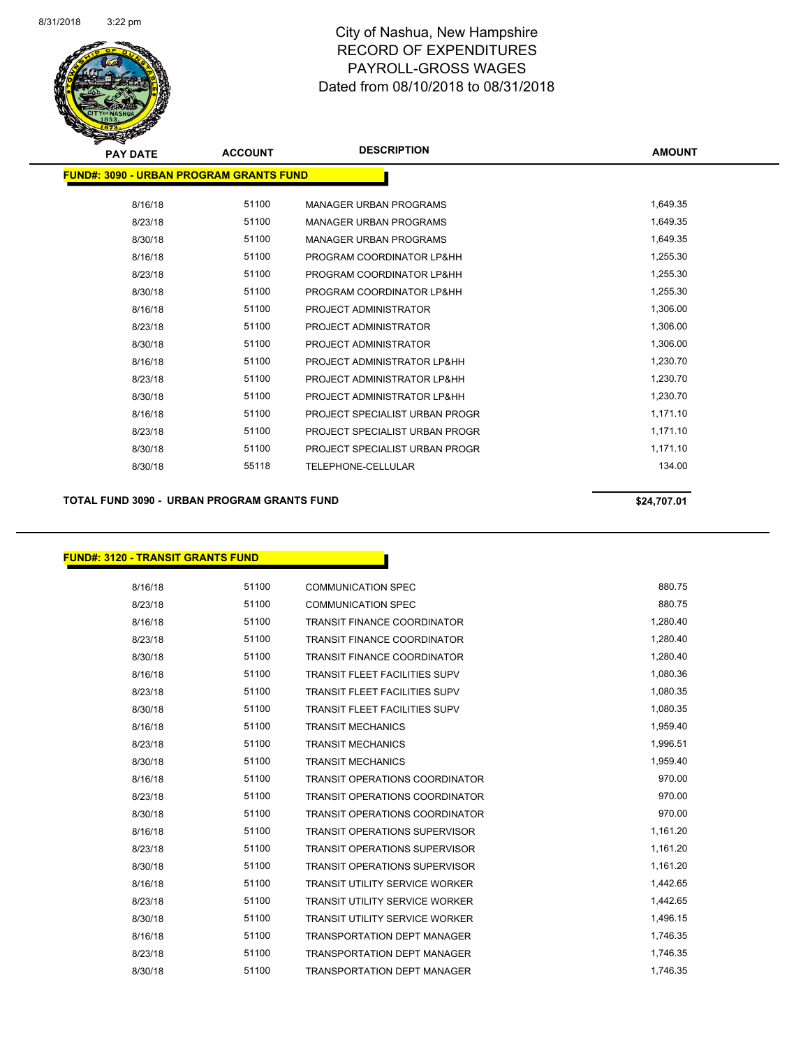

| <b>PAY DATE</b> | <b>ACCOUNT</b>                                  | <b>DESCRIPTION</b>             | <b>AMOUNT</b> |
|-----------------|-------------------------------------------------|--------------------------------|---------------|
|                 | <u> FUND#: 3090 - URBAN PROGRAM GRANTS FUND</u> |                                |               |
| 8/16/18         | 51100                                           | <b>MANAGER URBAN PROGRAMS</b>  | 1,649.35      |
| 8/23/18         | 51100                                           | <b>MANAGER URBAN PROGRAMS</b>  | 1,649.35      |
| 8/30/18         | 51100                                           | <b>MANAGER URBAN PROGRAMS</b>  | 1,649.35      |
| 8/16/18         | 51100                                           | PROGRAM COORDINATOR LP&HH      | 1,255.30      |
| 8/23/18         | 51100                                           | PROGRAM COORDINATOR LP&HH      | 1,255.30      |
| 8/30/18         | 51100                                           | PROGRAM COORDINATOR LP&HH      | 1,255.30      |
| 8/16/18         | 51100                                           | PROJECT ADMINISTRATOR          | 1,306.00      |
| 8/23/18         | 51100                                           | PROJECT ADMINISTRATOR          | 1,306.00      |
| 8/30/18         | 51100                                           | PROJECT ADMINISTRATOR          | 1,306.00      |
| 8/16/18         | 51100                                           | PROJECT ADMINISTRATOR LP&HH    | 1,230.70      |
| 8/23/18         | 51100                                           | PROJECT ADMINISTRATOR LP&HH    | 1,230.70      |
| 8/30/18         | 51100                                           | PROJECT ADMINISTRATOR LP&HH    | 1,230.70      |
| 8/16/18         | 51100                                           | PROJECT SPECIALIST URBAN PROGR | 1,171.10      |
| 8/23/18         | 51100                                           | PROJECT SPECIALIST URBAN PROGR | 1,171.10      |
| 8/30/18         | 51100                                           | PROJECT SPECIALIST URBAN PROGR | 1,171.10      |
| 8/30/18         | 55118                                           | <b>TELEPHONE-CELLULAR</b>      | 134.00        |
|                 |                                                 |                                |               |

TOTAL FUND 3090 - URBAN PROGRAM GRANTS FUND<br>
\$24,707.01

## **FUND#: 3120 - TRANSIT GRANTS FUND**

| 8/16/18 | 51100 | <b>COMMUNICATION SPEC</b>             | 880.75   |
|---------|-------|---------------------------------------|----------|
| 8/23/18 | 51100 | <b>COMMUNICATION SPEC</b>             | 880.75   |
| 8/16/18 | 51100 | <b>TRANSIT FINANCE COORDINATOR</b>    | 1,280.40 |
| 8/23/18 | 51100 | <b>TRANSIT FINANCE COORDINATOR</b>    | 1,280.40 |
| 8/30/18 | 51100 | <b>TRANSIT FINANCE COORDINATOR</b>    | 1,280.40 |
| 8/16/18 | 51100 | <b>TRANSIT FLEET FACILITIES SUPV</b>  | 1,080.36 |
| 8/23/18 | 51100 | <b>TRANSIT FLEET FACILITIES SUPV</b>  | 1,080.35 |
| 8/30/18 | 51100 | <b>TRANSIT FLEET FACILITIES SUPV</b>  | 1,080.35 |
| 8/16/18 | 51100 | <b>TRANSIT MECHANICS</b>              | 1,959.40 |
| 8/23/18 | 51100 | <b>TRANSIT MECHANICS</b>              | 1,996.51 |
| 8/30/18 | 51100 | <b>TRANSIT MECHANICS</b>              | 1,959.40 |
| 8/16/18 | 51100 | <b>TRANSIT OPERATIONS COORDINATOR</b> | 970.00   |
| 8/23/18 | 51100 | <b>TRANSIT OPERATIONS COORDINATOR</b> | 970.00   |
| 8/30/18 | 51100 | <b>TRANSIT OPERATIONS COORDINATOR</b> | 970.00   |
| 8/16/18 | 51100 | <b>TRANSIT OPERATIONS SUPERVISOR</b>  | 1,161.20 |
| 8/23/18 | 51100 | <b>TRANSIT OPERATIONS SUPERVISOR</b>  | 1,161.20 |
| 8/30/18 | 51100 | <b>TRANSIT OPERATIONS SUPERVISOR</b>  | 1,161.20 |
| 8/16/18 | 51100 | <b>TRANSIT UTILITY SERVICE WORKER</b> | 1,442.65 |
| 8/23/18 | 51100 | <b>TRANSIT UTILITY SERVICE WORKER</b> | 1,442.65 |
| 8/30/18 | 51100 | <b>TRANSIT UTILITY SERVICE WORKER</b> | 1,496.15 |
| 8/16/18 | 51100 | <b>TRANSPORTATION DEPT MANAGER</b>    | 1,746.35 |
| 8/23/18 | 51100 | <b>TRANSPORTATION DEPT MANAGER</b>    | 1,746.35 |
| 8/30/18 | 51100 | <b>TRANSPORTATION DEPT MANAGER</b>    | 1,746.35 |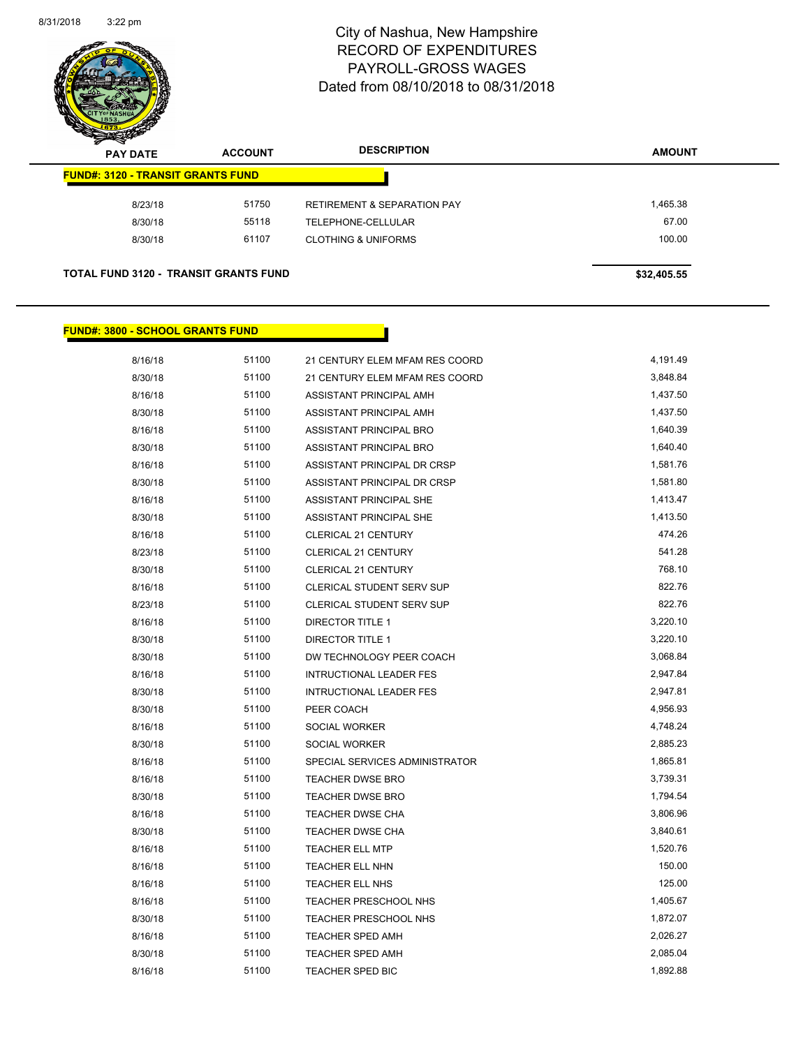

| $\mathscr{D} \mathscr{A}$<br><b>PAY DATE</b> | <b>ACCOUNT</b> | <b>DESCRIPTION</b>                     | <b>AMOUNT</b> |
|----------------------------------------------|----------------|----------------------------------------|---------------|
| <b>FUND#: 3120 - TRANSIT GRANTS FUND</b>     |                |                                        |               |
| 8/23/18                                      | 51750          | <b>RETIREMENT &amp; SEPARATION PAY</b> | 1,465.38      |
| 8/30/18                                      | 55118          | TELEPHONE-CELLULAR                     | 67.00         |
| 8/30/18                                      | 61107          | <b>CLOTHING &amp; UNIFORMS</b>         | 100.00        |
|                                              |                |                                        |               |

### **TOTAL FUND 3120 - TRANSIT GRANTS FUND \$32,405.55**

### **FUND#: 3800 - SCHOOL GRANTS FUND**

| 8/16/18 | 51100 | 21 CENTURY ELEM MFAM RES COORD | 4,191.49 |
|---------|-------|--------------------------------|----------|
| 8/30/18 | 51100 | 21 CENTURY ELEM MFAM RES COORD | 3,848.84 |
| 8/16/18 | 51100 | ASSISTANT PRINCIPAL AMH        | 1,437.50 |
| 8/30/18 | 51100 | ASSISTANT PRINCIPAL AMH        | 1,437.50 |
| 8/16/18 | 51100 | ASSISTANT PRINCIPAL BRO        | 1,640.39 |
| 8/30/18 | 51100 | ASSISTANT PRINCIPAL BRO        | 1,640.40 |
| 8/16/18 | 51100 | ASSISTANT PRINCIPAL DR CRSP    | 1,581.76 |
| 8/30/18 | 51100 | ASSISTANT PRINCIPAL DR CRSP    | 1,581.80 |
| 8/16/18 | 51100 | ASSISTANT PRINCIPAL SHE        | 1,413.47 |
| 8/30/18 | 51100 | ASSISTANT PRINCIPAL SHE        | 1,413.50 |
| 8/16/18 | 51100 | <b>CLERICAL 21 CENTURY</b>     | 474.26   |
| 8/23/18 | 51100 | CLERICAL 21 CENTURY            | 541.28   |
| 8/30/18 | 51100 | CLERICAL 21 CENTURY            | 768.10   |
| 8/16/18 | 51100 | CLERICAL STUDENT SERV SUP      | 822.76   |
| 8/23/18 | 51100 | CLERICAL STUDENT SERV SUP      | 822.76   |
| 8/16/18 | 51100 | <b>DIRECTOR TITLE 1</b>        | 3,220.10 |
| 8/30/18 | 51100 | <b>DIRECTOR TITLE 1</b>        | 3,220.10 |
| 8/30/18 | 51100 | DW TECHNOLOGY PEER COACH       | 3,068.84 |
| 8/16/18 | 51100 | <b>INTRUCTIONAL LEADER FES</b> | 2,947.84 |
| 8/30/18 | 51100 | <b>INTRUCTIONAL LEADER FES</b> | 2,947.81 |
| 8/30/18 | 51100 | PEER COACH                     | 4,956.93 |
| 8/16/18 | 51100 | SOCIAL WORKER                  | 4,748.24 |
| 8/30/18 | 51100 | SOCIAL WORKER                  | 2,885.23 |
| 8/16/18 | 51100 | SPECIAL SERVICES ADMINISTRATOR | 1,865.81 |
| 8/16/18 | 51100 | <b>TEACHER DWSE BRO</b>        | 3,739.31 |
| 8/30/18 | 51100 | <b>TEACHER DWSE BRO</b>        | 1,794.54 |
| 8/16/18 | 51100 | <b>TEACHER DWSE CHA</b>        | 3,806.96 |
| 8/30/18 | 51100 | TEACHER DWSE CHA               | 3,840.61 |
| 8/16/18 | 51100 | <b>TEACHER ELL MTP</b>         | 1,520.76 |
| 8/16/18 | 51100 | <b>TEACHER ELL NHN</b>         | 150.00   |
| 8/16/18 | 51100 | TEACHER ELL NHS                | 125.00   |
| 8/16/18 | 51100 | TEACHER PRESCHOOL NHS          | 1,405.67 |
| 8/30/18 | 51100 | TEACHER PRESCHOOL NHS          | 1,872.07 |
| 8/16/18 | 51100 | <b>TEACHER SPED AMH</b>        | 2,026.27 |
| 8/30/18 | 51100 | <b>TEACHER SPED AMH</b>        | 2,085.04 |
| 8/16/18 | 51100 | TEACHER SPED BIC               | 1,892.88 |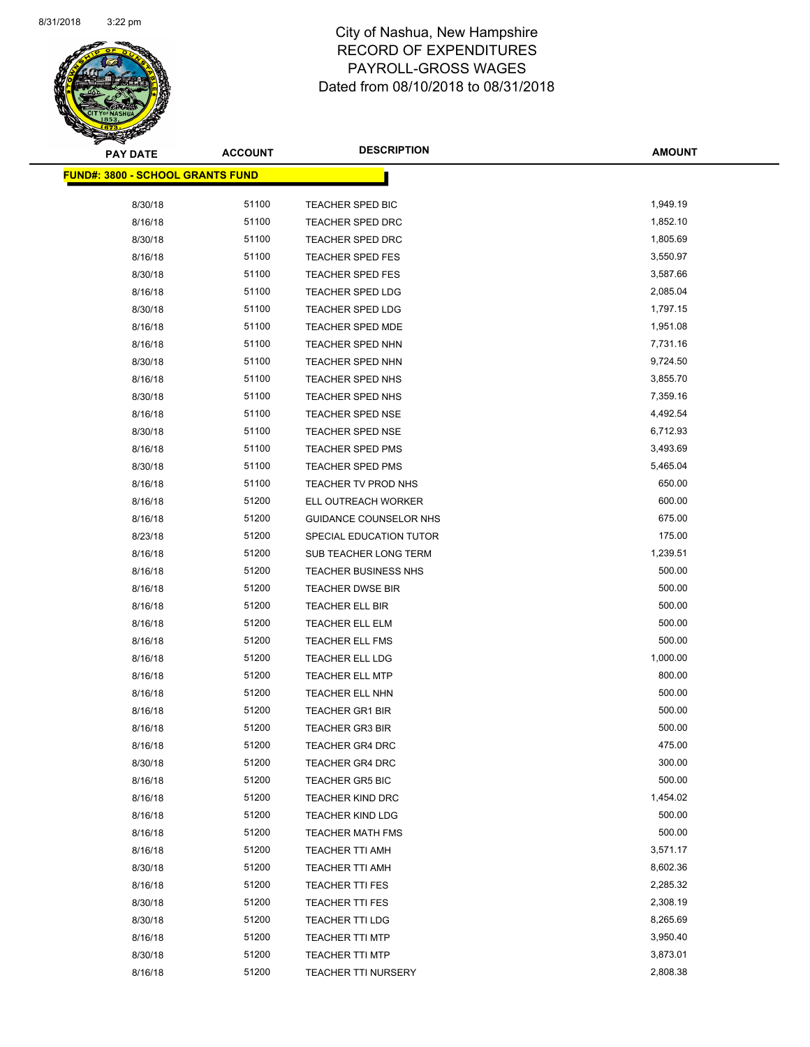

| <b>PAY DATE</b>                         | <b>ACCOUNT</b> | <b>DESCRIPTION</b>          | <b>AMOUNT</b> |
|-----------------------------------------|----------------|-----------------------------|---------------|
| <b>FUND#: 3800 - SCHOOL GRANTS FUND</b> |                |                             |               |
|                                         |                |                             |               |
| 8/30/18                                 | 51100          | TEACHER SPED BIC            | 1,949.19      |
| 8/16/18                                 | 51100          | TEACHER SPED DRC            | 1,852.10      |
| 8/30/18                                 | 51100          | TEACHER SPED DRC            | 1,805.69      |
| 8/16/18                                 | 51100          | <b>TEACHER SPED FES</b>     | 3,550.97      |
| 8/30/18                                 | 51100          | <b>TEACHER SPED FES</b>     | 3,587.66      |
| 8/16/18                                 | 51100          | TEACHER SPED LDG            | 2,085.04      |
| 8/30/18                                 | 51100          | TEACHER SPED LDG            | 1,797.15      |
| 8/16/18                                 | 51100          | <b>TEACHER SPED MDE</b>     | 1,951.08      |
| 8/16/18                                 | 51100          | TEACHER SPED NHN            | 7,731.16      |
| 8/30/18                                 | 51100          | <b>TEACHER SPED NHN</b>     | 9,724.50      |
| 8/16/18                                 | 51100          | TEACHER SPED NHS            | 3,855.70      |
| 8/30/18                                 | 51100          | TEACHER SPED NHS            | 7,359.16      |
| 8/16/18                                 | 51100          | TEACHER SPED NSE            | 4,492.54      |
| 8/30/18                                 | 51100          | TEACHER SPED NSE            | 6,712.93      |
| 8/16/18                                 | 51100          | <b>TEACHER SPED PMS</b>     | 3,493.69      |
| 8/30/18                                 | 51100          | TEACHER SPED PMS            | 5,465.04      |
| 8/16/18                                 | 51100          | TEACHER TV PROD NHS         | 650.00        |
| 8/16/18                                 | 51200          | ELL OUTREACH WORKER         | 600.00        |
| 8/16/18                                 | 51200          | GUIDANCE COUNSELOR NHS      | 675.00        |
| 8/23/18                                 | 51200          | SPECIAL EDUCATION TUTOR     | 175.00        |
| 8/16/18                                 | 51200          | SUB TEACHER LONG TERM       | 1,239.51      |
| 8/16/18                                 | 51200          | <b>TEACHER BUSINESS NHS</b> | 500.00        |
| 8/16/18                                 | 51200          | <b>TEACHER DWSE BIR</b>     | 500.00        |
| 8/16/18                                 | 51200          | <b>TEACHER ELL BIR</b>      | 500.00        |
| 8/16/18                                 | 51200          | <b>TEACHER ELL ELM</b>      | 500.00        |
| 8/16/18                                 | 51200          | TEACHER ELL FMS             | 500.00        |
| 8/16/18                                 | 51200          | TEACHER ELL LDG             | 1,000.00      |
| 8/16/18                                 | 51200          | <b>TEACHER ELL MTP</b>      | 800.00        |
| 8/16/18                                 | 51200          | TEACHER ELL NHN             | 500.00        |
| 8/16/18                                 | 51200          | <b>TEACHER GR1 BIR</b>      | 500.00        |
| 8/16/18                                 | 51200          | <b>TEACHER GR3 BIR</b>      | 500.00        |
| 8/16/18                                 | 51200          | TEACHER GR4 DRC             | 475.00        |
| 8/30/18                                 | 51200          | <b>TEACHER GR4 DRC</b>      | 300.00        |
| 8/16/18                                 | 51200          | <b>TEACHER GR5 BIC</b>      | 500.00        |
| 8/16/18                                 | 51200          | <b>TEACHER KIND DRC</b>     | 1,454.02      |
| 8/16/18                                 | 51200          | <b>TEACHER KIND LDG</b>     | 500.00        |
| 8/16/18                                 | 51200          | <b>TEACHER MATH FMS</b>     | 500.00        |
| 8/16/18                                 | 51200          | <b>TEACHER TTI AMH</b>      | 3,571.17      |
| 8/30/18                                 | 51200          | TEACHER TTI AMH             | 8,602.36      |
| 8/16/18                                 | 51200          | <b>TEACHER TTI FES</b>      | 2,285.32      |
| 8/30/18                                 | 51200          | <b>TEACHER TTI FES</b>      | 2,308.19      |
| 8/30/18                                 | 51200          | <b>TEACHER TTI LDG</b>      | 8,265.69      |
| 8/16/18                                 | 51200          | <b>TEACHER TTI MTP</b>      | 3,950.40      |
| 8/30/18                                 | 51200          | <b>TEACHER TTI MTP</b>      | 3,873.01      |
| 8/16/18                                 | 51200          | <b>TEACHER TTI NURSERY</b>  | 2,808.38      |
|                                         |                |                             |               |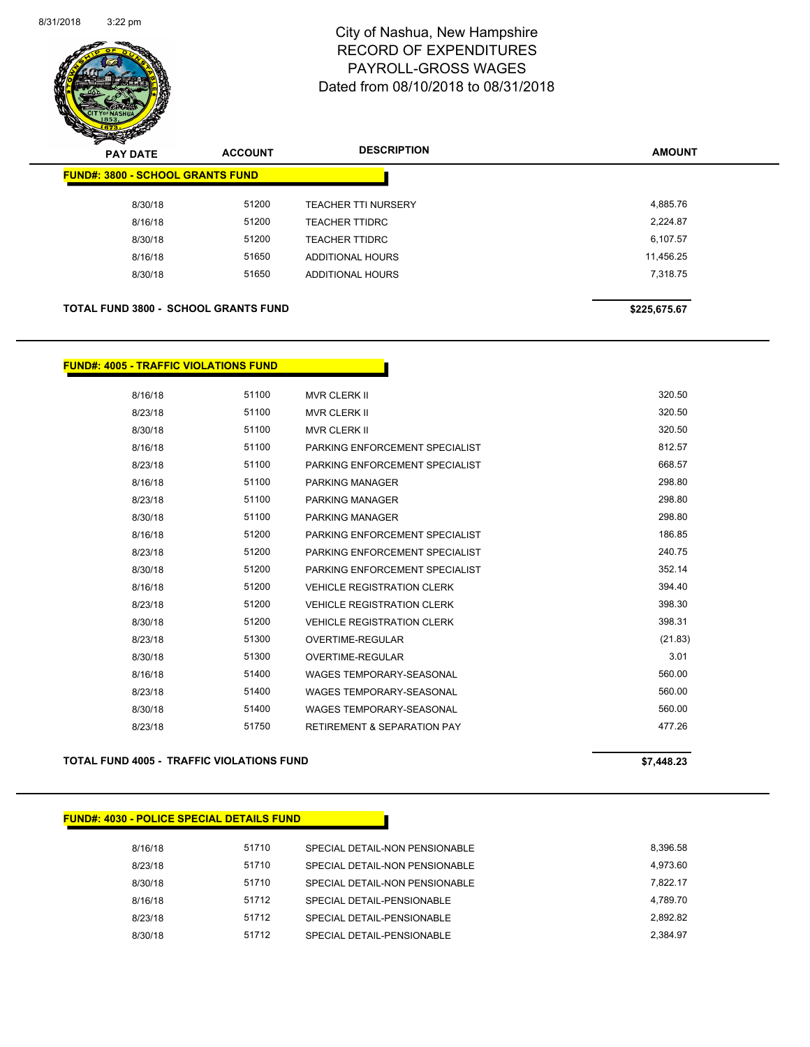

| s<br>$\tilde{\phantom{a}}$<br><b>PAY DATE</b> | <b>ACCOUNT</b> | <b>DESCRIPTION</b>         | <b>AMOUNT</b> |
|-----------------------------------------------|----------------|----------------------------|---------------|
| <b>FUND#: 3800 - SCHOOL GRANTS FUND</b>       |                |                            |               |
| 8/30/18                                       | 51200          | <b>TEACHER TTI NURSERY</b> | 4,885.76      |
| 8/16/18                                       | 51200          | <b>TEACHER TTIDRC</b>      | 2,224.87      |
| 8/30/18                                       | 51200          | <b>TEACHER TTIDRC</b>      | 6,107.57      |
| 8/16/18                                       | 51650          | <b>ADDITIONAL HOURS</b>    | 11.456.25     |
| 8/30/18                                       | 51650          | <b>ADDITIONAL HOURS</b>    | 7,318.75      |
|                                               |                |                            |               |
| <b>TOTAL FUND 3800 - SCHOOL GRANTS FUND</b>   |                |                            | \$225,675.67  |

# **FUND#: 4005 - TRAFFIC VIOLATIONS FUND**

| 8/16/18 | 51100 | <b>MVR CLERK II</b>                    | 320.50  |
|---------|-------|----------------------------------------|---------|
| 8/23/18 | 51100 | <b>MVR CLERK II</b>                    | 320.50  |
| 8/30/18 | 51100 | <b>MVR CLERK II</b>                    | 320.50  |
| 8/16/18 | 51100 | PARKING ENFORCEMENT SPECIALIST         | 812.57  |
| 8/23/18 | 51100 | PARKING ENFORCEMENT SPECIALIST         | 668.57  |
| 8/16/18 | 51100 | PARKING MANAGER                        | 298.80  |
| 8/23/18 | 51100 | <b>PARKING MANAGER</b>                 | 298.80  |
| 8/30/18 | 51100 | <b>PARKING MANAGER</b>                 | 298.80  |
| 8/16/18 | 51200 | PARKING ENFORCEMENT SPECIALIST         | 186.85  |
| 8/23/18 | 51200 | PARKING ENFORCEMENT SPECIALIST         | 240.75  |
| 8/30/18 | 51200 | PARKING ENFORCEMENT SPECIALIST         | 352.14  |
| 8/16/18 | 51200 | <b>VEHICLE REGISTRATION CLERK</b>      | 394.40  |
| 8/23/18 | 51200 | <b>VEHICLE REGISTRATION CLERK</b>      | 398.30  |
| 8/30/18 | 51200 | <b>VEHICLE REGISTRATION CLERK</b>      | 398.31  |
| 8/23/18 | 51300 | OVERTIME-REGULAR                       | (21.83) |
| 8/30/18 | 51300 | <b>OVERTIME-REGULAR</b>                | 3.01    |
| 8/16/18 | 51400 | <b>WAGES TEMPORARY-SEASONAL</b>        | 560.00  |
| 8/23/18 | 51400 | <b>WAGES TEMPORARY-SEASONAL</b>        | 560.00  |
| 8/30/18 | 51400 | <b>WAGES TEMPORARY-SEASONAL</b>        | 560.00  |
| 8/23/18 | 51750 | <b>RETIREMENT &amp; SEPARATION PAY</b> | 477.26  |
|         |       |                                        |         |

**TOTAL FUND 4005 - TRAFFIC VIOLATIONS FUND \$7,448.23** 

| <b>FUND#: 4030 - POLICE SPECIAL DETAILS FUND</b> |       |                                |          |
|--------------------------------------------------|-------|--------------------------------|----------|
| 8/16/18                                          | 51710 | SPECIAL DETAIL-NON PENSIONABLE | 8,396.58 |
| 8/23/18                                          | 51710 | SPECIAL DETAIL-NON PENSIONABLE | 4,973.60 |
| 8/30/18                                          | 51710 | SPECIAL DETAIL-NON PENSIONABLE | 7.822.17 |
| 8/16/18                                          | 51712 | SPECIAL DETAIL-PENSIONABLE     | 4.789.70 |
| 8/23/18                                          | 51712 | SPECIAL DETAIL-PENSIONABLE     | 2.892.82 |
| 8/30/18                                          | 51712 | SPECIAL DETAIL-PENSIONABLE     | 2.384.97 |
|                                                  |       |                                |          |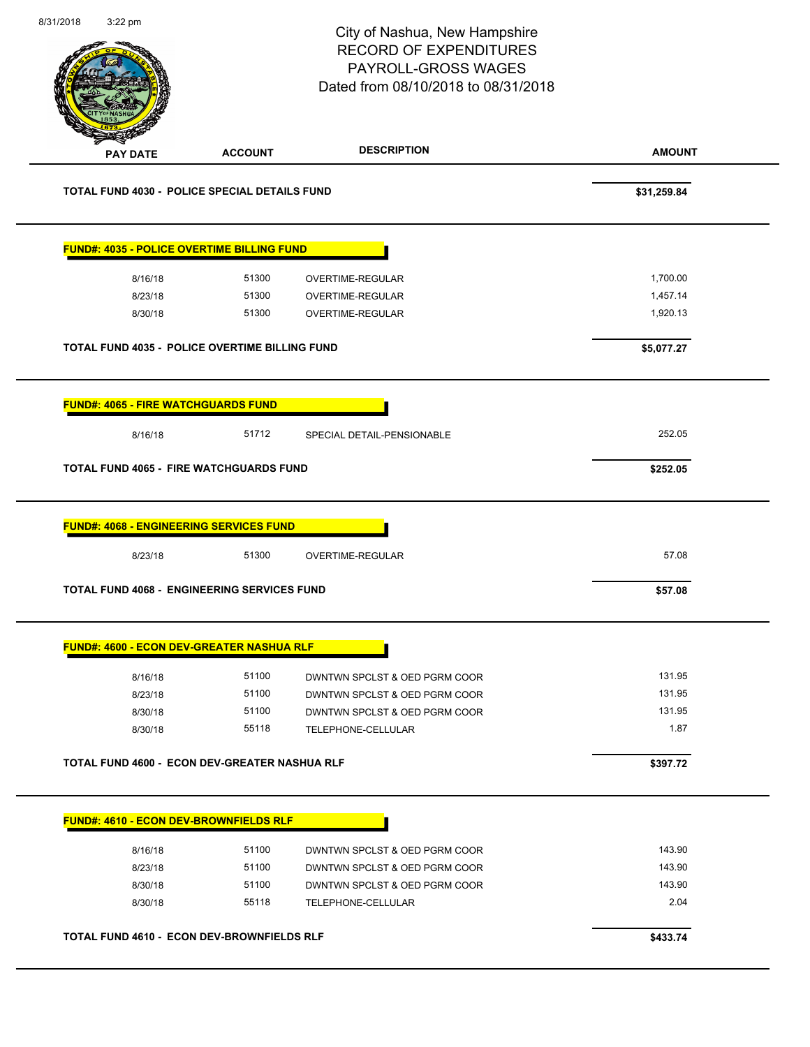|                                                                                                        |                | City of Nashua, New Hampshire<br><b>RECORD OF EXPENDITURES</b><br>PAYROLL-GROSS WAGES<br>Dated from 08/10/2018 to 08/31/2018 | Page 101 of 108 |
|--------------------------------------------------------------------------------------------------------|----------------|------------------------------------------------------------------------------------------------------------------------------|-----------------|
| <b>PAY DATE</b>                                                                                        | <b>ACCOUNT</b> | <b>DESCRIPTION</b>                                                                                                           | <b>AMOUNT</b>   |
| TOTAL FUND 4030 - POLICE SPECIAL DETAILS FUND                                                          |                |                                                                                                                              | \$31,259.84     |
| <b>FUND#: 4035 - POLICE OVERTIME BILLING FUND</b>                                                      |                |                                                                                                                              |                 |
| 8/16/18                                                                                                | 51300          | <b>OVERTIME-REGULAR</b>                                                                                                      | 1,700.00        |
| 8/23/18                                                                                                | 51300          | OVERTIME-REGULAR                                                                                                             | 1,457.14        |
| 8/30/18                                                                                                | 51300          | OVERTIME-REGULAR                                                                                                             | 1,920.13        |
| TOTAL FUND 4035 - POLICE OVERTIME BILLING FUND                                                         |                |                                                                                                                              | \$5,077.27      |
| <b>FUND#: 4065 - FIRE WATCHGUARDS FUND</b>                                                             |                |                                                                                                                              |                 |
| 8/16/18                                                                                                | 51712          | SPECIAL DETAIL-PENSIONABLE                                                                                                   | 252.05          |
| <b>TOTAL FUND 4065 - FIRE WATCHGUARDS FUND</b>                                                         |                |                                                                                                                              | \$252.05        |
| <b>FUND#: 4068 - ENGINEERING SERVICES FUND</b>                                                         |                |                                                                                                                              |                 |
| 8/23/18                                                                                                | 51300          | OVERTIME-REGULAR                                                                                                             | 57.08           |
|                                                                                                        |                |                                                                                                                              |                 |
|                                                                                                        |                |                                                                                                                              | \$57.08         |
| <b>TOTAL FUND 4068 - ENGINEERING SERVICES FUND</b><br><b>FUND#: 4600 - ECON DEV-GREATER NASHUA RLF</b> |                |                                                                                                                              |                 |
| 8/16/18                                                                                                | 51100          | DWNTWN SPCLST & OED PGRM COOR                                                                                                | 131.95          |
| 8/23/18                                                                                                | 51100          | DWNTWN SPCLST & OED PGRM COOR                                                                                                | 131.95          |
| 8/30/18                                                                                                | 51100          | DWNTWN SPCLST & OED PGRM COOR                                                                                                | 131.95          |
| 8/30/18                                                                                                | 55118          | TELEPHONE-CELLULAR                                                                                                           | 1.87            |
| TOTAL FUND 4600 - ECON DEV-GREATER NASHUA RLF                                                          |                |                                                                                                                              | \$397.72        |
| FUND#: 4610 - ECON DEV-BROWNFIELDS RLF                                                                 |                |                                                                                                                              |                 |
| 8/16/18                                                                                                | 51100          | DWNTWN SPCLST & OED PGRM COOR                                                                                                | 143.90          |
| 8/23/18                                                                                                | 51100          | DWNTWN SPCLST & OED PGRM COOR                                                                                                | 143.90          |
| 8/30/18                                                                                                | 51100          | DWNTWN SPCLST & OED PGRM COOR                                                                                                | 143.90          |
| 8/30/18                                                                                                | 55118          | TELEPHONE-CELLULAR                                                                                                           | 2.04            |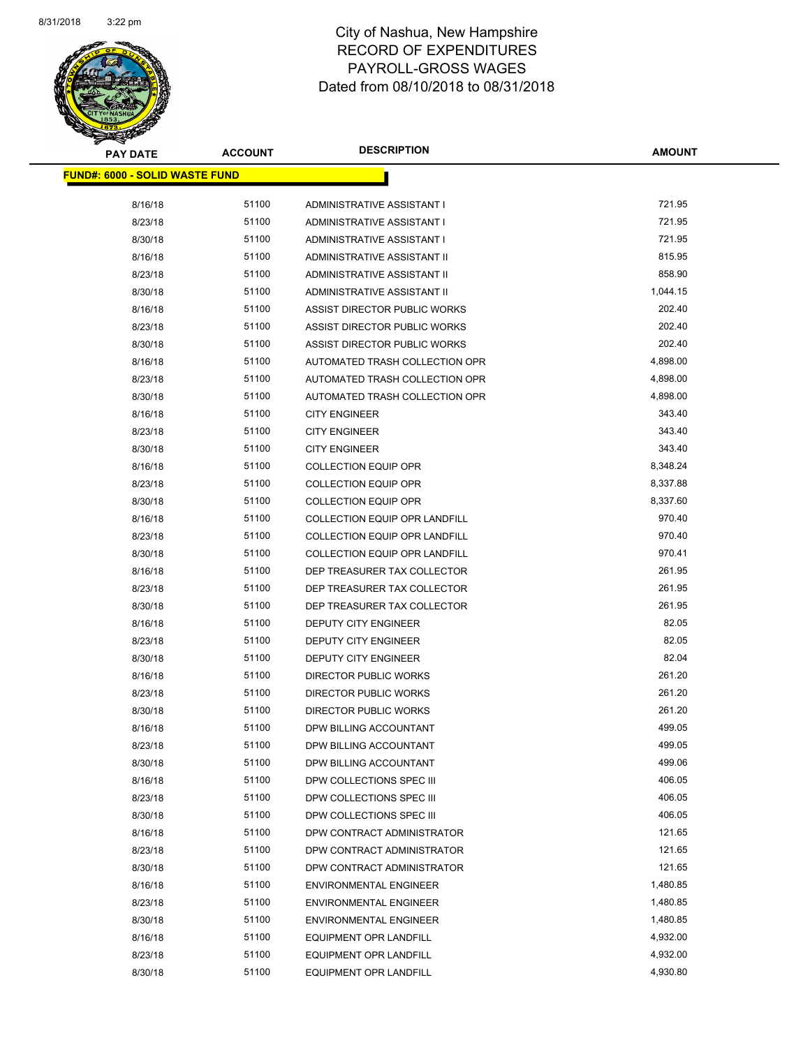

| <u> FUND#: 6000 - SOLID WASTE FUND</u> |       |                                      |          |
|----------------------------------------|-------|--------------------------------------|----------|
| 8/16/18                                | 51100 | ADMINISTRATIVE ASSISTANT I           | 721.95   |
| 8/23/18                                | 51100 | ADMINISTRATIVE ASSISTANT I           | 721.95   |
| 8/30/18                                | 51100 | ADMINISTRATIVE ASSISTANT I           | 721.95   |
| 8/16/18                                | 51100 | ADMINISTRATIVE ASSISTANT II          | 815.95   |
| 8/23/18                                | 51100 | ADMINISTRATIVE ASSISTANT II          | 858.90   |
| 8/30/18                                | 51100 | ADMINISTRATIVE ASSISTANT II          | 1,044.15 |
| 8/16/18                                | 51100 | ASSIST DIRECTOR PUBLIC WORKS         | 202.40   |
| 8/23/18                                | 51100 | ASSIST DIRECTOR PUBLIC WORKS         | 202.40   |
| 8/30/18                                | 51100 | ASSIST DIRECTOR PUBLIC WORKS         | 202.40   |
| 8/16/18                                | 51100 | AUTOMATED TRASH COLLECTION OPR       | 4,898.00 |
| 8/23/18                                | 51100 | AUTOMATED TRASH COLLECTION OPR       | 4,898.00 |
| 8/30/18                                | 51100 | AUTOMATED TRASH COLLECTION OPR       | 4,898.00 |
| 8/16/18                                | 51100 | <b>CITY ENGINEER</b>                 | 343.40   |
| 8/23/18                                | 51100 | <b>CITY ENGINEER</b>                 | 343.40   |
| 8/30/18                                | 51100 | <b>CITY ENGINEER</b>                 | 343.40   |
| 8/16/18                                | 51100 | <b>COLLECTION EQUIP OPR</b>          | 8,348.24 |
| 8/23/18                                | 51100 | <b>COLLECTION EQUIP OPR</b>          | 8,337.88 |
| 8/30/18                                | 51100 | <b>COLLECTION EQUIP OPR</b>          | 8,337.60 |
| 8/16/18                                | 51100 | <b>COLLECTION EQUIP OPR LANDFILL</b> | 970.40   |
| 8/23/18                                | 51100 | <b>COLLECTION EQUIP OPR LANDFILL</b> | 970.40   |
| 8/30/18                                | 51100 | COLLECTION EQUIP OPR LANDFILL        | 970.41   |
| 8/16/18                                | 51100 | DEP TREASURER TAX COLLECTOR          | 261.95   |
| 8/23/18                                | 51100 | DEP TREASURER TAX COLLECTOR          | 261.95   |
| 8/30/18                                | 51100 | DEP TREASURER TAX COLLECTOR          | 261.95   |
| 8/16/18                                | 51100 | DEPUTY CITY ENGINEER                 | 82.05    |
| 8/23/18                                | 51100 | DEPUTY CITY ENGINEER                 | 82.05    |
| 8/30/18                                | 51100 | DEPUTY CITY ENGINEER                 | 82.04    |
| 8/16/18                                | 51100 | DIRECTOR PUBLIC WORKS                | 261.20   |
| 8/23/18                                | 51100 | <b>DIRECTOR PUBLIC WORKS</b>         | 261.20   |
| 8/30/18                                | 51100 | DIRECTOR PUBLIC WORKS                | 261.20   |
| 8/16/18                                | 51100 | DPW BILLING ACCOUNTANT               | 499.05   |
| 8/23/18                                | 51100 | DPW BILLING ACCOUNTANT               | 499.05   |
| 8/30/18                                | 51100 | DPW BILLING ACCOUNTANT               | 499.06   |
| 8/16/18                                | 51100 | DPW COLLECTIONS SPEC III             | 406.05   |
| 8/23/18                                | 51100 | DPW COLLECTIONS SPEC III             | 406.05   |
| 8/30/18                                | 51100 | DPW COLLECTIONS SPEC III             | 406.05   |
| 8/16/18                                | 51100 | DPW CONTRACT ADMINISTRATOR           | 121.65   |
| 8/23/18                                | 51100 | DPW CONTRACT ADMINISTRATOR           | 121.65   |
| 8/30/18                                | 51100 | DPW CONTRACT ADMINISTRATOR           | 121.65   |
| 8/16/18                                | 51100 | <b>ENVIRONMENTAL ENGINEER</b>        | 1,480.85 |
| 8/23/18                                | 51100 | <b>ENVIRONMENTAL ENGINEER</b>        | 1,480.85 |
| 8/30/18                                | 51100 | <b>ENVIRONMENTAL ENGINEER</b>        | 1,480.85 |
| 8/16/18                                | 51100 | <b>EQUIPMENT OPR LANDFILL</b>        | 4,932.00 |
| 8/23/18                                | 51100 | EQUIPMENT OPR LANDFILL               | 4,932.00 |
| 8/30/18                                | 51100 | EQUIPMENT OPR LANDFILL               | 4,930.80 |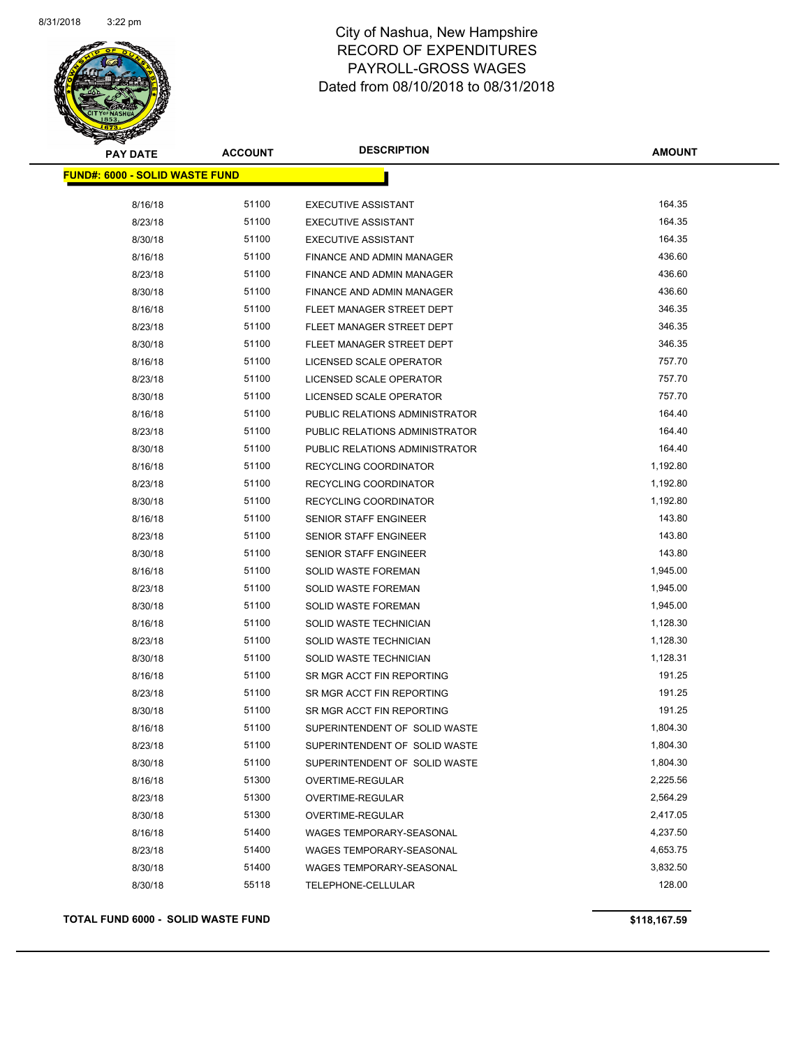

| <b>PAY DATE</b>                        | <b>ACCOUNT</b> | <b>DESCRIPTION</b>             | <b>AMOUNT</b> |
|----------------------------------------|----------------|--------------------------------|---------------|
| <u> FUND#: 6000 - SOLID WASTE FUND</u> |                |                                |               |
| 8/16/18                                | 51100          | <b>EXECUTIVE ASSISTANT</b>     | 164.35        |
| 8/23/18                                | 51100          | <b>EXECUTIVE ASSISTANT</b>     | 164.35        |
| 8/30/18                                | 51100          | <b>EXECUTIVE ASSISTANT</b>     | 164.35        |
| 8/16/18                                | 51100          | FINANCE AND ADMIN MANAGER      | 436.60        |
| 8/23/18                                | 51100          | FINANCE AND ADMIN MANAGER      | 436.60        |
| 8/30/18                                | 51100          | FINANCE AND ADMIN MANAGER      | 436.60        |
| 8/16/18                                | 51100          | FLEET MANAGER STREET DEPT      | 346.35        |
| 8/23/18                                | 51100          | FLEET MANAGER STREET DEPT      | 346.35        |
| 8/30/18                                | 51100          | FLEET MANAGER STREET DEPT      | 346.35        |
| 8/16/18                                | 51100          | LICENSED SCALE OPERATOR        | 757.70        |
| 8/23/18                                | 51100          | LICENSED SCALE OPERATOR        | 757.70        |
| 8/30/18                                | 51100          | LICENSED SCALE OPERATOR        | 757.70        |
| 8/16/18                                | 51100          | PUBLIC RELATIONS ADMINISTRATOR | 164.40        |
| 8/23/18                                | 51100          | PUBLIC RELATIONS ADMINISTRATOR | 164.40        |
| 8/30/18                                | 51100          | PUBLIC RELATIONS ADMINISTRATOR | 164.40        |
| 8/16/18                                | 51100          | RECYCLING COORDINATOR          | 1,192.80      |
| 8/23/18                                | 51100          | RECYCLING COORDINATOR          | 1,192.80      |
| 8/30/18                                | 51100          | RECYCLING COORDINATOR          | 1,192.80      |
| 8/16/18                                | 51100          | <b>SENIOR STAFF ENGINEER</b>   | 143.80        |
| 8/23/18                                | 51100          | <b>SENIOR STAFF ENGINEER</b>   | 143.80        |
| 8/30/18                                | 51100          | <b>SENIOR STAFF ENGINEER</b>   | 143.80        |
| 8/16/18                                | 51100          | SOLID WASTE FOREMAN            | 1,945.00      |
| 8/23/18                                | 51100          | SOLID WASTE FOREMAN            | 1,945.00      |
| 8/30/18                                | 51100          | SOLID WASTE FOREMAN            | 1,945.00      |
| 8/16/18                                | 51100          | SOLID WASTE TECHNICIAN         | 1,128.30      |
| 8/23/18                                | 51100          | SOLID WASTE TECHNICIAN         | 1,128.30      |
| 8/30/18                                | 51100          | SOLID WASTE TECHNICIAN         | 1,128.31      |
| 8/16/18                                | 51100          | SR MGR ACCT FIN REPORTING      | 191.25        |
| 8/23/18                                | 51100          | SR MGR ACCT FIN REPORTING      | 191.25        |
| 8/30/18                                | 51100          | SR MGR ACCT FIN REPORTING      | 191.25        |
| 8/16/18                                | 51100          | SUPERINTENDENT OF SOLID WASTE  | 1,804.30      |
| 8/23/18                                | 51100          | SUPERINTENDENT OF SOLID WASTE  | 1,804.30      |
| 8/30/18                                | 51100          | SUPERINTENDENT OF SOLID WASTE  | 1,804.30      |
| 8/16/18                                | 51300          | <b>OVERTIME-REGULAR</b>        | 2,225.56      |
| 8/23/18                                | 51300          | OVERTIME-REGULAR               | 2,564.29      |
| 8/30/18                                | 51300          | OVERTIME-REGULAR               | 2,417.05      |
| 8/16/18                                | 51400          | WAGES TEMPORARY-SEASONAL       | 4,237.50      |
| 8/23/18                                | 51400          | WAGES TEMPORARY-SEASONAL       | 4,653.75      |
| 8/30/18                                | 51400          | WAGES TEMPORARY-SEASONAL       | 3,832.50      |
| 8/30/18                                | 55118          | TELEPHONE-CELLULAR             | 128.00        |
|                                        |                |                                |               |

### **TOTAL FUND 6000 - SOLID WASTE FUND \$118,167.59**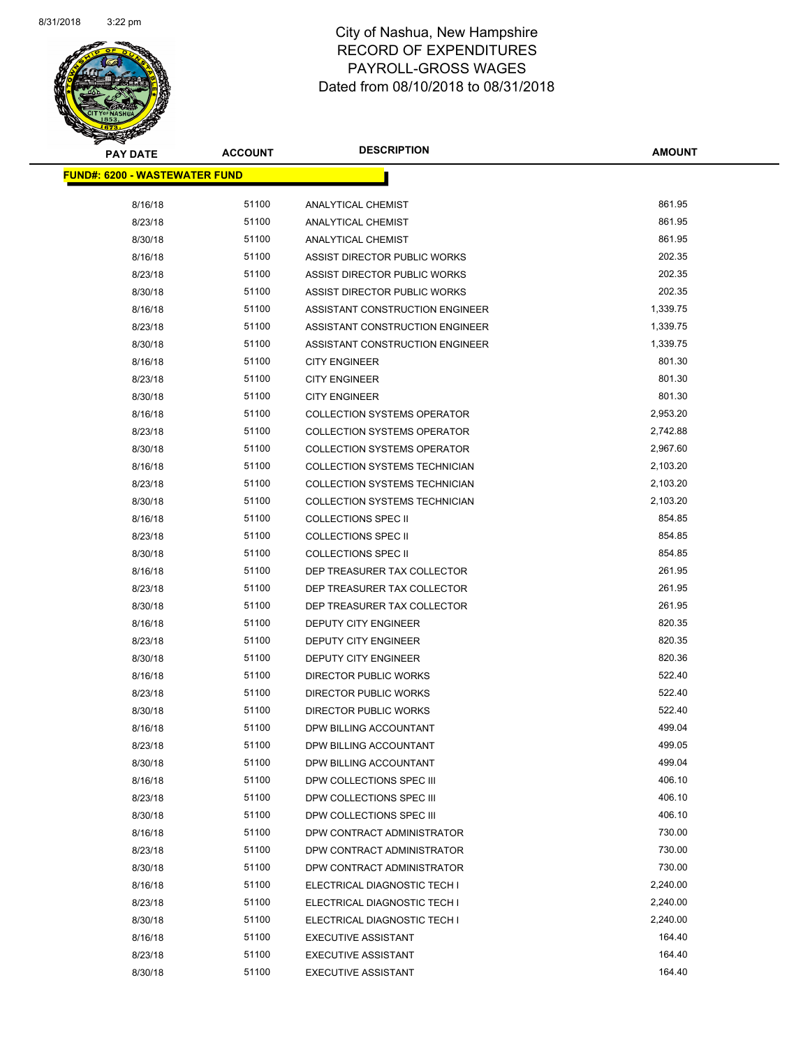

| <b>PAY DATE</b>                       | <b>ACCOUNT</b> | <b>DESCRIPTION</b>                 | <b>AMOUNT</b> |
|---------------------------------------|----------------|------------------------------------|---------------|
| <u> FUND#: 6200 - WASTEWATER FUND</u> |                |                                    |               |
|                                       |                |                                    |               |
| 8/16/18                               | 51100          | <b>ANALYTICAL CHEMIST</b>          | 861.95        |
| 8/23/18                               | 51100          | ANALYTICAL CHEMIST                 | 861.95        |
| 8/30/18                               | 51100          | <b>ANALYTICAL CHEMIST</b>          | 861.95        |
| 8/16/18                               | 51100          | ASSIST DIRECTOR PUBLIC WORKS       | 202.35        |
| 8/23/18                               | 51100          | ASSIST DIRECTOR PUBLIC WORKS       | 202.35        |
| 8/30/18                               | 51100          | ASSIST DIRECTOR PUBLIC WORKS       | 202.35        |
| 8/16/18                               | 51100          | ASSISTANT CONSTRUCTION ENGINEER    | 1,339.75      |
| 8/23/18                               | 51100          | ASSISTANT CONSTRUCTION ENGINEER    | 1,339.75      |
| 8/30/18                               | 51100          | ASSISTANT CONSTRUCTION ENGINEER    | 1,339.75      |
| 8/16/18                               | 51100          | <b>CITY ENGINEER</b>               | 801.30        |
| 8/23/18                               | 51100          | <b>CITY ENGINEER</b>               | 801.30        |
| 8/30/18                               | 51100          | <b>CITY ENGINEER</b>               | 801.30        |
| 8/16/18                               | 51100          | <b>COLLECTION SYSTEMS OPERATOR</b> | 2,953.20      |
| 8/23/18                               | 51100          | <b>COLLECTION SYSTEMS OPERATOR</b> | 2,742.88      |
| 8/30/18                               | 51100          | <b>COLLECTION SYSTEMS OPERATOR</b> | 2,967.60      |
| 8/16/18                               | 51100          | COLLECTION SYSTEMS TECHNICIAN      | 2,103.20      |
| 8/23/18                               | 51100          | COLLECTION SYSTEMS TECHNICIAN      | 2,103.20      |
| 8/30/18                               | 51100          | COLLECTION SYSTEMS TECHNICIAN      | 2,103.20      |
| 8/16/18                               | 51100          | <b>COLLECTIONS SPEC II</b>         | 854.85        |
| 8/23/18                               | 51100          | <b>COLLECTIONS SPEC II</b>         | 854.85        |
| 8/30/18                               | 51100          | <b>COLLECTIONS SPEC II</b>         | 854.85        |
| 8/16/18                               | 51100          | DEP TREASURER TAX COLLECTOR        | 261.95        |
| 8/23/18                               | 51100          | DEP TREASURER TAX COLLECTOR        | 261.95        |
| 8/30/18                               | 51100          | DEP TREASURER TAX COLLECTOR        | 261.95        |
| 8/16/18                               | 51100          | DEPUTY CITY ENGINEER               | 820.35        |
| 8/23/18                               | 51100          | DEPUTY CITY ENGINEER               | 820.35        |
| 8/30/18                               | 51100          | DEPUTY CITY ENGINEER               | 820.36        |
| 8/16/18                               | 51100          | DIRECTOR PUBLIC WORKS              | 522.40        |
| 8/23/18                               | 51100          | DIRECTOR PUBLIC WORKS              | 522.40        |
| 8/30/18                               | 51100          | DIRECTOR PUBLIC WORKS              | 522.40        |
| 8/16/18                               | 51100          | DPW BILLING ACCOUNTANT             | 499.04        |
| 8/23/18                               | 51100          | DPW BILLING ACCOUNTANT             | 499.05        |
| 8/30/18                               | 51100          | DPW BILLING ACCOUNTANT             | 499.04        |
| 8/16/18                               | 51100          | DPW COLLECTIONS SPEC III           | 406.10        |
| 8/23/18                               | 51100          | DPW COLLECTIONS SPEC III           | 406.10        |
| 8/30/18                               | 51100          | DPW COLLECTIONS SPEC III           | 406.10        |
| 8/16/18                               | 51100          | DPW CONTRACT ADMINISTRATOR         | 730.00        |
| 8/23/18                               | 51100          | DPW CONTRACT ADMINISTRATOR         | 730.00        |
| 8/30/18                               | 51100          | DPW CONTRACT ADMINISTRATOR         | 730.00        |
| 8/16/18                               | 51100          | ELECTRICAL DIAGNOSTIC TECH I       | 2,240.00      |
| 8/23/18                               | 51100          | ELECTRICAL DIAGNOSTIC TECH I       | 2,240.00      |
| 8/30/18                               | 51100          | ELECTRICAL DIAGNOSTIC TECH I       | 2,240.00      |
| 8/16/18                               | 51100          | <b>EXECUTIVE ASSISTANT</b>         | 164.40        |
| 8/23/18                               | 51100          | <b>EXECUTIVE ASSISTANT</b>         | 164.40        |
| 8/30/18                               | 51100          | <b>EXECUTIVE ASSISTANT</b>         | 164.40        |
|                                       |                |                                    |               |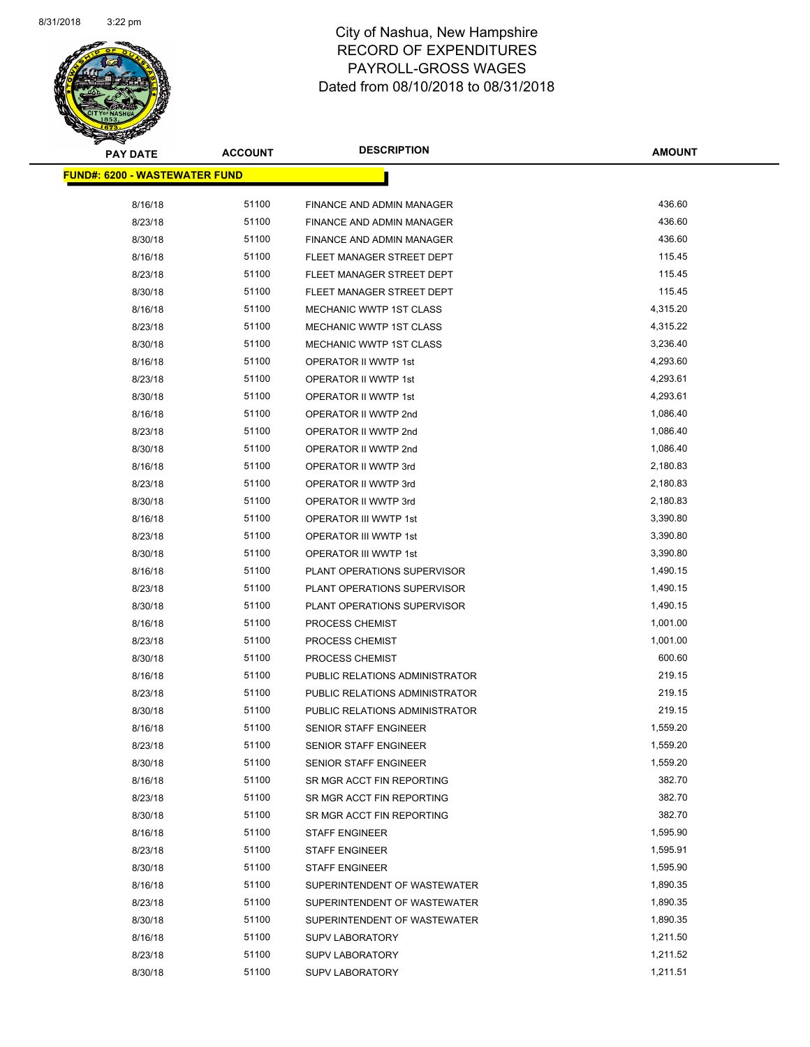

| <b>PAY DATE</b>                       | <b>ACCOUNT</b> | <b>DESCRIPTION</b>             | <b>AMOUNT</b> |
|---------------------------------------|----------------|--------------------------------|---------------|
| <u> FUND#: 6200 - WASTEWATER FUND</u> |                |                                |               |
|                                       |                |                                |               |
| 8/16/18                               | 51100          | FINANCE AND ADMIN MANAGER      | 436.60        |
| 8/23/18                               | 51100          | FINANCE AND ADMIN MANAGER      | 436.60        |
| 8/30/18                               | 51100          | FINANCE AND ADMIN MANAGER      | 436.60        |
| 8/16/18                               | 51100          | FLEET MANAGER STREET DEPT      | 115.45        |
| 8/23/18                               | 51100          | FLEET MANAGER STREET DEPT      | 115.45        |
| 8/30/18                               | 51100          | FLEET MANAGER STREET DEPT      | 115.45        |
| 8/16/18                               | 51100          | MECHANIC WWTP 1ST CLASS        | 4,315.20      |
| 8/23/18                               | 51100          | MECHANIC WWTP 1ST CLASS        | 4,315.22      |
| 8/30/18                               | 51100          | MECHANIC WWTP 1ST CLASS        | 3,236.40      |
| 8/16/18                               | 51100          | OPERATOR II WWTP 1st           | 4,293.60      |
| 8/23/18                               | 51100          | OPERATOR II WWTP 1st           | 4,293.61      |
| 8/30/18                               | 51100          | OPERATOR II WWTP 1st           | 4,293.61      |
| 8/16/18                               | 51100          | OPERATOR II WWTP 2nd           | 1,086.40      |
| 8/23/18                               | 51100          | OPERATOR II WWTP 2nd           | 1,086.40      |
| 8/30/18                               | 51100          | OPERATOR II WWTP 2nd           | 1,086.40      |
| 8/16/18                               | 51100          | OPERATOR II WWTP 3rd           | 2,180.83      |
| 8/23/18                               | 51100          | OPERATOR II WWTP 3rd           | 2,180.83      |
| 8/30/18                               | 51100          | OPERATOR II WWTP 3rd           | 2,180.83      |
| 8/16/18                               | 51100          | OPERATOR III WWTP 1st          | 3,390.80      |
| 8/23/18                               | 51100          | <b>OPERATOR III WWTP 1st</b>   | 3,390.80      |
| 8/30/18                               | 51100          | OPERATOR III WWTP 1st          | 3,390.80      |
| 8/16/18                               | 51100          | PLANT OPERATIONS SUPERVISOR    | 1,490.15      |
| 8/23/18                               | 51100          | PLANT OPERATIONS SUPERVISOR    | 1,490.15      |
| 8/30/18                               | 51100          | PLANT OPERATIONS SUPERVISOR    | 1,490.15      |
| 8/16/18                               | 51100          | PROCESS CHEMIST                | 1,001.00      |
| 8/23/18                               | 51100          | PROCESS CHEMIST                | 1,001.00      |
| 8/30/18                               | 51100          | <b>PROCESS CHEMIST</b>         | 600.60        |
| 8/16/18                               | 51100          | PUBLIC RELATIONS ADMINISTRATOR | 219.15        |
| 8/23/18                               | 51100          | PUBLIC RELATIONS ADMINISTRATOR | 219.15        |
| 8/30/18                               | 51100          | PUBLIC RELATIONS ADMINISTRATOR | 219.15        |
| 8/16/18                               | 51100          | SENIOR STAFF ENGINEER          | 1,559.20      |
| 8/23/18                               | 51100          | SENIOR STAFF ENGINEER          | 1,559.20      |
| 8/30/18                               | 51100          | SENIOR STAFF ENGINEER          | 1,559.20      |
| 8/16/18                               | 51100          | SR MGR ACCT FIN REPORTING      | 382.70        |
| 8/23/18                               | 51100          | SR MGR ACCT FIN REPORTING      | 382.70        |
| 8/30/18                               | 51100          | SR MGR ACCT FIN REPORTING      | 382.70        |
| 8/16/18                               | 51100          | <b>STAFF ENGINEER</b>          | 1,595.90      |
| 8/23/18                               | 51100          | <b>STAFF ENGINEER</b>          | 1,595.91      |
| 8/30/18                               | 51100          | <b>STAFF ENGINEER</b>          | 1,595.90      |
| 8/16/18                               | 51100          | SUPERINTENDENT OF WASTEWATER   | 1,890.35      |
| 8/23/18                               | 51100          | SUPERINTENDENT OF WASTEWATER   | 1,890.35      |
| 8/30/18                               | 51100          | SUPERINTENDENT OF WASTEWATER   | 1,890.35      |
| 8/16/18                               | 51100          | <b>SUPV LABORATORY</b>         | 1,211.50      |
| 8/23/18                               | 51100          | <b>SUPV LABORATORY</b>         | 1,211.52      |
| 8/30/18                               | 51100          | <b>SUPV LABORATORY</b>         | 1,211.51      |
|                                       |                |                                |               |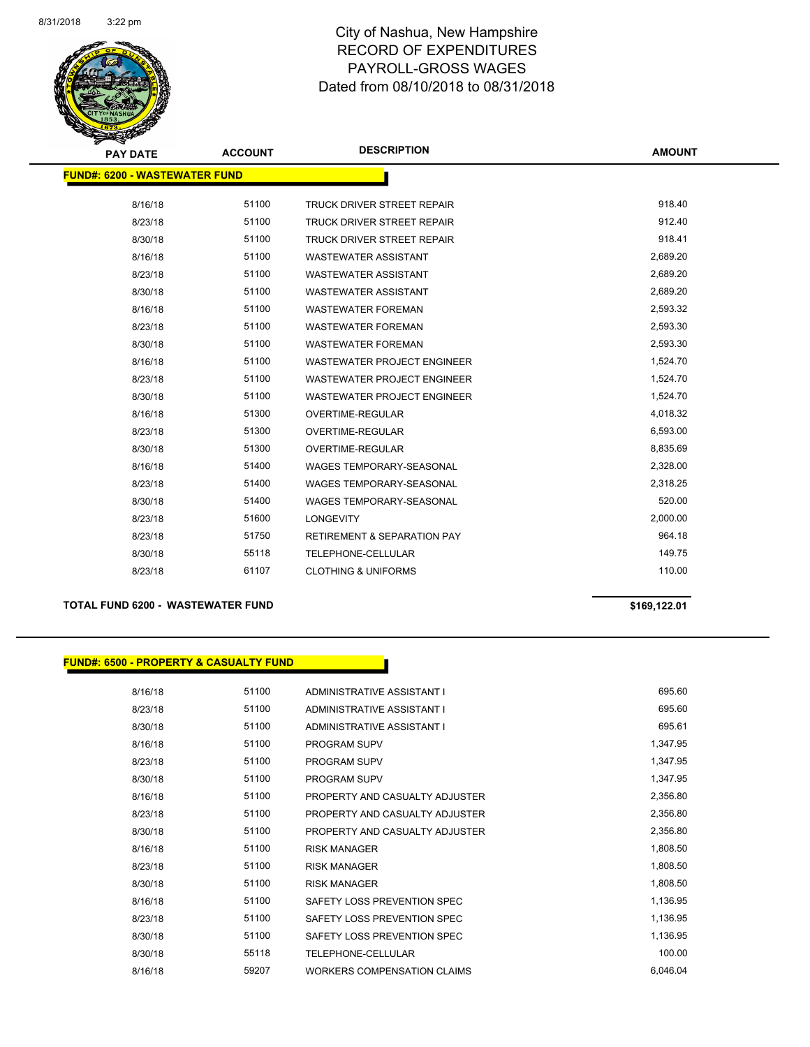

| <b>PAY DATE</b>                       | <b>ACCOUNT</b> | <b>DESCRIPTION</b>                     | <b>AMOUNT</b> |
|---------------------------------------|----------------|----------------------------------------|---------------|
| <u> FUND#: 6200 - WASTEWATER FUND</u> |                |                                        |               |
|                                       | 51100          |                                        | 918.40        |
| 8/16/18                               |                | TRUCK DRIVER STREET REPAIR             |               |
| 8/23/18                               | 51100          | <b>TRUCK DRIVER STREET REPAIR</b>      | 912.40        |
| 8/30/18                               | 51100          | <b>TRUCK DRIVER STREET REPAIR</b>      | 918.41        |
| 8/16/18                               | 51100          | <b>WASTEWATER ASSISTANT</b>            | 2,689.20      |
| 8/23/18                               | 51100          | <b>WASTEWATER ASSISTANT</b>            | 2,689.20      |
| 8/30/18                               | 51100          | <b>WASTEWATER ASSISTANT</b>            | 2,689.20      |
| 8/16/18                               | 51100          | <b>WASTEWATER FOREMAN</b>              | 2,593.32      |
| 8/23/18                               | 51100          | <b>WASTEWATER FOREMAN</b>              | 2,593.30      |
| 8/30/18                               | 51100          | <b>WASTEWATER FOREMAN</b>              | 2,593.30      |
| 8/16/18                               | 51100          | <b>WASTEWATER PROJECT ENGINEER</b>     | 1,524.70      |
| 8/23/18                               | 51100          | <b>WASTEWATER PROJECT ENGINEER</b>     | 1,524.70      |
| 8/30/18                               | 51100          | <b>WASTEWATER PROJECT ENGINEER</b>     | 1,524.70      |
| 8/16/18                               | 51300          | <b>OVERTIME-REGULAR</b>                | 4,018.32      |
| 8/23/18                               | 51300          | <b>OVERTIME-REGULAR</b>                | 6,593.00      |
| 8/30/18                               | 51300          | OVERTIME-REGULAR                       | 8,835.69      |
| 8/16/18                               | 51400          | <b>WAGES TEMPORARY-SEASONAL</b>        | 2,328.00      |
| 8/23/18                               | 51400          | <b>WAGES TEMPORARY-SEASONAL</b>        | 2,318.25      |
| 8/30/18                               | 51400          | <b>WAGES TEMPORARY-SEASONAL</b>        | 520.00        |
| 8/23/18                               | 51600          | <b>LONGEVITY</b>                       | 2,000.00      |
| 8/23/18                               | 51750          | <b>RETIREMENT &amp; SEPARATION PAY</b> | 964.18        |
| 8/30/18                               | 55118          | TELEPHONE-CELLULAR                     | 149.75        |
| 8/23/18                               | 61107          | <b>CLOTHING &amp; UNIFORMS</b>         | 110.00        |

### **TOTAL FUND 6200 - WASTEWATER FUND \$169,122.01**

### **FUND#: 6500 - PROPERTY & CASUALTY FUND**

| 8/16/18 | 51100 | ADMINISTRATIVE ASSISTANT I     | 695.60   |
|---------|-------|--------------------------------|----------|
| 8/23/18 | 51100 | ADMINISTRATIVE ASSISTANT I     | 695.60   |
| 8/30/18 | 51100 | ADMINISTRATIVE ASSISTANT I     | 695.61   |
| 8/16/18 | 51100 | PROGRAM SUPV                   | 1,347.95 |
| 8/23/18 | 51100 | <b>PROGRAM SUPV</b>            | 1,347.95 |
| 8/30/18 | 51100 | <b>PROGRAM SUPV</b>            | 1,347.95 |
| 8/16/18 | 51100 | PROPERTY AND CASUALTY ADJUSTER | 2,356.80 |
| 8/23/18 | 51100 | PROPERTY AND CASUALTY ADJUSTER | 2,356.80 |
| 8/30/18 | 51100 | PROPERTY AND CASUALTY ADJUSTER | 2,356.80 |
| 8/16/18 | 51100 | <b>RISK MANAGER</b>            | 1,808.50 |
| 8/23/18 | 51100 | <b>RISK MANAGER</b>            | 1,808.50 |
| 8/30/18 | 51100 | <b>RISK MANAGER</b>            | 1,808.50 |
| 8/16/18 | 51100 | SAFETY LOSS PREVENTION SPEC    | 1,136.95 |
| 8/23/18 | 51100 | SAFETY LOSS PREVENTION SPEC    | 1,136.95 |
| 8/30/18 | 51100 | SAFETY LOSS PREVENTION SPEC    | 1,136.95 |
| 8/30/18 | 55118 | TELEPHONE-CELLULAR             | 100.00   |
| 8/16/18 | 59207 | WORKERS COMPENSATION CLAIMS    | 6,046.04 |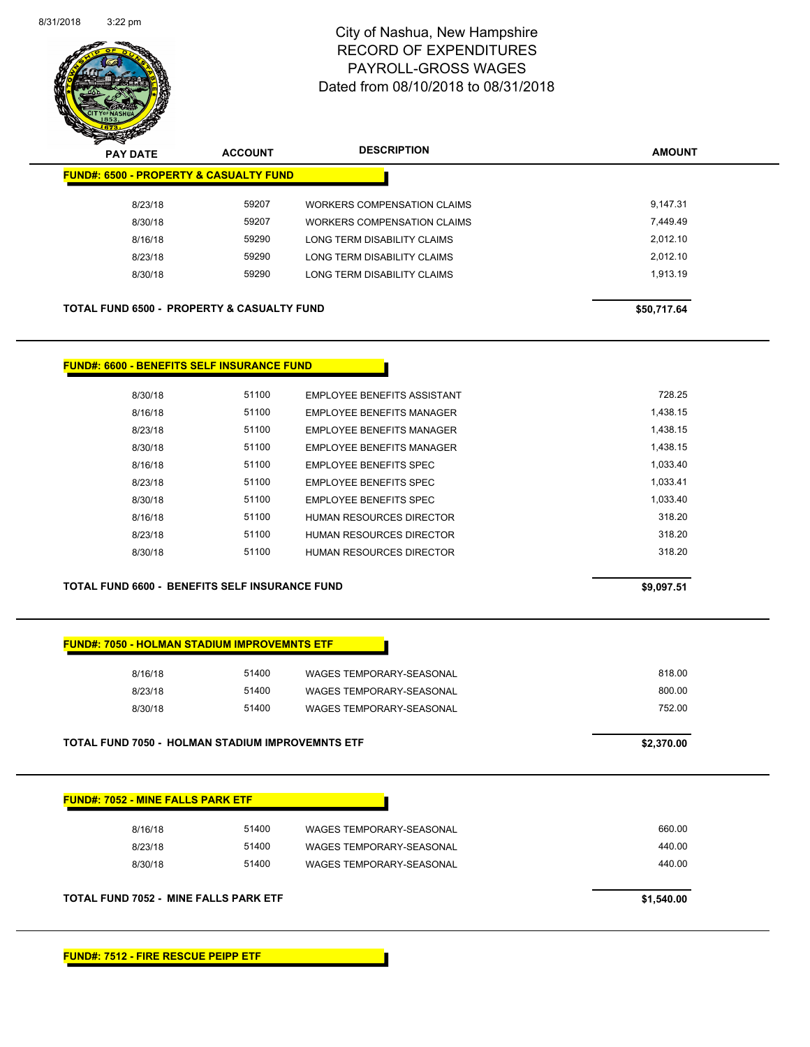

| $\overline{\mathscr{D}}$<br><b>PAY DATE</b>           | <b>ACCOUNT</b> | <b>DESCRIPTION</b>          | <b>AMOUNT</b> |
|-------------------------------------------------------|----------------|-----------------------------|---------------|
| <b>FUND#: 6500 - PROPERTY &amp; CASUALTY FUND</b>     |                |                             |               |
| 8/23/18                                               | 59207          | WORKERS COMPENSATION CLAIMS | 9.147.31      |
| 8/30/18                                               | 59207          | WORKERS COMPENSATION CLAIMS | 7.449.49      |
| 8/16/18                                               | 59290          | LONG TERM DISABILITY CLAIMS | 2.012.10      |
| 8/23/18                                               | 59290          | LONG TERM DISABILITY CLAIMS | 2.012.10      |
| 8/30/18                                               | 59290          | LONG TERM DISABILITY CLAIMS | 1.913.19      |
|                                                       |                |                             |               |
| <b>TOTAL FUND 6500 - PROPERTY &amp; CASUALTY FUND</b> |                |                             | \$50,717.64   |

### **FUND#: 6600 - BENEFITS SELF INSURANCE FUND**

| 8/30/18 | 51100 | EMPLOYEE BENEFITS ASSISTANT      | 728.25   |
|---------|-------|----------------------------------|----------|
| 8/16/18 | 51100 | <b>EMPLOYEE BENEFITS MANAGER</b> | 1.438.15 |
| 8/23/18 | 51100 | <b>FMPLOYEE BENEEITS MANAGER</b> | 1.438.15 |
| 8/30/18 | 51100 | EMPLOYEE BENEFITS MANAGER        | 1.438.15 |
| 8/16/18 | 51100 | EMPLOYEE BENEFITS SPEC           | 1.033.40 |
| 8/23/18 | 51100 | <b>EMPLOYEE BENEEITS SPEC</b>    | 1.033.41 |
| 8/30/18 | 51100 | <b>EMPLOYEE BENEFITS SPEC</b>    | 1.033.40 |
| 8/16/18 | 51100 | HUMAN RESOURCES DIRECTOR         | 318.20   |
| 8/23/18 | 51100 | HUMAN RESOURCES DIRECTOR         | 318.20   |
| 8/30/18 | 51100 | HUMAN RESOURCES DIRECTOR         | 318.20   |
|         |       |                                  |          |

**TOTAL FUND 6600 - BENEFITS SELF INSURANCE FUND \$9,097.51** 

## **FUND#: 7050 - HOLMAN STADIUM IMPROVEMNTS ETF**

| 8/16/18 | 51400 | <b>WAGES TEMPORARY-SEASONAL</b> | 818.00 |
|---------|-------|---------------------------------|--------|
| 8/23/18 | 51400 | WAGES TEMPORARY-SEASONAL        | 800.00 |
| 8/30/18 | 51400 | WAGES TEMPORARY-SEASONAL        | 752.00 |
|         |       |                                 |        |

| <b>TOTAL FUND 7050 - HOLMAN STADIUM IMPROVEMNTS ETF</b> | \$2,370.00 |
|---------------------------------------------------------|------------|
|---------------------------------------------------------|------------|

| 8/16/18 | 51400 | WAGES TEMPORARY-SEASONAL | 660.00 |
|---------|-------|--------------------------|--------|
| 8/23/18 | 51400 | WAGES TEMPORARY-SEASONAL | 440.00 |
| 8/30/18 | 51400 | WAGES TEMPORARY-SEASONAL | 440.00 |

**FUND#: 7512 - FIRE RESCUE PEIPP ETF**